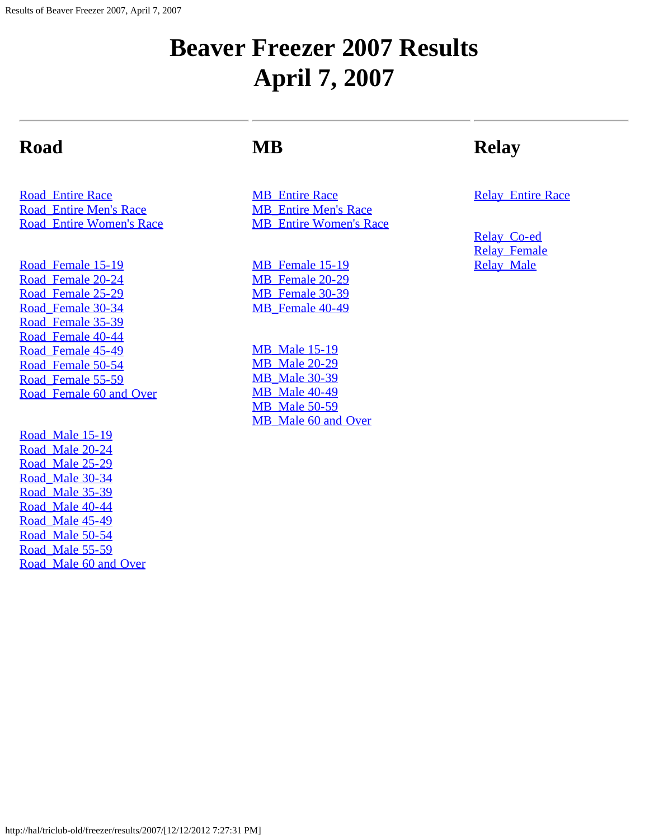#### **Beaver Freezer 2007 Results April 7, 2007**

#### **Road**

[Road\\_Entire Race](#page-1-0) [Road\\_Entire Men's Race](#page-13-0) [Road\\_Entire Women's Race](#page-20-0)

[Road\\_Female 15-19](#page-26-0) [Road\\_Female 20-24](#page-27-0) [Road\\_Female 25-29](#page-29-0) [Road\\_Female 30-34](#page-31-0) [Road\\_Female 35-39](#page-33-0) [Road\\_Female 40-44](#page-35-0) Road Female 45-49 [Road\\_Female 50-54](#page-37-0) Road Female 55-59 [Road\\_Female 60 and Over](#page-39-0)

Road Male 15-19 [Road\\_Male 20-24](#page-41-0) [Road\\_Male 25-29](#page-43-0) [Road\\_Male 30-34](#page-45-0) [Road\\_Male 35-39](#page-47-0) [Road\\_Male 40-44](#page-49-0) Road Male 45-49 [Road\\_Male 50-54](#page-52-0) Road Male 55-59 [Road\\_Male 60 and Over](#page-54-0)

#### **MB**

**MB** Entire Race [MB\\_Entire Men's Race](#page-58-0) MB Entire Women's Race

[MB\\_Female 15-19](#page-62-0) MB Female 20-29 MB Female 30-39 MB Female 40-49

**[MB\\_Male 15-19](#page-66-0)** [MB\\_Male 20-29](#page-67-0) [MB\\_Male 30-39](#page-68-0) [MB\\_Male 40-49](#page-69-0) [MB\\_Male 50-59](#page-70-0) MB Male 60 and Over

#### **Relay**

**[Relay\\_Entire Race](#page-72-0)** 

[Relay\\_Co-ed](#page-74-0) Relay Female **Relay Male**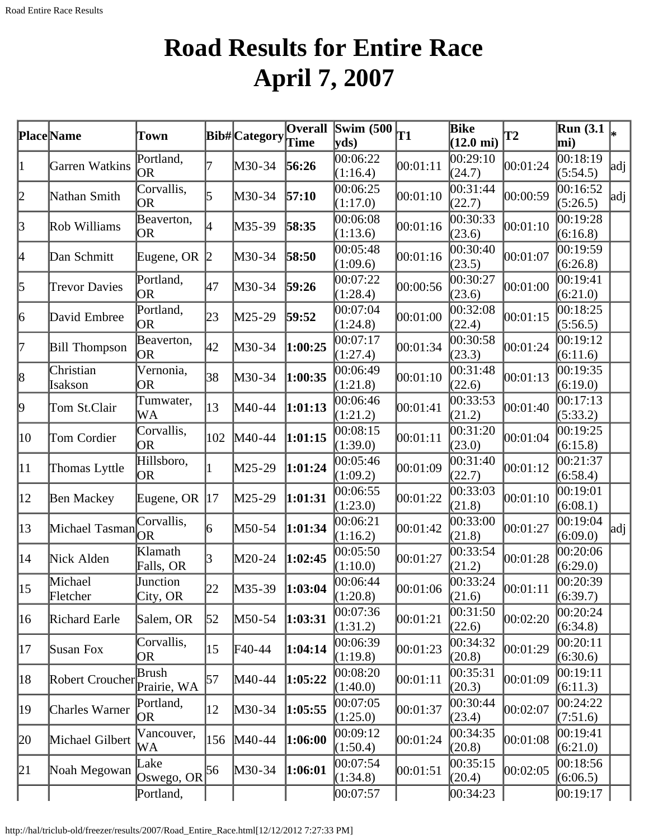# **Road Results for Entire Race April 7, 2007**

<span id="page-1-0"></span>

|              | Place Name           | Town                    |              | Bib#Category | <b>Overall</b> | Swim $(500)$<br>$ {\bf v} {\bf d} s\rangle$ | T1       | Bike<br>$(12.0 \text{ mi})$ | $\mathbf{T2}$ | <b>Run</b> (3.1)<br>mi) |     |
|--------------|----------------------|-------------------------|--------------|--------------|----------------|---------------------------------------------|----------|-----------------------------|---------------|-------------------------|-----|
| 11           | Garren Watkins       | Portland,<br><b>OR</b>  |              | M30-34       | 56:26          | 00:06:22<br>(1:16.4)                        | 00:01:11 | 00:29:10<br>(24.7)          | 00:01:24      | 00:18:19<br>(5:54.5)    | adj |
| 2            | Nathan Smith         | Corvallis,<br>OR        |              | M30-34       | 57:10          | 00:06:25<br>(1:17.0)                        | 00:01:10 | 00:31:44<br>(22.7)          | 00:00:59      | 00:16:52<br>(5:26.5)    | adj |
| $\beta$      | Rob Williams         | Beaverton,<br>OR        |              | M35-39       | 58:35          | 00:06:08<br>(1:13.6)                        | 00:01:16 | 00:30:33<br>(23.6)          | 00:01:10      | 00:19:28<br>(6:16.8)    |     |
| 4            | Dan Schmitt          | Eugene, OR 2            |              | M30-34       | 58:50          | 00:05:48<br>(1:09.6)                        | 00:01:16 | 00:30:40<br>(23.5)          | 00:01:07      | 00:19:59<br>(6:26.8)    |     |
| 5            | <b>Trevor Davies</b> | Portland,<br><b>OR</b>  | 47           | M30-34       | 59:26          | 00:07:22<br>(1:28.4)                        | 00:00:56 | 00:30:27<br>(23.6)          | 00:01:00      | 00:19:41<br>(6:21.0)    |     |
| 6            | David Embree         | Portland,<br><b>OR</b>  | 23           | M25-29       | 59:52          | 00:07:04<br>(1:24.8)                        | 00:01:00 | 00:32:08<br>(22.4)          | 00:01:15      | 00:18:25<br>(5:56.5)    |     |
| 17           | <b>Bill Thompson</b> | Beaverton,<br>OR        | 42           | M30-34       | 1:00:25        | 00:07:17<br>(1:27.4)                        | 00:01:34 | 00:30:58<br>(23.3)          | 00:01:24      | 00:19:12<br>(6:11.6)    |     |
| 8            | Christian<br>Isakson | Vernonia,<br>OR         | 38           | M30-34       | 1:00:35        | 00:06:49<br>(1:21.8)                        | 00:01:10 | 00:31:48<br>(22.6)          | 00:01:13      | 00:19:35<br>(6:19.0)    |     |
| 19           | Tom St.Clair         | Tumwater,<br>WA         | $ 13\rangle$ | M40-44       | 1:01:13        | 00:06:46<br>(1:21.2)                        | 00:01:41 | 00:33:53<br>(21.2)          | 00:01:40      | 00:17:13<br>(5:33.2)    |     |
| 10           | Tom Cordier          | Corvallis,<br>OR        | 102          | M40-44       | 1:01:15        | 00:08:15<br>(1:39.0)                        | 00:01:11 | 00:31:20<br>(23.0)          | 00:01:04      | 00:19:25<br>(6:15.8)    |     |
| $ 11\rangle$ | Thomas Lyttle        | Hillsboro,<br>OR        |              | M25-29       | 1:01:24        | 00:05:46<br>(1:09.2)                        | 00:01:09 | 00:31:40<br>(22.7)          | 00:01:12      | 00:21:37<br>(6:58.4)    |     |
| $ 12\rangle$ | <b>Ben Mackey</b>    | Eugene, OR $ 17$        |              | M25-29       | 1:01:31        | 00:06:55<br>(1:23.0)                        | 00:01:22 | 00:33:03<br>(21.8)          | 00:01:10      | 00:19:01<br>(6:08.1)    |     |
| 13           | Michael Tasman       | Corvallis,<br><b>OR</b> | 16           | M50-54       | 1:01:34        | 00:06:21<br>(1:16.2)                        | 00:01:42 | 00:33:00<br>(21.8)          | 00:01:27      | 00:19:04<br>(6:09.0)    | adj |
| 14           | Nick Alden           | Klamath<br>Falls, OR    |              | M20-24       | 1:02:45        | 00:05:50<br>(1:10.0)                        | 00:01:27 | 00:33:54<br>(21.2)          | 00:01:28      | 00:20:06<br>(6:29.0)    |     |
| 15           | Michael<br>Fletcher  | Junction<br>City, OR    | 22           | M35-39       | 1:03:04        | 00:06:44<br>(1:20.8)                        | 00:01:06 | 00:33:24<br>(21.6)          | 00:01:11      | 00:20:39<br>(6:39.7)    |     |
| $ 16\rangle$ | Richard Earle        | Salem, OR               | 52           | M50-54       | 1:03:31        | 00:07:36<br>(1:31.2)                        | 00:01:21 | 00:31:50<br>(22.6)          | 00:02:20      | 00:20:24<br>(6:34.8)    |     |
| 17           | Susan Fox            | Corvallis,<br>OR.       | 15           | F40-44       | 1:04:14        | 00:06:39<br>(1:19.8)                        | 00:01:23 | 00:34:32<br>(20.8)          | 00:01:29      | 00:20:11<br>(6:30.6)    |     |
| 18           | Robert Croucher      | Brush<br>Prairie, WA    | 57           | M40-44       | 1:05:22        | 00:08:20<br>(1:40.0)                        | 00:01:11 | 00:35:31<br>(20.3)          | 00:01:09      | 00:19:11<br>(6:11.3)    |     |
| 19           | Charles Warner       | Portland,<br>OR         | 12           | M30-34       | 1:05:55        | 00:07:05<br>(1:25.0)                        | 00:01:37 | 00:30:44<br>(23.4)          | 00:02:07      | 00:24:22<br>(7:51.6)    |     |
| 20           | Michael Gilbert      | Vancouver,<br>WA        | 156          | M40-44       | 1:06:00        | 00:09:12<br>(1:50.4)                        | 00:01:24 | 00:34:35<br>(20.8)          | 00:01:08      | 00:19:41<br>(6:21.0)    |     |
| 21           | Noah Megowan         | Lake<br>Oswego, OR $56$ |              | M30-34       | 1:06:01        | 00:07:54<br>(1:34.8)                        | 00:01:51 | 00:35:15<br>(20.4)          | 00:02:05      | 00:18:56<br>(6:06.5)    |     |
|              |                      | Portland,               |              |              |                | 00:07:57                                    |          | [00:34:23]                  |               | [00:19:17]              |     |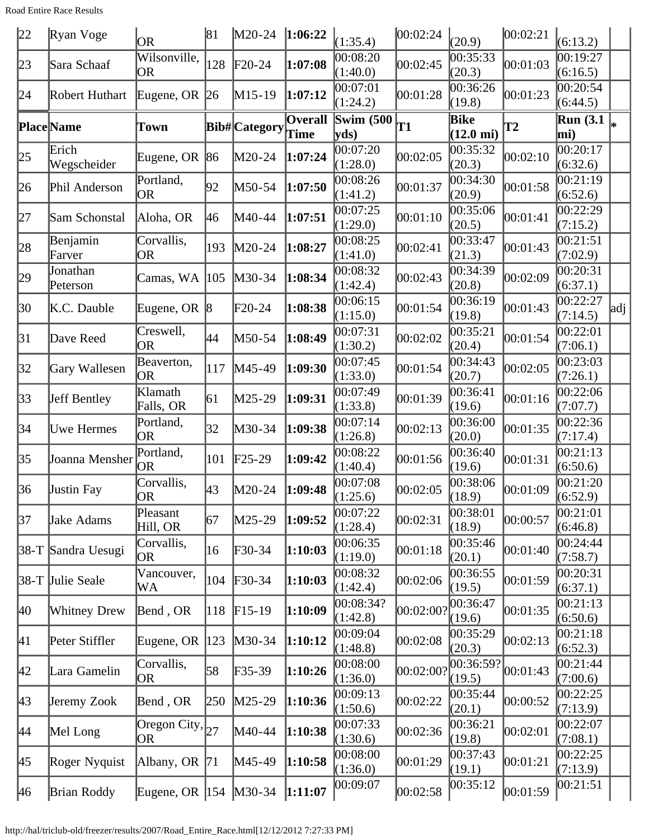Road Entire Race Results

| 22 | Ryan Voge            | <b>OR</b>                                         | 81  | $M20-24$                   | 1:06:22 | (1:35.4)              | 00:02:24  | (20.9)                      | 00:02:21  | (6:13.2)                |     |
|----|----------------------|---------------------------------------------------|-----|----------------------------|---------|-----------------------|-----------|-----------------------------|-----------|-------------------------|-----|
| 23 | Sara Schaaf          | Wilsonville,<br><b>OR</b>                         | 128 | $F20-24$                   | 1:07:08 | 00:08:20<br>(1:40.0)  | 00:02:45  | 00:35:33<br>(20.3)          | 00:01:03  | 00:19:27<br>(6:16.5)    |     |
| 24 | Robert Huthart       | Eugene, OR                                        | 26  | M15-19                     | 1:07:12 | 00:07:01<br>(1:24.2)  | 00:01:28  | 00:36:26<br>(19.8)          | 00:01:23  | 00:20:54<br>(6:44.5)    |     |
|    | <b>Place</b> Name    | Town                                              |     | Bib#Category               | Overall | Swim $(500)$<br>yds)  | <b>T1</b> | Bike<br>$(12.0 \text{ mi})$ | <b>T2</b> | <b>Run</b> (3.1)<br>mi) |     |
| 25 | Erich<br>Wegscheider | Eugene, OR                                        | 86  | M20-24                     | 1:07:24 | 00:07:20<br>(1:28.0)  | 00:02:05  | 00:35:32<br>(20.3)          | 00:02:10  | 00:20:17<br>(6:32.6)    |     |
| 26 | Phil Anderson        | Portland,<br><b>OR</b>                            | 92  | M50-54                     | 1:07:50 | 00:08:26<br>(1:41.2)  | 00:01:37  | 00:34:30<br>(20.9)          | 00:01:58  | 00:21:19<br>(6:52.6)    |     |
| 27 | Sam Schonstal        | Aloha, OR                                         | 46  | M40-44                     | 1:07:51 | 00:07:25<br>(1:29.0)  | 00:01:10  | 00:35:06<br>(20.5)          | 00:01:41  | 00:22:29<br>(7:15.2)    |     |
| 28 | Benjamin<br>Farver   | Corvallis,<br>OR                                  | 193 | $M20-24$                   | 1:08:27 | 00:08:25<br>(1:41.0)  | 00:02:41  | 00:33:47<br>(21.3)          | 00:01:43  | 00:21:51<br>(7:02.9)    |     |
| 29 | Jonathan<br>Peterson | Camas, WA                                         | 105 | M30-34                     | 1:08:34 | 00:08:32<br>(1:42.4)  | 00:02:43  | 00:34:39<br>(20.8)          | 00:02:09  | 00:20:31<br>(6:37.1)    |     |
| 30 | K.C. Dauble          | Eugene, OR $ 8 $                                  |     | $F20-24$                   | 1:08:38 | 00:06:15<br>(1:15.0)  | 00:01:54  | 00:36:19<br>(19.8)          | 00:01:43  | 00:22:27<br>(7:14.5)    | adj |
| 31 | Dave Reed            | Creswell,<br>OR                                   | 44  | M50-54                     | 1:08:49 | 00:07:31<br>(1:30.2)  | 00:02:02  | 00:35:21<br>(20.4)          | 00:01:54  | 00:22:01<br>(7:06.1)    |     |
| 32 | Gary Wallesen        | Beaverton,<br>OR                                  | 117 | M45-49                     | 1:09:30 | 00:07:45<br>(1:33.0)  | 00:01:54  | 00:34:43<br>(20.7)          | 00:02:05  | 00:23:03<br>(7:26.1)    |     |
| 33 | <b>Jeff Bentley</b>  | Klamath<br>Falls, OR                              | 61  | M25-29                     | 1:09:31 | 00:07:49<br>(1:33.8)  | 00:01:39  | 00:36:41<br>(19.6)          | 00:01:16  | 00:22:06<br>(7:07.7)    |     |
| 34 | Uwe Hermes           | Portland,<br>OR                                   | 32  | M30-34                     | 1:09:38 | 00:07:14<br>(1:26.8)  | 00:02:13  | 00:36:00<br>(20.0)          | 00:01:35  | 00:22:36<br>(7:17.4)    |     |
| 35 | Joanna Mensher       | Portland,<br>OR                                   | 101 | $\text{F25-29}$            | 1:09:42 | 00:08:22<br>(1:40.4)  | 00:01:56  | 00:36:40<br>(19.6)          | 00:01:31  | 00:21:13<br>(6:50.6)    |     |
| 36 | <b>Justin Fay</b>    | Corvallis,<br>OR                                  | 43  | M20-24                     | 1:09:48 | 00:07:08<br>(1:25.6)  | 00:02:05  | 00:38:06<br>(18.9)          | 00:01:09  | 00:21:20<br>(6:52.9)    |     |
| 37 | Jake Adams           | Pleasant<br>Hill, OR                              | 67  | M25-29                     | 1:09:52 | 00:07:22<br>(1:28.4)  | 00:02:31  | 00:38:01<br>(18.9)          | 00:00:57  | 00:21:01<br>(6:46.8)    |     |
|    | 38-T Sandra Uesugi   | Corvallis,<br>OR.                                 | 16  | F30-34                     | 1:10:03 | 00:06:35<br>(1:19.0)  | 00:01:18  | 00:35:46<br>(20.1)          | 00:01:40  | 00:24:44<br>(7:58.7)    |     |
|    | 38-T Julie Seale     | Vancouver,<br>WA                                  | 104 | $\textcolor{blue}{F30-34}$ | 1:10:03 | 00:08:32<br>(1:42.4)  | 00:02:06  | 00:36:55<br>(19.5)          | 00:01:59  | 00:20:31<br>(6:37.1)    |     |
| 40 | <b>Whitney Drew</b>  | Bend, OR                                          | 118 | $F15-19$                   | 1:10:09 | 00:08:34?<br>(1:42.8) | 00:02:00? | 00:36:47<br>(19.6)          | 00:01:35  | 00:21:13<br>(6:50.6)    |     |
| 41 | Peter Stiffler       | Eugene, OR                                        | 123 | $M30-34$                   | 1:10:12 | 00:09:04<br>(1:48.8)  | 00:02:08  | 00:35:29<br>(20.3)          | 00:02:13  | 00:21:18<br>(6:52.3)    |     |
| 42 | Lara Gamelin         | Corvallis,<br> OR                                 | 58  | $F35-39$                   | 1:10:26 | 00:08:00<br>(1:36.0)  | 00:02:00? | 00:36:59?<br>(19.5)         | 00:01:43  | 00:21:44<br>(7:00.6)    |     |
| 43 | Jeremy Zook          | Bend, OR                                          | 250 | $M25-29$                   | 1:10:36 | 00:09:13<br>(1:50.6)  | 00:02:22  | 00:35:44<br>(20.1)          | 00:00:52  | 00:22:25<br>(7:13.9)    |     |
| 44 | Mel Long             | $\overline{\text{Oregon City}}, \vert_{27}$<br>OR |     | M40-44                     | 1:10:38 | 00:07:33<br>(1:30.6)  | 00:02:36  | 00:36:21<br>(19.8)          | 00:02:01  | 00:22:07<br>(7:08.1)    |     |
| 45 | Roger Nyquist        | Albany, OR $ 71$                                  |     | M45-49                     | 1:10:58 | 00:08:00<br>(1:36.0)  | 00:01:29  | 00:37:43<br>(19.1)          | 00:01:21  | 00:22:25<br>(7:13.9)    |     |
| 46 | <b>Brian Roddy</b>   | Eugene, OR $ 154 $                                |     | $M30-34$                   | 1:11:07 | 00:09:07              | 00:02:58  | 00:35:12                    | 00:01:59  | 00:21:51                |     |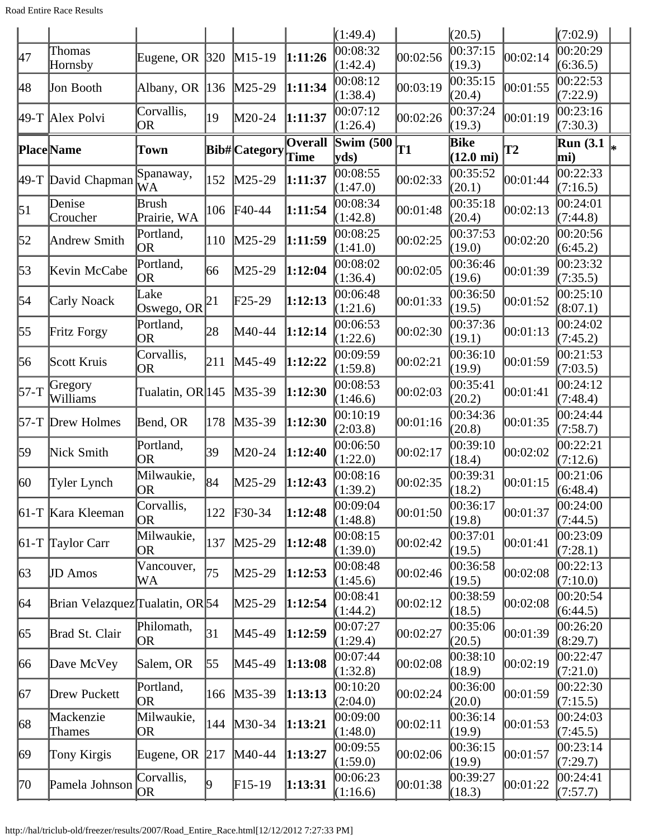Road Entire Race Results

|                     |                                                                                                                                                                                                                                                                                                                               |     |                                                                                                                                                                                                                         |                                                                                                                                                      | (1:49.4)                                                                                                                                                                                                                                                                                  |           | (20.5)                      |               | (7:02.9)                |                                               |
|---------------------|-------------------------------------------------------------------------------------------------------------------------------------------------------------------------------------------------------------------------------------------------------------------------------------------------------------------------------|-----|-------------------------------------------------------------------------------------------------------------------------------------------------------------------------------------------------------------------------|------------------------------------------------------------------------------------------------------------------------------------------------------|-------------------------------------------------------------------------------------------------------------------------------------------------------------------------------------------------------------------------------------------------------------------------------------------|-----------|-----------------------------|---------------|-------------------------|-----------------------------------------------|
| Thomas              |                                                                                                                                                                                                                                                                                                                               |     |                                                                                                                                                                                                                         |                                                                                                                                                      | 00:08:32<br>(1:42.4)                                                                                                                                                                                                                                                                      | 00:02:56  | 00:37:15<br>(19.3)          | 00:02:14      | 00:20:29<br>(6:36.5)    |                                               |
|                     |                                                                                                                                                                                                                                                                                                                               |     |                                                                                                                                                                                                                         |                                                                                                                                                      | 00:08:12<br>(1:38.4)                                                                                                                                                                                                                                                                      | 00:03:19  | 00:35:15<br>(20.4)          | 00:01:55      | 00:22:53<br>(7:22.9)    |                                               |
|                     | Corvallis,<br><b>OR</b>                                                                                                                                                                                                                                                                                                       | 19  | M20-24                                                                                                                                                                                                                  |                                                                                                                                                      | 00:07:12<br>(1:26.4)                                                                                                                                                                                                                                                                      | 00:02:26  | 00:37:24<br>(19.3)          | 00:01:19      | 00:23:16<br>(7:30.3)    |                                               |
|                     | Town                                                                                                                                                                                                                                                                                                                          |     |                                                                                                                                                                                                                         | Overall                                                                                                                                              | Swim $(500)$<br>yds)                                                                                                                                                                                                                                                                      | <b>T1</b> | Bike<br>$(12.0 \text{ mi})$ | $\mathbf{T2}$ | <b>Run</b> (3.1)<br>mi) |                                               |
|                     | Spanaway,<br>WA                                                                                                                                                                                                                                                                                                               | 152 |                                                                                                                                                                                                                         |                                                                                                                                                      | 00:08:55<br>(1:47.0)                                                                                                                                                                                                                                                                      | 00:02:33  | 00:35:52<br>(20.1)          | 00:01:44      | (7:16.5)                |                                               |
| Denise<br>Croucher  | Brush<br>Prairie, WA                                                                                                                                                                                                                                                                                                          | 106 |                                                                                                                                                                                                                         |                                                                                                                                                      | 00:08:34<br>(1:42.8)                                                                                                                                                                                                                                                                      | 00:01:48  | 00:35:18<br>(20.4)          | 00:02:13      | (7:44.8)                |                                               |
| Andrew Smith        | Portland,<br><b>OR</b>                                                                                                                                                                                                                                                                                                        | 110 |                                                                                                                                                                                                                         |                                                                                                                                                      | 00:08:25<br>(1:41.0)                                                                                                                                                                                                                                                                      | 00:02:25  | 00:37:53<br>(19.0)          | 00:02:20      | 00:20:56<br>(6:45.2)    |                                               |
|                     | Portland,<br>OR                                                                                                                                                                                                                                                                                                               |     | M25-29                                                                                                                                                                                                                  |                                                                                                                                                      | 00:08:02<br>(1:36.4)                                                                                                                                                                                                                                                                      | 00:02:05  | 00:36:46<br>(19.6)          | 00:01:39      | 00:23:32<br>(7:35.5)    |                                               |
|                     | Lake                                                                                                                                                                                                                                                                                                                          |     | $F25-29$                                                                                                                                                                                                                |                                                                                                                                                      | 00:06:48<br>(1:21.6)                                                                                                                                                                                                                                                                      | 00:01:33  | 00:36:50<br>(19.5)          | 00:01:52      | 00:25:10<br>(8:07.1)    |                                               |
|                     | Portland,<br><b>OR</b>                                                                                                                                                                                                                                                                                                        |     | M40-44                                                                                                                                                                                                                  |                                                                                                                                                      | 00:06:53<br>(1:22.6)                                                                                                                                                                                                                                                                      | 00:02:30  | 00:37:36<br>(19.1)          | 00:01:13      | 00:24:02<br>(7:45.2)    |                                               |
|                     | Corvallis,<br><b>OR</b>                                                                                                                                                                                                                                                                                                       |     |                                                                                                                                                                                                                         |                                                                                                                                                      | 00:09:59<br>(1:59.8)                                                                                                                                                                                                                                                                      | 00:02:21  | 00:36:10<br>(19.9)          | 00:01:59      | 00:21:53<br>(7:03.5)    |                                               |
| Williams            |                                                                                                                                                                                                                                                                                                                               |     |                                                                                                                                                                                                                         |                                                                                                                                                      | 00:08:53<br>(1:46.6)                                                                                                                                                                                                                                                                      | 00:02:03  | 00:35:41<br>(20.2)          | 00:01:41      | 00:24:12<br>(7:48.4)    |                                               |
|                     | Bend, OR                                                                                                                                                                                                                                                                                                                      | 178 |                                                                                                                                                                                                                         |                                                                                                                                                      | 00:10:19<br>(2:03.8)                                                                                                                                                                                                                                                                      |           | (20.8)                      | 00:01:35      | (7:58.7)                |                                               |
|                     | Portland,<br><b>OR</b>                                                                                                                                                                                                                                                                                                        |     | M20-24                                                                                                                                                                                                                  |                                                                                                                                                      | 00:06:50<br>(1:22.0)                                                                                                                                                                                                                                                                      | 00:02:17  | 00:39:10<br>(18.4)          | 00:02:02      | 00:22:21<br>(7:12.6)    |                                               |
| Tyler Lynch         | Milwaukie,<br><b>OR</b>                                                                                                                                                                                                                                                                                                       |     | M25-29                                                                                                                                                                                                                  |                                                                                                                                                      | 00:08:16<br>(1:39.2)                                                                                                                                                                                                                                                                      | 00:02:35  | 00:39:31<br>(18.2)          | 00:01:15      | 00:21:06<br>(6:48.4)    |                                               |
|                     | Corvallis,<br><b>OR</b>                                                                                                                                                                                                                                                                                                       | 122 |                                                                                                                                                                                                                         |                                                                                                                                                      | 00:09:04<br>(1:48.8)                                                                                                                                                                                                                                                                      | 00:01:50  | 00:36:17<br>(19.8)          | 00:01:37      | (7:44.5)                |                                               |
|                     | Milwaukie,<br><b>OR</b>                                                                                                                                                                                                                                                                                                       | 137 |                                                                                                                                                                                                                         |                                                                                                                                                      | 00:08:15<br>(1:39.0)                                                                                                                                                                                                                                                                      | 00:02:42  | 00:37:01<br>(19.5)          | 00:01:41      | 00:23:09<br>(7:28.1)    |                                               |
|                     | Vancouver,<br>WA                                                                                                                                                                                                                                                                                                              |     | M25-29                                                                                                                                                                                                                  |                                                                                                                                                      | 00:08:48<br>(1:45.6)                                                                                                                                                                                                                                                                      | 00:02:46  | 00:36:58<br>(19.5)          | 00:02:08      | 00:22:13<br>(7:10.0)    |                                               |
|                     |                                                                                                                                                                                                                                                                                                                               |     | M25-29                                                                                                                                                                                                                  |                                                                                                                                                      | 00:08:41<br>(1:44.2)                                                                                                                                                                                                                                                                      | 00:02:12  | 00:38:59<br>(18.5)          | 00:02:08      | 00:20:54<br>(6:44.5)    |                                               |
|                     | Philomath,<br>OR                                                                                                                                                                                                                                                                                                              |     | M45-49                                                                                                                                                                                                                  |                                                                                                                                                      | 00:07:27<br>(1:29.4)                                                                                                                                                                                                                                                                      | 00:02:27  | 00:35:06<br>(20.5)          | 00:01:39      | 00:26:20<br>(8:29.7)    |                                               |
|                     | Salem, OR                                                                                                                                                                                                                                                                                                                     |     | M45-49                                                                                                                                                                                                                  |                                                                                                                                                      | 00:07:44<br>(1:32.8)                                                                                                                                                                                                                                                                      | 00:02:08  | 00:38:10<br>(18.9)          | 00:02:19      | 00:22:47<br>(7:21.0)    |                                               |
|                     | Portland,<br><b>OR</b>                                                                                                                                                                                                                                                                                                        | 166 |                                                                                                                                                                                                                         |                                                                                                                                                      | 00:10:20<br>(2:04.0)                                                                                                                                                                                                                                                                      | 00:02:24  | 00:36:00<br>(20.0)          | 00:01:59      | 00:22:30<br>(7:15.5)    |                                               |
| Mackenzie<br>Thames | Milwaukie,<br>OR                                                                                                                                                                                                                                                                                                              | 144 |                                                                                                                                                                                                                         |                                                                                                                                                      | 00:09:00<br>(1:48.0)                                                                                                                                                                                                                                                                      | 00:02:11  | 00:36:14<br>(19.9)          | 00:01:53      | 00:24:03<br>(7:45.5)    |                                               |
| Tony Kirgis         |                                                                                                                                                                                                                                                                                                                               |     |                                                                                                                                                                                                                         |                                                                                                                                                      | 00:09:55<br>(1:59.0)                                                                                                                                                                                                                                                                      | 00:02:06  | 00:36:15<br>(19.9)          | 00:01:57      | 00:23:14<br>(7:29.7)    |                                               |
|                     | Corvallis,<br>OR                                                                                                                                                                                                                                                                                                              |     | $F15-19$                                                                                                                                                                                                                |                                                                                                                                                      | 00:06:23<br>(1:16.6)                                                                                                                                                                                                                                                                      | 00:01:38  | 00:39:27<br>(18.3)          | 00:01:22      | 00:24:41<br>(7:57.7)    |                                               |
|                     | Hornsby<br>Jon Booth<br>49-T Alex Polvi<br><b>Place</b> Name<br>49-T David Chapman<br>Kevin McCabe<br>Carly Noack<br>Fritz Forgy<br>Scott Kruis<br>Gregory<br>57-T Drew Holmes<br>Nick Smith<br>$61-T$ Kara Kleeman<br>$61-T$ Taylor Carr<br><b>JD</b> Amos<br>Brad St. Clair<br>Dave McVey<br>Drew Puckett<br>Pamela Johnson |     | Eugene, OR $ 320$<br>Albany, OR $ 136$<br> 66<br>Oswego, OR $ ^{21}$<br>28<br>211<br>Tualatin, OR 145<br>39<br> 84 <br>75<br>Brian Velazquez Tualatin, OR 54<br> 31<br>$\vert 55 \vert$<br>Eugene, OR $\vert$ 217<br>19 | $M15-19$<br>$M25-29$<br>$M25-29$<br>$F40-44$<br>$M25-29$<br>M45-49<br>$M35-39$<br>$M35-39$<br>$F30-34$<br>$M25-29$<br>$M35-39$<br>$M30-34$<br>M40-44 | 1:11:26<br>1:11:34<br>1:11:37<br>Bib#Category Time<br>1:11:37<br>1:11:54<br>1:11:59<br>1:12:04<br>1:12:13<br>1:12:14<br>1:12:22<br>1:12:30<br>1:12:30<br>1:12:40<br>1:12:43<br>1:12:48<br>1:12:48<br>1:12:53<br>1:12:54<br>1:12:59<br>1:13:08<br>1:13:13<br>1:13:21<br>1:13:27<br>1:13:31 |           | 00:01:16                    | 00:34:36      |                         | 00:22:33<br>00:24:01<br>00:24:44<br> 00:24:00 |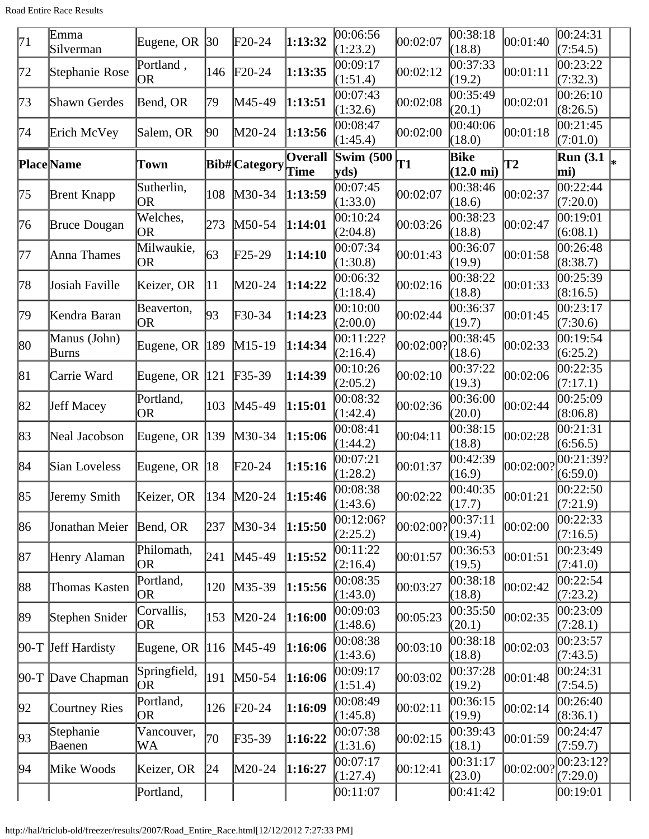Road Entire Race Results

| 71  | Emma                  | Eugene, OR                | $ 30\rangle$  | F20-24          | 1:13:32                | 00:06:56                  | 00:02:07  | 00:38:18                           | 00:01:40  | 00:24:31                |   |
|-----|-----------------------|---------------------------|---------------|-----------------|------------------------|---------------------------|-----------|------------------------------------|-----------|-------------------------|---|
|     | Silverman             |                           |               |                 |                        | (1:23.2)                  |           | (18.8)                             |           | (7:54.5)                |   |
| 172 | Stephanie Rose        | Portland,<br>OR           | 146           | $\text{F}20-24$ | 1:13:35                | 00:09:17<br>(1:51.4)      | 00:02:12  | 00:37:33<br>(19.2)                 | 00:01:11  | 00:23:22<br>(7:32.3)    |   |
| 73  | Shawn Gerdes          | Bend, OR                  | 79            | M45-49          | 1:13:51                | 00:07:43<br>(1:32.6)      | 00:02:08  | 00:35:49<br>(20.1)                 | 00:02:01  | 00:26:10<br>(8:26.5)    |   |
| 74  | Erich McVey           | Salem, OR                 | 90            | M20-24          | 1:13:56                | 00:08:47<br>(1:45.4)      | 00:02:00  | 00:40:06<br>(18.0)                 | 00:01:18  | 00:21:45<br>(7:01.0)    |   |
|     | <b>Place</b> Name     | Town                      |               | Bib#Category    | Overall<br><b>Time</b> | <b>Swim (500)</b><br>yds) | T1        | <b>Bike</b><br>$(12.0 \text{ mi})$ | T2        | <b>Run</b> (3.1)<br>mi) | ∗ |
| 75  | <b>Brent Knapp</b>    | Sutherlin,<br>OR          | 108           | M30-34          | 1:13:59                | 00:07:45<br>(1:33.0)      | 00:02:07  | 00:38:46<br>(18.6)                 | 00:02:37  | 00:22:44<br>(7:20.0)    |   |
| 76  | <b>Bruce Dougan</b>   | Welches,<br><b>OR</b>     | 273           | M50-54          | 1:14:01                | 00:10:24<br>(2:04.8)      | 00:03:26  | 00:38:23<br>(18.8)                 | 00:02:47  | 00:19:01<br>(6:08.1)    |   |
| 77  | Anna Thames           | Milwaukie,<br>OR          | 63            | $F25-29$        | 1:14:10                | 00:07:34<br>(1:30.8)      | 00:01:43  | 00:36:07<br>(19.9)                 | 00:01:58  | 00:26:48<br>(8:38.7)    |   |
| 78  | Josiah Faville        | Keizer, OR                | 11            | M20-24          | 1:14:22                | 00:06:32<br>(1:18.4)      | 00:02:16  | 00:38:22<br>(18.8)                 | 00:01:33  | 00:25:39<br>(8:16.5)    |   |
| 79  | Kendra Baran          | Beaverton,<br><b>OR</b>   | 93            | F30-34          | 1:14:23                | 00:10:00<br>(2:00.0)      | 00:02:44  | 00:36:37<br>(19.7)                 | 00:01:45  | 00:23:17<br>(7:30.6)    |   |
| 80  | Manus (John)<br>Burns | Eugene, OR                | $ 189\rangle$ | $M15-19$        | 1:14:34                | 00:11:22?<br>(2:16.4)     | 00:02:00? | 00:38:45<br>(18.6)                 | 00:02:33  | 00:19:54<br>(6:25.2)    |   |
| 81  | Carrie Ward           | Eugene, OR $ 121$         |               | $F35-39$        | 1:14:39                | 00:10:26<br>(2:05.2)      | 00:02:10  | 00:37:22<br>(19.3)                 | 00:02:06  | 00:22:35<br>(7:17.1)    |   |
| 82  | <b>Jeff Macey</b>     | Portland,<br><b>OR</b>    | 103           | M45-49          | 1:15:01                | 00:08:32<br>(1:42.4)      | 00:02:36  | 00:36:00<br>(20.0)                 | 00:02:44  | 00:25:09<br>(8:06.8)    |   |
| 83  | Neal Jacobson         | Eugene, OR                | 139           | M30-34          | 1:15:06                | 00:08:41<br>(1:44.2)      | 00:04:11  | 00:38:15<br>(18.8)                 | 00:02:28  | 00:21:31<br>(6:56.5)    |   |
| 84  | Sian Loveless         | Eugene, OR                | 18            | $\text{F20-24}$ | 1:15:16                | 00:07:21<br>(1:28.2)      | 00:01:37  | 00:42:39<br>(16.9)                 | 00:02:00? | 00:21:39?<br>(6:59.0)   |   |
| 85  | Jeremy Smith          | Keizer, OR                | 134           | $M20-24$        | 1:15:46                | 00:08:38<br>(1:43.6)      | 00:02:22  | 00:40:35<br>(17.7)                 | 00:01:21  | 00:22:50<br>(7:21.9)    |   |
| 86  | Jonathan Meier        | Bend, OR                  | 237           | M30-34          | 1:15:50                | 00:12:06?<br>(2:25.2)     | 00:02:00? | 00:37:11<br>(19.4)                 | 00:02:00  | 00:22:33<br>(7:16.5)    |   |
| 87  | Henry Alaman          | Philomath,<br><b>OR</b>   | 241           | M45-49          | 1:15:52                | 00:11:22<br>(2:16.4)      | 00:01:57  | 00:36:53<br>(19.5)                 | 00:01:51  | 00:23:49<br>(7:41.0)    |   |
| 88  | Thomas Kasten         | Portland,<br><b>OR</b>    | 120           | $M35-39$        | 1:15:56                | 00:08:35<br>(1:43.0)      | 00:03:27  | 00:38:18<br>(18.8)                 | 00:02:42  | 00:22:54<br>(7:23.2)    |   |
| 89  | Stephen Snider        | Corvallis,<br>OR          | 153           | $M20-24$        | 1:16:00                | 00:09:03<br>(1:48.6)      | 00:05:23  | 00:35:50<br>(20.1)                 | 00:02:35  | 00:23:09<br>(7:28.1)    |   |
|     | $90-T$ Jeff Hardisty  | Eugene, OR $ 116$         |               | $M45-49$        | 1:16:06                | 00:08:38<br>(1:43.6)      | 00:03:10  | 00:38:18<br>(18.8)                 | 00:02:03  | 00:23:57<br>(7:43.5)    |   |
|     | 90-T Dave Chapman     | Springfield,<br><b>OR</b> | 191           | M50-54          | 1:16:06                | 00:09:17<br>(1:51.4)      | 00:03:02  | 00:37:28<br>(19.2)                 | 00:01:48  | 00:24:31<br>(7:54.5)    |   |
| 92  | Courtney Ries         | Portland,<br><b>OR</b>    | 126           | $F20-24$        | 1:16:09                | 00:08:49<br>(1:45.8)      | 00:02:11  | 00:36:15<br>(19.9)                 | 00:02:14  | 00:26:40<br>(8:36.1)    |   |
| 93  | Stephanie<br>Baenen   | Vancouver,<br>WA          | 70            | F35-39          | 1:16:22                | 00:07:38<br>(1:31.6)      | 00:02:15  | 00:39:43<br>(18.1)                 | 00:01:59  | 00:24:47<br>(7:59.7)    |   |
| 94  | Mike Woods            | Keizer, OR                | 24            | M20-24          | 1:16:27                | 00:07:17<br>(1:27.4)      | 00:12:41  | 00:31:17<br>(23.0)                 | 00:02:00? | 00:23:12? <br>(7:29.0)  |   |
|     |                       | Portland,                 |               |                 |                        | 00:11:07                  |           | 00:41:42                           |           | 00:19:01                |   |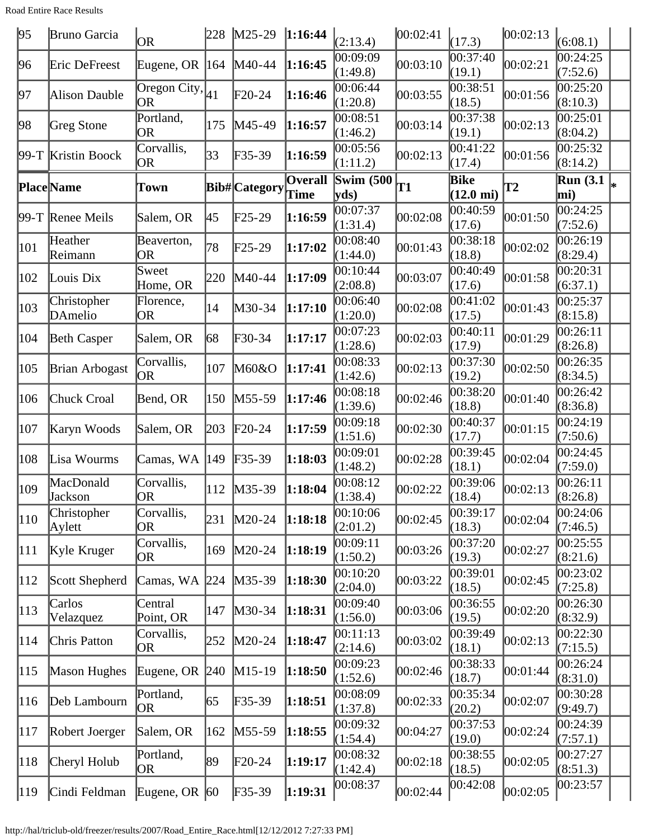Road Entire Race Results

| 95            | Bruno Garcia                | <b>OR</b>                 | 228 | $M25-29$                   | 1:16:44                | (2:13.4)                  | 00:02:41 | (17.3)                      | 00:02:13  | (6:08.1)                          |  |
|---------------|-----------------------------|---------------------------|-----|----------------------------|------------------------|---------------------------|----------|-----------------------------|-----------|-----------------------------------|--|
| 96            | Eric DeFreest               | Eugene, OR $ 164 $        |     | M40-44                     | 1:16:45                | 00:09:09<br>(1:49.8)      | 00:03:10 | 00:37:40<br>(19.1)          | 00:02:21  | 0.24:25<br>(7:52.6)               |  |
| 97            | Alison Dauble               | Oregon City, $ 41 $<br>OR |     | $F20-24$                   | 1:16:46                | 00:06:44<br>(1:20.8)      | 00:03:55 | 00:38:51<br>(18.5)          | 00:01:56  | 00:25:20<br>(8:10.3)              |  |
| 98            | Greg Stone                  | Portland,<br><b>OR</b>    | 175 | M45-49                     | 1:16:57                | 00:08:51<br>(1:46.2)      | 00:03:14 | 00:37:38<br>(19.1)          | 00:02:13  | $\overline{00:}25:01$<br>(8:04.2) |  |
|               | 99-T Kristin Boock          | Corvallis,<br>OR          | 33  | F35-39                     | 1:16:59                | 00:05:56<br>(1:11.2)      | 00:02:13 | 00:41:22<br>(17.4)          | 00:01:56  | 00:25:32<br>(8:14.2)              |  |
|               | <b>Place</b> Name           | Town                      |     | <b>Bib# Category</b>       | <b>Overall</b><br>Time | <b>Swim (500)</b><br>yds) | T1       | Bike<br>$(12.0 \text{ mi})$ | <b>T2</b> | <b>Run</b> (3.1)<br>mi)           |  |
|               | 99-T Renee Meils            | Salem, OR                 | 45  | F25-29                     | 1:16:59                | 00:07:37<br>(1:31.4)      | 00:02:08 | 00:40:59<br>(17.6)          | 00:01:50  | 00:24:25<br>(7:52.6)              |  |
| 101           | Heather<br>Reimann          | Beaverton,<br><b>OR</b>   | 78  | $F25-29$                   | 1:17:02                | 00:08:40<br>(1:44.0)      | 00:01:43 | 00:38:18<br>(18.8)          | 00:02:02  | 00:26:19<br>(8:29.4)              |  |
| 102           | Louis Dix                   | Sweet<br>Home, OR         | 220 | M40-44                     | 1:17:09                | 00:10:44<br>(2:08.8)      | 00:03:07 | 00:40:49<br>(17.6)          | 00:01:58  | 00:20:31<br>(6:37.1)              |  |
| 103           | Christopher<br>DAmelio      | Florence,<br><b>OR</b>    | 14  | M30-34                     | 1:17:10                | 00:06:40<br>(1:20.0)      | 00:02:08 | 00:41:02<br>(17.5)          | 00:01:43  | 00:25:37<br>(8:15.8)              |  |
| 104           | <b>Beth Casper</b>          | Salem, OR                 | 68  | F30-34                     | 1:17:17                | 00:07:23<br>(1:28.6)      | 00:02:03 | 00:40:11<br>(17.9)          | 00:01:29  | 00:26:11<br>(8:26.8)              |  |
| 105           | <b>Brian Arbogast</b>       | Corvallis,<br><b>OR</b>   | 107 | M60&O                      | 1:17:41                | 00:08:33<br>(1:42.6)      | 00:02:13 | 00:37:30<br>(19.2)          | 00:02:50  | 00:26:35<br>(8:34.5)              |  |
| 106           | Chuck Croal                 | Bend, OR                  | 150 | M55-59                     | 1:17:46                | 00:08:18<br>(1:39.6)      | 00:02:46 | 00:38:20<br>(18.8)          | 00:01:40  | 00:26:42<br>(8:36.8)              |  |
| 107           | Karyn Woods                 | Salem, OR                 | 203 | $F20-24$                   | 1:17:59                | 00:09:18<br>(1:51.6)      | 00:02:30 | 00:40:37<br>(17.7)          | 00:01:15  | 00:24:19<br>(7:50.6)              |  |
| 108           | Lisa Wourms                 | Camas, WA                 | 149 | $F35-39$                   | 1:18:03                | 00:09:01<br>(1:48.2)      | 00:02:28 | 00:39:45<br>(18.1)          | 00:02:04  | 00:24:45<br>(7:59.0)              |  |
| 109           | MacDonald<br><b>Jackson</b> | Corvallis,<br> OR         | 112 | $M35-39$                   | 1:18:04                | 00:08:12<br>(1:38.4)      | 00:02:22 | 00:39:06<br>(18.4)          | 00:02:13  | 00:26:11<br>(8:26.8)              |  |
| $ 110\rangle$ | Christopher<br>Aylett       | Corvallis,<br>OR          | 231 | $M20-24$                   | 1:18:18                | 00:10:06<br>(2:01.2)      | 00:02:45 | 00:39:17<br>(18.3)          | 00:02:04  | 00:24:06<br>(7:46.5)              |  |
| 111           | Kyle Kruger                 | Corvallis,<br>OR          | 169 | $M20-24$                   | 1:18:19                | 00:09:11<br>(1:50.2)      | 00:03:26 | 00:37:20<br>(19.3)          | 00:02:27  | 00:25:55<br>(8:21.6)              |  |
| 112           | Scott Shepherd              | Camas, WA 224             |     | $M35-39$                   | 1:18:30                | 00:10:20<br>(2:04.0)      | 00:03:22 | 00:39:01<br>(18.5)          | 00:02:45  | 00:23:02<br>(7:25.8)              |  |
| 113           | Carlos<br>Velazquez         | Central<br>Point, OR      | 147 | $M30-34$                   | 1:18:31                | 00:09:40<br>(1:56.0)      | 00:03:06 | 00:36:55<br>(19.5)          | 00:02:20  | 00:26:30<br>(8:32.9)              |  |
| 114           | Chris Patton                | Corvallis,<br><b>OR</b>   | 252 | M20-24                     | 1:18:47                | 00:11:13<br>(2:14.6)      | 00:03:02 | 00:39:49<br>(18.1)          | 00:02:13  | 00:22:30<br>(7:15.5)              |  |
| 115           | Mason Hughes                | Eugene, OR 240            |     | $M15-19$                   | 1:18:50                | 00:09:23<br>(1:52.6)      | 00:02:46 | 00:38:33<br>(18.7)          | 00:01:44  | 00:26:24<br>(8:31.0)              |  |
| 116           | Deb Lambourn                | Portland,<br><b>OR</b>    | 65  | $F35-39$                   | 1:18:51                | 00:08:09<br>(1:37.8)      | 00:02:33 | 00:35:34<br>(20.2)          | 00:02:07  | 00:30:28<br>(9:49.7)              |  |
| 117           | Robert Joerger              | Salem, OR                 | 162 | M55-59                     | 1:18:55                | 00:09:32<br>(1:54.4)      | 00:04:27 | 00:37:53<br>(19.0)          | 00:02:24  | 00:24:39<br>(7:57.1)              |  |
| 118           | Cheryl Holub                | Portland,<br><b>OR</b>    | 89  | $F20-24$                   | 1:19:17                | 00:08:32<br>(1:42.4)      | 00:02:18 | 00:38:55<br>(18.5)          | 00:02:05  | 00:27:27<br>(8:51.3)              |  |
| $ 119\rangle$ | Cindi Feldman               | Eugene, OR $ 60$          |     | $\textcolor{blue}{F}35-39$ | 1:19:31                | 00:08:37                  | 00:02:44 | 00:42:08                    | 00:02:05  | 00:23:57                          |  |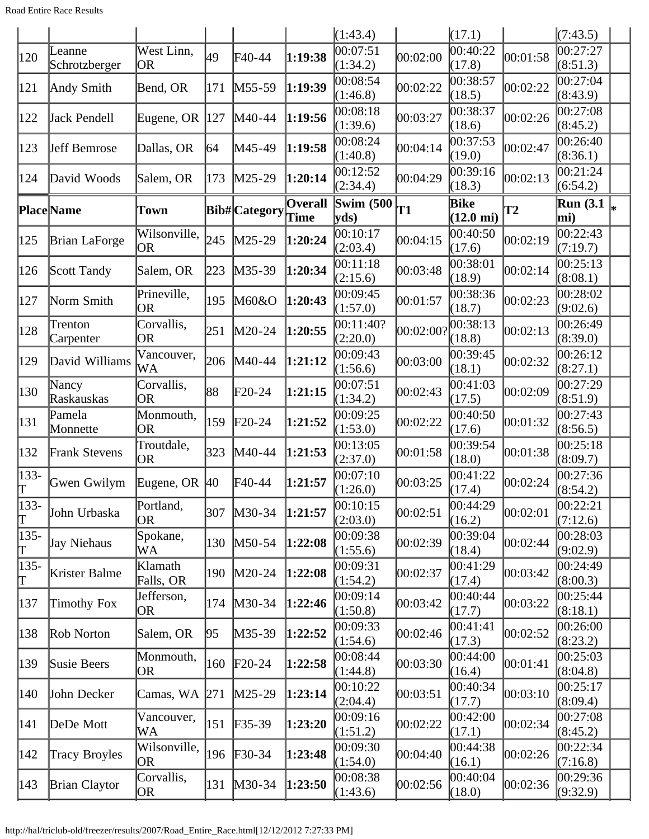|              |                         |                           |              |                      |                 | (1:43.4)                   |           | (17.1)                             |               | (7:43.5)                |    |
|--------------|-------------------------|---------------------------|--------------|----------------------|-----------------|----------------------------|-----------|------------------------------------|---------------|-------------------------|----|
| 120          | Leanne<br>Schrotzberger | West Linn,<br><b>OR</b>   | 49           | F40-44               | 1:19:38         | 00:07:51<br>(1:34.2)       | 00:02:00  | 00:40:22<br>(17.8)                 | 00:01:58      | 00:27:27<br>(8:51.3)    |    |
| 121          | Andy Smith              | Bend, OR                  | 171          | M55-59               | 1:19:39         | 00:08:54<br>(1:46.8)       | 00:02:22  | 00:38:57<br>(18.5)                 | 00:02:22      | 00:27:04<br>(8:43.9)    |    |
| 122          | Jack Pendell            | Eugene, OR $ 127$         |              | M40-44               | 1:19:56         | 00:08:18<br>(1:39.6)       | 00:03:27  | 00:38:37<br>(18.6)                 | 00:02:26      | 0.27:08<br>(8:45.2)     |    |
| 123          | <b>Jeff Bemrose</b>     | Dallas, OR                | 164          | M45-49               | 1:19:58         | 00:08:24<br>(1:40.8)       | 00:04:14  | 00:37:53<br>(19.0)                 | 00:02:47      | 00:26:40<br>(8:36.1)    |    |
| 124          | David Woods             | Salem, OR                 | 173          | M25-29               | 1:20:14         | 00:12:52<br>(2:34.4)       | 00:04:29  | 00:39:16<br>(18.3)                 | 00:02:13      | 00:21:24<br>(6:54.2)    |    |
|              | <b>Place</b> Name       | Town                      |              | <b>Bib#</b> Category | Overall<br>Time | <b>Swim (500)</b><br> vds) | T1        | <b>Bike</b><br>$(12.0 \text{ mi})$ | $\mathbf{T2}$ | <b>Run</b> (3.1)<br>mi) | l∗ |
| 125          | <b>Brian LaForge</b>    | Wilsonville,<br><b>OR</b> | 245          | $M25-29$             | 1:20:24         | 00:10:17<br>(2:03.4)       | 00:04:15  | 00:40:50<br>(17.6)                 | 00:02:19      | 00:22:43<br>(7:19.7)    |    |
| 126          | Scott Tandy             | Salem, OR                 | 223          | M35-39               | 1:20:34         | 00:11:18<br>(2:15.6)       | 00:03:48  | 00:38:01<br>(18.9)                 | 00:02:14      | 00:25:13<br>(8:08.1)    |    |
| 127          | Norm Smith              | Prineville,<br><b>OR</b>  | 195          | M60&O                | 1:20:43         | 00:09:45<br>(1:57.0)       | 00:01:57  | 00:38:36<br>(18.7)                 | 00:02:23      | 00:28:02<br>(9:02.6)    |    |
| 128          | Trenton<br>Carpenter    | Corvallis,<br>0R          | 251          | M20-24               | 1:20:55         | 00:11:40?<br>(2:20.0)      | 00:02:00? | 00:38:13<br>(18.8)                 | 00:02:13      | 00:26:49<br>(8:39.0)    |    |
| 129          | David Williams          | Vancouver,<br>WA          | 206          | M40-44               | 1:21:12         | 00:09:43<br>(1:56.6)       | 00:03:00  | 00:39:45<br>(18.1)                 | 00:02:32      | 00:26:12<br>(8:27.1)    |    |
| 130          | Nancy<br>Raskauskas     | Corvallis,<br>OR          | 88           | $F20-24$             | 1:21:15         | 00:07:51<br>(1:34.2)       | 00:02:43  | 00:41:03<br>(17.5)                 | 00:02:09      | 00:27:29<br>(8:51.9)    |    |
| 131          | Pamela<br>Monnette      | Monmouth,<br><b>OR</b>    | 159          | $F20-24$             | 1:21:52         | 00:09:25<br>(1:53.0)       | 00:02:22  | 00:40:50<br>(17.6)                 | 00:01:32      | 00:27:43<br>(8:56.5)    |    |
| 132          | <b>Frank Stevens</b>    | Troutdale,<br><b>OR</b>   | 323          | M40-44               | 1:21:53         | 00:13:05<br>(2:37.0)       | 00:01:58  | 00:39:54<br>(18.0)                 | 00:01:38      | 00:25:18<br>(8:09.7)    |    |
| $133-$<br>T  | Gwen Gwilym             | Eugene, OR                | $ 40\rangle$ | F40-44               | 1:21:57         | 00:07:10<br>(1:26.0)       | 00:03:25  | 00:41:22<br>(17.4)                 | 00:02:24      | 00:27:36<br>(8:54.2)    |    |
| $ 133-$<br>π | John Urbaska            | Portland,<br><b>OR</b>    | 307          | $M30-34$             | 1:21:57         | 00:10:15<br>(2:03.0)       | 00:02:51  | 00:44:29<br>(16.2)                 | 00:02:01      | 00:22:21<br>(7:12.6)    |    |
| $ 135-$<br>T | Jay Niehaus             | Spokane,<br>WA            | 130          | $M50-54$             | 1:22:08         | 00:09:38<br>(1:55.6)       | 00:02:39  | 00:39:04<br>(18.4)                 | 00:02:44      | 00:28:03<br>(9:02.9)    |    |
| $135 -$<br>Γ | Krister Balme           | Klamath<br>Falls, OR      | 190          | $M20-24$             | 1:22:08         | 00:09:31<br>(1:54.2)       | 00:02:37  | 00:41:29<br>(17.4)                 | 00:03:42      | 00:24:49<br>(8:00.3)    |    |
| 137          | Timothy Fox             | Jefferson,<br>0R          | 174          | M30-34               | 1:22:46         | 00:09:14<br>(1:50.8)       | 00:03:42  | 00:40:44<br>(17.7)                 | 00:03:22      | 00:25:44<br>(8:18.1)    |    |
| 138          | Rob Norton              | Salem, OR                 | 95           | M35-39               | 1:22:52         | 00:09:33<br>(1:54.6)       | 00:02:46  | 00:41:41<br>(17.3)                 | 00:02:52      | 00:26:00<br>(8:23.2)    |    |
| 139          | Susie Beers             | Monmouth,<br>OR           | 160          | $F20-24$             | 1:22:58         | 00:08:44<br>(1:44.8)       | 00:03:30  | 00:44:00<br>(16.4)                 | 00:01:41      | 00:25:03<br>(8:04.8)    |    |
| 140          | John Decker             | Camas, WA                 | 271          | $M25-29$             | 1:23:14         | 00:10:22<br>(2:04.4)       | 00:03:51  | 00:40:34<br>(17.7)                 | 00:03:10      | 00:25:17<br>(8:09.4)    |    |
| 141          | DeDe Mott               | Vancouver,<br>WA          | 151          | $F35-39$             | 1:23:20         | 00:09:16<br>(1:51.2)       | 00:02:22  | 00:42:00<br>(17.1)                 | 00:02:34      | 00:27:08<br>(8:45.2)    |    |
| 142          | <b>Tracy Broyles</b>    | Wilsonville,<br><b>OR</b> | 196          | $F30-34$             | 1:23:48         | 00:09:30<br>(1:54.0)       | 00:04:40  | 00:44:38<br>(16.1)                 | 00:02:26      | 00:22:34<br>(7:16.8)    |    |
| 143          | <b>Brian Claytor</b>    | Corvallis,<br>OR          | 131          | $M30-34$             | 1:23:50         | 00:08:38<br>(1:43.6)       | 00:02:56  | 00:40:04<br>(18.0)                 | 00:02:36      | 00:29:36<br>(9:32.9)    |    |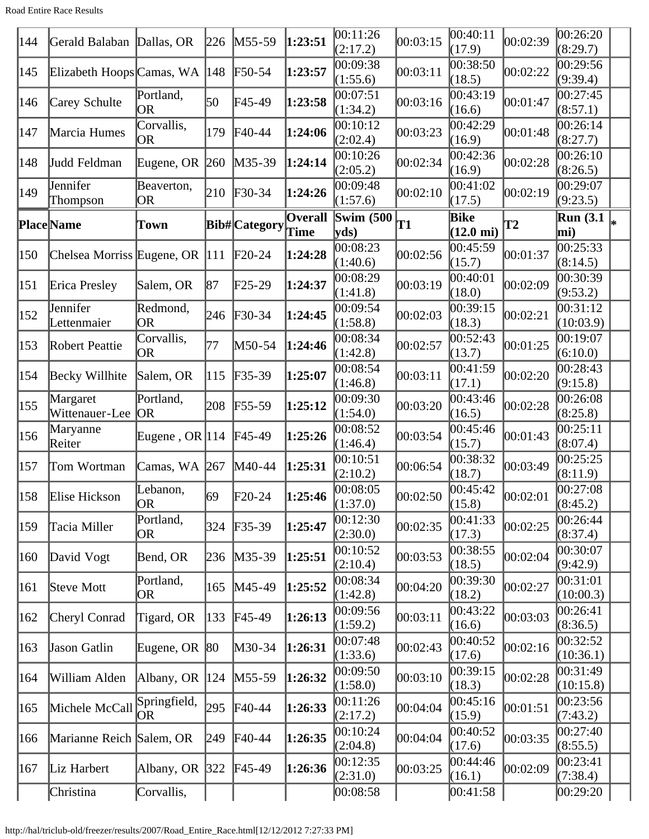Road Entire Race Results

| 144 | Gerald Balaban Dallas, OR       |                         | 226           | $M55-59$             | 1:23:51         | 00:11:26<br>(2:17.2)      | 00:03:15 | 00:40:11<br>(17.9)          | 00:02:39  | 00:26:20<br>(8:29.7)                          |  |
|-----|---------------------------------|-------------------------|---------------|----------------------|-----------------|---------------------------|----------|-----------------------------|-----------|-----------------------------------------------|--|
| 145 | Elizabeth Hoops Camas, WA       |                         | $ 148\rangle$ | $\textsf{F}50-54$    | 1:23:57         | 00:09:38<br>(1:55.6)      | 00:03:11 | 00:38:50<br>(18.5)          | 00:02:22  | 00:29:56<br>(9:39.4)                          |  |
| 146 | Carey Schulte                   | Portland,<br><b>OR</b>  | 50            | F45-49               | 1:23:58         | 00:07:51<br>(1:34.2)      | 00:03:16 | 00:43:19<br>(16.6)          | 00:01:47  | 00:27:45<br>(8:57.1)                          |  |
| 147 | Marcia Humes                    | Corvallis,<br>OR        | 179           | $\textsf{F}40-44$    | 1:24:06         | 00:10:12<br>(2:02.4)      | 00:03:23 | 00:42:29<br>(16.9)          | 00:01:48  | 00:26:14<br>(8:27.7)                          |  |
| 148 | Judd Feldman                    | Eugene, OR              | $ 260\rangle$ | M35-39               | 1:24:14         | 00:10:26<br>(2:05.2)      | 00:02:34 | 00:42:36<br>(16.9)          | 00:02:28  | 00:26:10<br>(8:26.5)                          |  |
| 149 | Jennifer<br>Thompson            | Beaverton,<br>OR        | 210           | $F30-34$             | 1:24:26         | 00:09:48<br>(1:57.6)      | 00:02:10 | 00:41:02<br>(17.5)          | 00:02:19  | 00:29:07<br>(9:23.5)                          |  |
|     | <b>Place</b> Name               | Town                    |               | <b>Bib#</b> Category | Overall<br>Time | <b>Swim (500)</b><br>vds) | T1       | Bike<br>$(12.0 \text{ mi})$ | <b>T2</b> | $\overline{\text{Run}}$ (3.1 $\vert_*$<br>mi) |  |
| 150 | Chelsea Morriss Eugene, OR  111 |                         |               | $F20-24$             | 1:24:28         | 00:08:23<br>(1:40.6)      | 00:02:56 | 00:45:59<br>(15.7)          | 00:01:37  | 00:25:33<br>(8:14.5)                          |  |
| 151 | Erica Presley                   | Salem, OR               | 87            | $F25-29$             | 1:24:37         | 00:08:29<br>(1:41.8)      | 00:03:19 | 00:40:01<br>(18.0)          | 00:02:09  | 00:30:39<br>(9:53.2)                          |  |
| 152 | Jennifer<br>Lettenmaier         | Redmond,<br><b>OR</b>   | 246           | $F30-34$             | 1:24:45         | 00:09:54<br>(1:58.8)      | 00:02:03 | 00:39:15<br>(18.3)          | 00:02:21  | 00:31:12<br>(10:03.9)                         |  |
| 153 | Robert Peattie                  | Corvallis,<br>OR        | 177           | M50-54               | 1:24:46         | 00:08:34<br>(1:42.8)      | 00:02:57 | 00:52:43<br>(13.7)          | 00:01:25  | 00:19:07<br>(6:10.0)                          |  |
| 154 | Becky Willhite                  | Salem, OR               | 115           | F35-39               | 1:25:07         | 00:08:54<br>(1:46.8)      | 00:03:11 | 00:41:59<br>(17.1)          | 00:02:20  | 00:28:43<br>(9:15.8)                          |  |
| 155 | Margaret<br>Wittenauer-Lee      | Portland,<br> OR        | 208           | $F55-59$             | 1:25:12         | 00:09:30<br>(1:54.0)      | 00:03:20 | 00:43:46<br>(16.5)          | 00:02:28  | 00:26:08<br>(8:25.8)                          |  |
| 156 | Maryanne<br>Reiter              | Eugene, OR $ 114 $      |               | $F45-49$             | 1:25:26         | 00:08:52<br>(1:46.4)      | 00:03:54 | 00:45:46<br>(15.7)          | 00:01:43  | 00:25:11<br>(8:07.4)                          |  |
| 157 | Tom Wortman                     | Camas, WA               | 267           | M40-44               | 1:25:31         | 00:10:51<br>(2:10.2)      | 00:06:54 | 00:38:32<br>(18.7)          | 00:03:49  | 00:25:25<br>(8:11.9)                          |  |
|     | $158$ Elise Hickson             | Lebanon,<br>OR          | 69            | $F20-24$             | 1:25:46         | 00:08:05<br>(1:37.0)      | 00:02:50 | 00:45:42<br>(15.8)          | 00:02:01  | 00:27:08<br>(8:45.2)                          |  |
| 159 | Tacia Miller                    | Portland,<br>OR         | 324           | $F35-39$             | 1:25:47         | 00:12:30<br>(2:30.0)      | 00:02:35 | 00:41:33<br>(17.3)          | 00:02:25  | 00:26:44<br>(8:37.4)                          |  |
| 160 | David Vogt                      | Bend, OR                | 236           | $M35-39$             | 1:25:51         | 00:10:52<br>(2:10.4)      | 00:03:53 | 00:38:55<br>(18.5)          | 00:02:04  | 00:30:07<br>(9:42.9)                          |  |
| 161 | Steve Mott                      | Portland,<br>OR         | 165           | $M45-49$             | 1:25:52         | 00:08:34<br>(1:42.8)      | 00:04:20 | 00:39:30<br>(18.2)          | 00:02:27  | 00:31:01<br>(10:00.3)                         |  |
| 162 | Cheryl Conrad                   | Tigard, OR              | $ 133\rangle$ | $F45-49$             | 1:26:13         | 00:09:56<br>(1:59.2)      | 00:03:11 | 00:43:22<br>(16.6)          | 00:03:03  | 00:26:41<br>(8:36.5)                          |  |
| 163 | Jason Gatlin                    | Eugene, OR $ 80\rangle$ |               | M30-34               | 1:26:31         | 00:07:48<br>(1:33.6)      | 00:02:43 | 00:40:52<br>(17.6)          | 00:02:16  | 00:32:52<br>(10:36.1)                         |  |
| 164 | William Alden                   | Albany, OR $ 124 $      |               | $M55-59$             | 1:26:32         | 00:09:50<br>(1:58.0)      | 00:03:10 | 00:39:15<br>(18.3)          | 00:02:28  | 00:31:49<br>(10:15.8)                         |  |
| 165 | Michele McCall                  | Springfield,<br>OR      | 295           | $F40-44$             | 1:26:33         | 00:11:26<br>(2:17.2)      | 00:04:04 | 00:45:16<br>(15.9)          | 00:01:51  | 00:23:56<br>(7:43.2)                          |  |
| 166 | Marianne Reich Salem, OR        |                         | $ 249\rangle$ | $F40-44$             | 1:26:35         | 00:10:24<br>(2:04.8)      | 00:04:04 | 00:40:52<br>(17.6)          | 00:03:35  | 00:27:40<br>(8:55.5)                          |  |
| 167 | Liz Harbert                     | Albany, OR $ 322 $      |               | $F45-49$             | 1:26:36         | 00:12:35<br>(2:31.0)      | 00:03:25 | 00:44:46<br>(16.1)          | 00:02:09  | 00:23:41<br>(7:38.4)                          |  |
|     | Christina                       | Corvallis,              |               |                      |                 | 00:08:58                  |          | 00:41:58                    |           | 00:29:20                                      |  |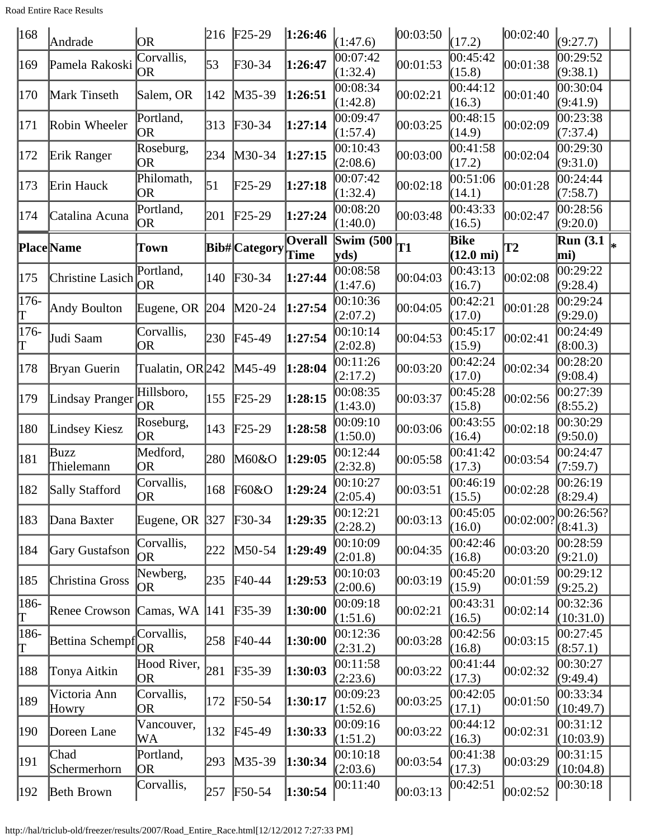Road Entire Race Results

| $ 168\rangle$                    | Andrade               | <b>OR</b>               | 216 | $F25-29$                   | 1:26:46                       | (1:47.6)                 | 00:03:50 | (17.2)                             | 00:02:40  | (9:27.7)                |    |
|----------------------------------|-----------------------|-------------------------|-----|----------------------------|-------------------------------|--------------------------|----------|------------------------------------|-----------|-------------------------|----|
| 169                              | Pamela Rakoski        | Corvallis,<br>OR        | 53  | F30-34                     | 1:26:47                       | 00:07:42<br>(1:32.4)     | 00:01:53 | 00:45:42<br>(15.8)                 | 00:01:38  | 00:29:52<br>(9:38.1)    |    |
| 170                              | Mark Tinseth          | Salem, OR               | 142 | M35-39                     | 1:26:51                       | 00:08:34<br>(1:42.8)     | 00:02:21 | 00:44:12<br>(16.3)                 | 00:01:40  | 00:30:04<br>(9:41.9)    |    |
| 171                              | Robin Wheeler         | Portland,<br><b>OR</b>  | 313 | F30-34                     | 1:27:14                       | 00:09:47<br>(1:57.4)     | 00:03:25 | 00:48:15<br>(14.9)                 | 00:02:09  | 00:23:38<br>(7:37.4)    |    |
| 172                              | Erik Ranger           | Roseburg,<br>OR         | 234 | M30-34                     | 1:27:15                       | 00:10:43<br>(2:08.6)     | 00:03:00 | 00:41:58<br>(17.2)                 | 00:02:04  | 00:29:30<br>(9:31.0)    |    |
| 173                              | Erin Hauck            | Philomath,<br><b>OR</b> | 51  | F25-29                     | 1:27:18                       | 00:07:42<br>(1:32.4)     | 00:02:18 | 00:51:06<br>(14.1)                 | 00:01:28  | 00:24:44<br>(7:58.7)    |    |
| 174                              | Catalina Acuna        | Portland,<br>OR         | 201 | $F25-29$                   | 1:27:24                       | 00:08:20<br>(1:40.0)     | 00:03:48 | 00:43:33<br>(16.5)                 | 00:02:47  | 00:28:56<br>(9:20.0)    |    |
|                                  | Place Name            | Town                    |     | <b>Bib#</b> Category       | <b>Overall</b><br><b>Time</b> | <b>Swim (500</b><br>vds) | T1       | <b>Bike</b><br>$(12.0 \text{ mi})$ | T2        | <b>Run</b> (3.1)<br>mi) | I∗ |
| 175                              | Christine Lasich      | Portland,<br>OR         | 140 | $\text{F}30-34$            | 1:27:44                       | 00:08:58<br>(1:47.6)     | 00:04:03 | 00:43:13<br>(16.7)                 | 00:02:08  | 00:29:22<br>(9:28.4)    |    |
| 176-<br>T                        | Andy Boulton          | Eugene, OR 204          |     | M20-24                     | 1:27:54                       | 00:10:36<br>(2:07.2)     | 00:04:05 | 00:42:21<br>(17.0)                 | 00:01:28  | 00:29:24<br>(9:29.0)    |    |
| 176-<br>T                        | Judi Saam             | Corvallis,<br>OR        | 230 | $F45-49$                   | 1:27:54                       | 00:10:14<br>(2:02.8)     | 00:04:53 | 00:45:17<br>(15.9)                 | 00:02:41  | 00:24:49<br>(8:00.3)    |    |
| 178                              | Bryan Guerin          | Tualatin, OR 242        |     | M45-49                     | 1:28:04                       | 00:11:26<br>(2:17.2)     | 00:03:20 | 00:42:24<br>(17.0)                 | 00:02:34  | 00:28:20<br>(9:08.4)    |    |
| 179                              | Lindsay Pranger       | Hillsboro,<br>OR        | 155 | $F25-29$                   | 1:28:15                       | 00:08:35<br>(1:43.0)     | 00:03:37 | 00:45:28<br>(15.8)                 | 00:02:56  | 00:27:39<br>(8:55.2)    |    |
| 180                              | Lindsey Kiesz         | Roseburg,<br>OR         | 143 | $F25-29$                   | 1:28:58                       | 00:09:10<br>(1:50.0)     | 00:03:06 | 00:43:55<br>(16.4)                 | 00:02:18  | 00:30:29<br>(9:50.0)    |    |
| 181                              | Buzz<br>Thielemann    | Medford,<br><b>OR</b>   | 280 | M60&O                      | 1:29:05                       | 00:12:44<br>(2:32.8)     | 00:05:58 | 00:41:42<br>(17.3)                 | 00:03:54  | 00:24:47<br>(7:59.7)    |    |
| 182                              | Sally Stafford        | Corvallis,<br>OR        | 168 | F60&O                      | 1:29:24                       | 00:10:27<br>(2:05.4)     | 00:03:51 | 00:46:19<br>(15.5)                 | 00:02:28  | 00:26:19<br>(8:29.4)    |    |
| 183                              | Dana Baxter           | Eugene, OR 327          |     | $\textcolor{blue}{F30-34}$ | 1:29:35                       | 00:12:21<br>(2:28.2)     | 00:03:13 | 00:45:05<br>(16.0)                 | 00:02:00? | 00:26:56? <br>(8:41.3)  |    |
| 184                              | Gary Gustafson        | Corvallis,<br>OR        | 222 | M50-54                     | 1:29:49                       | 00:10:09<br>(2:01.8)     | 00:04:35 | 00:42:46<br>(16.8)                 | 00:03:20  | 00:28:59<br>(9:21.0)    |    |
| 185                              | Christina Gross       | Newberg,<br>OR          | 235 | $\text{F}40-44$            | 1:29:53                       | 00:10:03<br>(2:00.6)     | 00:03:19 | 00:45:20<br>(15.9)                 | 00:01:59  | 00:29:12<br>(9:25.2)    |    |
| 186-<br>Τ                        | Renee Crowson         | Camas, WA               | 141 | $F35-39$                   | 1:30:00                       | 00:09:18<br>(1:51.6)     | 00:02:21 | 00:43:31<br>(16.5)                 | 00:02:14  | 00:32:36<br>(10:31.0)   |    |
| 186-<br>$\mathord{\text{\rm T}}$ | Bettina Schempf       | Corvallis,<br>OR        | 258 | $F40-44$                   | 1:30:00                       | 00:12:36<br>(2:31.2)     | 00:03:28 | 00:42:56<br>(16.8)                 | 00:03:15  | 00:27:45<br>(8:57.1)    |    |
| 188                              | Tonya Aitkin          | Hood River,<br>OR       | 281 | $F35-39$                   | 1:30:03                       | 00:11:58<br>(2:23.6)     | 00:03:22 | 00:41:44<br>(17.3)                 | 00:02:32  | 00:30:27<br>(9:49.4)    |    |
| 189                              | Victoria Ann<br>Howry | Corvallis,<br>0R        | 172 | $\text{F}50-54$            | 1:30:17                       | 00:09:23<br>(1:52.6)     | 00:03:25 | 00:42:05<br>(17.1)                 | 00:01:50  | 00:33:34<br>(10:49.7)   |    |
| 190                              | Doreen Lane           | Vancouver,<br>WA        | 132 | $F45-49$                   | 1:30:33                       | 00:09:16<br>(1:51.2)     | 00:03:22 | 00:44:12<br>(16.3)                 | 00:02:31  | 00:31:12<br>(10:03.9)   |    |
| 191                              | Chad<br>Schermerhorn  | Portland,<br>OR         | 293 | M35-39                     | 1:30:34                       | 00:10:18<br>(2:03.6)     | 00:03:54 | 00:41:38<br>(17.3)                 | 00:03:29  | 00:31:15<br>(10:04.8)   |    |
| $ 192\rangle$                    | Beth Brown            | Corvallis,              | 257 | F50-54                     | 1:30:54                       | 00:11:40                 | 00:03:13 | 00:42:51                           | 00:02:52  | 00:30:18                |    |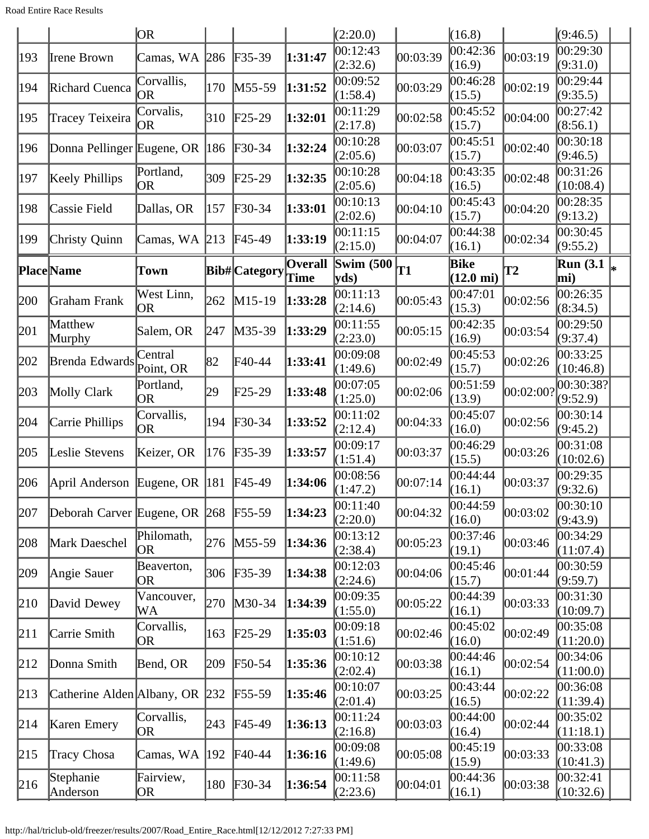Road Entire Race Results

|     |                                 | OR                      |     |                            |                  | (2:20.0)             |           | (16.8)                      |                    | (9:46.5)                |  |
|-----|---------------------------------|-------------------------|-----|----------------------------|------------------|----------------------|-----------|-----------------------------|--------------------|-------------------------|--|
| 193 | Irene Brown                     | Camas, WA               | 286 | $F35-39$                   | 1:31:47          | 00:12:43<br>(2:32.6) | 00:03:39  | 00:42:36<br>(16.9)          | 00:03:19           | 00:29:30<br>(9:31.0)    |  |
| 194 | Richard Cuenca                  | Corvallis,<br>OR        | 170 | $M55-59$                   | 1:31:52          | 00:09:52<br>(1:58.4) | 00:03:29  | 00:46:28<br>(15.5)          | 00:02:19           | 00:29:44<br>(9:35.5)    |  |
| 195 | Tracey Teixeira                 | Corvalis,<br><b>OR</b>  | 310 | $\text{F25-29}$            | 1:32:01          | 00:11:29<br>(2:17.8) | 00:02:58  | 00:45:52<br>(15.7)          | 00:04:00           | 0.27:42<br>(8:56.1)     |  |
| 196 | Donna Pellinger Eugene, OR  186 |                         |     | $\textcolor{blue}{F30-34}$ | 1:32:24          | 00:10:28<br>(2:05.6) | 00:03:07  | 00:45:51<br>(15.7)          | 00:02:40           | 00:30:18<br>(9:46.5)    |  |
| 197 | Keely Phillips                  | Portland,<br><b>OR</b>  | 309 | $\text{F25-29}$            | 1:32:35          | 00:10:28<br>(2:05.6) | 00:04:18  | 00:43:35<br>(16.5)          | 00:02:48           | 00:31:26<br>(10:08.4)   |  |
| 198 | Cassie Field                    | Dallas, OR              | 157 | $F30-34$                   | 1:33:01          | 00:10:13<br>(2:02.6) | 00:04:10  | 00:45:43<br>(15.7)          | 00:04:20           | 00:28:35<br>(9:13.2)    |  |
| 199 | Christy Quinn                   | Camas, WA $\vert$ 213   |     | $F45-49$                   | 1:33:19          | 00:11:15<br>(2:15.0) | 00:04:07  | 00:44:38<br>(16.1)          | 00:02:34           | 00:30:45<br>(9:55.2)    |  |
|     | <b>Place</b> Name               | <b>Town</b>             |     | Bib# Category              | Overall<br> Time | Swim $(500)$<br>yds) | <b>T1</b> | Bike<br>$(12.0 \text{ mi})$ | $\mathbf{T2}$      | <b>Run</b> (3.1)<br>mi) |  |
| 200 | Graham Frank                    | West Linn,<br>OR        | 262 | $M15-19$                   | 1:33:28          | 00:11:13<br>(2:14.6) | 00:05:43  | 00:47:01<br>(15.3)          | 00:02:56           | 00:26:35<br>(8:34.5)    |  |
| 201 | Matthew<br>Murphy               | Salem, OR               | 247 | M35-39                     | 1:33:29          | 00:11:55<br>(2:23.0) | 00:05:15  | 00:42:35<br>(16.9)          | 00:03:54           | 00:29:50<br>(9:37.4)    |  |
| 202 | Brenda Edwards                  | Central<br>Point, OR    | 82  | F40-44                     | 1:33:41          | 00:09:08<br>(1:49.6) | 00:02:49  | 00:45:53<br>(15.7)          | 00:02:26           | 00:33:25<br>(10:46.8)   |  |
| 203 | Molly Clark                     | Portland,<br>OR         | 29  | $F25-29$                   | 1:33:48          | 00:07:05<br>(1:25.0) | 00:02:06  | 00:51:59<br>(13.9)          | $ 00:02:00\rangle$ | 00:30:38?<br>(9:52.9)   |  |
| 204 | Carrie Phillips                 | Corvallis,<br><b>OR</b> | 194 | $\textcolor{blue}{F30-34}$ | 1:33:52          | 00:11:02<br>(2:12.4) | 00:04:33  | 00:45:07<br>(16.0)          | 00:02:56           | 00:30:14<br>(9:45.2)    |  |
| 205 | Leslie Stevens                  | Keizer, OR              | 176 | $F35-39$                   | 1:33:57          | 00:09:17<br>(1:51.4) | 00:03:37  | 00:46:29<br>(15.5)          | 00:03:26           | 00:31:08<br>(10:02.6)   |  |
| 206 | April Anderson                  | Eugene, OR $ 181$       |     | $F45-49$                   | 1:34:06          | 00:08:56<br>(1:47.2) | 00:07:14  | 00:44:44<br>(16.1)          | 00:03:37           | 00:29:35<br>(9:32.6)    |  |
| 207 | Deborah Carver Eugene, OR 268   |                         |     | $F55-59$                   | 1:34:23          | 00:11:40<br>(2:20.0) | 00:04:32  | 00:44:59<br>(16.0)          | 00:03:02           | 00:30:10<br>(9:43.9)    |  |
| 208 | Mark Daeschel                   | Philomath,<br>OR        | 276 | $M55-59$                   | 1:34:36          | 00:13:12<br>(2:38.4) | 00:05:23  | 00:37:46<br>(19.1)          | 00:03:46           | 00:34:29<br>(11:07.4)   |  |
| 209 | Angie Sauer                     | Beaverton,<br>OR        | 306 | $F35-39$                   | 1:34:38          | 00:12:03<br>(2:24.6) | 00:04:06  | 00:45:46<br>(15.7)          | 00:01:44           | 00:30:59<br>(9:59.7)    |  |
| 210 | David Dewey                     | Vancouver,<br>WA        | 270 | $M30-34$                   | 1:34:39          | 00:09:35<br>(1:55.0) | 00:05:22  | 00:44:39<br>(16.1)          | 00:03:33           | 00:31:30<br>(10:09.7)   |  |
| 211 | Carrie Smith                    | Corvallis,<br>OR        | 163 | $F25-29$                   | 1:35:03          | 00:09:18<br>(1:51.6) | 00:02:46  | 00:45:02<br>(16.0)          | 00:02:49           | 00:35:08<br>(11:20.0)   |  |
| 212 | Donna Smith                     | Bend, OR                | 209 | $\textsf{F}50-54$          | 1:35:36          | 00:10:12<br>(2:02.4) | 00:03:38  | 00:44:46<br>(16.1)          | 00:02:54           | 00:34:06<br>(11:00.0)   |  |
| 213 | Catherine Alden Albany, OR 232  |                         |     | $F55-59$                   | 1:35:46          | 00:10:07<br>(2:01.4) | 00:03:25  | 00:43:44<br>(16.5)          | 00:02:22           | 00:36:08<br>(11:39.4)   |  |
| 214 | Karen Emery                     | Corvallis,<br><b>OR</b> | 243 | $F45-49$                   | 1:36:13          | 00:11:24<br>(2:16.8) | 00:03:03  | 00:44:00<br>(16.4)          | 00:02:44           | 00:35:02<br>(11:18.1)   |  |
| 215 | Tracy Chosa                     | Camas, WA               | 192 | $\text{F}40-44$            | 1:36:16          | 00:09:08<br>(1:49.6) | 00:05:08  | 00:45:19<br>(15.9)          | 00:03:33           | 00:33:08<br>(10:41.3)   |  |
| 216 | Stephanie<br>Anderson           | Fairview,<br>OR         | 180 | $F30-34$                   | 1:36:54          | 00:11:58<br>(2:23.6) | 00:04:01  | 00:44:36<br>(16.1)          | 00:03:38           | 00:32:41<br>(10:32.6)   |  |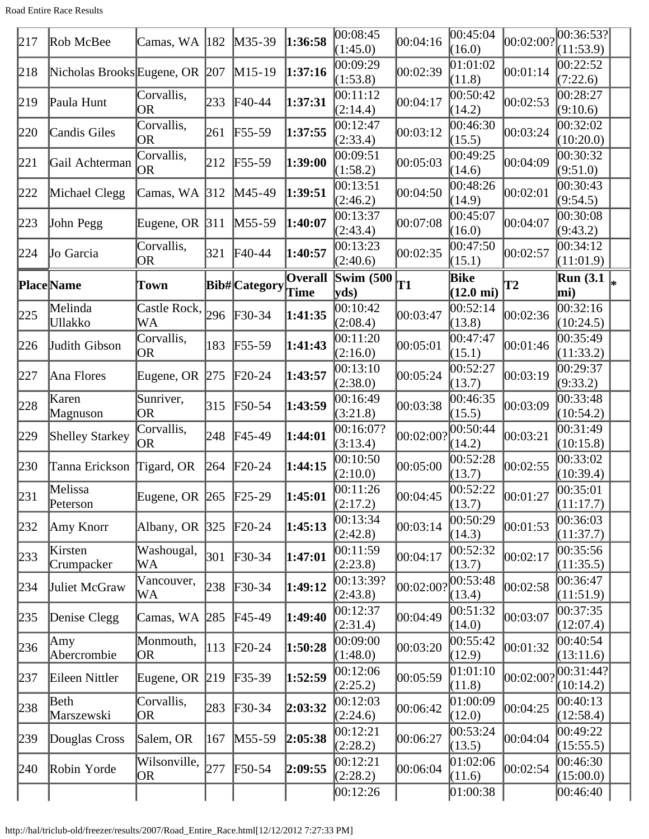Road Entire Race Results

| 217 | Rob McBee                      | Camas, WA 182                |               | $M35-39$                   | 1:36:58                       | 00:08:45<br>(1:45.0)  | 00:04:16  | 00:45:04<br>(16.0)          | 00:02:00? | 00:36:53? <br>(11:53.9) |  |
|-----|--------------------------------|------------------------------|---------------|----------------------------|-------------------------------|-----------------------|-----------|-----------------------------|-----------|-------------------------|--|
| 218 | Nicholas Brooks Eugene, OR 207 |                              |               | $M15-19$                   | 1:37:16                       | 00:09:29<br>(1:53.8)  | 00:02:39  | 01:01:02<br>(11.8)          | 00:01:14  | 00:22:52<br>(7:22.6)    |  |
| 219 | Paula Hunt                     | Corvallis,<br><b>OR</b>      | 233           | $FA0-44$                   | 1:37:31                       | 00:11:12<br>(2:14.4)  | 00:04:17  | 00:50:42<br>(14.2)          | 00:02:53  | 00:28:27<br>(9:10.6)    |  |
| 220 | <b>Candis Giles</b>            | Corvallis,<br><b>OR</b>      | 261           | $F55-59$                   | 1:37:55                       | 00:12:47<br>(2:33.4)  | 00:03:12  | 00:46:30<br>(15.5)          | 00:03:24  | 00:32:02<br>(10:20.0)   |  |
| 221 | Gail Achterman                 | Corvallis,<br>OR             | 212           | $F55-59$                   | 1:39:00                       | 00:09:51<br>(1:58.2)  | 00:05:03  | 00:49:25<br>(14.6)          | 00:04:09  | 00:30:32<br>(9:51.0)    |  |
| 222 | Michael Clegg                  | Camas, WA 312                |               | M45-49                     | 1:39:51                       | 00:13:51<br>(2:46.2)  | 00:04:50  | 00:48:26<br>(14.9)          | 00:02:01  | 00:30:43<br>(9:54.5)    |  |
| 223 | John Pegg                      | Eugene, OR $ 311$            |               | $M55-59$                   | 1:40:07                       | 00:13:37<br>(2:43.4)  | 00:07:08  | 00:45:07<br>(16.0)          | 00:04:07  | 00:30:08<br>(9:43.2)    |  |
| 224 | Jo Garcia                      | Corvallis,<br> OR            | 321           | $FA0-44$                   | 1:40:57                       | 00:13:23<br>(2:40.6)  | 00:02:35  | 00:47:50<br>(15.1)          | 00:02:57  | 00:34:12<br>(11:01.9)   |  |
|     | Place Name                     | Town                         |               | Bib#Category               | <b>Overall</b><br><b>Time</b> | Swim $(500)$<br>vds)  | T1        | Bike<br>$(12.0 \text{ mi})$ | <b>T2</b> | Run $(3.1)$<br>mi)      |  |
| 225 | Melinda<br>Ullakko             | Castle Rock, $ _{296}$<br>WA |               | $\textcolor{blue}{F30-34}$ | 1:41:35                       | 00:10:42<br>(2:08.4)  | 00:03:47  | 00:52:14<br>(13.8)          | 00:02:36  | 00:32:16<br>(10:24.5)   |  |
| 226 | Judith Gibson                  | Corvallis,<br> OR            | 183           | $F55-59$                   | 1:41:43                       | 00:11:20<br>(2:16.0)  | 00:05:01  | 00:47:47<br>(15.1)          | 00:01:46  | 00:35:49<br>(11:33.2)   |  |
| 227 | Ana Flores                     | Eugene, OR $ 275 $           |               | $F20-24$                   | 1:43:57                       | 00:13:10<br>(2:38.0)  | 00:05:24  | 00:52:27<br>(13.7)          | 00:03:19  | 00:29:37<br>(9:33.2)    |  |
| 228 | Karen<br>Magnuson              | Sunriver,<br> OR             | 315           | $\textsf{F}50-54$          | 1:43:59                       | 00:16:49<br>(3:21.8)  | 00:03:38  | 00:46:35<br>(15.5)          | 00:03:09  | 00:33:48<br>(10:54.2)   |  |
| 229 | <b>Shelley Starkey</b>         | Corvallis,<br>OR             | 248           | $FA5-49$                   | 1:44:01                       | 00:16:07?<br>(3:13.4) | 00:02:00? | 00:50:44<br>(14.2)          | 00:03:21  | 00:31:49<br>(10:15.8)   |  |
| 230 | Tanna Erickson Tigard, OR      |                              | 264           | $\text{F}20-24$            | 1:44:15                       | 00:10:50<br>(2:10.0)  | 00:05:00  | 00:52:28<br>(13.7)          | 00:02:55  | 00:33:02<br>(10:39.4)   |  |
| 231 | Melissa<br>Peterson            | Eugene, OR 265 F25-29        |               |                            | 1:45:01                       | 00:11:26<br>(2:17.2)  | 00:04:45  | 00:52:22<br>(13.7)          | 00:01:27  | 00:35:01<br>(11:17.7)   |  |
| 232 | Amy Knorr                      | Albany, OR $ 325 $           |               | $F20-24$                   | 1:45:13                       | 00:13:34<br>(2:42.8)  | 00:03:14  | 00:50:29<br>(14.3)          | 00:01:53  | 00:36:03<br>(11:37.7)   |  |
| 233 | Kirsten<br>Crumpacker          | Washougal,<br>WA             | 301           | $F30-34$                   | 1:47:01                       | 00:11:59<br>(2:23.8)  | 00:04:17  | 00:52:32<br>(13.7)          | 00:02:17  | 00:35:56<br>(11:35.5)   |  |
| 234 | Juliet McGraw                  | Vancouver,<br>WA             | 238           | $F30-34$                   | 1:49:12                       | 00:13:39?<br>(2:43.8) | 00:02:00? | 00:53:48<br>(13.4)          | 00:02:58  | 00:36:47<br>(11:51.9)   |  |
| 235 | Denise Clegg                   | Camas, WA                    | 285           | $F45-49$                   | 1:49:40                       | 00:12:37<br>(2:31.4)  | 00:04:49  | 00:51:32<br>(14.0)          | 00:03:07  | 00:37:35<br>(12:07.4)   |  |
| 236 | Amy<br>Abercrombie             | Monmouth,<br> OR             | $ 113\rangle$ | $F20-24$                   | 1:50:28                       | 00:09:00<br>(1:48.0)  | 00:03:20  | 00:55:42<br>(12.9)          | 00:01:32  | 00:40:54<br>(13:11.6)   |  |
| 237 | Eileen Nittler                 | Eugene, OR $ 219 $           |               | $F35-39$                   | 1:52:59                       | 00:12:06<br>(2:25.2)  | 00:05:59  | 01:01:10<br>(11.8)          | 00:02:00? | 00:31:44? <br>(10:14.2) |  |
| 238 | Beth<br>Marszewski             | Corvallis,<br> OR            | 283           | $F30-34$                   | 2:03:32                       | 00:12:03<br>(2:24.6)  | 00:06:42  | 01:00:09<br>(12.0)          | 00:04:25  | 00:40:13<br>(12:58.4)   |  |
| 239 | Douglas Cross                  | Salem, OR                    | 167           | $M55-59$                   | 2:05:38                       | 00:12:21<br>(2:28.2)  | 00:06:27  | 00:53:24<br>(13.5)          | 00:04:04  | 00:49:22<br>(15:55.5)   |  |
| 240 | Robin Yorde                    | Wilsonville,<br> OR          | 277           | $F50-54$                   | 2:09:55                       | 00:12:21<br>(2:28.2)  | 00:06:04  | 01:02:06<br>(11.6)          | 00:02:54  | 00:46:30<br>(15:00.0)   |  |
|     |                                |                              |               |                            |                               | 00:12:26              |           | [01:00:38]                  |           | 00:46:40                |  |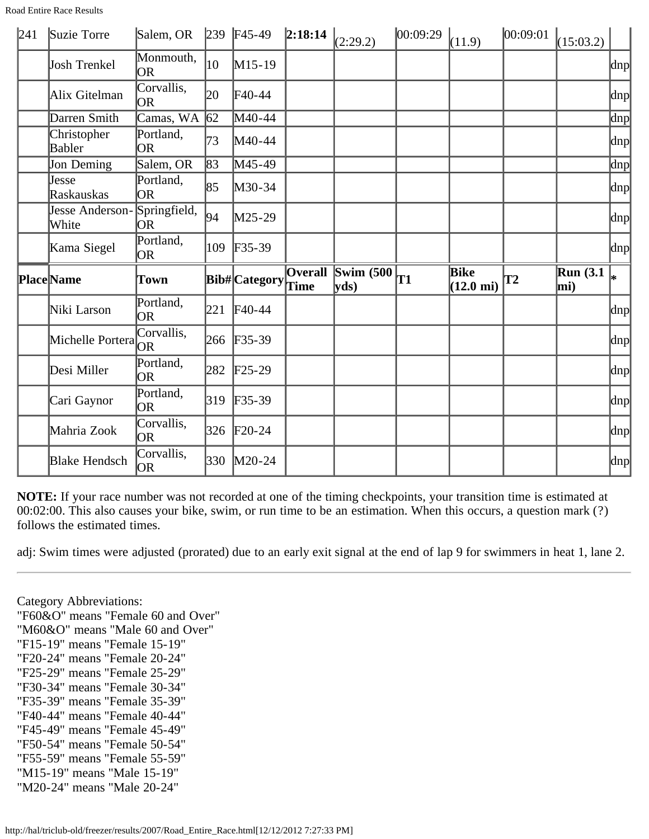Road Entire Race Results

| 241 | Suzie Torre                  | Salem, OR               |             | $\vert$ 239 F45-49 | 2:18:14        | (2:29.2)                      | 00:09:29  | (11.9)                             | 00:09:01 | (15:03.2)       |                          |
|-----|------------------------------|-------------------------|-------------|--------------------|----------------|-------------------------------|-----------|------------------------------------|----------|-----------------|--------------------------|
|     | <b>Josh Trenkel</b>          | Monmouth,<br><b>OR</b>  | 10          | $M15-19$           |                |                               |           |                                    |          |                 | dnp                      |
|     | Alix Gitelman                | Corvallis,<br><b>OR</b> | 20          | $\text{F}40-44$    |                |                               |           |                                    |          |                 | dnp                      |
|     | Darren Smith                 | Camas, $W\overline{A}$  | $\sqrt{62}$ | M40-44             |                |                               |           |                                    |          |                 | dnp                      |
|     | Christopher<br><b>Babler</b> | Portland,<br>lor        | 73          | $M40-44$           |                |                               |           |                                    |          |                 | dnp                      |
|     | Jon Deming                   | Salem, OR               | 83          | M45-49             |                |                               |           |                                    |          |                 | dnp                      |
|     | Jesse<br><b>Raskauskas</b>   | Portland,<br><b>OR</b>  | 85          | M30-34             |                |                               |           |                                    |          |                 | $\vert$ dnp $\vert$      |
|     | Jesse Anderson-<br>White     | Springfield,<br>OR.     | 94          | $M25-29$           |                |                               |           |                                    |          |                 | dnp                      |
|     | Kama Siegel                  | Portland,               | 109         | $F35-39$           |                |                               |           |                                    |          |                 | $\vert \text{dnp} \vert$ |
|     |                              | OR.                     |             |                    |                |                               |           |                                    |          |                 |                          |
|     | <b>PlaceName</b>             | Town                    |             | Bib#Category       | <b>Overall</b> | Swim $(500)$<br>$ {\rm yds})$ | <b>T1</b> | <b>Bike</b><br>$(12.0 \text{ mi})$ | T2       | Run(3.1)<br>mi) | l∗                       |
|     | Niki Larson                  | Portland,<br><b>OR</b>  | 221         | $\text{F}40-44$    |                |                               |           |                                    |          |                 | dnp                      |
|     | Michelle Portera             | Corvallis,              | 266         | $F35-39$           |                |                               |           |                                    |          |                 | $\vert \text{dnp} \vert$ |
|     | Desi Miller                  | Portland,<br><b>OR</b>  | 282         | $F25-29$           |                |                               |           |                                    |          |                 | $\vert \text{dnp} \vert$ |
|     | Cari Gaynor                  | Portland,<br>lor        | 319         | $F35-39$           |                |                               |           |                                    |          |                 | dnp                      |
|     | Mahria Zook                  | Corvallis,<br>lor       | 326         | $F20-24$           |                |                               |           |                                    |          |                 | dnp                      |

**NOTE:** If your race number was not recorded at one of the timing checkpoints, your transition time is estimated at 00:02:00. This also causes your bike, swim, or run time to be an estimation. When this occurs, a question mark (?) follows the estimated times.

adj: Swim times were adjusted (prorated) due to an early exit signal at the end of lap 9 for swimmers in heat 1, lane 2.

Category Abbreviations:

"F60&O" means "Female 60 and Over"

"M60&O" means "Male 60 and Over"

- "F15-19" means "Female 15-19"
- "F20-24" means "Female 20-24"
- "F25-29" means "Female 25-29"
- "F30-34" means "Female 30-34"
- "F35-39" means "Female 35-39"
- "F40-44" means "Female 40-44"
- "F45-49" means "Female 45-49"
- "F50-54" means "Female 50-54" "F55-59" means "Female 55-59"
- "M15-19" means "Male 15-19"
- "M20-24" means "Male 20-24"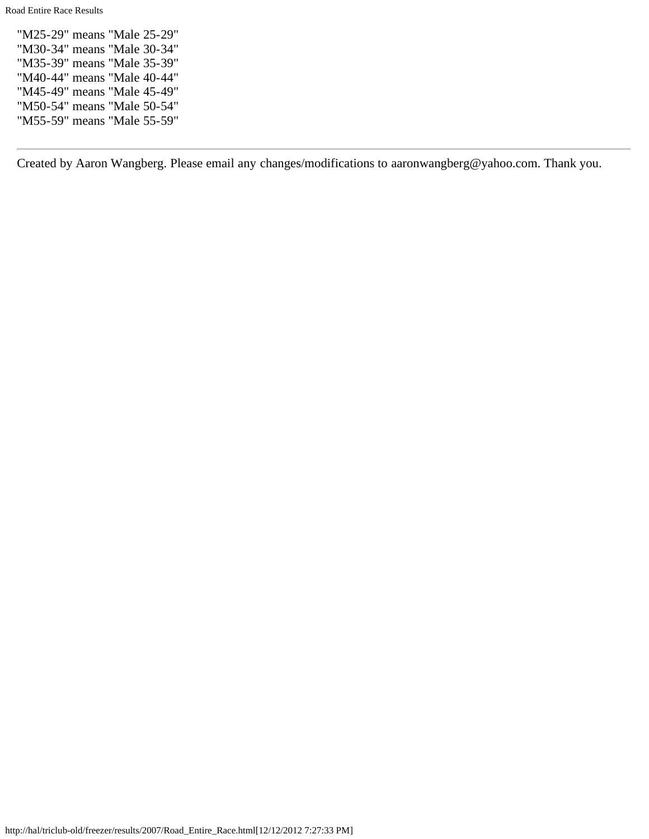Road Entire Race Results

"M25-29" means "Male 25-29" "M30-34" means "Male 30-34" "M35-39" means "Male 35-39" "M40-44" means "Male 40-44" "M45-49" means "Male 45-49" "M50-54" means "Male 50-54" "M55-59" means "Male 55-59"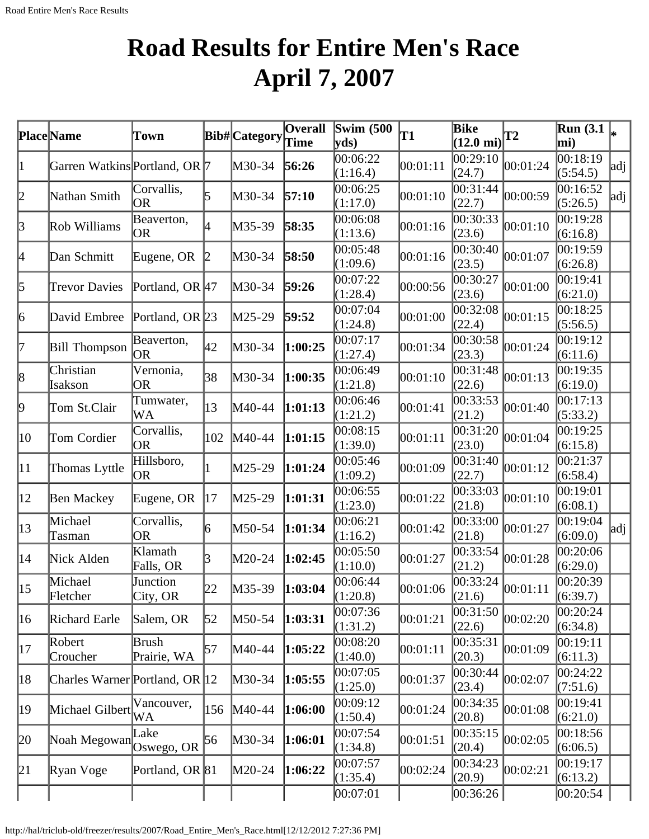# **Road Results for Entire Men's Race April 7, 2007**

<span id="page-13-0"></span>

|                  | Place Name                              | Town                                 |     | Bib# Category | <b>Overall</b><br>Time | <b>Swim (500)</b><br>$ {\bf v} {\bf d} s)$ | T1       | <b>Bike</b><br>$(12.0 \text{ mi})$ | <b>T2</b> | <b>Run</b> (3.1)<br>mi) |     |
|------------------|-----------------------------------------|--------------------------------------|-----|---------------|------------------------|--------------------------------------------|----------|------------------------------------|-----------|-------------------------|-----|
| 1                | Garren Watkins Portland, OR 7           |                                      |     | M30-34        | 56:26                  | 00:06:22<br>(1:16.4)                       | 00:01:11 | 00:29:10<br>(24.7)                 | 00:01:24  | 00:18:19<br>(5:54.5)    | adj |
| 2                | Nathan Smith                            | Corvallis,<br>OR                     | 5   | M30-34        | 57:10                  | 00:06:25<br>(1:17.0)                       | 00:01:10 | 00:31:44<br>(22.7)                 | 00:00:59  | 00:16:52<br>(5:26.5)    | adj |
| 3                | Rob Williams                            | Beaverton,<br>OR                     | 4   | M35-39        | 58:35                  | 00:06:08<br>(1:13.6)                       | 00:01:16 | 00:30:33<br>(23.6)                 | 00:01:10  | 00:19:28<br>(6:16.8)    |     |
| 4                | Dan Schmitt                             | Eugene, OR                           |     | M30-34        | 58:50                  | 00:05:48<br>(1:09.6)                       | 00:01:16 | 00:30:40<br>(23.5)                 | 00:01:07  | 00:19:59<br>(6:26.8)    |     |
| 5                | <b>Trevor Davies</b>                    | Portland, OR $ 47 $                  |     | $M30-34$      | 59:26                  | 00:07:22<br>(1:28.4)                       | 00:00:56 | 00:30:27<br>(23.6)                 | 00:01:00  | 00:19:41<br>(6:21.0)    |     |
| 6                | David Embree                            | Portland, OR 23                      |     | $M25-29$      | 59:52                  | 00:07:04<br>(1:24.8)                       | 00:01:00 | 00:32:08<br>(22.4)                 | 00:01:15  | 00:18:25<br>(5:56.5)    |     |
| 17               | <b>Bill Thompson</b>                    | Beaverton,<br> OR                    | 42  | $M30-34$      | 1:00:25                | 00:07:17<br>(1:27.4)                       | 00:01:34 | 00:30:58<br>(23.3)                 | 00:01:24  | 00:19:12<br>(6:11.6)    |     |
| 8                | Christian<br>Isakson                    | Vernonia,<br><b>OR</b>               | 38  | $M30-34$      | 1:00:35                | 00:06:49<br>(1:21.8)                       | 00:01:10 | 00:31:48<br>(22.6)                 | 00:01:13  | 00:19:35<br>(6:19.0)    |     |
| þ.               | Tom St.Clair                            | Tumwater,<br>WA                      | 13  | M40-44        | 1:01:13                | 00:06:46<br>(1:21.2)                       | 00:01:41 | 00:33:53<br>(21.2)                 | 00:01:40  | 00:17:13<br>(5:33.2)    |     |
| $ 10\rangle$     | Tom Cordier                             | Corvallis,<br>OR                     | 102 | M40-44        | 1:01:15                | 00:08:15<br>(1:39.0)                       | 00:01:11 | 00:31:20<br>(23.0)                 | 00:01:04  | 00:19:25<br>(6:15.8)    |     |
| $ 11\rangle$     | Thomas Lyttle                           | Hillsboro,<br> OR                    |     | M25-29        | 1:01:24                | 00:05:46<br>(1:09.2)                       | 00:01:09 | 00:31:40<br>(22.7)                 | 00:01:12  | 00:21:37<br>(6:58.4)    |     |
| $ 12\rangle$     | Ben Mackey                              | Eugene, OR                           | 17  | $M25-29$      | 1:01:31                | 00:06:55<br>(1:23.0)                       | 00:01:22 | 00:33:03<br>(21.8)                 | 00:01:10  | 00:19:01<br>(6:08.1)    |     |
| $ 13\rangle$     | Michael<br>Tasman                       | Corvallis,<br>OR                     | 6   | M50-54        | 1:01:34                | 00:06:21<br>(1:16.2)                       | 00:01:42 | 00:33:00<br>(21.8)                 | 00:01:27  | 00:19:04<br>(6:09.0)    | adj |
| $ 14\rangle$     | Nick Alden                              | Klamath<br>Falls, OR                 |     | M20-24        | 1:02:45                | 00:05:50<br>(1:10.0)                       | 00:01:27 | 00:33:54<br>(21.2)                 | 00:01:28  | 00:20:06<br>(6:29.0)    |     |
| $\vert 15 \vert$ | Michael<br>Fletcher                     | Junction<br>$\text{City}, \text{OR}$ | 22  | $M35-39$      | 1:03:04                | 00:06:44<br>(1:20.8)                       | 00:01:06 | 00:33:24 <br>(21.6)                | 00:01:11  | 00:20:39<br>(6:39.7)    |     |
| 16               | Richard Earle                           | Salem, OR                            | 52  | $M50-54$      | 1:03:31                | 00:07:36<br>(1:31.2)                       | 00:01:21 | 00:31:50<br>(22.6)                 | 00:02:20  | 00:20:24<br>(6:34.8)    |     |
| 17               | Robert<br>Croucher                      | Brush<br>Prairie, WA                 | 57  | M40-44        | 1:05:22                | 00:08:20<br>(1:40.0)                       | 00:01:11 | 00:35:31<br>(20.3)                 | 00:01:09  | 00:19:11<br>(6:11.3)    |     |
| 18               | Charles Warner Portland, OR 12          |                                      |     | $M30-34$      | 1:05:55                | 00:07:05<br>(1:25.0)                       | 00:01:37 | 00:30:44<br>(23.4)                 | 00:02:07  | 00:24:22<br>(7:51.6)    |     |
| 19               | Michael Gilbert                         | Vancouver,<br>WA                     | 156 | $M40-44$      | 1:06:00                | 00:09:12<br>(1:50.4)                       | 00:01:24 | 00:34:35<br>(20.8)                 | 00:01:08  | 00:19:41<br>(6:21.0)    |     |
| 20               | Noah Megowan <sup>Lune</sup> Oswego, OR | Lake                                 | 56  | $M30-34$      | 1:06:01                | 00:07:54<br>(1:34.8)                       | 00:01:51 | 00:35:15<br>(20.4)                 | 00:02:05  | 00:18:56<br>(6:06.5)    |     |
| 21               | Ryan Voge                               | Portland, OR 81                      |     | $M20-24$      | 1:06:22                | 00:07:57<br>(1:35.4)                       | 00:02:24 | 00:34:23<br>(20.9)                 | 00:02:21  | 00:19:17<br>(6:13.2)    |     |
|                  |                                         |                                      |     |               |                        | 00:07:01                                   |          | 00:36:26                           |           | 00:20:54                |     |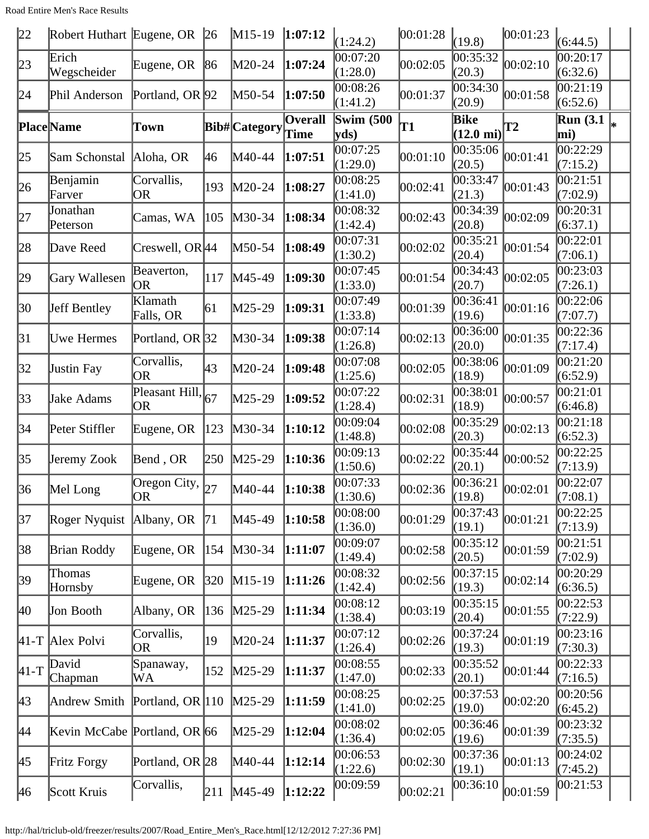Road Entire Men's Race Results

| 22           | Robert Huthart Eugene, OR    |                               | $\sqrt{26}$   | $M15-19$             | 1:07:12                | (1:24.2)                 | 00:01:28  | (19.8)                          | 00:01:23  | (6:44.5)                          |   |
|--------------|------------------------------|-------------------------------|---------------|----------------------|------------------------|--------------------------|-----------|---------------------------------|-----------|-----------------------------------|---|
| 23           | Erich<br>Wegscheider         | Eugene, OR                    | 86            | $M20-24$             | 1:07:24                | 00:07:20<br>(1:28.0)     | 00:02:05  | $\overline{0}0:35:32$<br>(20.3) | 00:02:10  | 00:20:17<br>(6:32.6)              |   |
| 24           | Phil Anderson                | Portland, OR 92               |               | M50-54               | 1:07:50                | 00:08:26<br>(1:41.2)     | 00:01:37  | 00:34:30<br>(20.9)              | 00:01:58  | 00:21:19<br>(6:52.6)              |   |
|              | <b>Place</b> Name            | Town                          |               | <b>Bib#</b> Category | <b>Overall</b><br>Time | <b>Swim (500)</b><br>yds | <b>T1</b> | Bike<br>$(12.0 \text{ mi})$     | <b>T2</b> | <b>Run</b> (3.1)<br>mi)           | ╠ |
| 25           | Sam Schonstal                | Aloha, OR                     | 46            | M40-44               | 1:07:51                | 00:07:25<br>(1:29.0)     | 00:01:10  | 00:35:06<br>(20.5)              | 00:01:41  | 00:22:29<br>(7:15.2)              |   |
| 26           | Benjamin<br>Farver           | Corvallis,<br>OR              | 193           | M20-24               | 1:08:27                | 00:08:25<br>(1:41.0)     | 00:02:41  | 00:33:47<br>(21.3)              | 00:01:43  | $\overline{00:}21:51$<br>(7:02.9) |   |
| 27           | Jonathan<br>Peterson         | Camas, WA                     | 105           | $M30-34$             | 1:08:34                | 00:08:32<br>(1:42.4)     | 00:02:43  | 00:34:39<br>(20.8)              | 00:02:09  | 00:20:31<br>(6:37.1)              |   |
| 28           | Dave Reed                    | Creswell, OR 44               |               | M50-54               | 1:08:49                | 00:07:31<br>(1:30.2)     | 00:02:02  | 00:35:21<br>(20.4)              | 00:01:54  | 00:22:01<br>(7:06.1)              |   |
| 29           | Gary Wallesen                | Beaverton,<br> OR             | 117           | M45-49               | 1:09:30                | 00:07:45<br>(1:33.0)     | 00:01:54  | 00:34:43<br>(20.7)              | 00:02:05  | 00:23:03<br>(7:26.1)              |   |
| 30           | Jeff Bentley                 | Klamath<br>Falls, OR          | 61            | M25-29               | 1:09:31                | 00:07:49<br>(1:33.8)     | 00:01:39  | 00:36:41<br>(19.6)              | 00:01:16  | 00:22:06<br>(7:07.7)              |   |
| 31           | Uwe Hermes                   | Portland, OR 32               |               | M30-34               | 1:09:38                | 00:07:14<br>(1:26.8)     | 00:02:13  | 00:36:00<br>(20.0)              | 00:01:35  | 00:22:36<br>(7:17.4)              |   |
| 32           | <b>Justin Fay</b>            | Corvallis,<br><b>OR</b>       | 43            | $M20-24$             | 1:09:48                | 00:07:08<br>(1:25.6)     | 00:02:05  | 00:38:06<br>(18.9)              | 00:01:09  | 00:21:20<br>(6:52.9)              |   |
| 33           | Jake Adams                   | Pleasant Hill, $_{67}$<br>OR. |               | M25-29               | 1:09:52                | 00:07:22<br>(1:28.4)     | 00:02:31  | 00:38:01<br>(18.9)              | 00:00:57  | 00:21:01<br>(6:46.8)              |   |
| 34           | Peter Stiffler               | Eugene, OR                    | 123           | M30-34               | 1:10:12                | 00:09:04<br>(1:48.8)     | 00:02:08  | 00:35:29<br>(20.3)              | 00:02:13  | 00:21:18<br>(6:52.3)              |   |
| 35           | Jeremy Zook                  | Bend, OR                      | 250           | M25-29               | 1:10:36                | 00:09:13<br>(1:50.6)     | 00:02:22  | 00:35:44<br>(20.1)              | 00:00:52  | 00:22:25<br>(7:13.9)              |   |
| 36           | Mel Long                     | Oregon City,<br>OR)           | 27            | M40-44               | 1:10:38                | 00:07:33<br>(1:30.6)     | 00:02:36  | 00:36:21<br>(19.8)              | 00:02:01  | 00:22:07<br>(7:08.1)              |   |
| 37           | Roger Nyquist   Albany, OR   |                               | 71            | M45-49               | 1:10:58                | 00:08:00<br>(1:36.0)     | 00:01:29  | 00:37:43<br>(19.1)              | 00:01:21  | 00:22:25<br>(7:13.9)              |   |
| 38           | <b>Brian Roddy</b>           | Eugene, OR                    | 154           | $M30-34$             | 1:11:07                | 00:09:07<br>(1:49.4)     | 00:02:58  | 00:35:12<br>(20.5)              | 00:01:59  | 00:21:51<br>(7:02.9)              |   |
| 39           | Thomas<br>Hornsby            | Eugene, OR                    | $ 320\rangle$ | $M15-19$             | 1:11:26                | 00:08:32<br>(1:42.4)     | 00:02:56  | 00:37:15<br>(19.3)              | 00:02:14  | 00:20:29<br>(6:36.5)              |   |
| $ 40\rangle$ | Jon Booth                    | Albany, OR                    | 136           | $M25-29$             | 1:11:34                | 00:08:12<br>(1:38.4)     | 00:03:19  | 00:35:15<br>(20.4)              | 00:01:55  | 00:22:53<br>(7:22.9)              |   |
|              | $ 41-T $ Alex Polvi          | Corvallis,<br>OR              | 19            | M20-24               | 1:11:37                | 00:07:12<br>(1:26.4)     | 00:02:26  | 00:37:24<br>(19.3)              | 00:01:19  | 00:23:16<br>(7:30.3)              |   |
| $ 41-T$      | David<br>Chapman             | Spanaway,<br>WA               | 152           | $M25-29$             | 1:11:37                | 00:08:55<br>(1:47.0)     | 00:02:33  | 00:35:52<br>(20.1)              | 00:01:44  | 00:22:33<br>(7:16.5)              |   |
| $ 43\rangle$ | Andrew Smith                 | Portland, OR $ 110$           |               | $M25-29$             | 1:11:59                | 00:08:25<br>(1:41.0)     | 00:02:25  | 00:37:53 <br>(19.0)             | 00:02:20  | 00:20:56<br>(6:45.2)              |   |
| 44           | Kevin McCabe Portland, OR 66 |                               |               | $M25-29$             | 1:12:04                | 00:08:02<br>(1:36.4)     | 00:02:05  | 00:36:46<br>(19.6)              | 00:01:39  | 00:23:32<br>(7:35.5)              |   |
| 45           | Fritz Forgy                  | Portland, OR 28               |               | M40-44               | 1:12:14                | 00:06:53<br>(1:22.6)     | 00:02:30  | 00:37:36<br>(19.1)              | 00:01:13  | 00:24:02<br>(7:45.2)              |   |
| 46           | Scott Kruis                  | Corvallis,                    | 211           | $M45-49$             | 1:12:22                | 00:09:59                 | 00:02:21  | 00:36:10                        | 00:01:59  | 00:21:53                          |   |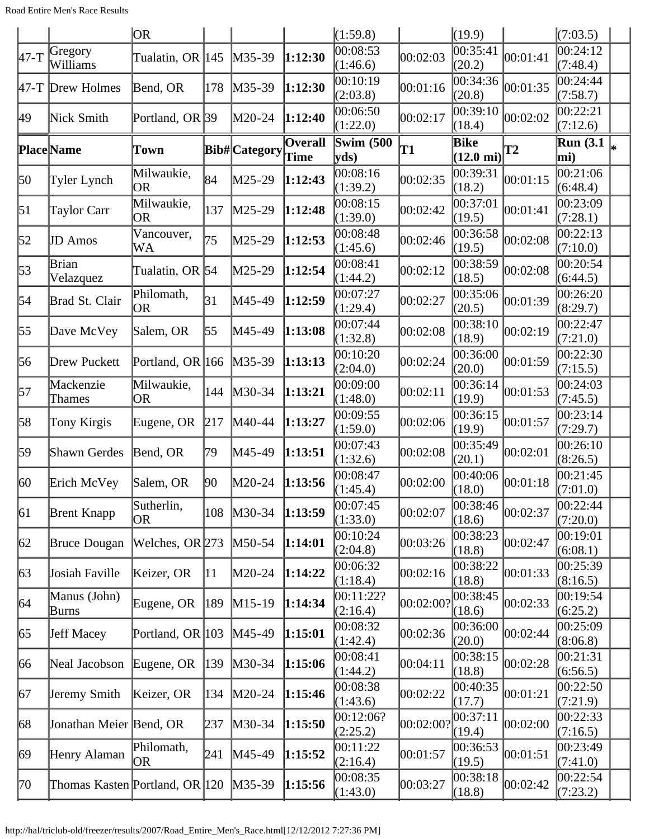|                  |                                | OR.                     |               |                      |                        | (1:59.8)                 |           | (19.9)                          |           | (7:03.5)                |    |
|------------------|--------------------------------|-------------------------|---------------|----------------------|------------------------|--------------------------|-----------|---------------------------------|-----------|-------------------------|----|
| $47-T$           | Gregory<br>Williams            | Tualatin, OR 145        |               | $M35-39$             | 1:12:30                | 00:08:53<br>(1:46.6)     | 00:02:03  | 00:35:41<br>(20.2)              | 00:01:41  | 00:24:12<br>(7:48.4)    |    |
|                  | 47-T Drew Holmes               | Bend, OR                | 178           | $M35-39$             | 1:12:30                | 00:10:19<br>(2:03.8)     | 00:01:16  | $\overline{0}0:34:36$<br>(20.8) | 00:01:35  | 00:24:44<br>(7:58.7)    |    |
| 49               | Nick Smith                     | Portland, OR 39         |               | $M20-24$             | 1:12:40                | 00:06:50<br>(1:22.0)     | 00:02:17  | 00:39:10<br>(18.4)              | 00:02:02  | 00:22:21<br>(7:12.6)    |    |
|                  | <b>Place</b> Name              | Town                    |               | <b>Bib#</b> Category | <b>Overall</b><br>Time | <b>Swim (500</b><br>yds) | T1        | Bike<br>$(12.0 \text{ mi})$     | <b>T2</b> | <b>Run</b> (3.1)<br>mi) | l* |
| 50               | Tyler Lynch                    | Milwaukie,<br>OR        | 84            | $M25-29$             | 1:12:43                | 00:08:16<br>(1:39.2)     | 00:02:35  | 00:39:31<br>(18.2)              | 00:01:15  | 00:21:06<br>(6:48.4)    |    |
| $\vert 51 \vert$ | Taylor Carr                    | Milwaukie,<br>OR        | 137           | $M25-29$             | 1:12:48                | 00:08:15<br>(1:39.0)     | 00:02:42  | 00:37:01<br>(19.5)              | 00:01:41  | 00:23:09<br>(7:28.1)    |    |
| 52               | <b>JD</b> Amos                 | Vancouver,<br>WA        | 75            | M25-29               | 1:12:53                | 00:08:48<br>(1:45.6)     | 00:02:46  | 00:36:58<br>(19.5)              | 00:02:08  | 00:22:13<br>(7:10.0)    |    |
| 53               | Brian<br>Velazquez             | Tualatin, OR 54         |               | M25-29               | 1:12:54                | 00:08:41<br>(1:44.2)     | 00:02:12  | 00:38:59<br>(18.5)              | 00:02:08  | 00:20:54<br>(6:44.5)    |    |
| 54               | Brad St. Clair                 | Philomath,<br> OR       | 31            | M45-49               | 1:12:59                | 00:07:27<br>(1:29.4)     | 00:02:27  | 00:35:06<br>(20.5)              | 00:01:39  | 00:26:20<br>(8:29.7)    |    |
| 55               | Dave McVey                     | Salem, OR               | 55            | M45-49               | 1:13:08                | 00:07:44<br>(1:32.8)     | 00:02:08  | 00:38:10<br>(18.9)              | 00:02:19  | 00:22:47<br>(7:21.0)    |    |
| 56               | Drew Puckett                   | Portland, OR 166        |               | $M35-39$             | 1:13:13                | 00:10:20<br>(2:04.0)     | 00:02:24  | 00:36:00<br>(20.0)              | 00:01:59  | 00:22:30<br>(7:15.5)    |    |
| 57               | Mackenzie<br>Thames            | Milwaukie,<br>OR        | 144           | $M30-34$             | 1:13:21                | 00:09:00<br>(1:48.0)     | 00:02:11  | 00:36:14<br>(19.9)              | 00:01:53  | 00:24:03<br>(7:45.5)    |    |
| 58               | Tony Kirgis                    | Eugene, OR              | 217           | M40-44               | 1:13:27                | 00:09:55<br>(1:59.0)     | 00:02:06  | 00:36:15<br>(19.9)              | 00:01:57  | 00:23:14<br>(7:29.7)    |    |
| 59               | Shawn Gerdes                   | Bend, OR                | 79            | M45-49               | 1:13:51                | 00:07:43<br>(1:32.6)     | 00:02:08  | 00:35:49<br>(20.1)              | 00:02:01  | 00:26:10<br>(8:26.5)    |    |
| $ 60\rangle$     | Erich McVey                    | Salem, OR               | 90            | $M20-24$             | 1:13:56                | 00:08:47<br>(1:45.4)     | 00:02:00  | 00:40:06<br>(18.0)              | 00:01:18  | 00:21:45<br>(7:01.0)    |    |
| $\vert$ 61       | <b>Brent Knapp</b>             | Sutherlin,<br><b>OR</b> | 108           | $M30-34$             | 1:13:59                | 00:07:45<br>(1:33.0)     | 00:02:07  | 00:38:46 <br>(18.6)             | 00:02:37  | 00:22:44 <br>(7:20.0)   |    |
| 62               | <b>Bruce Dougan</b>            | Welches, OR 273         |               | $M50-54$             | 1:14:01                | 00:10:24<br>(2:04.8)     | 00:03:26  | 00:38:23<br>(18.8)              | 00:02:47  | 00:19:01<br>(6:08.1)    |    |
| 63               | Josiah Faville                 | Keizer, OR              | $ 11\rangle$  | $M20-24$             | 1:14:22                | 00:06:32<br>(1:18.4)     | 00:02:16  | 00:38:22<br>(18.8)              | 00:01:33  | 00:25:39<br>(8:16.5)    |    |
| 64               | Manus (John)<br>Burns          | Eugene, OR              | $ 189\rangle$ | $M15-19$             | 1:14:34                | 00:11:22?<br>(2:16.4)    | 00:02:00? | 00:38:45<br>(18.6)              | 00:02:33  | 00:19:54<br>(6:25.2)    |    |
| 65               | <b>Jeff Macey</b>              | Portland, OR 103        |               | $M45-49$             | 1:15:01                | 00:08:32<br>(1:42.4)     | 00:02:36  | 00:36:00<br>(20.0)              | 00:02:44  | 00:25:09<br>(8:06.8)    |    |
| 66               | Neal Jacobson                  | Eugene, OR              | 139           | $M30-34$             | 1:15:06                | 00:08:41<br>(1:44.2)     | 00:04:11  | 00:38:15<br>(18.8)              | 00:02:28  | 00:21:31<br>(6:56.5)    |    |
| 67               | Jeremy Smith                   | Keizer, OR              | 134           | $M20-24$             | 1:15:46                | 00:08:38<br>(1:43.6)     | 00:02:22  | 00:40:35<br>(17.7)              | 00:01:21  | 00:22:50<br>(7:21.9)    |    |
| 68               | Jonathan Meier Bend, OR        |                         | 237           | $M30-34$             | 1:15:50                | 00:12:06?<br>(2:25.2)    | 00:02:00? | 00:37:11<br>(19.4)              | 00:02:00  | 00:22:33<br>(7:16.5)    |    |
| 69               | Henry Alaman                   | Philomath,<br><b>OR</b> | 241           | $M45-49$             | 1:15:52                | 00:11:22<br>(2:16.4)     | 00:01:57  | 00:36:53<br>(19.5)              | 00:01:51  | 00:23:49<br>(7:41.0)    |    |
| 70               | Thomas Kasten Portland, OR 120 |                         |               | $M35-39$             | 1:15:56                | 00:08:35<br>(1:43.0)     | 00:03:27  | 00:38:18<br>(18.8)              | 00:02:42  | 00:22:54<br>(7:23.2)    |    |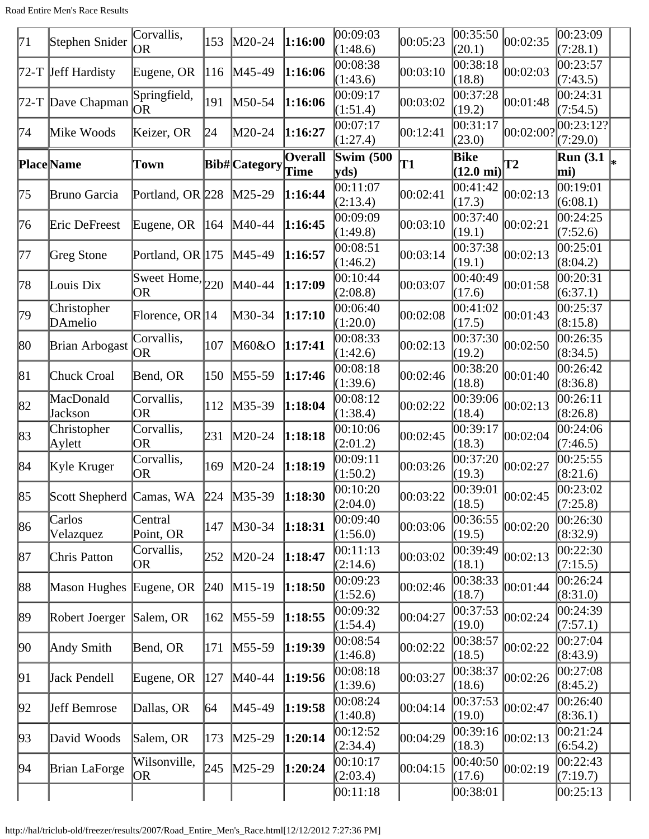| 71 | Stephen Snider                              | Corvallis,<br><b>OR</b>     | 153 | $M20-24$             | 1:16:00                | 00:09:03<br>(1:48.6)      | 00:05:23 | [00:35:50]<br>(20.1)        | 00:02:35           | 00:23:09<br>(7:28.1)                |  |
|----|---------------------------------------------|-----------------------------|-----|----------------------|------------------------|---------------------------|----------|-----------------------------|--------------------|-------------------------------------|--|
|    | 72-T Jeff Hardisty                          | Eugene, OR                  | 116 | M45-49               | 1:16:06                | 00:08:38<br>(1:43.6)      | 00:03:10 | 00:38:18<br>(18.8)          | 00:02:03           | 0.23:57<br>(7:43.5)                 |  |
|    | 72-T Dave Chapman                           | Springfield,<br>OR          | 191 | M50-54               | 1:16:06                | 00:09:17<br>(1:51.4)      | 00:03:02 | 00:37:28<br>(19.2)          | 00:01:48           | 00:24:31<br>(7:54.5)                |  |
| 74 | Mike Woods                                  | Keizer, OR                  | 24  | M20-24               | 1:16:27                | 00:07:17<br>(1:27.4)      | 00:12:41 | 00:31:17<br>(23.0)          | $ 00:02:00\rangle$ | $\overline{00}$ :23:12?<br>(7:29.0) |  |
|    | Place Name                                  | Town                        |     | <b>Bib#</b> Category | <b>Overall</b><br>Time | <b>Swim (500)</b><br>yds) | T1       | Bike<br>$(12.0 \text{ mi})$ | $\mathbf{T2}$      | <b>Run (3.1)</b><br>mi)             |  |
| 75 | Bruno Garcia                                | Portland, OR 228            |     | $M25-29$             | 1:16:44                | 00:11:07<br>(2:13.4)      | 00:02:41 | 00:41:42<br>(17.3)          | 00:02:13           | 00:19:01<br>(6:08.1)                |  |
| 76 | Eric DeFreest                               | Eugene, OR                  | 164 | M40-44               | 1:16:45                | 00:09:09<br>(1:49.8)      | 00:03:10 | 00:37:40<br>(19.1)          | 00:02:21           | 00:24:25<br>(7:52.6)                |  |
| 77 | Greg Stone                                  | Portland, OR 175            |     | M45-49               | 1:16:57                | 00:08:51<br>(1:46.2)      | 00:03:14 | 00:37:38<br>(19.1)          | 00:02:13           | 00:25:01<br>(8:04.2)                |  |
| 78 | Louis Dix                                   | Sweet Home, $ _{220}$<br>OR |     | M40-44               | 1:17:09                | 00:10:44<br>(2:08.8)      | 00:03:07 | 00:40:49<br>(17.6)          | 00:01:58           | 00:20:31<br>(6:37.1)                |  |
| 79 | Christopher<br>DAmelio                      | Florence, OR $ 14$          |     | M30-34               | 1:17:10                | 00:06:40<br>(1:20.0)      | 00:02:08 | 00:41:02<br>(17.5)          | 00:01:43           | 00:25:37<br>(8:15.8)                |  |
| 80 | <b>Brian Arbogast</b>                       | Corvallis,<br>OR            | 107 | M60&O                | 1:17:41                | 00:08:33<br>(1:42.6)      | 00:02:13 | 00:37:30<br>(19.2)          | 00:02:50           | 00:26:35<br>(8:34.5)                |  |
| 81 | Chuck Croal                                 | Bend, OR                    | 150 | M55-59               | 1:17:46                | 00:08:18<br>(1:39.6)      | 00:02:46 | 00:38:20<br>(18.8)          | 00:01:40           | 00:26:42<br>(8:36.8)                |  |
| 82 | MacDonald<br>Jackson                        | Corvallis,<br>OR            | 112 | $M35-39$             | 1:18:04                | 00:08:12<br>(1:38.4)      | 00:02:22 | 00:39:06<br>(18.4)          | 00:02:13           | 00:26:11<br>(8:26.8)                |  |
| 83 | Christopher<br>Aylett                       | Corvallis,<br><b>OR</b>     | 231 | $M20-24$             | 1:18:18                | 00:10:06<br>(2:01.2)      | 00:02:45 | 00:39:17<br>(18.3)          | 00:02:04           | 00:24:06<br>(7:46.5)                |  |
| 84 | Kyle Kruger                                 | Corvallis,<br>OR            | 169 | $M20-24$             | 1:18:19                | 00:09:11<br>(1:50.2)      | 00:03:26 | 00:37:20<br>(19.3)          | 00:02:27           | 00:25:55<br>(8:21.6)                |  |
| 85 | Scott Shepherd Camas, WA 224 M35-39 1:18:30 |                             |     |                      |                        | 00:10:20<br>(2:04.0)      | 00:03:22 | 00:39:01<br>(18.5)          | 00:02:45           | 00:23:02<br>(7:25.8)                |  |
| 86 | Carlos<br>Velazquez                         | Central<br>Point, OR        | 147 | $M30-34$             | 1:18:31                | 00:09:40<br>(1:56.0)      | 00:03:06 | 00:36:55<br>(19.5)          | 00:02:20           | 00:26:30<br>(8:32.9)                |  |
| 87 | Chris Patton                                | Corvallis,<br>OR            | 252 | $M20-24$             | 1:18:47                | 00:11:13<br>(2:14.6)      | 00:03:02 | 00:39:49<br>(18.1)          | 00:02:13           | 00:22:30<br>(7:15.5)                |  |
| 88 | Mason Hughes Eugene, OR                     |                             | 240 | $M15-19$             | 1:18:50                | 00:09:23<br>(1:52.6)      | 00:02:46 | 00:38:33<br>(18.7)          | 00:01:44           | 00:26:24<br>(8:31.0)                |  |
| 89 | Robert Joerger                              | Salem, OR                   | 162 | M55-59               | 1:18:55                | 00:09:32<br>(1:54.4)      | 00:04:27 | 00:37:53<br>(19.0)          | 00:02:24           | 00:24:39<br>(7:57.1)                |  |
| 90 | Andy Smith                                  | Bend, OR                    | 171 | $M55-59$             | 1:19:39                | 00:08:54<br>(1:46.8)      | 00:02:22 | 00:38:57<br>(18.5)          | 00:02:22           | 00:27:04<br>(8:43.9)                |  |
| 91 | Jack Pendell                                | Eugene, OR                  | 127 | M40-44               | 1:19:56                | 00:08:18<br>(1:39.6)      | 00:03:27 | 00:38:37<br>(18.6)          | 00:02:26           | 00:27:08<br>(8:45.2)                |  |
| 92 | Jeff Bemrose                                | Dallas, OR                  | 64  | M45-49               | 1:19:58                | 00:08:24<br>(1:40.8)      | 00:04:14 | 00:37:53<br>(19.0)          | 00:02:47           | 00:26:40<br>(8:36.1)                |  |
| 93 | David Woods                                 | Salem, OR                   | 173 | $M25-29$             | 1:20:14                | 00:12:52<br>(2:34.4)      | 00:04:29 | 00:39:16<br>(18.3)          | 00:02:13           | 00:21:24<br>(6:54.2)                |  |
| 94 | <b>Brian LaForge</b>                        | Wilsonville,<br> OR         | 245 | $M25-29$             | 1:20:24                | 00:10:17<br>(2:03.4)      | 00:04:15 | 00:40:50<br>(17.6)          | 00:02:19           | 00:22:43<br>(7:19.7)                |  |
|    |                                             |                             |     |                      |                        | 00:11:18                  |          | 00:38:01                    |                    | 00:25:13                            |  |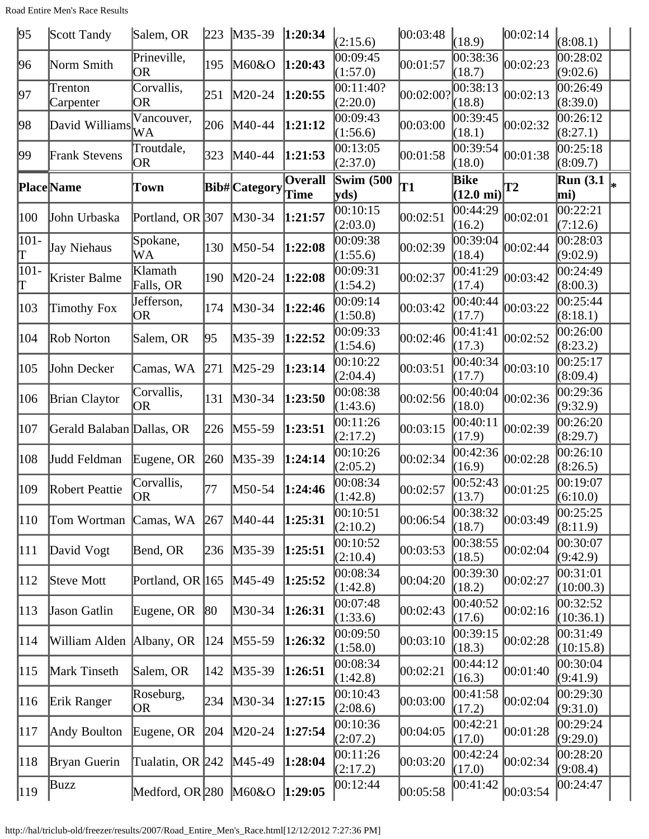| 95                                   | Scott Tandy               | Salem, OR                | 223          | $M35-39$             | 1:20:34                | (2:15.6)                 | 00:03:48  | (18.9)                       | 00:02:14  | (8:08.1)                                      |  |
|--------------------------------------|---------------------------|--------------------------|--------------|----------------------|------------------------|--------------------------|-----------|------------------------------|-----------|-----------------------------------------------|--|
| 96                                   | Norm Smith                | Prineville,<br><b>OR</b> | 195          | M60&O                | 1:20:43                | 00:09:45<br>(1:57.0)     | 00:01:57  | 00:38:36<br>(18.7)           | 00:02:23  | 00:28:02<br>(9:02.6)                          |  |
| 97                                   | Trenton<br>Carpenter      | Corvallis,<br>OR         | 251          | M20-24               | 1:20:55                | 00:11:40?<br>(2:20.0)    | 00:02:00? | 00:38:13<br>(18.8)           | 00:02:13  | 00:26:49<br>(8:39.0)                          |  |
| 98                                   | David Williams            | Vancouver,<br>WA         | 206          | M40-44               | 1:21:12                | 00:09:43<br>(1:56.6)     | 00:03:00  | 00:39:45<br>(18.1)           | 00:02:32  | 00:26:12<br>(8:27.1)                          |  |
| 99                                   | <b>Frank Stevens</b>      | Troutdale,<br>OR         | 323          | M40-44               | 1:21:53                | 00:13:05<br>(2:37.0)     | 00:01:58  | 00:39:54<br>(18.0)           | 00:01:38  | 00:25:18<br>(8:09.7)                          |  |
|                                      | <b>Place</b> Name         | Town                     |              | <b>Bib#</b> Category | <b>Overall</b><br>Time | <b>Swim (500)</b><br>yds | T1        | Bike<br>$(12.0 \text{ mi})$  | <b>T2</b> | $\overline{\text{Run}}$ (3.1 $\vert_*$<br>mi) |  |
| 100                                  | John Urbaska              | Portland, OR 307         |              | $M30-34$             | 1:21:57                | 00:10:15<br>(2:03.0)     | 00:02:51  | 00:44:29<br>(16.2)           | 00:02:01  | 00:22:21<br>(7:12.6)                          |  |
| $ 101 -$<br>Τ                        | Jay Niehaus               | Spokane,<br>WA           | 130          | M50-54               | 1:22:08                | 00:09:38<br>(1:55.6)     | 00:02:39  | 00:39:04<br>(18.4)           | 00:02:44  | 00:28:03<br>(9:02.9)                          |  |
| $ 101 -$<br>$\mathord{\text{\rm T}}$ | Krister Balme             | Klamath<br>Falls, OR     | 190          | M20-24               | 1:22:08                | 00:09:31<br>(1:54.2)     | 00:02:37  | 00:41:29<br>(17.4)           | 00:03:42  | 00:24:49<br>(8:00.3)                          |  |
| 103                                  | Timothy Fox               | Jefferson,<br>OR         | 174          | M30-34               | 1:22:46                | 00:09:14<br>(1:50.8)     | 00:03:42  | 00:40:44<br>(17.7)           | 00:03:22  | 00:25:44<br>(8:18.1)                          |  |
| 104                                  | Rob Norton                | Salem, OR                | 95           | M35-39               | 1:22:52                | 00:09:33<br>(1:54.6)     | 00:02:46  | 00:41:41<br>(17.3)           | 00:02:52  | 00:26:00<br>(8:23.2)                          |  |
| 105                                  | John Decker               | Camas, WA                | 271          | $M25-29$             | 1:23:14                | 00:10:22<br>(2:04.4)     | 00:03:51  | 00:40:34<br>(17.7)           | 00:03:10  | 00:25:17<br>(8:09.4)                          |  |
| 106                                  | <b>Brian Claytor</b>      | Corvallis,<br><b>OR</b>  | 131          | $M30-34$             | 1:23:50                | 00:08:38<br>(1:43.6)     | 00:02:56  | 00:40:04<br>(18.0)           | 00:02:36  | 00:29:36<br>(9:32.9)                          |  |
| 107                                  | Gerald Balaban Dallas, OR |                          | 226          | $M55-59$             | 1:23:51                | 00:11:26<br>(2:17.2)     | 00:03:15  | 00:40:11<br>(17.9)           | 00:02:39  | 00:26:20<br>(8:29.7)                          |  |
| 108                                  | Judd Feldman              | Eugene, OR               | 260          | M35-39               | 1:24:14                | 00:10:26<br>(2:05.2)     | 00:02:34  | 00:42:36<br>(16.9)           | 00:02:28  | 00:26:10<br>(8:26.5)                          |  |
| 109                                  | Robert Peattie            | Corvallis,<br> OR        | 77           | M50-54               | 1:24:46                | 00:08:34<br>(1:42.8)     | 00:02:57  | $ 00:52:43\rangle$<br>(13.7) | 00:01:25  | 00:19:07<br>(6:10.0)                          |  |
| 110                                  | Tom Wortman               | Camas, WA                | 267          | $M40-44$             | 1:25:31                | 00:10:51<br>(2:10.2)     | 00:06:54  | 00:38:32<br>(18.7)           | 00:03:49  | 00:25:25<br>(8:11.9)                          |  |
| 111                                  | David Vogt                | Bend, OR                 | 236          | $M35-39$             | 1:25:51                | 00:10:52<br>(2:10.4)     | 00:03:53  | 00:38:55<br>(18.5)           | 00:02:04  | 00:30:07<br>(9:42.9)                          |  |
| 112                                  | Steve Mott                | Portland, OR 165         |              | $M45-49$             | 1:25:52                | 00:08:34<br>(1:42.8)     | 00:04:20  | 00:39:30<br>(18.2)           | 00:02:27  | 00:31:01<br>(10:00.3)                         |  |
| 113                                  | <b>Jason Gatlin</b>       | Eugene, OR               | $ 80\rangle$ | M30-34               | 1:26:31                | 00:07:48<br>(1:33.6)     | 00:02:43  | 00:40:52<br>(17.6)           | 00:02:16  | 00:32:52<br>(10:36.1)                         |  |
| 114                                  | William Alden Albany, OR  |                          | 124          | $M55-59$             | 1:26:32                | 00:09:50<br>(1:58.0)     | 00:03:10  | 00:39:15<br>(18.3)           | 00:02:28  | 00:31:49<br>(10:15.8)                         |  |
| 115                                  | Mark Tinseth              | Salem, OR                | 142          | $M35-39$             | 1:26:51                | 00:08:34<br>(1:42.8)     | 00:02:21  | 00:44:12<br>(16.3)           | 00:01:40  | 00:30:04<br>(9:41.9)                          |  |
| 116                                  | Erik Ranger               | Roseburg,<br>OR          | 234          | $M30-34$             | 1:27:15                | 00:10:43<br>(2:08.6)     | 00:03:00  | 00:41:58<br>(17.2)           | 00:02:04  | 00:29:30<br>(9:31.0)                          |  |
| 117                                  | Andy Boulton              | Eugene, OR               | 204          | $M20-24$             | 1:27:54                | 00:10:36<br>(2:07.2)     | 00:04:05  | 00:42:21<br>(17.0)           | 00:01:28  | 00:29:24<br>(9:29.0)                          |  |
| 118                                  | Bryan Guerin              | Tualatin, OR 242         |              | $M45-49$             | 1:28:04                | 00:11:26<br>(2:17.2)     | 00:03:20  | 00:42:24<br>(17.0)           | 00:02:34  | 00:28:20<br>(9:08.4)                          |  |
| $ 119\rangle$                        | Buzz                      | Medford, OR $280$ M60&O  |              |                      | 1:29:05                | 00:12:44                 | 00:05:58  | [00:41:42]                   | 00:03:54  | 00:24:47                                      |  |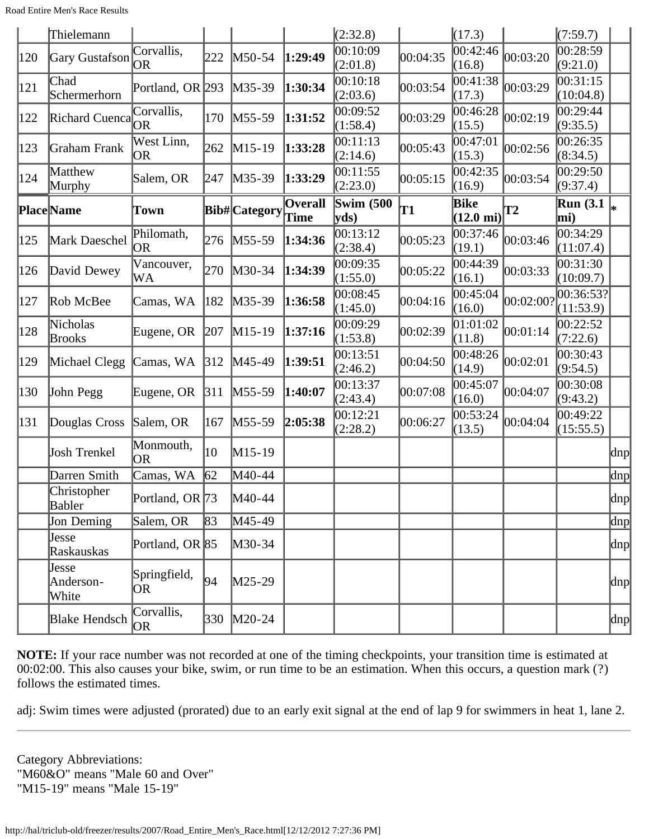|     | Thielemann                  |                    |     |                      |                        | (2:32.8)                                     |          | (17.3)                      |           | (7:59.7)                |                          |
|-----|-----------------------------|--------------------|-----|----------------------|------------------------|----------------------------------------------|----------|-----------------------------|-----------|-------------------------|--------------------------|
| 120 | Gary Gustafson              | Corvallis,<br>OR   | 222 | M50-54               | 1:29:49                | 00:10:09<br>(2:01.8)                         | 00:04:35 | 00:42:46<br>(16.8)          | 00:03:20  | 00:28:59<br>(9:21.0)    |                          |
| 121 | Chad<br>Schermerhorn        | Portland, OR 293   |     | $M35-39$             | 1:30:34                | 00:10:18<br>(2:03.6)                         | 00:03:54 | 00:41:38<br>(17.3)          | 00:03:29  | 00:31:15<br>(10:04.8)   |                          |
| 122 | Richard Cuenca              | Corvallis,<br>OR   | 170 | $M55-59$             | 1:31:52                | 00:09:52<br>(1:58.4)                         | 00:03:29 | 00:46:28<br>(15.5)          | 00:02:19  | 00:29:44<br>(9:35.5)    |                          |
| 123 | Graham Frank                | West Linn,<br>OR   | 262 | $M15-19$             | 1:33:28                | 00:11:13<br>(2:14.6)                         | 00:05:43 | 00:47:01<br>(15.3)          | 00:02:56  | 00:26:35<br>(8:34.5)    |                          |
| 124 | Matthew<br>Murphy           | Salem, OR          | 247 | M35-39               | 1:33:29                | 00:11:55<br>(2:23.0)                         | 00:05:15 | 00:42:35<br>(16.9)          | 00:03:54  | 00:29:50<br>(9:37.4)    |                          |
|     | <b>Place</b> Name           | Town               |     | <b>Bib#</b> Category | <b>Overall</b><br>Time | <b>Swim (500)</b><br>$\mathbf{v}\mathbf{ds}$ | T1       | Bike<br>$(12.0 \text{ mi})$ | Т2        | <b>Run</b> (3.1)<br>mi) | l∗                       |
| 125 | Mark Daeschel               | Philomath,<br>OR   | 276 | $M55-59$             | 1:34:36                | 00:13:12<br>(2:38.4)                         | 00:05:23 | 00:37:46<br>(19.1)          | 00:03:46  | 00:34:29<br>(11:07.4)   |                          |
| 126 | David Dewey                 | Vancouver,<br>WA   | 270 | $M30-34$             | 1:34:39                | 00:09:35<br>(1:55.0)                         | 00:05:22 | 00:44:39<br>(16.1)          | 00:03:33  | 00:31:30<br>(10:09.7)   |                          |
| 127 | Rob McBee                   | Camas, WA          | 182 | M35-39               | 1:36:58                | 00:08:45<br>(1:45.0)                         | 00:04:16 | 00:45:04<br>(16.0)          | 00:02:00? | 00:36:53?<br>(11:53.9)  |                          |
| 128 | Nicholas<br><b>Brooks</b>   | Eugene, OR         | 207 | $M15-19$             | 1:37:16                | 00:09:29<br>(1:53.8)                         | 00:02:39 | 01:01:02<br>(11.8)          | 00:01:14  | 00:22:52<br>(7:22.6)    |                          |
| 129 | Michael Clegg               | Camas, WA          | 312 | $M45-49$             | 1:39:51                | 00:13:51<br>(2:46.2)                         | 00:04:50 | 00:48:26<br>(14.9)          | 00:02:01  | 00:30:43<br>(9:54.5)    |                          |
| 130 | John Pegg                   | Eugene, OR         | 311 | $M55-59$             | 1:40:07                | 00:13:37<br>(2:43.4)                         | 00:07:08 | 00:45:07<br>(16.0)          | 00:04:07  | 00:30:08<br>(9:43.2)    |                          |
| 131 | Douglas Cross               | Salem, OR          | 167 | M55-59               | 2:05:38                | 00:12:21<br>(2:28.2)                         | 00:06:27 | 00:53:24<br>(13.5)          | 00:04:04  | 00:49:22<br>(15:55.5)   |                          |
|     | Josh Trenkel                | Monmouth,<br>OR    | 10  | M15-19               |                        |                                              |          |                             |           |                         | dnp                      |
|     | Darren Smith                | Camas, WA          | 62  | M40-44               |                        |                                              |          |                             |           |                         | dnp                      |
|     | Christopher<br>Babler       | Portland, OR 73    |     | M40-44               |                        |                                              |          |                             |           |                         | $\vert \text{dnp} \vert$ |
|     | Jon Deming                  | Salem, OR          | 83  | M45-49               |                        |                                              |          |                             |           |                         | dnp                      |
|     | Jesse<br>Raskauskas         | Portland, OR 85    |     | M30-34               |                        |                                              |          |                             |           |                         | dnp                      |
|     | Jesse<br>Anderson-<br>White | Springfield,<br>OR | 94  | $M25-29$             |                        |                                              |          |                             |           |                         | dnp                      |
|     | Blake Hendsch               | Corvallis,<br>OR   | 330 | $M20-24$             |                        |                                              |          |                             |           |                         | dnp                      |

**NOTE:** If your race number was not recorded at one of the timing checkpoints, your transition time is estimated at 00:02:00. This also causes your bike, swim, or run time to be an estimation. When this occurs, a question mark (?) follows the estimated times.

adj: Swim times were adjusted (prorated) due to an early exit signal at the end of lap 9 for swimmers in heat 1, lane 2.

Category Abbreviations: "M60&O" means "Male 60 and Over" "M15-19" means "Male 15-19"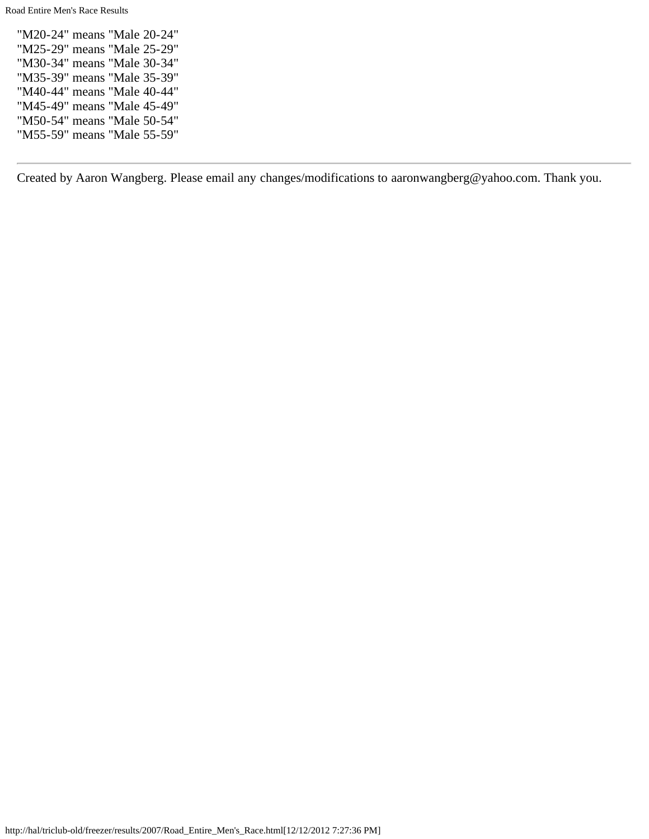Road Entire Men's Race Results

"M20-24" means "Male 20-24" "M25-29" means "Male 25-29" "M30-34" means "Male 30-34" "M35-39" means "Male 35-39" "M40-44" means "Male 40-44" "M45-49" means "Male 45-49" "M50-54" means "Male 50-54" "M55-59" means "Male 55-59"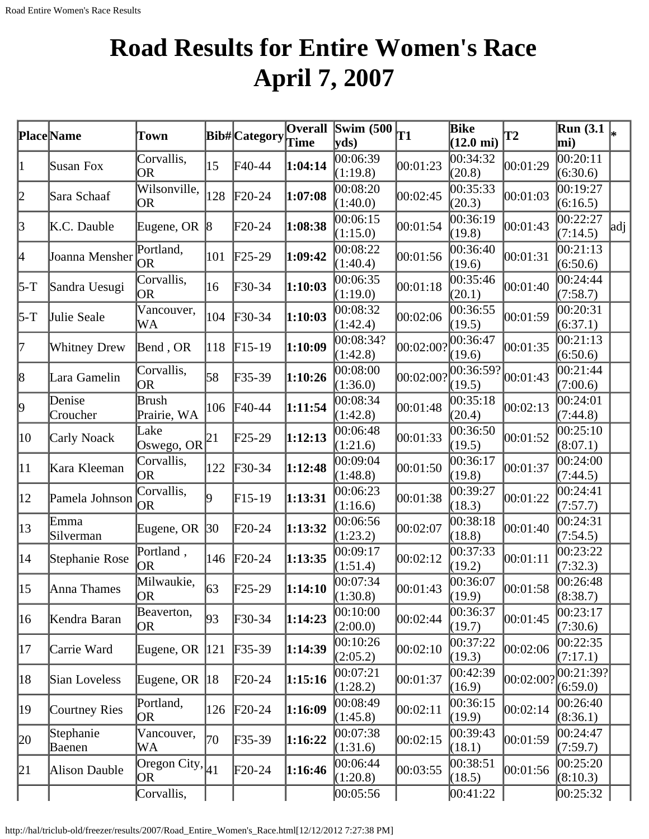# <span id="page-20-0"></span>**Road Results for Entire Women's Race April 7, 2007**

|                 | Place Name          | Town                        |              | <b>Bib#</b> Category       | <b>Overall</b> | Swim $(500)$          | <b>T1</b> | Bike                | <b>T2</b>          | <b>Run</b> (3.1)      |     |
|-----------------|---------------------|-----------------------------|--------------|----------------------------|----------------|-----------------------|-----------|---------------------|--------------------|-----------------------|-----|
|                 |                     |                             |              |                            | Time           | vds)                  |           | $(12.0 \text{ mi})$ |                    | mi)                   |     |
| $\vert 1 \vert$ | Susan Fox           | Corvallis,<br>OR            | 15           | F40-44                     | 1:04:14        | 00:06:39<br>(1:19.8)  | 00:01:23  | 00:34:32<br>(20.8)  | 00:01:29           | 00:20:11<br>(6:30.6)  |     |
| 2               | Sara Schaaf         | Wilsonville,<br>OR          | 128          | $\text{F}20-24$            | 1:07:08        | 00:08:20<br>(1:40.0)  | 00:02:45  | 00:35:33<br>(20.3)  | 00:01:03           | 00:19:27<br>(6:16.5)  |     |
| 3               | K.C. Dauble         | Eugene, OR $ 8 $            |              | $F20-24$                   | 1:08:38        | 00:06:15<br>(1:15.0)  | 00:01:54  | 00:36:19<br>(19.8)  | 00:01:43           | 00:22:27<br>(7:14.5)  | adj |
| 4               | Joanna Mensher      | Portland,<br><b>OR</b>      | 101          | $\text{F25-29}$            | 1:09:42        | 00:08:22<br>(1:40.4)  | 00:01:56  | 00:36:40<br>(19.6)  | 00:01:31           | 00:21:13<br>(6:50.6)  |     |
| $5-T$           | Sandra Uesugi       | Corvallis,<br>OR            | 16           | $\textcolor{blue}{F30-34}$ | 1:10:03        | 00:06:35<br>(1:19.0)  | 00:01:18  | 00:35:46<br>(20.1)  | 00:01:40           | 00:24:44<br>(7:58.7)  |     |
| $5-T$           | Julie Seale         | Vancouver,<br>WA            | 104          | $\text{F}30-34$            | 1:10:03        | 00:08:32<br>(1:42.4)  | 00:02:06  | 00:36:55<br>(19.5)  | 00:01:59           | 00:20:31<br>(6:37.1)  |     |
| 17              | <b>Whitney Drew</b> | Bend, OR                    | 118          | $F15-19$                   | 1:10:09        | 00:08:34?<br>(1:42.8) | 00:02:00? | 00:36:47<br>(19.6)  | 00:01:35           | 00:21:13<br>(6:50.6)  |     |
| 8               | Lara Gamelin        | Corvallis,<br><b>OR</b>     | 58           | $F35-39$                   | 1:10:26        | 00:08:00<br>(1:36.0)  | 00:02:00? | 00:36:59?<br>(19.5) | 00:01:43           | 00:21:44<br>(7:00.6)  |     |
| 9               | Denise<br>Croucher  | <b>Brush</b><br>Prairie, WA | 106          | $\text{F}40-44$            | 1:11:54        | 00:08:34<br>(1:42.8)  | 00:01:48  | 00:35:18<br>(20.4)  | 00:02:13           | 00:24:01<br>(7:44.8)  |     |
| 10              | Carly Noack         | Lake<br>Oswego, OR $ ^{21}$ |              | F25-29                     | 1:12:13        | 00:06:48<br>(1:21.6)  | 00:01:33  | 00:36:50<br>(19.5)  | 00:01:52           | 00:25:10<br>(8:07.1)  |     |
| 11              | Kara Kleeman        | Corvallis,<br>OR            | 122          | $\textcolor{blue}{F30-34}$ | 1:12:48        | 00:09:04<br>(1:48.8)  | 00:01:50  | 00:36:17<br>(19.8)  | 00:01:37           | 00:24:00<br>(7:44.5)  |     |
| $ 12\rangle$    | Pamela Johnson      | Corvallis,<br><b>OR</b>     | 19           | $F15-19$                   | 1:13:31        | 00:06:23<br>(1:16.6)  | 00:01:38  | 00:39:27<br>(18.3)  | 00:01:22           | 00:24:41<br>(7:57.7)  |     |
| $ 13\rangle$    | Emma<br>Silverman   | Eugene, OR                  | $ 30\rangle$ | $\text{F}20-24$            | 1:13:32        | 00:06:56<br>(1:23.2)  | 00:02:07  | 00:38:18<br>(18.8)  | 00:01:40           | 00:24:31<br>(7:54.5)  |     |
| 14              | Stephanie Rose      | Portland,<br><b>OR</b>      | 146          | $\text{F}20-24$            | 1:13:35        | 00:09:17<br>(1:51.4)  | 00:02:12  | 00:37:33<br>(19.2)  | 00:01:11           | 00:23:22<br>(7:32.3)  |     |
| $ 15\rangle$    | Anna Thames         | Milwaukie,<br>OR.           | 63           | $\text{F25-29}$            | 1:14:10        | 00:07:34<br>(1:30.8)  | 00:01:43  | 00:36:07<br>(19.9)  | 00:01:58           | 00:26:48<br>(8:38.7)  |     |
| 16              | Kendra Baran        | Beaverton,<br>OR            | 93           | $\textbf{F}30-34$          | 1:14:23        | 00:10:00<br>(2:00.0)  | 00:02:44  | 00:36:37<br>(19.7)  | 00:01:45           | 00:23:17<br>(7:30.6)  |     |
| 17              | Carrie Ward         | Eugene, OR                  | 121          | $F35-39$                   | 1:14:39        | 00:10:26<br>(2:05.2)  | 00:02:10  | 00:37:22<br>(19.3)  | 00:02:06           | 00:22:35<br>(7:17.1)  |     |
| 18              | Sian Loveless       | Eugene, OR                  | 18           | $\text{F}20-24$            | 1:15:16        | 00:07:21<br>(1:28.2)  | 00:01:37  | 00:42:39<br>(16.9)  | $ 00:02:00\rangle$ | 00:21:39?<br>(6:59.0) |     |
| 19              | Courtney Ries       | Portland,<br>OR             | 126          | $\text{F}20-24$            | 1:16:09        | 00:08:49<br>(1:45.8)  | 00:02:11  | 00:36:15<br>(19.9)  | 00:02:14           | 00:26:40<br>(8:36.1)  |     |
| 20              | Stephanie<br>Baenen | Vancouver,<br>WA            | 70           | $F35-39$                   | 1:16:22        | 00:07:38<br>(1:31.6)  | 00:02:15  | 00:39:43<br>(18.1)  | 00:01:59           | 00:24:47<br>(7:59.7)  |     |
| 21              | Alison Dauble       | Oregon City, $ 41 $<br>OR   |              | $\text{F}20-24$            | 1:16:46        | 00:06:44<br>(1:20.8)  | 00:03:55  | 00:38:51<br>(18.5)  | 00:01:56           | 00:25:20<br>(8:10.3)  |     |
|                 |                     | Corvallis,                  |              |                            |                | 00:05:56              |           | 00:41:22            |                    | 00:25:32              |     |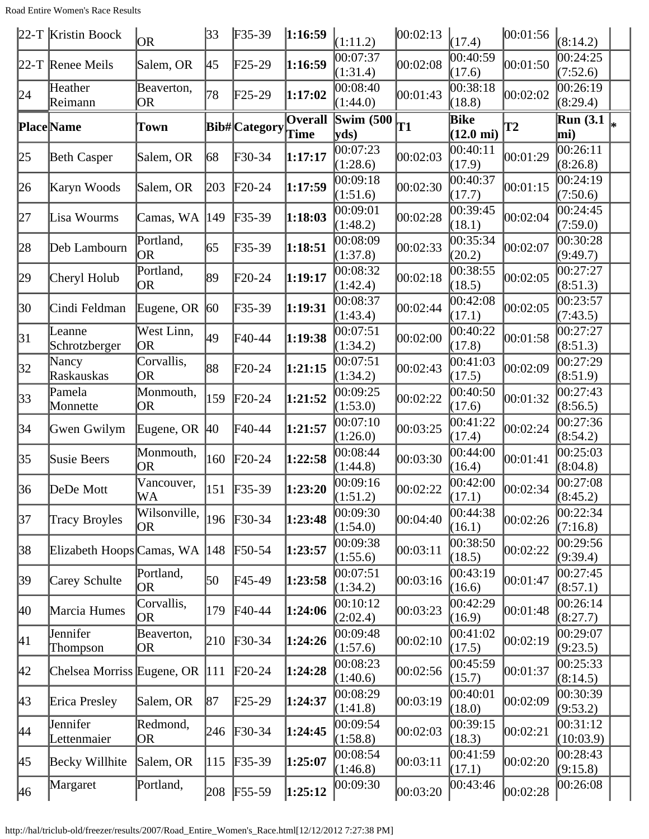Road Entire Women's Race Results

|              | $22-T$ Kristin Boock           | <b>OR</b>                 | 33  | $F35-39$             | 1:16:59         | (1:11.2)                  | 00:02:13       | (17.4)                      | 00:01:56  | (8:14.2)                          |    |
|--------------|--------------------------------|---------------------------|-----|----------------------|-----------------|---------------------------|----------------|-----------------------------|-----------|-----------------------------------|----|
|              | 22-T Renee Meils               | Salem, OR                 | 45  | F25-29               | 1:16:59         | 00:07:37<br>(1:31.4)      | 00:02:08       | 00:40:59<br>(17.6)          | 00:01:50  | $\overline{00:24:25}$<br>(7:52.6) |    |
| 24           | Heather<br>Reimann             | Beaverton,<br><b>OR</b>   | 78  | $F25-29$             | 1:17:02         | 00:08:40<br>(1:44.0)      | 00:01:43       | 00:38:18<br>(18.8)          | 00:02:02  | 00:26:19<br>(8:29.4)              |    |
|              | <b>Place</b> Name              | Town                      |     | <b>Bib#</b> Category | Overall<br>Time | <b>Swim (500)</b><br>yds) | T <sub>1</sub> | Bike<br>$(12.0 \text{ mi})$ | <b>T2</b> | <b>Run</b> (3.1)<br>mi)           | ∦∗ |
| 25           | <b>Beth Casper</b>             | Salem, OR                 | 68  | F30-34               | 1:17:17         | 00:07:23<br>(1:28.6)      | 00:02:03       | 00:40:11<br>(17.9)          | 00:01:29  | 00:26:11<br>(8:26.8)              |    |
| 26           | Karyn Woods                    | Salem, OR                 | 203 | $\text{F}20-24$      | 1:17:59         | 00:09:18<br>(1:51.6)      | 00:02:30       | 00:40:37<br>(17.7)          | 00:01:15  | 00:24:19<br>(7:50.6)              |    |
| 27           | Lisa Wourms                    | Camas, WA                 | 149 | F35-39               | 1:18:03         | 00:09:01<br>(1:48.2)      | 00:02:28       | 00:39:45<br>(18.1)          | 00:02:04  | 0.24:45<br>(7:59.0)               |    |
| 28           | Deb Lambourn                   | Portland,<br>OR           | 65  | F35-39               | 1:18:51         | 00:08:09<br>(1:37.8)      | 00:02:33       | 00:35:34<br>(20.2)          | 00:02:07  | 00:30:28<br>(9:49.7)              |    |
| 29           | Cheryl Holub                   | Portland,<br><b>OR</b>    | 89  | $F20-24$             | 1:19:17         | 00:08:32<br>(1:42.4)      | 00:02:18       | 00:38:55<br>(18.5)          | 00:02:05  | 00:27:27<br>(8:51.3)              |    |
| 30           | Cindi Feldman                  | Eugene, OR $ 60$          |     | F35-39               | 1:19:31         | 00:08:37<br>(1:43.4)      | 00:02:44       | 00:42:08<br>(17.1)          | 00:02:05  | 00:23:57<br>(7:43.5)              |    |
| 31           | Leanne<br>Schrotzberger        | West Linn,<br><b>OR</b>   | 49  | F40-44               | 1:19:38         | 00:07:51<br>(1:34.2)      | 00:02:00       | 00:40:22<br>(17.8)          | 00:01:58  | 00:27:27<br>(8:51.3)              |    |
| 32           | Nancy<br>Raskauskas            | Corvallis,<br><b>OR</b>   | 88  | $F20-24$             | 1:21:15         | 00:07:51<br>(1:34.2)      | 00:02:43       | 00:41:03<br>(17.5)          | 00:02:09  | 00:27:29<br>(8:51.9)              |    |
| 33           | Pamela<br>Monnette             | Monmouth,<br>OR           | 159 | $F20-24$             | 1:21:52         | 00:09:25<br>(1:53.0)      | 00:02:22       | 00:40:50<br>(17.6)          | 00:01:32  | 00:27:43<br>(8:56.5)              |    |
| 34           | Gwen Gwilym                    | Eugene, OR $ 40\rangle$   |     | $F40-44$             | 1:21:57         | 00:07:10<br>(1:26.0)      | 00:03:25       | 00:41:22<br>(17.4)          | 00:02:24  | 00:27:36<br>(8:54.2)              |    |
| 35           | Susie Beers                    | Monmouth,<br><b>OR</b>    | 160 | $\text{F}20-24$      | 1:22:58         | 00:08:44<br>(1:44.8)      | 00:03:30       | 00:44:00<br>(16.4)          | 00:01:41  | 00:25:03<br>(8:04.8)              |    |
| 36           | DeDe Mott                      | Vancouver,<br>WA          | 151 | $F35-39$             | 1:23:20         | 00:09:16<br>(1:51.2)      | 00:02:22       | 00:42:00<br>(17.1)          | 00:02:34  | 00:27:08<br>(8:45.2)              |    |
| 37           | <b>Tracy Broyles</b>           | Wilsonville,<br><b>OR</b> | 196 | $F30-34$             | 1:23:48         | 00:09:30<br>(1:54.0)      | 00:04:40       | 00:44:38<br>(16.1)          | 00:02:26  | 00:22:34<br>(7:16.8)              |    |
| 38           | Elizabeth Hoops Camas, WA      |                           | 148 | $\text{F}50-54$      | 1:23:57         | 00:09:38<br>(1:55.6)      | 00:03:11       | 00:38:50<br>(18.5)          | 00:02:22  | 00:29:56<br>(9:39.4)              |    |
| 39           | Carey Schulte                  | Portland,<br><b>OR</b>    | 50  | F45-49               | 1:23:58         | 00:07:51<br>(1:34.2)      | 00:03:16       | 00:43:19<br>(16.6)          | 00:01:47  | 00:27:45<br>(8:57.1)              |    |
| 40           | Marcia Humes                   | Corvallis,<br><b>OR</b>   | 179 | $\text{F}40-44$      | 1:24:06         | 00:10:12<br>(2:02.4)      | 00:03:23       | 00:42:29<br>(16.9)          | 00:01:48  | 00:26:14<br>(8:27.7)              |    |
| 41           | Jennifer<br>Thompson           | Beaverton,<br>OR          | 210 | $F30-34$             | 1:24:26         | 00:09:48<br>(1:57.6)      | 00:02:10       | 00:41:02<br>(17.5)          | 00:02:19  | 00:29:07<br>(9:23.5)              |    |
| $ 42\rangle$ | Chelsea Morriss Eugene, OR 111 |                           |     | $\text{F}20-24$      | 1:24:28         | 00:08:23<br>(1:40.6)      | 00:02:56       | 00:45:59<br>(15.7)          | 00:01:37  | 00:25:33<br>(8:14.5)              |    |
| 43           | Erica Presley                  | Salem, OR                 | 87  | $F25-29$             | 1:24:37         | 00:08:29<br>(1:41.8)      | 00:03:19       | 00:40:01<br>(18.0)          | 00:02:09  | 00:30:39<br>(9:53.2)              |    |
| 44           | <b>Jennifer</b><br>Lettenmaier | Redmond,<br><b>OR</b>     | 246 | $F30-34$             | 1:24:45         | 00:09:54<br>(1:58.8)      | 00:02:03       | 00:39:15<br>(18.3)          | 00:02:21  | 00:31:12<br>(10:03.9)             |    |
| 45           | Becky Willhite                 | Salem, OR                 | 115 | $F35-39$             | 1:25:07         | 00:08:54<br>(1:46.8)      | 00:03:11       | 00:41:59<br>(17.1)          | 00:02:20  | 00:28:43<br>(9:15.8)              |    |
| 46           | Margaret                       | Portland,                 | 208 | $F55-59$             | 1:25:12         | 00:09:30                  | 00:03:20       | 00:43:46                    | 00:02:28  | 00:26:08                          |    |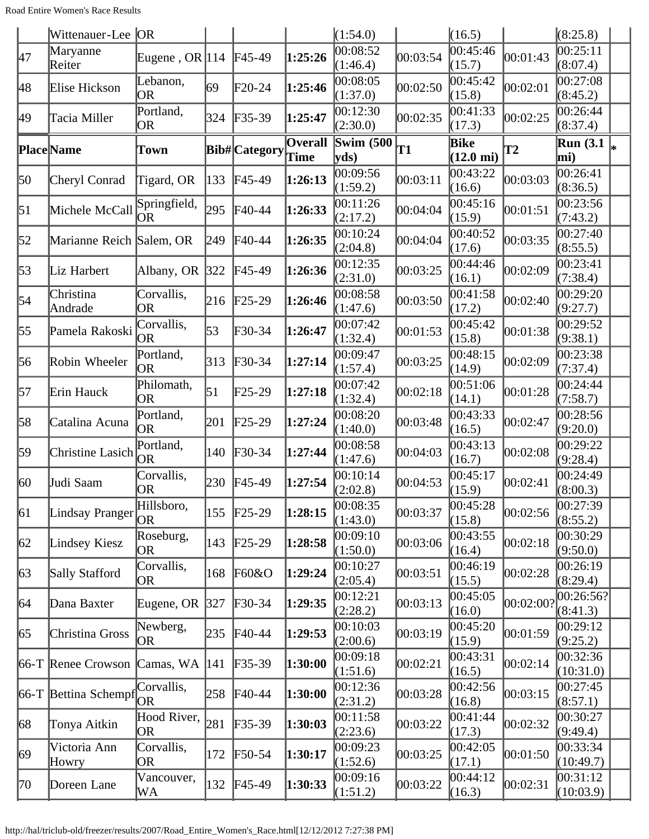|                  | Wittenauer-Lee OR        |                         |     |                            |                 | (1:54.0)                  |          | (16.5)                      |               | (8:25.8)                |  |
|------------------|--------------------------|-------------------------|-----|----------------------------|-----------------|---------------------------|----------|-----------------------------|---------------|-------------------------|--|
| 47               | Maryanne<br>Reiter       | Eugene, OR $ 114$       |     | $FA5-49$                   | 1:25:26         | 00:08:52<br>(1:46.4)      | 00:03:54 | 00:45:46<br>(15.7)          | 00:01:43      | 00:25:11<br>(8:07.4)    |  |
| 48               | Elise Hickson            | Lebanon,<br><b>OR</b>   | 69  | $F20-24$                   | 1:25:46         | 00:08:05<br>(1:37.0)      | 00:02:50 | 00:45:42<br>(15.8)          | 00:02:01      | 00:27:08<br>(8:45.2)    |  |
| 49               | Tacia Miller             | Portland,<br>OR         | 324 | $F35-39$                   | 1:25:47         | 00:12:30<br>(2:30.0)      | 00:02:35 | 00:41:33<br>(17.3)          | 00:02:25      | 0.26:44<br>(8:37.4)     |  |
|                  | <b>Place Name</b>        | Town                    |     | <b>Bib#</b> Category       | Overall<br>Time | <b>Swim (500)</b><br>yds) | T1       | Bike<br>$(12.0 \text{ mi})$ | $\mathbf{T2}$ | <b>Run</b> (3.1)<br>mi) |  |
| 50               | Cheryl Conrad            | Tigard, OR              | 133 | F45-49                     | 1:26:13         | 00:09:56<br>(1:59.2)      | 00:03:11 | 00:43:22<br>(16.6)          | 00:03:03      | 00:26:41<br>(8:36.5)    |  |
| $\vert 51 \vert$ | Michele McCall           | Springfield,<br>OR      | 295 | $\textsf{F}40-44$          | 1:26:33         | 00:11:26<br>(2:17.2)      | 00:04:04 | 00:45:16<br>(15.9)          | 00:01:51      | 00:23:56<br>(7:43.2)    |  |
| 52               | Marianne Reich Salem, OR |                         | 249 | $\textsf{F}40-44$          | 1:26:35         | 00:10:24<br>(2:04.8)      | 00:04:04 | 00:40:52<br>(17.6)          | 00:03:35      | 00:27:40<br>(8:55.5)    |  |
| 53               | Liz Harbert              | Albany, OR 322          |     | $F45-49$                   | 1:26:36         | 00:12:35<br>(2:31.0)      | 00:03:25 | 00:44:46<br>(16.1)          | 00:02:09      | 00:23:41<br>(7:38.4)    |  |
| 54               | Christina<br>Andrade     | Corvallis,<br><b>OR</b> | 216 | $F25-29$                   | 1:26:46         | 00:08:58<br>(1:47.6)      | 00:03:50 | 00:41:58<br>(17.2)          | 00:02:40      | 00:29:20<br>(9:27.7)    |  |
| 55               | Pamela Rakoski           | Corvallis,<br>OR        | 53  | $F30-34$                   | 1:26:47         | 00:07:42<br>(1:32.4)      | 00:01:53 | 00:45:42<br>(15.8)          | 00:01:38      | 00:29:52<br>(9:38.1)    |  |
| 56               | Robin Wheeler            | Portland,<br><b>OR</b>  | 313 | $F30-34$                   | 1:27:14         | 00:09:47<br>(1:57.4)      | 00:03:25 | 00:48:15<br>(14.9)          | 00:02:09      | 00:23:38<br>(7:37.4)    |  |
| 57               | Erin Hauck               | Philomath,<br>OR        | 51  | $F25-29$                   | 1:27:18         | 00:07:42<br>(1:32.4)      | 00:02:18 | 00:51:06<br>(14.1)          | 00:01:28      | 00:24:44<br>(7:58.7)    |  |
| 58               | Catalina Acuna           | Portland,<br><b>OR</b>  | 201 | $F25-29$                   | 1:27:24         | 00:08:20<br>(1:40.0)      | 00:03:48 | 00:43:33<br>(16.5)          | 00:02:47      | 00:28:56<br>(9:20.0)    |  |
| 59               | Christine Lasich         | Portland,<br><b>OR</b>  | 140 | $\textcolor{blue}{F30-34}$ | 1:27:44         | 00:08:58<br>(1:47.6)      | 00:04:03 | 00:43:13<br>(16.7)          | 00:02:08      | 00:29:22<br>(9:28.4)    |  |
| 60               | Judi Saam                | Corvallis,<br>OR        | 230 | $F45-49$                   | 1:27:54         | 00:10:14<br>(2:02.8)      | 00:04:53 | 00:45:17<br>(15.9)          | 00:02:41      | 00:24:49<br>(8:00.3)    |  |
| $\vert$ 61       | Lindsay Pranger          | Hillsboro,<br>OR        | 155 | $F25-29$                   | 1:28:15         | 00:08:35<br>(1:43.0)      | 00:03:37 | 00:45:28<br>(15.8)          | 00:02:56      | 00:27:39<br>(8:55.2)    |  |
| 62               | Lindsey Kiesz            | Roseburg,<br><b>OR</b>  | 143 | $\text{F25-29}$            | 1:28:58         | 00:09:10<br>(1:50.0)      | 00:03:06 | 00:43:55<br>(16.4)          | 00:02:18      | 00:30:29<br>(9:50.0)    |  |
| $\sqrt{63}$      | Sally Stafford           | Corvallis,<br>OR        | 168 | F60&O                      | 1:29:24         | 00:10:27<br>(2:05.4)      | 00:03:51 | 00:46:19<br>(15.5)          | 00:02:28      | 00:26:19<br>(8:29.4)    |  |
| 64               | Dana Baxter              | Eugene, OR              | 327 | $\textcolor{blue}{F}30-34$ | 1:29:35         | 00:12:21<br>(2:28.2)      | 00:03:13 | 00:45:05<br>(16.0)          | 00:02:00?     | 00:26:56?<br>(8:41.3)   |  |
| 65               | Christina Gross          | Newberg,<br>OR          | 235 | $F40-44$                   | 1:29:53         | 00:10:03<br>(2:00.6)      | 00:03:19 | 00:45:20<br>(15.9)          | 00:01:59      | 00:29:12<br>(9:25.2)    |  |
|                  | $ 66-T $ Renee Crowson   | Camas, WA               | 141 | $F35-39$                   | 1:30:00         | 00:09:18<br>(1:51.6)      | 00:02:21 | 00:43:31<br>(16.5)          | 00:02:14      | 00:32:36<br>(10:31.0)   |  |
|                  | $ 66-T $ Bettina Schempf | Corvallis,<br><b>OR</b> | 258 | $F40-44$                   | 1:30:00         | 00:12:36<br>(2:31.2)      | 00:03:28 | 00:42:56<br>(16.8)          | 00:03:15      | 00:27:45<br>(8:57.1)    |  |
| 68               | Tonya Aitkin             | Hood River,<br>OR       | 281 | $F35-39$                   | 1:30:03         | 00:11:58<br>(2:23.6)      | 00:03:22 | 00:41:44<br>(17.3)          | 00:02:32      | 00:30:27<br>(9:49.4)    |  |
| 69               | Victoria Ann<br>Howry    | Corvallis,<br>OR        | 172 | $F50-54$                   | 1:30:17         | 00:09:23<br>(1:52.6)      | 00:03:25 | 00:42:05<br>(17.1)          | 00:01:50      | 00:33:34<br>(10:49.7)   |  |
| 70               | Doreen Lane              | Vancouver,<br>WA        | 132 | $F45-49$                   | 1:30:33         | 00:09:16<br>(1:51.2)      | 00:03:22 | 00:44:12<br>(16.3)          | 00:02:31      | 00:31:12<br>(10:03.9)   |  |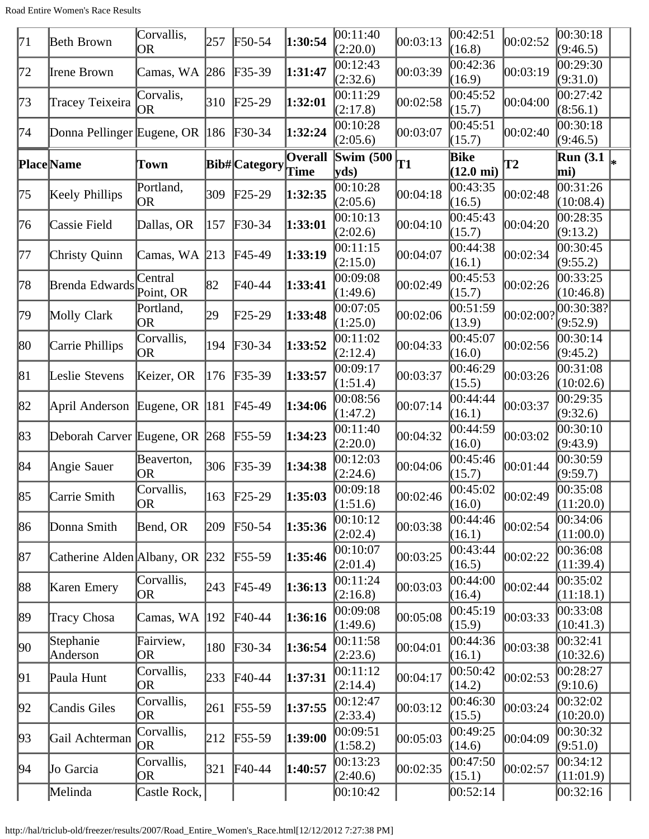| 71 | Beth Brown                      | Corvallis,<br>OR        | 257           | F50-54                     | 1:30:54         | 00:11:40<br>(2:20.0) | 00:03:13 | 00:42:51<br>(16.8)          | 00:02:52  | 00:30:18<br>(9:46.5)                          |  |
|----|---------------------------------|-------------------------|---------------|----------------------------|-----------------|----------------------|----------|-----------------------------|-----------|-----------------------------------------------|--|
| 72 | Irene Brown                     | Camas, WA               | 286           | $F35-39$                   | 1:31:47         | 00:12:43<br>(2:32.6) | 00:03:39 | 00:42:36<br>(16.9)          | 00:03:19  | 00:29:30<br>(9:31.0)                          |  |
| 73 | Tracey Teixeira                 | Corvalis,<br><b>OR</b>  | 310           | $\text{F25-29}$            | 1:32:01         | 00:11:29<br>(2:17.8) | 00:02:58 | 00:45:52<br>(15.7)          | 00:04:00  | 00:27:42<br>(8:56.1)                          |  |
| 74 | Donna Pellinger Eugene, OR  186 |                         |               | $F30-34$                   | 1:32:24         | 00:10:28<br>(2:05.6) | 00:03:07 | 00:45:51<br>(15.7)          | 00:02:40  | 00:30:18<br>(9:46.5)                          |  |
|    | Place Name                      | Town                    |               | <b>Bib#</b> Category       | Overall<br>Time | Swim $(500)$<br>yds) | T1       | Bike<br>$(12.0 \text{ mi})$ | <b>T2</b> | $\overline{\text{Run}}$ (3.1 $\vert_*$<br>mi) |  |
| 75 | Keely Phillips                  | Portland,<br><b>OR</b>  | 309           | $\text{F25-29}$            | 1:32:35         | 00:10:28<br>(2:05.6) | 00:04:18 | 00:43:35<br>(16.5)          | 00:02:48  | 00:31:26<br>(10:08.4)                         |  |
| 76 | Cassie Field                    | Dallas, OR              | 157           | $\textcolor{blue}{F}30-34$ | 1:33:01         | 00:10:13<br>(2:02.6) | 00:04:10 | 00:45:43<br>(15.7)          | 00:04:20  | 00:28:35<br>(9:13.2)                          |  |
| 77 | Christy Quinn                   | Camas, WA               | $\vert$ 213   | $F45-49$                   | 1:33:19         | 00:11:15<br>(2:15.0) | 00:04:07 | 00:44:38<br>(16.1)          | 00:02:34  | 00:30:45<br>(9:55.2)                          |  |
| 78 | Brenda Edwards                  | Central<br>Point, OR    | 82            | F40-44                     | 1:33:41         | 00:09:08<br>(1:49.6) | 00:02:49 | 00:45:53<br>(15.7)          | 00:02:26  | 00:33:25<br>(10:46.8)                         |  |
| 79 | Molly Clark                     | Portland,<br>OR         | 29            | $F25-29$                   | 1:33:48         | 00:07:05<br>(1:25.0) | 00:02:06 | 00:51:59<br>(13.9)          | 00:02:00? | 00:30:38?<br>(9:52.9)                         |  |
| 80 | Carrie Phillips                 | Corvallis,<br>OR        | 194           | $\textcolor{blue}{F}30-34$ | 1:33:52         | 00:11:02<br>(2:12.4) | 00:04:33 | 00:45:07<br>(16.0)          | 00:02:56  | 00:30:14<br>(9:45.2)                          |  |
| 81 | Leslie Stevens                  | Keizer, OR              | 176           | $F35-39$                   | 1:33:57         | 00:09:17<br>(1:51.4) | 00:03:37 | 00:46:29<br>(15.5)          | 00:03:26  | 00:31:08<br>(10:02.6)                         |  |
| 82 | April Anderson                  | Eugene, OR              | 181           | $FA5-49$                   | 1:34:06         | 00:08:56<br>(1:47.2) | 00:07:14 | 00:44:44<br>(16.1)          | 00:03:37  | 00:29:35<br>(9:32.6)                          |  |
| 83 | Deborah Carver Eugene, OR 268   |                         |               | $\text{F}55-59$            | 1:34:23         | 00:11:40<br>(2:20.0) | 00:04:32 | 00:44:59<br>(16.0)          | 00:03:02  | 00:30:10<br>(9:43.9)                          |  |
| 84 | Angie Sauer                     | Beaverton,<br>OR        | 306           | $F35-39$                   | 1:34:38         | 00:12:03<br>(2:24.6) | 00:04:06 | 00:45:46<br>(15.7)          | 00:01:44  | 00:30:59<br>(9:59.7)                          |  |
| 85 | Carrie Smith                    | Corvallis,<br> OR       |               | 163 F25-29                 | 1:35:03         | 00:09:18<br>(1:51.6) | 00:02:46 | 00:45:02<br>(16.0)          | 00:02:49  | 00:35:08<br>(11:20.0)                         |  |
| 86 | Donna Smith                     | Bend, OR                | 209           | $F50-54$                   | 1:35:36         | 00:10:12<br>(2:02.4) | 00:03:38 | 00:44:46<br>(16.1)          | 00:02:54  | 00:34:06<br>(11:00.0)                         |  |
| 87 | Catherine Alden Albany, OR 232  |                         |               | $F55-59$                   | 1:35:46         | 00:10:07<br>(2:01.4) | 00:03:25 | 00:43:44<br>(16.5)          | 00:02:22  | 00:36:08<br>(11:39.4)                         |  |
| 88 | Karen Emery                     | Corvallis,<br><b>OR</b> | 243           | $F45-49$                   | 1:36:13         | 00:11:24<br>(2:16.8) | 00:03:03 | 00:44:00<br>(16.4)          | 00:02:44  | 00:35:02<br>(11:18.1)                         |  |
| 89 | Tracy Chosa                     | Camas, WA               | $ 192\rangle$ | $\text{F}40-44$            | 1:36:16         | 00:09:08<br>(1:49.6) | 00:05:08 | 00:45:19<br>(15.9)          | 00:03:33  | 00:33:08<br>(10:41.3)                         |  |
| 90 | Stephanie<br>Anderson           | Fairview,<br>0R         | 180           | $F30-34$                   | 1:36:54         | 00:11:58<br>(2:23.6) | 00:04:01 | 00:44:36<br>(16.1)          | 00:03:38  | 00:32:41<br>(10:32.6)                         |  |
| 91 | Paula Hunt                      | Corvallis,<br>OR        | 233           | $\textsf{F}40-44$          | 1:37:31         | 00:11:12<br>(2:14.4) | 00:04:17 | 00:50:42<br>(14.2)          | 00:02:53  | 00:28:27<br>(9:10.6)                          |  |
| 92 | Candis Giles                    | Corvallis,<br>OR        | 261           | $F55-59$                   | 1:37:55         | 00:12:47<br>(2:33.4) | 00:03:12 | 00:46:30<br>(15.5)          | 00:03:24  | 00:32:02<br>(10:20.0)                         |  |
| 93 | Gail Achterman                  | Corvallis,<br><b>OR</b> | 212           | $F55-59$                   | 1:39:00         | 00:09:51<br>(1:58.2) | 00:05:03 | 00:49:25<br>(14.6)          | 00:04:09  | 00:30:32<br>(9:51.0)                          |  |
| 94 | Jo Garcia                       | Corvallis,<br>OR        | 321           | $F40-44$                   | 1:40:57         | 00:13:23<br>(2:40.6) | 00:02:35 | 00:47:50<br>(15.1)          | 00:02:57  | 00:34:12<br>(11:01.9)                         |  |
|    | Melinda                         | Castle Rock,            |               |                            |                 | 00:10:42             |          | 00:52:14                    |           | 00:32:16                                      |  |

http://hal/triclub-old/freezer/results/2007/Road\_Entire\_Women's\_Race.html[12/12/2012 7:27:38 PM]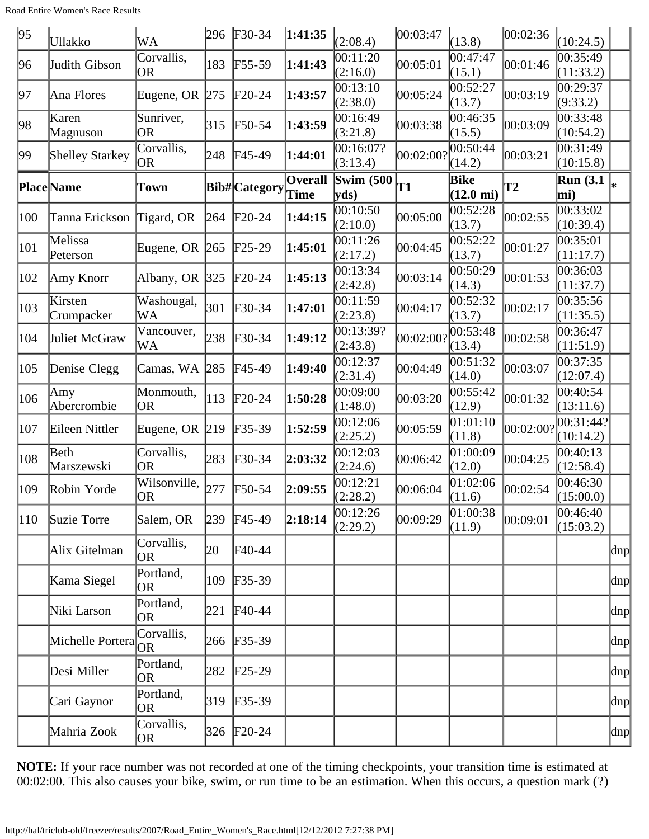| 95            | Ullakko                | WA                      | 296 | $F30-34$        | 1:41:35                | (2:08.4)              | 00:03:47           | (13.8)                             | 00:02:36  | (10:24.5)                                     |                          |
|---------------|------------------------|-------------------------|-----|-----------------|------------------------|-----------------------|--------------------|------------------------------------|-----------|-----------------------------------------------|--------------------------|
| 96            | Judith Gibson          | Corvallis,<br><b>OR</b> | 183 | $F55-59$        | 1:41:43                | 00:11:20<br>(2:16.0)  | 00:05:01           | 00:47:47<br>(15.1)                 | 00:01:46  | 00:35:49<br>(11:33.2)                         |                          |
| 197           | Ana Flores             | Eugene, OR $ 275 $      |     | $F20-24$        | 1:43:57                | 00:13:10<br>(2:38.0)  | 00:05:24           | 00:52:27<br>(13.7)                 | 00:03:19  | 00:29:37<br>(9:33.2)                          |                          |
| 98            | Karen<br>Magnuson      | Sunriver,<br><b>OR</b>  | 315 | $F50-54$        | 1:43:59                | 00:16:49<br>(3:21.8)  | 00:03:38           | 00:46:35<br>(15.5)                 | 00:03:09  | 00:33:48<br>(10:54.2)                         |                          |
| 99            | <b>Shelley Starkey</b> | Corvallis,<br>OR        | 248 | F45-49          | 1:44:01                | 00:16:07?<br>(3:13.4) | $ 00:02:00\rangle$ | 00:50:44<br>(14.2)                 | 00:03:21  | 00:31:49<br>(10:15.8)                         |                          |
|               | <b>Place</b> Name      | Town                    |     | Bib# Category   | <b>Overall</b><br>Time | Swim $(500)$<br>yds)  | T1                 | <b>Bike</b><br>$(12.0 \text{ mi})$ | <b>T2</b> | $\overline{\text{Run}}$ (3.1 $\vert_*$<br>mi) |                          |
| 100           | Tanna Erickson         | Tigard, OR              | 264 | $F20-24$        | 1:44:15                | 00:10:50<br>(2:10.0)  | 00:05:00           | 00:52:28<br>(13.7)                 | 00:02:55  | 00:33:02<br>(10:39.4)                         |                          |
| 101           | Melissa<br>Peterson    | Eugene, OR $ 265 $      |     | $\text{F25-29}$ | 1:45:01                | 00:11:26<br>(2:17.2)  | 00:04:45           | 00:52:22<br>(13.7)                 | 00:01:27  | 00:35:01<br>(11:17.7)                         |                          |
| 102           | Amy Knorr              | Albany, OR $ 325 $      |     | $F20-24$        | 1:45:13                | 00:13:34<br>(2:42.8)  | 00:03:14           | 00:50:29<br>(14.3)                 | 00:01:53  | 00:36:03<br>(11:37.7)                         |                          |
| 103           | Kirsten<br>Crumpacker  | Washougal,<br>WA        | 301 | $F30-34$        | 1:47:01                | 00:11:59<br>(2:23.8)  | 00:04:17           | 00:52:32<br>(13.7)                 | 00:02:17  | 00:35:56<br>(11:35.5)                         |                          |
| 104           | Juliet McGraw          | Vancouver,<br>WA        | 238 | $\text{F}30-34$ | 1:49:12                | 00:13:39?<br>(2:43.8) | $ 00:02:00\rangle$ | 00:53:48<br>(13.4)                 | 00:02:58  | 00:36:47<br>(11:51.9)                         |                          |
| 105           | Denise Clegg           | Camas, WA 285           |     | F45-49          | 1:49:40                | 00:12:37<br>(2:31.4)  | 00:04:49           | 00:51:32<br>(14.0)                 | 00:03:07  | 00:37:35<br>(12:07.4)                         |                          |
| 106           | Amy<br>Abercrombie     | Monmouth,<br><b>OR</b>  | 113 | $F20-24$        | 1:50:28                | 00:09:00<br>(1:48.0)  | 00:03:20           | 00:55:42<br>(12.9)                 | 00:01:32  | 00:40:54<br>(13:11.6)                         |                          |
| 107           | Eileen Nittler         | Eugene, OR $ 219 $      |     | $F35-39$        | 1:52:59                | 00:12:06<br>(2:25.2)  | 00:05:59           | [01:01:10]<br>(11.8)               | 00:02:00? | 00:31:44?<br>(10:14.2)                        |                          |
| $ 108\rangle$ | Beth<br>Marszewski     | Corvallis,<br><b>OR</b> | 283 | $F30-34$        | 2:03:32                | 00:12:03<br>(2:24.6)  | 00:06:42           | 01:00:09<br>(12.0)                 | 00:04:25  | 00:40:13<br>(12:58.4)                         |                          |
| 109           | Robin Yorde            | Wilsonville,<br>OR      | 277 | $F50-54$        | 2:09:55                | 00:12:21<br>(2:28.2)  | 00:06:04           | 01:02:06<br>(11.6)                 | 00:02:54  | 00:46:30<br>(15:00.0)                         |                          |
| 110           | Suzie Torre            | Salem, OR               | 239 | $F45-49$        | 2:18:14                | 00:12:26<br>(2:29.2)  | 00:09:29           | 01:00:38<br>(11.9)                 | 00:09:01  | 00:46:40<br>(15:03.2)                         |                          |
|               | Alix Gitelman          | Corvallis,<br>OR        | 20  | $F40-44$        |                        |                       |                    |                                    |           |                                               | dnp                      |
|               | Kama Siegel            | Portland,<br><b>OR</b>  | 109 | $F35-39$        |                        |                       |                    |                                    |           |                                               | dnp                      |
|               | Niki Larson            | Portland,<br><b>OR</b>  | 221 | $\text{F}40-44$ |                        |                       |                    |                                    |           |                                               | $\text{dnp}$             |
|               | Michelle Portera       | Corvallis,<br>OR.       | 266 | $F35-39$        |                        |                       |                    |                                    |           |                                               | $\vert \text{dnp} \vert$ |
|               | Desi Miller            | Portland,<br>OR         | 282 | $F25-29$        |                        |                       |                    |                                    |           |                                               | dnp                      |
|               | Cari Gaynor            | Portland,<br>OR         | 319 | $F35-39$        |                        |                       |                    |                                    |           |                                               | dnp                      |
|               | Mahria Zook            | Corvallis,<br>OR.       | 326 | $F20-24$        |                        |                       |                    |                                    |           |                                               | dnp                      |

**NOTE:** If your race number was not recorded at one of the timing checkpoints, your transition time is estimated at 00:02:00. This also causes your bike, swim, or run time to be an estimation. When this occurs, a question mark (?)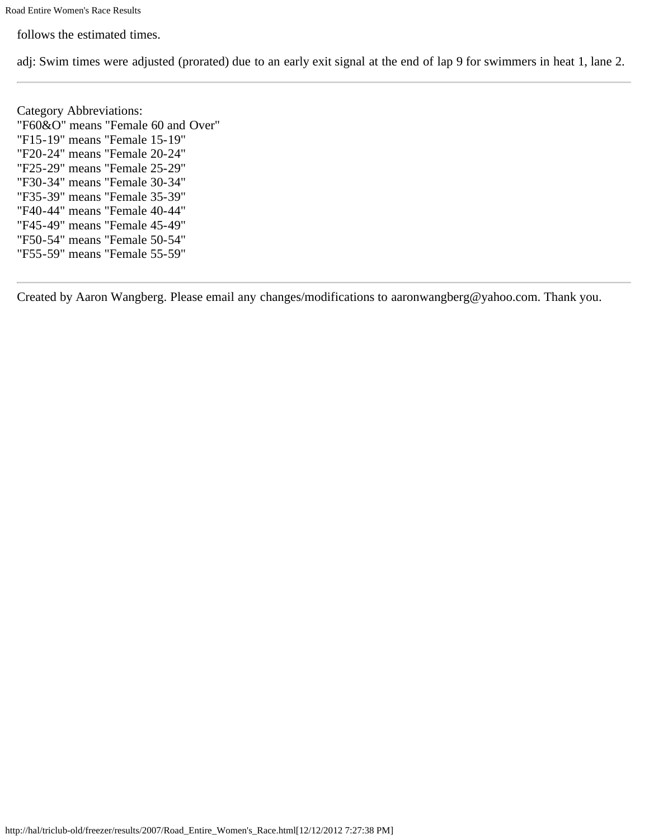follows the estimated times.

adj: Swim times were adjusted (prorated) due to an early exit signal at the end of lap 9 for swimmers in heat 1, lane 2.

Category Abbreviations: "F60&O" means "Female 60 and Over" "F15-19" means "Female 15-19" "F20-24" means "Female 20-24" "F25-29" means "Female 25-29" "F30-34" means "Female 30-34" "F35-39" means "Female 35-39" "F40-44" means "Female 40-44" "F45-49" means "Female 45-49" "F50-54" means "Female 50-54" "F55-59" means "Female 55-59"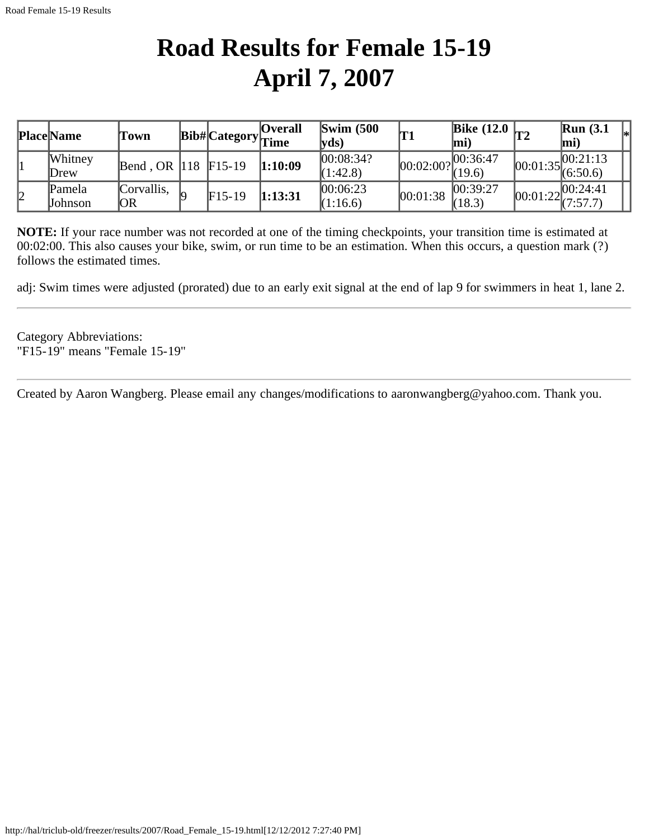### **Road Results for Female 15-19 April 7, 2007**

<span id="page-26-0"></span>

|    | <b>Place Name</b> | Town             |          | <b>Overall</b><br>Bib# Category Time | $\text{Swim}$ (500)<br>$ {\bf v} {\bf d} s\rangle$ | 'T1       | Bike $(12.0 \vert T2)$<br>lmi |          | Run(3.1)<br>[mi                     |  |
|----|-------------------|------------------|----------|--------------------------------------|----------------------------------------------------|-----------|-------------------------------|----------|-------------------------------------|--|
|    | Whitney<br>Drew   | Bend, OR $ 118$  | $F15-19$ | 1:10:09                              | 00:08:34?<br>(1:42.8)                              | 00:02:00? | 00:36:47<br>(19.6)            |          | .00:21:13<br>$100:01:35$ $(6:50.6)$ |  |
| 12 | Pamela<br>Johnson | Corvallis.<br>OR | $F15-19$ | 1:13:31                              | 00:06:23<br>(1:16.6)                               | 00:01:38  | 00:39:27<br>(18.3)            | 00:01:22 | 00:24:41<br>(7:57.7)                |  |

**NOTE:** If your race number was not recorded at one of the timing checkpoints, your transition time is estimated at 00:02:00. This also causes your bike, swim, or run time to be an estimation. When this occurs, a question mark (?) follows the estimated times.

adj: Swim times were adjusted (prorated) due to an early exit signal at the end of lap 9 for swimmers in heat 1, lane 2.

Category Abbreviations: "F15-19" means "Female 15-19"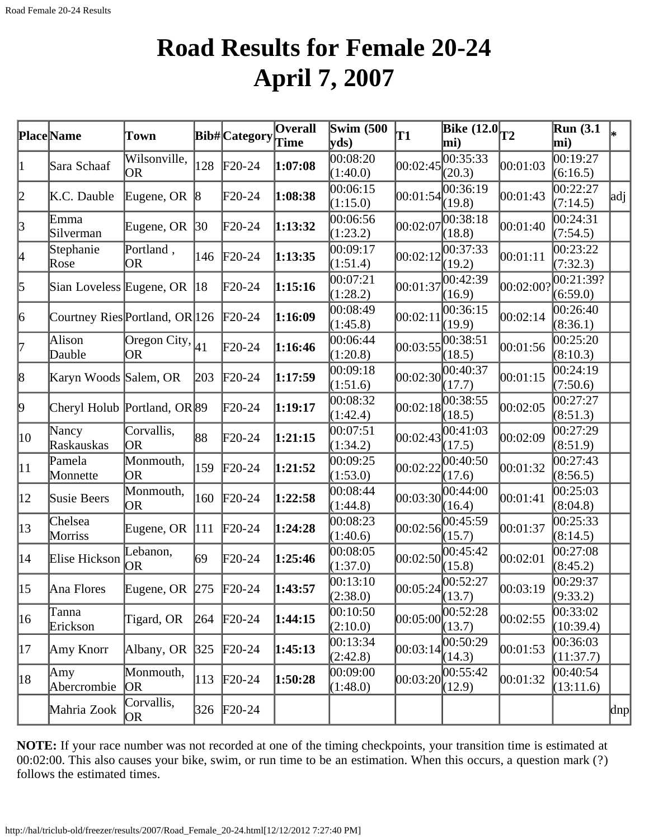### **Road Results for Female 20-24 April 7, 2007**

<span id="page-27-0"></span>

|              | Place Name                     | Town                             |                 | Bib# Category   | $\overline{O}$ verall | Swim $(500)$         | <b>T1</b> | Bike $(12.0)$ <sub>T2</sub>                                 |           | Run(3.1)              |     |
|--------------|--------------------------------|----------------------------------|-----------------|-----------------|-----------------------|----------------------|-----------|-------------------------------------------------------------|-----------|-----------------------|-----|
|              |                                |                                  |                 |                 | Time                  | $ {\bf y}$ ds)       |           | mi)                                                         |           | mi)                   |     |
| 1            | Sara Schaaf                    | Wilsonville,<br>OR               | 128             | $F20-24$        | 1:07:08               | 00:08:20<br>(1:40.0) | 00:02:45  | $\overline{00}$ :35:33<br>(20.3)                            | 00:01:03  | 00:19:27<br>(6:16.5)  |     |
| 2            | K.C. Dauble                    | Eugene, OR                       | $\vert 8 \vert$ | $F20-24$        | 1:08:38               | 00:06:15<br>(1:15.0) |           | 00:01:54 <br>(19.8)                                         | 00:01:43  | 00:22:27<br>(7:14.5)  | adj |
| $\beta$      | Emma<br>Silverman              | Eugene, OR                       | $ 30\rangle$    | $\text{F}20-24$ | 1:13:32               | 00:06:56<br>(1:23.2) | 00:02:07  | 00:38:18<br>(18.8)                                          | 00:01:40  | 00:24:31<br>(7:54.5)  |     |
| 4            | Stephanie<br>Rose              | Portland,<br><b>OR</b>           | 146             | $F20-24$        | 1:13:35               | 00:09:17<br>(1:51.4) | 00:02:12  | 00:37:33<br>(19.2)                                          | 00:01:11  | 00:23:22<br>(7:32.3)  |     |
| 5            | Sian Loveless Eugene, OR       |                                  | 18              | $F20-24$        | 1:15:16               | 00:07:21<br>(1:28.2) | 00:01:37  | 00:42:39<br>(16.9)                                          | 00:02:00? | 00:21:39?<br>(6:59.0) |     |
| 6            | Courtney Ries Portland, OR 126 |                                  |                 | $F20-24$        | 1:16:09               | 00:08:49<br>(1:45.8) | 00:02:11  | 00:36:15<br>(19.9)                                          | 00:02:14  | 00:26:40<br>(8:36.1)  |     |
| 17           | Alison<br>Dauble               | Oregon City, $ 41 $<br><b>OR</b> |                 | $\text{F}20-24$ | 1:16:46               | 00:06:44<br>(1:20.8) | 00:03:55  | 00:38:51<br>(18.5)                                          | 00:01:56  | 00:25:20<br>(8:10.3)  |     |
| 8            | Karyn Woods Salem, OR          |                                  | 203             | $F20-24$        | 1:17:59               | 00:09:18<br>(1:51.6) |           | 00:02:30 <br>(17.7)                                         | 00:01:15  | 00:24:19<br>(7:50.6)  |     |
| þ.           | Cheryl Holub Portland, OR 89   |                                  |                 | $F20-24$        | 1:19:17               | 00:08:32<br>(1:42.4) | 00:02:18  | 00:38:55<br>(18.5)                                          | 00:02:05  | 00:27:27<br>(8:51.3)  |     |
| 10           | Nancy<br>Raskauskas            | Corvallis,<br>OR                 | 88              | $\text{F}20-24$ | 1:21:15               | 00:07:51<br>(1:34.2) | 00:02:43  | 00:41:03<br>(17.5)                                          | 00:02:09  | 00:27:29<br>(8:51.9)  |     |
| $ 11\rangle$ | Pamela<br>Monnette             | Monmouth,<br><b>OR</b>           | 159             | $F20-24$        | 1:21:52               | 00:09:25<br>(1:53.0) | 00:02:22  | 00:40:50<br>(17.6)                                          | 00:01:32  | 00:27:43<br>(8:56.5)  |     |
| $ 12\rangle$ | Susie Beers                    | Monmouth,<br>OR.                 | 160             | $F20-24$        | 1:22:58               | 00:08:44<br>(1:44.8) | 00:03:30  | 00:44:00<br>(16.4)                                          | 00:01:41  | 00:25:03<br>(8:04.8)  |     |
| $ 13\rangle$ | Chelsea<br>Morriss             | Eugene, OR                       | 111             | $\text{F}20-24$ | 1:24:28               | 00:08:23<br>(1:40.6) | 00:02:56  | 00:45:59<br>(15.7)                                          | 00:01:37  | 00:25:33<br>(8:14.5)  |     |
| $ 14\rangle$ | Elise Hickson                  | Lebanon,<br>OR.                  | 69              | $\text{F}20-24$ | 1:25:46               | 00:08:05<br>(1:37.0) |           | 00:02:50 <br>(15.8)                                         | 00:02:01  | 00:27:08<br>(8:45.2)  |     |
| $ 15\rangle$ | Ana Flores                     | Eugene, OR $ 275 $               |                 | $F20-24$        | 1:43:57               | 00:13:10<br>(2:38.0) |           | $00:05:24 \begin{array}{ l} 00:52:27 \\ (13.7) \end{array}$ | 00:03:19  | 00:29:37<br>(9:33.2)  |     |
| 16           | Tanna<br>Erickson              | Tigard, OR                       | 264             | $F20-24$        | 1:44:15               | 00:10:50<br>(2:10.0) | 00:05:00  | 00:52:28<br>(13.7)                                          | 00:02:55  | 00:33:02<br>(10:39.4) |     |
| 17           | Amy Knorr                      | Albany, OR                       | 325             | $F20-24$        | 1:45:13               | 00:13:34<br>(2:42.8) | 00:03:14  | 00:50:29<br>(14.3)                                          | 00:01:53  | 00:36:03<br>(11:37.7) |     |
| 18           | Amy<br>Abercrombie             | Monmouth,<br><b>OR</b>           | 113             | $F20-24$        | 1:50:28               | 00:09:00<br>(1:48.0) |           | 00:03:20 <br>(12.9)                                         | 00:01:32  | 00:40:54<br>(13:11.6) |     |
|              | Mahria Zook                    | Corvallis,<br>OR                 | 326             | $F20-24$        |                       |                      |           |                                                             |           |                       | dnp |

**NOTE:** If your race number was not recorded at one of the timing checkpoints, your transition time is estimated at 00:02:00. This also causes your bike, swim, or run time to be an estimation. When this occurs, a question mark (?) follows the estimated times.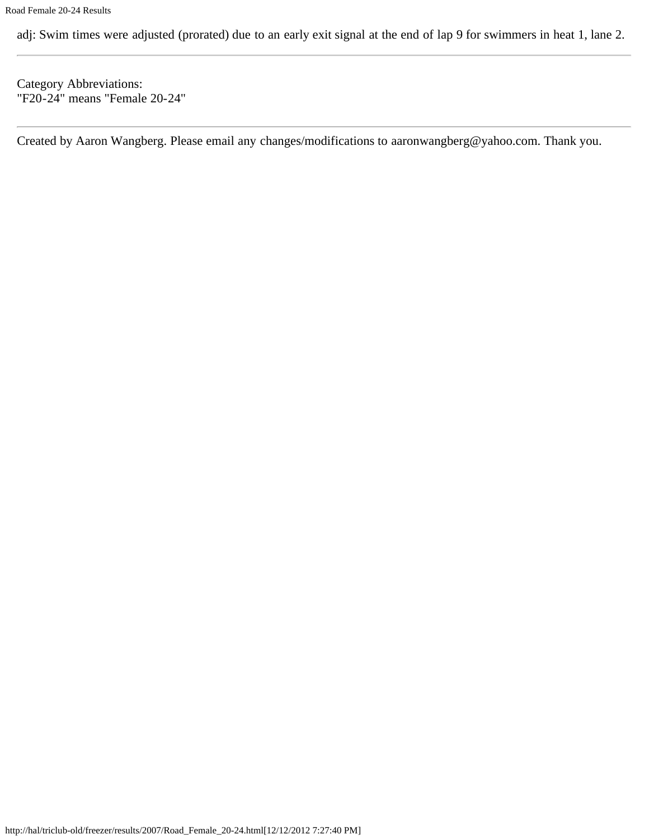adj: Swim times were adjusted (prorated) due to an early exit signal at the end of lap 9 for swimmers in heat 1, lane 2.

Category Abbreviations: "F20-24" means "Female 20-24"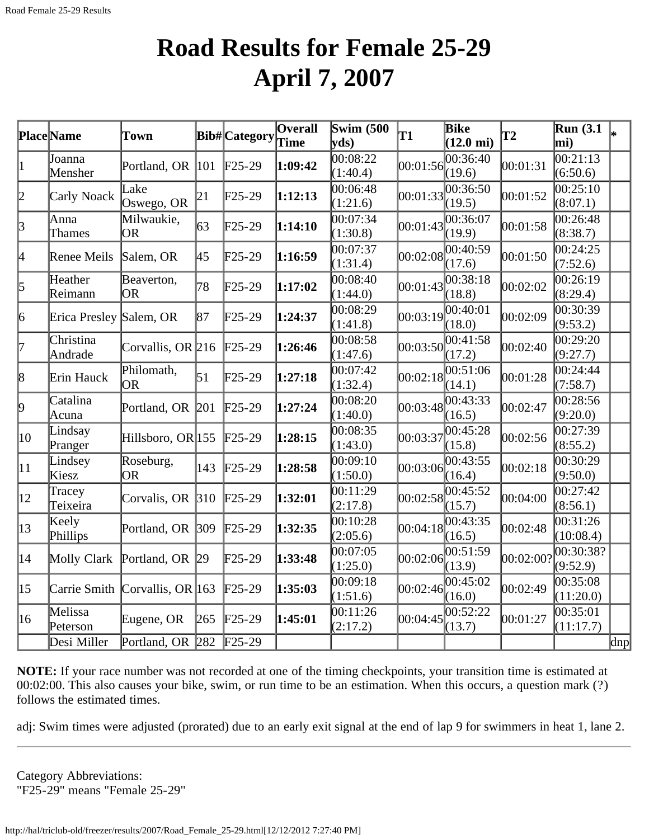#### **Road Results for Female 25-29 April 7, 2007**

<span id="page-29-0"></span>

|                 | <b>Place Name</b>       | Town                           |                         | <b>Bib#</b> Category | Overall<br>Time | <b>Swim (500)</b><br>vds) | T1         | Bike<br>$(12.0 \text{ mi})$ | $\mathbf{T2}$ | <b>Run</b> (3.1)<br>mi)           | l*  |
|-----------------|-------------------------|--------------------------------|-------------------------|----------------------|-----------------|---------------------------|------------|-----------------------------|---------------|-----------------------------------|-----|
|                 | Joanna<br>Mensher       | Portland, OR                   | 101                     | $F25-29$             | 1:09:42         | 00:08:22<br>(1:40.4)      | 00:01:56   | 00:36:40<br>(19.6)          | 00:01:31      | 00:21:13<br>(6:50.6)              |     |
| 2               | Carly Noack             | Lake<br>Oswego, OR             | 21                      | $\text{F25-29}$      | 1:12:13         | 00:06:48<br>(1:21.6)      | 00:01:33   | 00:36:50<br>(19.5)          | 00:01:52      | $\overline{00:25:10}$<br>(8:07.1) |     |
| $\beta$         | Anna<br>Thames          | Milwaukie,<br><b>OR</b>        | 63                      | $\text{F25-29}$      | 1:14:10         | 00:07:34<br>(1:30.8)      | 00:01:43   | 00:36:07<br>(19.9)          | 00:01:58      | 00:26:48<br>(8:38.7)              |     |
| 4               | Renee Meils             | Salem, OR                      | 45                      | $F25-29$             | 1:16:59         | 00:07:37<br>(1:31.4)      | 00:02:08   | (17.6)                      | 00:01:50      | 00:24:25<br>(7:52.6)              |     |
| 5               | Heather<br>Reimann      | Beaverton,<br><b>OR</b>        | 78                      | $\text{F25-29}$      | 1:17:02         | 00:08:40<br>(1:44.0)      | 00:01:43   | 00:38:18<br>(18.8)          | 00:02:02      | 00:26:19<br>(8:29.4)              |     |
| 6               | Erica Presley Salem, OR |                                | 87                      | $\text{F25-29}$      | 1:24:37         | 00:08:29<br>(1:41.8)      | 00:03:19   | 00:40:01<br>(18.0)          | 00:02:09      | 00:30:39<br>(9:53.2)              |     |
| 17              | Christina<br>Andrade    | Corvallis, OR 216              |                         | $F25-29$             | 1:26:46         | 00:08:58<br>(1:47.6)      | 00:03:50   | 00:41:58<br>(17.2)          | 00:02:40      | 00:29:20<br>(9:27.7)              |     |
| 8               | Erin Hauck              | Philomath,<br><b>OR</b>        | 51                      | $F25-29$             | 1:27:18         | 00:07:42<br>(1:32.4)      | [00:02:18] | 00:51:06<br>(14.1)          | 00:01:28      | 00:24:44<br>(7:58.7)              |     |
| $\vert 9 \vert$ | Catalina<br>Acuna       | Portland, OR                   | 201                     | $F25-29$             | 1:27:24         | 00:08:20<br>(1:40.0)      | 00:03:48   | 00:43:33<br>(16.5)          | 00:02:47      | 00:28:56<br>(9:20.0)              |     |
| $ 10\rangle$    | Lindsay<br>Pranger      | Hillsboro, OR 155              |                         | $F25-29$             | 1:28:15         | 00:08:35<br>(1:43.0)      | 00:03:37   | 00:45:28<br>(15.8)          | 00:02:56      | 00:27:39<br>(8:55.2)              |     |
| $ 11\rangle$    | Lindsey<br>Kiesz        | Roseburg,<br><b>OR</b>         | 143                     | $F25-29$             | 1:28:58         | 00:09:10<br>(1:50.0)      | 00:03:06   | 00:43:55<br>(16.4)          | 00:02:18      | 00:30:29<br>(9:50.0)              |     |
| $ 12\rangle$    | Tracey<br>Teixeira      | Corvalis, OR 310               |                         | $\text{F25-29}$      | 1:32:01         | 00:11:29<br>(2:17.8)      | 00:02:58   | (15.7)                      | 00:04:00      | 00:27:42<br>(8:56.1)              |     |
| $ 13\rangle$    | Keely<br>Phillips       | Portland, OR                   | $ 309\rangle$           | $F25-29$             | 1:32:35         | 00:10:28<br>(2:05.6)      | 00:04:18   | 00:43:35<br>(16.5)          | 00:02:48      | 00:31:26<br>(10:08.4)             |     |
| 14              |                         | Molly Clark Portland, OR       | $\left 29\right\rangle$ | $\text{F25-29}$      | 1:33:48         | 00:07:05<br>(1:25.0)      | 00:02:06   | 00:51:59<br>(13.9)          | 00:02:00?     | 00:30:38?<br>(9:52.9)             |     |
| $ 15\rangle$    |                         | Carrie Smith Corvallis, OR 163 |                         | $\text{F25-29}$      | 1:35:03         | 00:09:18<br>(1:51.6)      | 00:02:46   | 00:45:02<br>(16.0)          | 00:02:49      | 00:35:08<br>(11:20.0)             |     |
| 16              | Melissa<br>Peterson     | Eugene, OR                     | 265                     | $\text{F25-29}$      | 1:45:01         | 00:11:26<br>(2:17.2)      | 00:04:45   | 00:52:22<br>(13.7)          | 00:01:27      | 00:35:01<br>(11:17.7)             |     |
|                 | Desi Miller             | Portland, OR 282               |                         | $F25-29$             |                 |                           |            |                             |               |                                   | dnp |

**NOTE:** If your race number was not recorded at one of the timing checkpoints, your transition time is estimated at 00:02:00. This also causes your bike, swim, or run time to be an estimation. When this occurs, a question mark (?) follows the estimated times.

adj: Swim times were adjusted (prorated) due to an early exit signal at the end of lap 9 for swimmers in heat 1, lane 2.

Category Abbreviations: "F25-29" means "Female 25-29"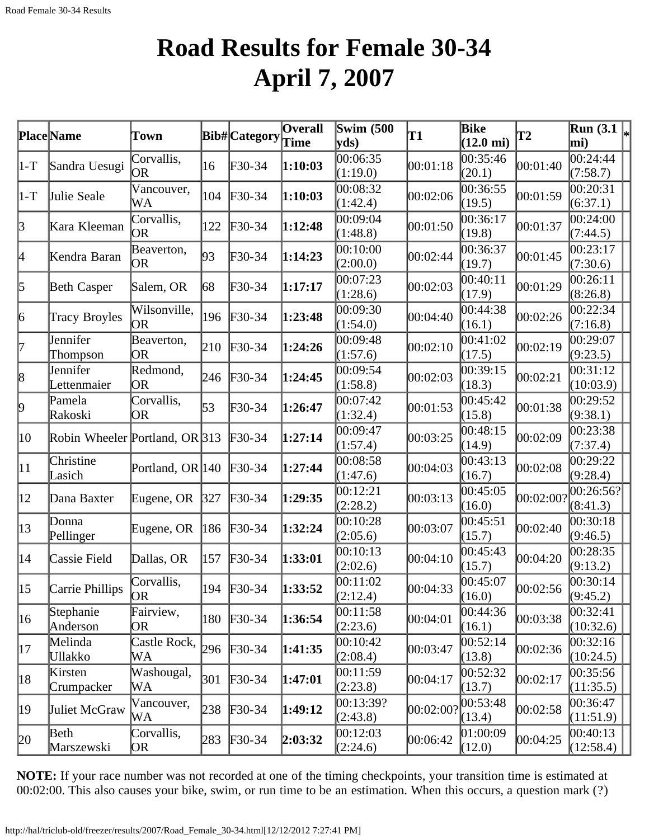## **Road Results for Female 30-34 April 7, 2007**

<span id="page-31-0"></span>

|              | Place Name                     | Town                          |     | Bib#Category    | Overall | <b>Swim (500</b><br>$ {\bf v} {\bf ds})$ | T1                 | <b>Bike</b><br>$(12.0 \text{ mi})$ | $\mathbf{T2}$ | Run (3.1 $\vert\mathbf{r}\vert$<br>mi) |  |
|--------------|--------------------------------|-------------------------------|-----|-----------------|---------|------------------------------------------|--------------------|------------------------------------|---------------|----------------------------------------|--|
| $ 1-T $      | Sandra Uesugi                  | Corvallis,<br> OR             | 16  | $F30-34$        | 1:10:03 | 00:06:35<br>(1:19.0)                     | 00:01:18           | 00:35:46<br>(20.1)                 | 00:01:40      | 00:24:44<br>(7:58.7)                   |  |
| $ 1-T $      | Julie Seale                    | Vancouver,<br>WA              | 104 | $F30-34$        | 1:10:03 | 00:08:32<br>(1:42.4)                     | 00:02:06           | 00:36:55<br>(19.5)                 | 00:01:59      | 00:20:31<br>(6:37.1)                   |  |
| $\beta$      | Kara Kleeman                   | Corvallis,<br>OR              | 122 | $\text{F}30-34$ | 1:12:48 | 00:09:04<br>(1:48.8)                     | 00:01:50           | 00:36:17<br>(19.8)                 | 00:01:37      | 00:24:00<br>(7:44.5)                   |  |
| 4            | Kendra Baran                   | Beaverton,<br>OR.             | 93  | $F30-34$        | 1:14:23 | 00:10:00<br>(2:00.0)                     | 00:02:44           | 00:36:37<br>(19.7)                 | 00:01:45      | 00:23:17<br>(7:30.6)                   |  |
| 5            | <b>Beth Casper</b>             | Salem, OR                     | 68  | $F30-34$        | 1:17:17 | 00:07:23<br>(1:28.6)                     | 00:02:03           | 00:40:11<br>(17.9)                 | 00:01:29      | 00:26:11<br>(8:26.8)                   |  |
| 6            | <b>Tracy Broyles</b>           | Wilsonville,<br>OR.           | 196 | $F30-34$        | 1:23:48 | 00:09:30<br>(1:54.0)                     | 00:04:40           | 00:44:38<br>(16.1)                 | 00:02:26      | 00:22:34<br>(7:16.8)                   |  |
| 17           | Jennifer<br>Thompson           | Beaverton,<br><b>OR</b>       | 210 | $F30-34$        | 1:24:26 | 00:09:48<br>(1:57.6)                     | 00:02:10           | 00:41:02<br>(17.5)                 | 00:02:19      | 00:29:07<br>(9:23.5)                   |  |
| 8            | Jennifer<br>Lettenmaier        | Redmond,<br>OR.               | 246 | $F30-34$        | 1:24:45 | 00:09:54<br>(1:58.8)                     | 00:02:03           | 00:39:15<br>(18.3)                 | 00:02:21      | 00:31:12<br>(10:03.9)                  |  |
| þ,           | Pamela<br>Rakoski              | Corvallis,<br>OR              | 53  | $F30-34$        | 1:26:47 | 00:07:42<br>(1:32.4)                     | 00:01:53           | 00:45:42<br>(15.8)                 | 00:01:38      | 00:29:52<br>(9:38.1)                   |  |
| 10           | Robin Wheeler Portland, OR 313 |                               |     | $F30-34$        | 1:27:14 | 00:09:47<br>(1:57.4)                     | 00:03:25           | 00:48:15<br>(14.9)                 | 00:02:09      | 00:23:38<br>(7:37.4)                   |  |
| $ 11\rangle$ | Christine<br>Lasich            | Portland, OR 140              |     | $F30-34$        | 1:27:44 | 00:08:58<br>(1:47.6)                     | 00:04:03           | 00:43:13<br>(16.7)                 | 00:02:08      | 00:29:22<br>(9:28.4)                   |  |
| $ 12\rangle$ | Dana Baxter                    | Eugene, OR                    | 327 | $F30-34$        | 1:29:35 | 00:12:21<br>(2:28.2)                     | 00:03:13           | 00:45:05<br>(16.0)                 | 00:02:00?     | 00:26:56? <br>(8:41.3)                 |  |
| $ 13\rangle$ | Donna<br>Pellinger             | Eugene, OR                    | 186 | $F30-34$        | 1:32:24 | 00:10:28<br>(2:05.6)                     | 00:03:07           | 00:45:51<br>(15.7)                 | 00:02:40      | 00:30:18<br>(9:46.5)                   |  |
| $ 14\rangle$ | Cassie Field                   | Dallas, OR                    | 157 | $F30-34$        | 1:33:01 | 00:10:13<br>(2:02.6)                     | 00:04:10           | 00:45:43<br>(15.7)                 | 00:04:20      | 00:28:35<br>(9:13.2)                   |  |
| $ 15\rangle$ | Carrie Phillips                | Corvallis,<br>OR <sub>1</sub> |     | 194 F30-34      | 1:33:52 | 00:11:02<br>(2:12.4)                     | 00:04:33           | 00:45:07<br>(16.0)                 | 00:02:56      | 00:30:14 <br>(9:45.2)                  |  |
| 16           | Stephanie<br>Anderson          | Fairview,<br>OR.              | 180 | $F30-34$        | 1:36:54 | 00:11:58<br>(2:23.6)                     | 00:04:01           | 00:44:36<br>(16.1)                 | 00:03:38      | [00:32:41]<br>(10:32.6)                |  |
| 17           | Melinda<br><b>Ullakko</b>      | Castle Rock,<br>WА            | 296 | $F30-34$        | 1:41:35 | 00:10:42<br>(2:08.4)                     | 00:03:47           | [00:52:14]<br>(13.8)               | 00:02:36      | 00:32:16<br>(10:24.5)                  |  |
| 18           | Kirsten<br>Crumpacker          | Washougal,<br>WА              | 301 | $F30-34$        | 1:47:01 | 00:11:59<br>(2:23.8)                     | [00:04:17]         | 00:52:32 <br>(13.7)                | 00:02:17      | 00:35:56 <br>(11:35.5)                 |  |
| 19           | Juliet McGraw                  | Vancouver,<br>WA              | 238 | $F30-34$        | 1:49:12 | 00:13:39?<br>(2:43.8)                    | $ 00:02:00\rangle$ | 00:53:48<br>(13.4)                 | 00:02:58      | 00:36:47<br>(11:51.9)                  |  |
| 20           | Beth<br>Marszewski             | Corvallis,<br>OR)             | 283 | $F30-34$        | 2:03:32 | 00:12:03<br>(2:24.6)                     | 00:06:42           | [01:00:09]<br>(12.0)               | 00:04:25      | $ 00:40:13\rangle$<br>(12:58.4)        |  |

**NOTE:** If your race number was not recorded at one of the timing checkpoints, your transition time is estimated at 00:02:00. This also causes your bike, swim, or run time to be an estimation. When this occurs, a question mark (?)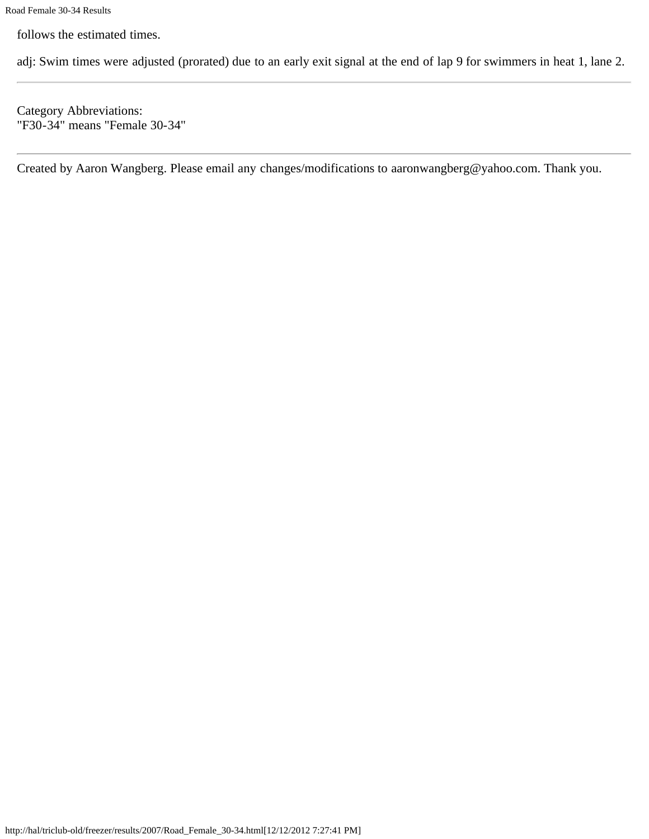follows the estimated times.

adj: Swim times were adjusted (prorated) due to an early exit signal at the end of lap 9 for swimmers in heat 1, lane 2.

Category Abbreviations: "F30-34" means "Female 30-34"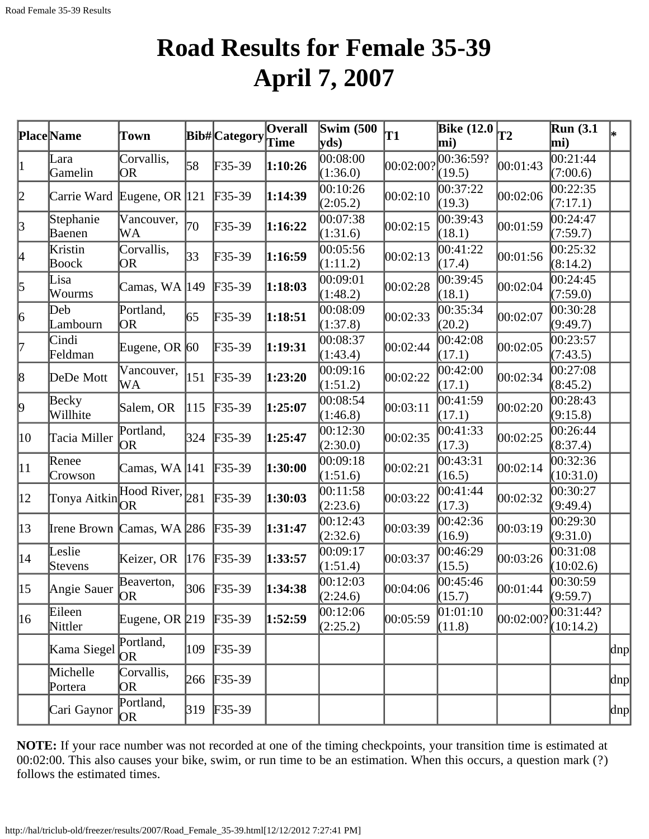# **Road Results for Female 35-39 April 7, 2007**

<span id="page-33-0"></span>

|                 | Place Name                 | Town                    |     | Bib#Category | <b>Overall</b> | Swim $(500)$         | T1        | <b>Bike (12.0</b>    | T2                 | Run(3.1)               |          |
|-----------------|----------------------------|-------------------------|-----|--------------|----------------|----------------------|-----------|----------------------|--------------------|------------------------|----------|
|                 |                            |                         |     |              |                | $ {\bf v} {\bf ds})$ |           | mi)                  |                    | mi)                    |          |
| 1               | Lara<br>Gamelin            | Corvallis,<br><b>OR</b> | 58  | $F35-39$     | 1:10:26        | 00:08:00<br>(1:36.0) | 00:02:00? | 00:36:59?<br>(19.5)  | 00:01:43           | 00:21:44<br>(7:00.6)   |          |
| 2               | Carrie Ward Eugene, OR 121 |                         |     | $F35-39$     | 1:14:39        | 00:10:26<br>(2:05.2) | 00:02:10  | 00:37:22<br>(19.3)   | 00:02:06           | 00:22:35<br>(7:17.1)   |          |
| 3               | Stephanie<br>Baenen        | Vancouver,<br>WA        | 70  | $F35-39$     | 1:16:22        | 00:07:38<br>(1:31.6) | 00:02:15  | 00:39:43<br>(18.1)   | 00:01:59           | 00:24:47<br>(7:59.7)   |          |
| 4               | Kristin<br>Boock           | Corvallis,<br><b>OR</b> | 33  | $F35-39$     | 1:16:59        | 00:05:56<br>(1:11.2) | 00:02:13  | 00:41:22<br>(17.4)   | 00:01:56           | 00:25:32<br>(8:14.2)   |          |
| 5               | Lisa<br>Wourms             | Camas, WA  149          |     | $F35-39$     | 1:18:03        | 00:09:01<br>(1:48.2) | 00:02:28  | 00:39:45<br>(18.1)   | 00:02:04           | 00:24:45<br>(7:59.0)   |          |
| $\vert 6 \vert$ | Deb<br>Lambourn            | Portland,<br>OR         | 65  | $F35-39$     | 1:18:51        | 00:08:09<br>(1:37.8) | 00:02:33  | 00:35:34<br>(20.2)   | 00:02:07           | 00:30:28<br>(9:49.7)   |          |
| 17              | Cindi<br>Feldman           | Eugene, OR $ 60\rangle$ |     | $F35-39$     | 1:19:31        | 00:08:37<br>(1:43.4) | 00:02:44  | 00:42:08<br>(17.1)   | 00:02:05           | 00:23:57<br>(7:43.5)   |          |
| 8               | DeDe Mott                  | Vancouver,<br>WA        | 151 | $F35-39$     | 1:23:20        | 00:09:16<br>(1:51.2) | 00:02:22  | 00:42:00<br>(17.1)   | 00:02:34           | 00:27:08<br>(8:45.2)   |          |
| þ.              | Becky<br>Willhite          | Salem, OR               | 115 | $F35-39$     | 1:25:07        | 00:08:54<br>(1:46.8) | 00:03:11  | 00:41:59<br>(17.1)   | 00:02:20           | 00:28:43<br>(9:15.8)   |          |
| 10              | Tacia Miller               | Portland,<br>0R         | 324 | $F35-39$     | 1:25:47        | 00:12:30<br>(2:30.0) | 00:02:35  | 00:41:33<br>(17.3)   | 00:02:25           | 00:26:44<br>(8:37.4)   |          |
| $ 11\rangle$    | Renee<br>Crowson           | Camas, WA  141          |     | $F35-39$     | 1:30:00        | 00:09:18<br>(1:51.6) | 00:02:21  | 00:43:31<br>(16.5)   | 00:02:14           | 00:32:36<br>(10:31.0)  |          |
| $ 12\rangle$    | Tonya Aitkin               | Hood River, $281$       |     | $F35-39$     | 1:30:03        | 00:11:58<br>(2:23.6) | 00:03:22  | [00:41:44]<br>(17.3) | 00:02:32           | 00:30:27<br>(9:49.4)   |          |
| $ 13\rangle$    | Irene Brown Camas, WA 286  |                         |     | $F35-39$     | 1:31:47        | 00:12:43<br>(2:32.6) | 00:03:39  | 00:42:36<br>(16.9)   | 00:03:19           | 00:29:30<br>(9:31.0)   |          |
| $ 14\rangle$    | Leslie<br>Stevens          | Keizer, OR              | 176 | $F35-39$     | 1:33:57        | 00:09:17<br>(1:51.4) | 00:03:37  | 00:46:29<br>(15.5)   | 00:03:26           | 00:31:08<br>(10:02.6)  |          |
| $ 15\rangle$    | Angie Sauer OR             | Beaverton,              |     | 306 F35-39   | 1:34:38        | 00:12:03<br>(2:24.6) | 00:04:06  | 00:45:46<br>(15.7)   | 00:01:44           | 00:30:59<br>(9:59.7)   |          |
| $ 16\rangle$    | Eileen<br>Nittler          | Eugene, OR $\vert$ 219  |     | $F35-39$     | 1:52:59        | 00:12:06<br>(2:25.2) | 00:05:59  | [01:01:10]<br>(11.8) | $ 00:02:00\rangle$ | 00:31:44?<br>(10:14.2) |          |
|                 | Kama Siegel                | Portland,<br>OR)        | 109 | $F35-39$     |                |                      |           |                      |                    |                        | $\alpha$ |
|                 | Michelle<br>Portera        | Corvallis,<br>OR        | 266 | $F35-39$     |                |                      |           |                      |                    |                        | dnp      |
|                 | Cari Gaynor                | Portland,<br>OR         | 319 | $F35-39$     |                |                      |           |                      |                    |                        | dnp      |

**NOTE:** If your race number was not recorded at one of the timing checkpoints, your transition time is estimated at 00:02:00. This also causes your bike, swim, or run time to be an estimation. When this occurs, a question mark (?) follows the estimated times.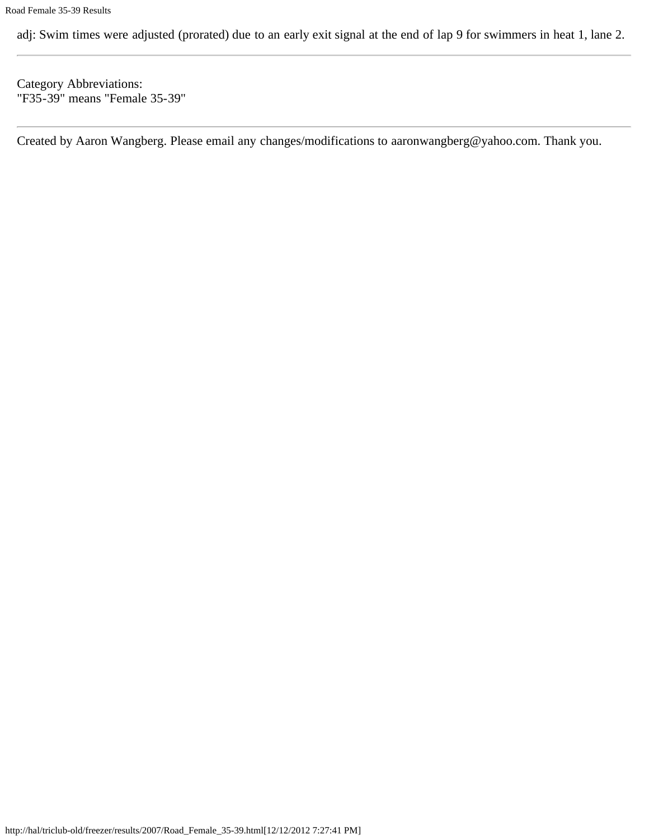adj: Swim times were adjusted (prorated) due to an early exit signal at the end of lap 9 for swimmers in heat 1, lane 2.

Category Abbreviations: "F35-39" means "Female 35-39"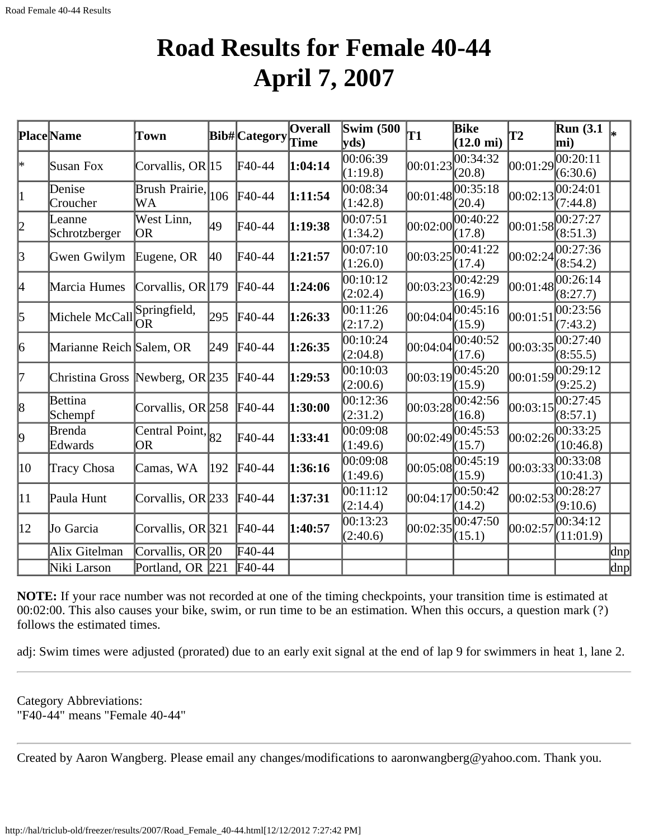#### **Road Results for Female 40-44 April 7, 2007**

<span id="page-35-0"></span>

|                 | Place Name                      | Town                        |     | Bib#Category      | Overall | Swim $(500)$<br>$ {\bf v} {\bf d} s\rangle$ | T1       | <b>Bike</b><br>$(12.0 \text{ mi})$ | T2       | <b>Run</b> (3.1)<br>mi) |              |
|-----------------|---------------------------------|-----------------------------|-----|-------------------|---------|---------------------------------------------|----------|------------------------------------|----------|-------------------------|--------------|
| *               | Susan Fox                       | Corvallis, OR $ 15 $        |     | F40-44            | 1:04:14 | 00:06:39<br>(1:19.8)                        | 00:01:23 | 00:34:32<br>(20.8)                 | 00:01:29 | 00:20:11<br>(6:30.6)    |              |
| $\vert 1 \vert$ | Denise<br>Croucher              | Brush Prairie,<br>WA        | 106 | F40-44            | 1:11:54 | 00:08:34<br>(1:42.8)                        | 00:01:48 | 00:35:18<br>(20.4)                 | 00:02:13 | 00:24:01<br>(7:44.8)    |              |
| 2               | Leanne<br>Schrotzberger         | West Linn,<br> OR           | 49  | F40-44            | 1:19:38 | 00:07:51<br>(1:34.2)                        | 00:02:00 | 0.40:22<br>(17.8)                  | 00:01:58 | 00:27:27<br>(8:51.3)    |              |
| 3               | Gwen Gwilym                     | Eugene, OR                  | 40  | F40-44            | 1:21:57 | 00:07:10<br>(1:26.0)                        | 00:03:25 | 00:41:22<br>(17.4)                 | 00:02:24 | 00:27:36<br>(8:54.2)    |              |
| 4               | Marcia Humes                    | Corvallis, OR $ 179$        |     | F40-44            | 1:24:06 | 0.10:12<br>(2:02.4)                         | 00:03:23 | 00:42:29<br>(16.9)                 | 00:01:48 | 00:26:14<br>(8:27.7)    |              |
| 5               | Michele McCall                  | Springfield,<br>lOR.        | 295 | F40-44            | 1:26:33 | 00:11:26<br>(2:17.2)                        | 00:04:04 | 00:45:16<br>(15.9)                 | 00:01:51 | 00:23:56<br>(7:43.2)    |              |
| 6               | Marianne Reich Salem, OR        |                             | 249 | F40-44            | 1:26:35 | 00:10:24<br>(2:04.8)                        | 00:04:04 | 00:40:52<br>(17.6)                 | 00:03:35 | 00:27:40<br>(8:55.5)    |              |
| 17              | Christina Gross Newberg, OR 235 |                             |     | $\text{F}40-44$   | 1:29:53 | 00:10:03<br>(2:00.6)                        | 00:03:19 | 00:45:20<br>(15.9)                 | 00:01:59 | 00:29:12<br>(9:25.2)    |              |
| 8               | Bettina<br>Schempf              | Corvallis, OR 258           |     | F40-44            | 1:30:00 | 00:12:36<br>(2:31.2)                        | 00:03:28 | 00:42:56<br>(16.8)                 | 00:03:15 | 00:27:45<br>(8:57.1)    |              |
| þ.              | Brenda<br>Edwards               | Central Point, $ 82 $<br>OR |     | F40-44            | 1:33:41 | 00:09:08<br>(1:49.6)                        | 00:02:49 | 00:45:53<br>(15.7)                 | 00:02:26 | 00:33:25<br>(10:46.8)   |              |
| 10              | Tracy Chosa                     | Camas, WA                   | 192 | F40-44            | 1:36:16 | 00:09:08<br>(1:49.6)                        | 00:05:08 | 00:45:19<br>(15.9)                 | 00:03:33 | 00:33:08<br>(10:41.3)   |              |
| 11              | Paula Hunt                      | Corvallis, OR $233$         |     | $\textsf{F}40-44$ | 1:37:31 | 00:11:12<br>(2:14.4)                        | 00:04:17 | 00:50:42<br>(14.2)                 | 00:02:53 | 00:28:27<br>(9:10.6)    |              |
| $ 12\rangle$    | Jo Garcia                       | Corvallis, OR $321$         |     | F40-44            | 1:40:57 | 00:13:23<br>(2:40.6)                        | 00:02:35 | 00:47:50<br>(15.1)                 | 00:02:57 | 00:34:12<br>(11:01.9)   |              |
|                 | Alix Gitelman                   | Corvallis, OR 20            |     | F40-44            |         |                                             |          |                                    |          |                         | $\text{dnp}$ |
|                 | Niki Larson                     | Portland, OR 221            |     | F40-44            |         |                                             |          |                                    |          |                         | $\alpha$     |

**NOTE:** If your race number was not recorded at one of the timing checkpoints, your transition time is estimated at 00:02:00. This also causes your bike, swim, or run time to be an estimation. When this occurs, a question mark (?) follows the estimated times.

adj: Swim times were adjusted (prorated) due to an early exit signal at the end of lap 9 for swimmers in heat 1, lane 2.

Category Abbreviations: "F40-44" means "Female 40-44"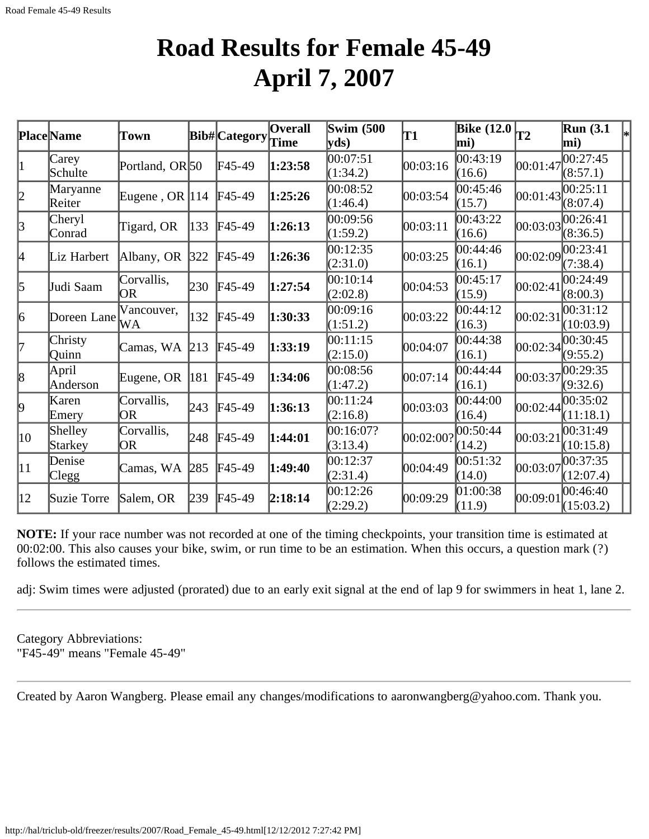### **Road Results for Female 45-49 April 7, 2007**

|              | <b>Place</b> Name  | <b>Town</b>                |     | <b>Bib#</b> Category | <b>Overall</b> | <b>Swim (500</b>      | T1        | <b>Bike</b> (12.0    | lT2      | <b>Run</b> (3.1)<br>$\left _{*}\right $ |
|--------------|--------------------|----------------------------|-----|----------------------|----------------|-----------------------|-----------|----------------------|----------|-----------------------------------------|
|              |                    |                            |     |                      | Time           | yds)                  |           | mi)                  |          | mi)                                     |
| 1            | Carey<br>Schulte   | Portland, OR <sub>50</sub> |     | $F45-49$             | 1:23:58        | 00:07:51<br>(1:34.2)  | 00:03:16  | 00:43:19<br>(16.6)   | 00:01:47 | 00:27:45<br>(8:57.1)                    |
| 2            | Maryanne<br>Reiter | Eugene, OR $ 114 $         |     | $F45-49$             | 1:25:26        | 00:08:52<br>(1:46.4)  | 00:03:54  | 00:45:46<br>(15.7)   | 00:01:43 | 00:25:11<br>(8:07.4)                    |
| 3            | Cheryl<br>Conrad   | Tigard, OR                 | 133 | $F45-49$             | 1:26:13        | 00:09:56<br>(1:59.2)  | 00:03:11  | 00:43:22<br>(16.6)   | 00:03:03 | 00:26:41<br>(8:36.5)                    |
| 4            | Liz Harbert        | Albany, OR                 | 322 | $F45-49$             | 1:26:36        | 00:12:35<br>(2:31.0)  | 00:03:25  | 00:44:46<br>(16.1)   | 00:02:09 | 00:23:41<br>(7:38.4)                    |
| $\vert$ 5    | Judi Saam          | Corvallis,<br>OR           | 230 | $F45-49$             | 1:27:54        | 00:10:14<br>(2:02.8)  | 00:04:53  | 00:45:17<br>(15.9)   | 00:02:41 | 00:24:49<br>(8:00.3)                    |
| 6            | Doreen Lane        | Vancouver,<br>WA           | 132 | $F45-49$             | 1:30:33        | 00:09:16<br>(1:51.2)  | 00:03:22  | 00:44:12<br>(16.3)   | 00:02:31 | 00:31:12<br>(10:03.9)                   |
| 17           | Christy<br>Quinn   | Camas, WA                  | 213 | $F45-49$             | 1:33:19        | 00:11:15<br>(2:15.0)  | 00:04:07  | 00:44:38<br>(16.1)   | 00:02:34 | 00:30:45<br>(9:55.2)                    |
| 8            | April<br>Anderson  | Eugene, OR                 | 181 | $F45-49$             | 1:34:06        | 00:08:56<br>(1:47.2)  | 00:07:14  | 00:44:44<br>(16.1)   | 00:03:37 | 00:29:35<br>(9:32.6)                    |
| þ.           | Karen<br>Emery     | Corvallis,<br>OR           | 243 | $F45-49$             | 1:36:13        | 00:11:24<br>(2:16.8)  | 00:03:03  | 00:44:00<br>(16.4)   | 00:02:44 | 00:35:02<br>(11:18.1)                   |
| $ 10\rangle$ | Shelley<br>Starkey | Corvallis,<br>OR.          | 248 | $F45-49$             | 1:44:01        | 00:16:07?<br>(3:13.4) | 00:02:00? | 00:50:44<br>(14.2)   | 00:03:21 | 00:31:49<br>(10:15.8)                   |
| $ 11\rangle$ | Denise<br>Clegg    | Camas, WA                  | 285 | $F45-49$             | 1:49:40        | 00:12:37<br>(2:31.4)  | 00:04:49  | 00:51:32<br>(14.0)   | 00:03:07 | 00:37:35<br>(12:07.4)                   |
| $ 12\rangle$ | Suzie Torre        | Salem, OR                  | 239 | $F45-49$             | 2:18:14        | 00:12:26<br>(2:29.2)  | 00:09:29  | [01:00:38]<br>(11.9) | 00:09:01 | 00:46:40<br>(15:03.2)                   |

**NOTE:** If your race number was not recorded at one of the timing checkpoints, your transition time is estimated at 00:02:00. This also causes your bike, swim, or run time to be an estimation. When this occurs, a question mark (?) follows the estimated times.

adj: Swim times were adjusted (prorated) due to an early exit signal at the end of lap 9 for swimmers in heat 1, lane 2.

Category Abbreviations: "F45-49" means "Female 45-49"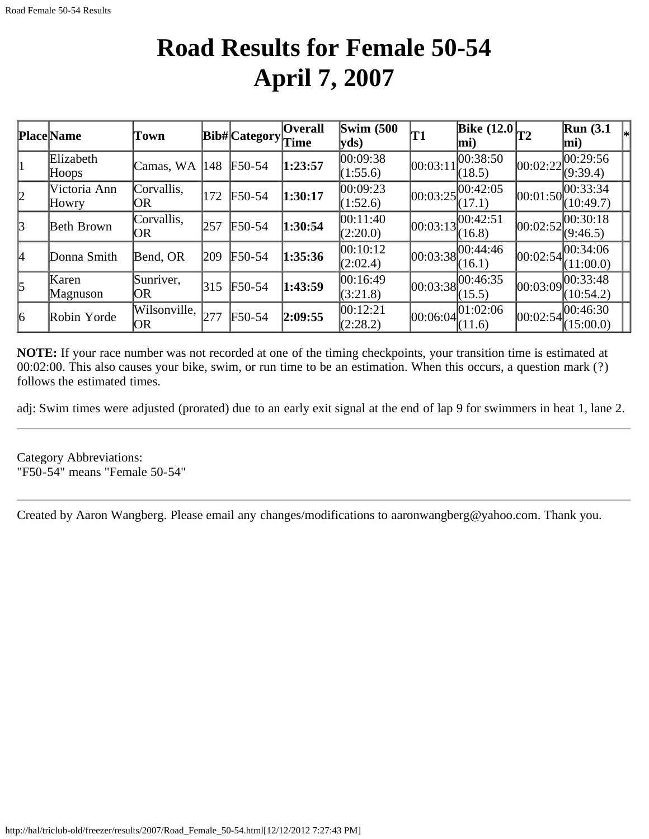## **Road Results for Female 50-54 April 7, 2007**

|           | <b>Place Name</b>     | Town               |               | Bib# Category                       | <b>Overall</b><br>Time | Swim $(500)$<br>yds  | T1         | Bike $(12.0)$ <sub>T2</sub><br>mi) |            | <b>Run</b> (3.1)<br>$\left _{*}\right $<br>mi) |
|-----------|-----------------------|--------------------|---------------|-------------------------------------|------------------------|----------------------|------------|------------------------------------|------------|------------------------------------------------|
|           | Elizabeth<br>Hoops    | Camas, WA          | 148           | F50-54                              | 1:23:57                | 00:09:38<br>(1:55.6) | 00:03:11   | 00:38:50<br>(18.5)                 | 00:02:22   | 100:29:56<br>(9:39.4)                          |
| 2         | Victoria Ann<br>Howry | Corvallis,<br>OR   | 172           | $F50-54$                            | 1:30:17                | 00:09:23<br>(1:52.6) | 00:03:25   | 00:42:05<br>(17.1)                 | [00:01:50] | 00:33:34<br>(10:49.7)                          |
| 3         | Beth Brown            | Corvallis,<br>OR   | 257           | $F50-54$                            | 1:30:54                | 00:11:40<br>(2:20.0) | [00:03:13] | 00:42:51<br>(16.8)                 | 00:02:52   | 00:30:18<br>(9:46.5)                           |
| l4        | Donna Smith           | Bend, OR           | $ 209\rangle$ | $F50-54$                            | 1:35:36                | 00:10:12<br>(2:02.4) | 00:03:38   | 00:44:46<br>(16.1)                 | 00:02:54   | 00:34:06<br>(11:00.0)                          |
| $\vert$ 5 | Karen<br>Magnuson     | Sunriver,<br> OR   | 315           | F50-54                              | 1:43:59                | 00:16:49<br>(3:21.8) | 00:03:38   | 00:46:35<br>(15.5)                 | 00:03:09   | 00:33:48<br>(10:54.2)                          |
| $\vert_6$ | Robin Yorde           | Wilsonville,<br>OR | 277           | $\textcolor{blue}{\mathbf{F}50-54}$ | 2:09:55                | 00:12:21<br>(2:28.2) | [00:06:04] | 01:02:06<br>(11.6)                 |            | $ 00:02:54 ^{00:46:30}_{0.76}$<br>(15:00.0)    |

**NOTE:** If your race number was not recorded at one of the timing checkpoints, your transition time is estimated at 00:02:00. This also causes your bike, swim, or run time to be an estimation. When this occurs, a question mark (?) follows the estimated times.

adj: Swim times were adjusted (prorated) due to an early exit signal at the end of lap 9 for swimmers in heat 1, lane 2.

Category Abbreviations: "F50-54" means "Female 50-54"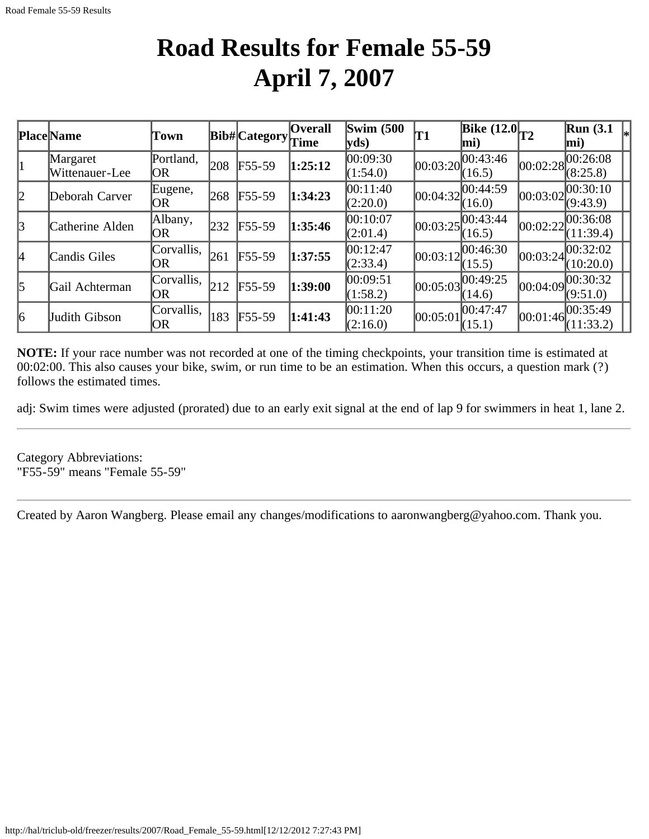## **Road Results for Female 55-59 April 7, 2007**

|           | <b>Place</b> Name          | Town               |     | Bib# Category | <b>Overall</b><br>Time | Swim $(500)$<br>yds  | 'T1      | Bike $\overline{(12.0)}$ T <sub>2</sub><br>$\bf{mi}$ |          | $\mathbb{R}$ un (3.1<br>$\vert$ mi) |
|-----------|----------------------------|--------------------|-----|---------------|------------------------|----------------------|----------|------------------------------------------------------|----------|-------------------------------------|
| 11        | Margaret<br>Wittenauer-Lee | Portland,<br>OR.   | 208 | $F55-59$      | 1:25:12                | 00:09:30<br>(1:54.0) | 00:03:20 | 00:43:46<br>(16.5)                                   |          | 00:02:28 <br>(8:25.8)               |
| 2         | Deborah Carver             | Eugene,<br> OR     | 268 | $F55-59$      | 1:34:23                | 00:11:40<br>(2:20.0) | 00:04:32 | 00:44:59<br>(16.0)                                   |          | 00:03:02 <br>(9:43.9)               |
| 3         | Catherine Alden            | Albany,<br>OR      | 232 | $F55-59$      | 1:35:46                | 00:10:07<br>(2:01.4) | 00:03:25 | 00:43:44<br>(16.5)                                   | 00:02:22 | 00:36:08<br>(11:39.4)               |
| l4        | Candis Giles               | Corvallis,<br>IOR. | 261 | $F55-59$      | 1:37:55                | 00:12:47<br>(2:33.4) | 00:03:12 | 00:46:30<br>(15.5)                                   | 00:03:24 | [00:32:02]<br>(10:20.0)             |
| $\vert$ 5 | Gail Achterman             | Corvallis,<br>IOR. | 212 | $F55-59$      | 1:39:00                | 00:09:51<br>(1:58.2) | 00:05:03 | 00:49:25<br>(14.6)                                   |          | 00:04:09 <br>(9:51.0)               |
| 6         | Judith Gibson              | Corvallis,<br>IOR. | 183 | $F55-59$      | 1:41:43                | 00:11:20<br>(2:16.0) | 00:05:01 | 00:47:47<br>(15.1)                                   |          | 00:01:46 <br>(11:33.2)              |

**NOTE:** If your race number was not recorded at one of the timing checkpoints, your transition time is estimated at 00:02:00. This also causes your bike, swim, or run time to be an estimation. When this occurs, a question mark (?) follows the estimated times.

adj: Swim times were adjusted (prorated) due to an early exit signal at the end of lap 9 for swimmers in heat 1, lane 2.

Category Abbreviations: "F55-59" means "Female 55-59"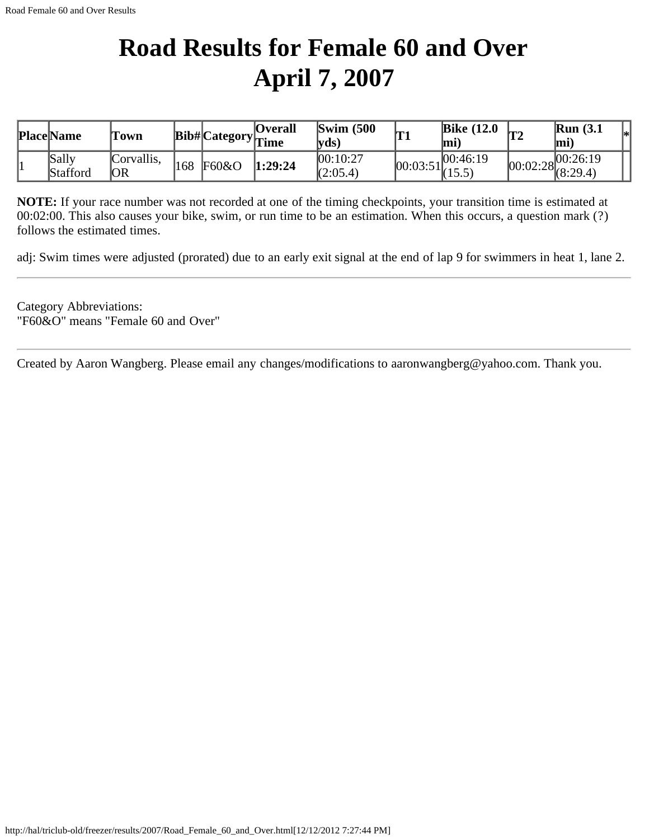## **Road Results for Female 60 and Over April 7, 2007**

| <b>Place Name</b> | Town             |     |       | Overall<br>$\cdots$ Bib# Category $\Gamma$ ime | $\text{Swim}\; (500$<br> vds | m<br>**                       | <b>Bike (12.0)</b><br>lmi' | ₩η | Run(3.1)<br> mi`                    | l*l |
|-------------------|------------------|-----|-------|------------------------------------------------|------------------------------|-------------------------------|----------------------------|----|-------------------------------------|-----|
| Sally<br>Stafford | Corvallis,<br>OR | 168 | F60&O | 1:29:24                                        | 00:10:27<br>(2:05.4)         | $[00:03:51]^{00.46}_{(15.5)}$ | 00:46:19                   |    | $ 00:02:28 ^{00:26:19}_{(8:29.4)} $ |     |

**NOTE:** If your race number was not recorded at one of the timing checkpoints, your transition time is estimated at 00:02:00. This also causes your bike, swim, or run time to be an estimation. When this occurs, a question mark (?) follows the estimated times.

adj: Swim times were adjusted (prorated) due to an early exit signal at the end of lap 9 for swimmers in heat 1, lane 2.

Category Abbreviations: "F60&O" means "Female 60 and Over"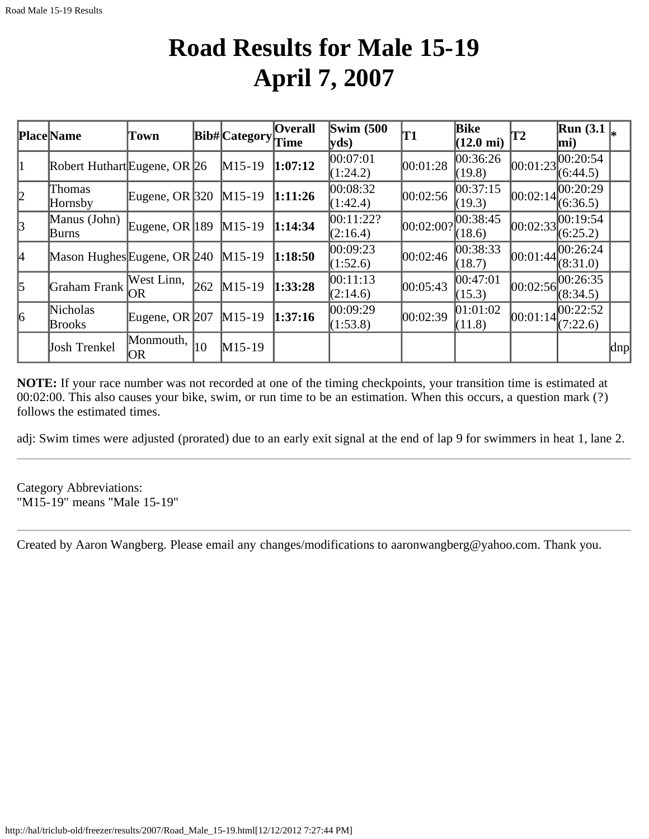## **Road Results for Male 15-19 April 7, 2007**

|           | <b>Place</b> Name            | Town               |     | Bib# Category | <b>Overall</b><br>Time | $\text{Swim}(500)$<br>$ {\bf v}$ ds) | T1                 | <b>Bike</b><br>$(12.0 \text{ mi})$ | T2         | Run(3.1)<br>$\vert$ mi)             |                     |
|-----------|------------------------------|--------------------|-----|---------------|------------------------|--------------------------------------|--------------------|------------------------------------|------------|-------------------------------------|---------------------|
| 11        | Robert Huthart Eugene, OR 26 |                    |     | $M15-19$      | 1:07:12                | 00:07:01<br>(1:24.2)                 | 00:01:28           | 00:36:26 <br>(19.8)                | 00:01:23   | 00:20:54 <br>(6:44.5)               |                     |
| 2         | Thomas<br>Hornsby            | Eugene, OR $ 320 $ |     | $M15-19$      | 1:11:26                | 00:08:32<br>(1:42.4)                 | 00:02:56           | 00:37:15<br>(19.3)                 | 00:02:14   | 00:20:29 <br>(6:36.5)               |                     |
| 3         | Manus (John)<br>Burns        | Eugene, OR $ 189 $ |     | $M15-19$      | 1:14:34                | 00:11:22?<br>(2:16.4)                | 00:02:00?          | 00:38:45<br>(18.6)                 |            | $[00:02:33]^{00:19:54}$<br>(6:25.2) |                     |
| 4         | Mason Hughes Eugene, OR 240  |                    |     | $M15-19$      | 1:18:50                | 00:09:23<br>(1:52.6)                 | 00:02:46           | 00:38:33<br>(18.7)                 | 00:01:44   | 00:26:24 <br>(8:31.0)               |                     |
| $\vert$ 5 | Graham Frank                 | West Linn,<br>OR   | 262 | $M15-19$      | 1:33:28                | 00:11:13<br>(2:14.6)                 | $ 00:05:43\rangle$ | 00:47:01<br>(15.3)                 |            | $ 00:02:56 ^{00:26:35}$<br>(8:34.5) |                     |
| 6         | Nicholas<br><b>Brooks</b>    | Eugene, OR $207$   |     | $M15-19$      | 1:37:16                | 00:09:29<br>(1:53.8)                 | 00:02:39           | 01:01:02<br>(11.8)                 | [00:01:14] | 00:22:52 <br>(7:22.6)               |                     |
|           | Josh Trenkel                 | Monmouth,<br> OR   | 10  | $M15-19$      |                        |                                      |                    |                                    |            |                                     | $\vert$ dnp $\vert$ |

**NOTE:** If your race number was not recorded at one of the timing checkpoints, your transition time is estimated at 00:02:00. This also causes your bike, swim, or run time to be an estimation. When this occurs, a question mark (?) follows the estimated times.

adj: Swim times were adjusted (prorated) due to an early exit signal at the end of lap 9 for swimmers in heat 1, lane 2.

Category Abbreviations: "M15-19" means "Male 15-19"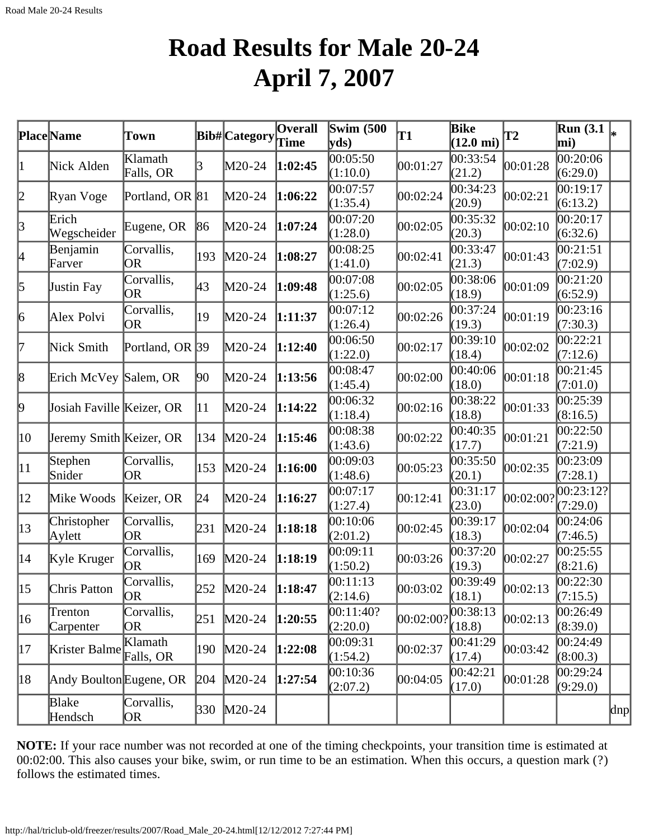## **Road Results for Male 20-24 April 7, 2007**

|              | Place Name                | Town                    |              | <b>Bib#</b> Category | $\overline{O}$ verall<br>Time | <b>Swim</b> (500<br>$ {\bf v} {\bf d} s\rangle$ | T1        | Bike<br>$(12.0 \text{ mi})$ | T2        | $\overline{\text{Run}}$ (3.1 $\vert_*$<br>mi) |     |
|--------------|---------------------------|-------------------------|--------------|----------------------|-------------------------------|-------------------------------------------------|-----------|-----------------------------|-----------|-----------------------------------------------|-----|
| $\vert$ 1    | Nick Alden                | Klamath<br>Falls, OR    | R            | M20-24               | 1:02:45                       | 00:05:50<br>(1:10.0)                            | 00:01:27  | 00:33:54<br>(21.2)          | 00:01:28  | 0.20:06<br>(6:29.0)                           |     |
| 2            | Ryan Voge                 | Portland, OR 81         |              | M20-24               | 1:06:22                       | 00:07:57<br>(1:35.4)                            | 00:02:24  | 00:34:23<br>(20.9)          | 00:02:21  | 00:19:17<br>(6:13.2)                          |     |
| $\vert$ 3    | Erich<br>Wegscheider      | Eugene, OR              | 86           | M20-24               | 1:07:24                       | 00:07:20<br>(1:28.0)                            | 00:02:05  | 00:35:32<br>(20.3)          | 00:02:10  | 00:20:17<br>(6:32.6)                          |     |
| 4            | Benjamin<br>Farver        | Corvallis,<br>OR.       | 193          | $M20-24$             | 1:08:27                       | 00:08:25<br>(1:41.0)                            | 00:02:41  | 00:33:47<br>(21.3)          | 00:01:43  | 0.21:51<br>(7:02.9)                           |     |
| 5            | Justin Fay                | Corvallis,<br><b>OR</b> | 43           | $M20-24$             | 1:09:48                       | 00:07:08<br>(1:25.6)                            | 00:02:05  | 00:38:06<br>(18.9)          | 00:01:09  | 00:21:20<br>(6:52.9)                          |     |
| 6            | Alex Polvi                | Corvallis,<br>OR.       | 19           | $M20-24$             | 1:11:37                       | 00:07:12<br>(1:26.4)                            | 00:02:26  | 00:37:24<br>(19.3)          | 00:01:19  | 00:23:16<br>(7:30.3)                          |     |
| 17           | Nick Smith                | Portland, OR 39         |              | $M20-24$             | 1:12:40                       | 00:06:50<br>(1:22.0)                            | 00:02:17  | 00:39:10<br>(18.4)          | 00:02:02  | 00:22:21<br>(7:12.6)                          |     |
| 8            | Erich McVey Salem, OR     |                         | 90           | $M20-24$             | 1:13:56                       | 00:08:47<br>(1:45.4)                            | 00:02:00  | 00:40:06<br>(18.0)          | 00:01:18  | 00:21:45<br>(7:01.0)                          |     |
| þ,           | Josiah Faville Keizer, OR |                         | $ 11\rangle$ | M20-24               | 1:14:22                       | 00:06:32<br>(1:18.4)                            | 00:02:16  | 00:38:22<br>(18.8)          | 00:01:33  | 00:25:39<br>(8:16.5)                          |     |
| 10           | Jeremy Smith Keizer, OR   |                         | 134          | $M20-24$             | 1:15:46                       | 00:08:38<br>(1:43.6)                            | 00:02:22  | 00:40:35<br>(17.7)          | 00:01:21  | 00:22:50<br>(7:21.9)                          |     |
| $ 11\rangle$ | Stephen<br>Snider         | Corvallis,<br>OR.       | 153          | $M20-24$             | 1:16:00                       | 00:09:03<br>(1:48.6)                            | 00:05:23  | 00:35:50<br>(20.1)          | 00:02:35  | 00:23:09<br>(7:28.1)                          |     |
| $ 12\rangle$ | Mike Woods                | Keizer, OR              | 24           | M20-24               | 1:16:27                       | 00:07:17<br>(1:27.4)                            | 00:12:41  | 00:31:17<br>(23.0)          | 00:02:00? | 00:23:12?<br>(7:29.0)                         |     |
| $ 13\rangle$ | Christopher<br>Aylett     | Corvallis,<br>OR.       | 231          | $M20-24$             | 1:18:18                       | 00:10:06<br>(2:01.2)                            | 00:02:45  | 00:39:17<br>(18.3)          | 00:02:04  | 00:24:06<br>(7:46.5)                          |     |
| $ 14\rangle$ | Kyle Kruger               | Corvallis,<br> OR       | 169          | $M20-24$             | 1:18:19                       | 00:09:11<br>(1:50.2)                            | 00:03:26  | 00:37:20<br>(19.3)          | 00:02:27  | 00:25:55<br>(8:21.6)                          |     |
| $ 15\rangle$ | Chris Patton              | Corvallis,<br>OR.       |              | 252 M20-24           | 1:18:47                       | 00:11:13<br>(2:14.6)                            | 00:03:02  | 00:39:49<br>(18.1)          | 00:02:13  | 00:22:30<br>(7:15.5)                          |     |
| 16           | Trenton<br>Carpenter      | Corvallis,<br>OR)       | 251          | $M20-24$             | 1:20:55                       | 00:11:40?<br>(2:20.0)                           | 00:02:00? | 00:38:13<br>(18.8)          | 00:02:13  | 00:26:49<br>(8:39.0)                          |     |
| 17           | Krister Balme Falls, OR   | Klamath                 | 190          | $M20-24$             | 1:22:08                       | 00:09:31<br>(1:54.2)                            | 00:02:37  | 00:41:29<br>(17.4)          | 00:03:42  | 00:24:49<br>(8:00.3)                          |     |
| 18           | Andy Boulton Eugene, OR   |                         | 204          | $M20-24$             | 1:27:54                       | 00:10:36<br>(2:07.2)                            | 00:04:05  | 00:42:21<br>(17.0)          | 00:01:28  | 00:29:24<br>(9:29.0)                          |     |
|              | Blake<br>Hendsch          | Corvallis,<br>OR)       | 330          | $M20-24$             |                               |                                                 |           |                             |           |                                               | dnp |

**NOTE:** If your race number was not recorded at one of the timing checkpoints, your transition time is estimated at 00:02:00. This also causes your bike, swim, or run time to be an estimation. When this occurs, a question mark (?) follows the estimated times.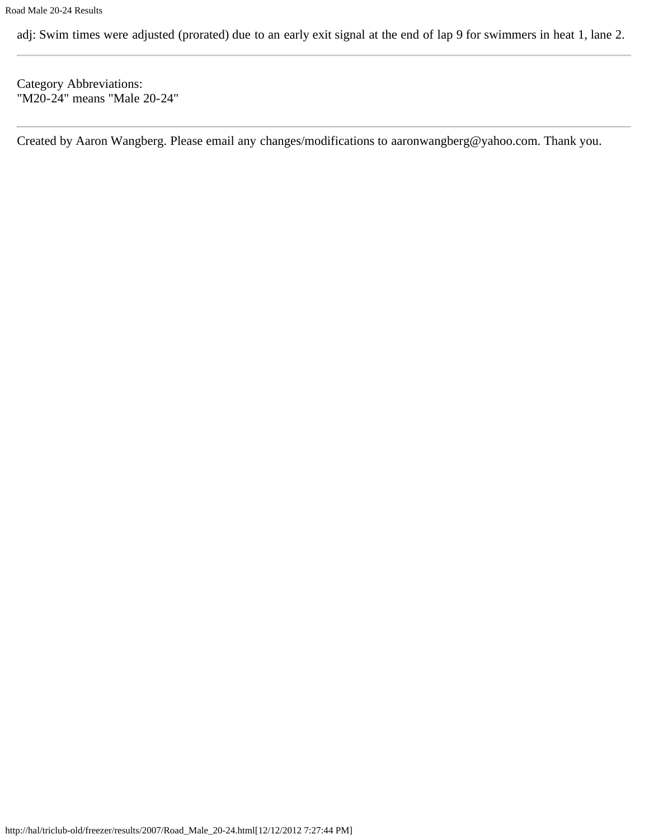adj: Swim times were adjusted (prorated) due to an early exit signal at the end of lap 9 for swimmers in heat 1, lane 2.

Category Abbreviations: "M20-24" means "Male 20-24"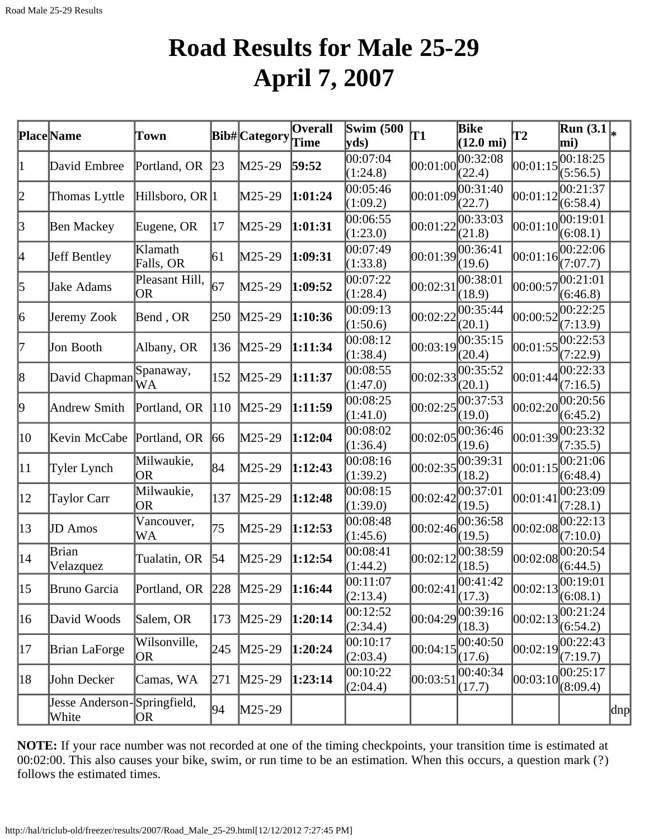## **Road Results for Male 25-29 April 7, 2007**

|              | <b>Place</b> Name                    | Town                        |     | Bib# Category | $\overline{\mathbf{O}}$ verall<br><b>Time</b> | <b>Swim</b> (500)<br>yds | T1       | <b>Bike</b><br>$(12.0 \text{ mi})$ | <b>T2</b> | $\overline{\text{Run }(3.1)}_{*}$<br>mi) |     |
|--------------|--------------------------------------|-----------------------------|-----|---------------|-----------------------------------------------|--------------------------|----------|------------------------------------|-----------|------------------------------------------|-----|
| 1            | David Embree                         | Portland, OR                | 23  | $M25-29$      | 59:52                                         | 00:07:04<br>(1:24.8)     | 00:01:00 | 00:32:08<br>(22.4)                 | 00:01:15  | 00:18:25<br>(5:56.5)                     |     |
| 2            | Thomas Lyttle                        | Hillsboro, OR 1             |     | M25-29        | 1:01:24                                       | 00:05:46<br>(1:09.2)     | 00:01:09 | 00:31:40<br>(22.7)                 | 00:01:12  | 00:21:37<br>(6:58.4)                     |     |
| $\beta$      | <b>Ben Mackey</b>                    | Eugene, OR                  | 17  | $M25-29$      | 1:01:31                                       | 00:06:55<br>(1:23.0)     | 00:01:22 | 00:33:03<br>(21.8)                 | 00:01:10  | 00:19:01<br>(6:08.1)                     |     |
| 4            | Jeff Bentley                         | Klamath<br>Falls, OR        | 61  | $M25-29$      | 1:09:31                                       | 00:07:49<br>(1:33.8)     | 00:01:39 | 00:36:41<br>(19.6)                 | 00:01:16  | 00:22:06<br>(7:07.7)                     |     |
| 5            | Jake Adams                           | Pleasant Hill,<br><b>OR</b> | 67  | $M25-29$      | 1:09:52                                       | 00:07:22<br>(1:28.4)     | 00:02:31 | 00:38:01<br>(18.9)                 | 00:00:57  | 00:21:01<br>(6:46.8)                     |     |
| 6            | Jeremy Zook                          | Bend, OR                    | 250 | $M25-29$      | 1:10:36                                       | 00:09:13<br>(1:50.6)     | 00:02:22 | 00:35:44<br>(20.1)                 | 00:00:52  | 00:22:25<br>(7:13.9)                     |     |
| 7            | Jon Booth                            | Albany, OR                  | 136 | $M25-29$      | 1:11:34                                       | 00:08:12<br>(1:38.4)     | 00:03:19 | 00:35:15<br>(20.4)                 | 00:01:55  | 00:22:53<br>(7:22.9)                     |     |
| 8            | David Chapman                        | Spanaway,<br>WA             | 152 | $M25-29$      | 1:11:37                                       | 00:08:55<br>(1:47.0)     | 00:02:33 | 00:35:52<br>(20.1)                 | 00:01:44  | 00:22:33<br>(7:16.5)                     |     |
| 9            | Andrew Smith                         | Portland, OR                | 110 | $M25-29$      | 1:11:59                                       | 00:08:25<br>(1:41.0)     | 00:02:25 | 00:37:53<br>(19.0)                 | 00:02:20  | 00:20:56<br>(6:45.2)                     |     |
| 10           | Kevin McCabe                         | Portland, OR                | 66  | M25-29        | 1:12:04                                       | 00:08:02<br>(1:36.4)     | 00:02:05 | 00:36:46<br>(19.6)                 | 00:01:39  | 00:23:32<br>(7:35.5)                     |     |
| 11           | Tyler Lynch                          | Milwaukie,<br><b>OR</b>     | 84  | $M25-29$      | 1:12:43                                       | 00:08:16<br>(1:39.2)     | 00:02:35 | 00:39:31<br>(18.2)                 | 00:01:15  | 00:21:06<br>(6:48.4)                     |     |
| $ 12\rangle$ | <b>Taylor Carr</b>                   | Milwaukie,<br><b>OR</b>     | 137 | $M25-29$      | 1:12:48                                       | 00:08:15<br>(1:39.0)     | 00:02:42 | 00:37:01<br>(19.5)                 | 00:01:41  | 00:23:09<br>(7:28.1)                     |     |
| $ 13\rangle$ | <b>JD</b> Amos                       | Vancouver,<br>WA            | 75  | $M25-29$      | 1:12:53                                       | 00:08:48<br>(1:45.6)     | 00:02:46 | 00:36:58<br>(19.5)                 | 00:02:08  | 00:22:13<br>(7:10.0)                     |     |
| $ 14\rangle$ | Brian<br>Velazquez                   | Tualatin, OR                | 54  | M25-29        | 1:12:54                                       | 00:08:41<br>(1:44.2)     | 00:02:12 | 00:38:59<br>(18.5)                 | 00:02:08  | 00:20:54<br>(6:44.5)                     |     |
| $ 15\rangle$ | Bruno Garcia                         | Portland, OR 228            |     | $ M25-29 $    | 1:16:44                                       | 00:11:07<br>(2:13.4)     | 00:02:41 | [00:41:42]<br>(17.3)               |           | $ 00:02:13 ^{00:19:01}_{(6:08.1)}$       |     |
| 16           | David Woods                          | Salem, OR                   | 173 | $M25-29$      | 1:20:14                                       | 00:12:52<br>(2:34.4)     | 00:04:29 | 00:39:16<br>(18.3)                 | 00:02:13  | 00:21:24<br>(6:54.2)                     |     |
| 17           | Brian LaForge                        | Wilsonville,<br>OR)         | 245 | $M25-29$      | 1:20:24                                       | 00:10:17<br>(2:03.4)     | 00:04:15 | 00:40:50<br>(17.6)                 |           | $ 00:02:19 ^{00:22:43}_{-}$<br>(7:19.7)  |     |
| 18           | John Decker                          | Camas, WA                   | 271 | $M25-29$      | 1:23:14                                       | 00:10:22<br>(2:04.4)     | 00:03:5  | 00:40:34<br>(17.7)                 | 00:03:10  | 00:25:17<br>(8:09.4)                     |     |
|              | Jesse Anderson-Springfield,<br>White | OR                          | 94  | $M25-29$      |                                               |                          |          |                                    |           |                                          | dnp |

**NOTE:** If your race number was not recorded at one of the timing checkpoints, your transition time is estimated at 00:02:00. This also causes your bike, swim, or run time to be an estimation. When this occurs, a question mark (?) follows the estimated times.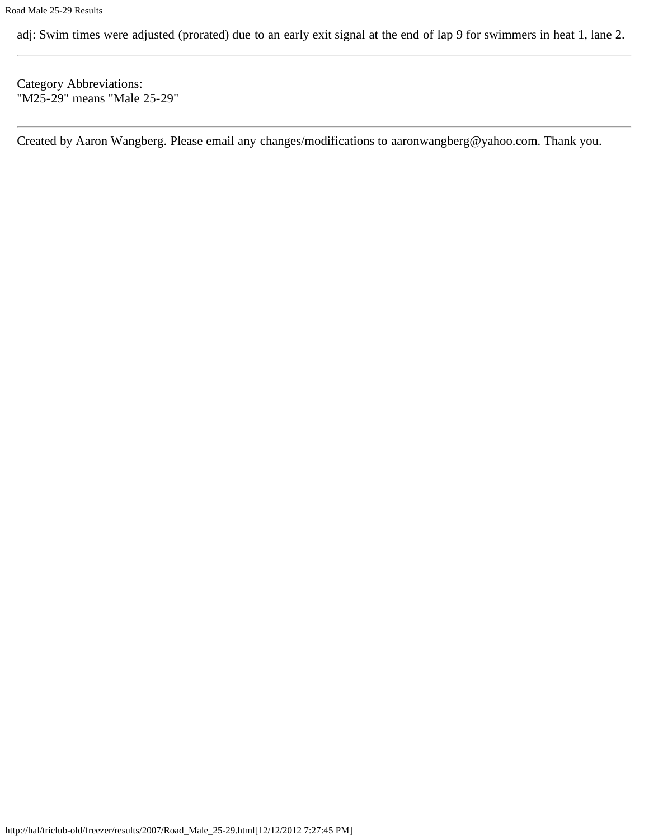adj: Swim times were adjusted (prorated) due to an early exit signal at the end of lap 9 for swimmers in heat 1, lane 2.

Category Abbreviations: "M25-29" means "Male 25-29"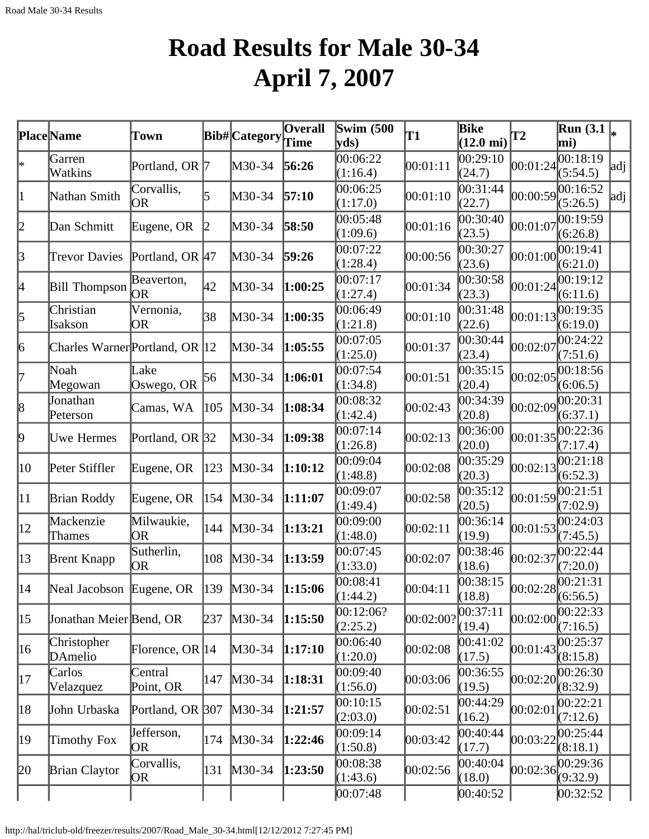# **Road Results for Male 30-34 April 7, 2007**

|              | <b>Place</b> Name                     | Town                 |              | <b>Bib#</b> Category | <b>Overall</b><br>Time | <b>Swim</b> (500<br>$ {\rm vds})$ | T1        | <b>Bike</b><br>$(12.0 \text{ mi})$ | T2       | <b>Run</b> (3.1)<br>mi)            |     |
|--------------|---------------------------------------|----------------------|--------------|----------------------|------------------------|-----------------------------------|-----------|------------------------------------|----------|------------------------------------|-----|
| l∗           | Garren<br>Watkins                     | Portland, OR 7       |              | $M30-34$             | 56:26                  | 00:06:22<br>(1:16.4)              | 00:01:11  | 00:29:10<br>(24.7)                 | 00:01:24 | 00:18:19<br>(5:54.5)               | adj |
| 1            | Nathan Smith                          | Corvallis,<br>OR.    | 5            | $M30-34$             | 57:10                  | 00:06:25<br>(1:17.0)              | 00:01:10  | 00:31:44<br>(22.7)                 | 00:00:59 | 00:16:52<br>(5:26.5)               | adj |
| 2            | Dan Schmitt                           | Eugene, OR           | $\mathbb{2}$ | $M30-34$             | 58:50                  | 00:05:48<br>(1:09.6)              | 00:01:16  | 00:30:40<br>(23.5)                 | 00:01:07 | 00:19:59<br>(6:26.8)               |     |
| $\beta$      | <b>Trevor Davies</b>                  | Portland, OR $ 47 $  |              | $M30-34$             | 59:26                  | 00:07:22<br>(1:28.4)              | 00:00:56  | 00:30:27<br>(23.6)                 | 00:01:00 | 00:19:41<br>(6:21.0)               |     |
| 4            | <b>Bill Thompson</b>                  | Beaverton,<br>OR.    | 42           | $M30-34$             | 1:00:25                | 00:07:17<br>(1:27.4)              | 00:01:34  | 00:30:58<br>(23.3)                 | 00:01:24 | 00:19:12<br>(6:11.6)               |     |
| 5            | Christian<br>Isakson                  | Vernonia,<br>OR      | 38           | $M30-34$             | 1:00:35                | 00:06:49<br>(1:21.8)              | 00:01:10  | 00:31:48<br>(22.6)                 | 00:01:13 | 00:19:35<br>(6:19.0)               |     |
| 6            | Charles Warner Portland, OR 12        |                      |              | $M30-34$             | 1:05:55                | 00:07:05<br>(1:25.0)              | 00:01:37  | 00:30:44<br>(23.4)                 | 00:02:07 | 00:24:22<br>(7:51.6)               |     |
| 17           | Noah<br>Megowan                       | Lake<br>Oswego, OR   | 56           | $M30-34$             | 1:06:01                | 00:07:54<br>(1:34.8)              | 00:01:51  | 00:35:15<br>(20.4)                 | 00:02:05 | 00:18:56<br>(6:06.5)               |     |
| 8            | Jonathan<br>Peterson                  | Camas, WA            | 105          | $M30-34$             | 1:08:34                | 00:08:32<br>(1:42.4)              | 00:02:43  | 00:34:39<br>(20.8)                 | 00:02:09 | 00:20:31<br>(6:37.1)               |     |
| þ.           | <b>Uwe Hermes</b>                     | Portland, OR 32      |              | $M30-34$             | 1:09:38                | 00:07:14<br>(1:26.8)              | 00:02:13  | 00:36:00<br>(20.0)                 | 00:01:35 | 00:22:36<br>(7:17.4)               |     |
| 10           | Peter Stiffler                        | Eugene, OR           | 123          | $M30-34$             | 1:10:12                | 00:09:04<br>(1:48.8)              | 00:02:08  | 00:35:29<br>(20.3)                 | 00:02:13 | 00:21:18<br>(6:52.3)               |     |
| $ 11\rangle$ | Brian Roddy                           | Eugene, OR           | 154          | $M30-34$             | 1:11:07                | 00:09:07<br>(1:49.4)              | 00:02:58  | 00:35:12<br>(20.5)                 | 00:01:59 | 00:21:51<br>(7:02.9)               |     |
| $ 12\rangle$ | Mackenzie<br>Thames                   | Milwaukie,<br>OR.    | 144          | $M30-34$             | 1:13:21                | 00:09:00<br>(1:48.0)              | 00:02:11  | 00:36:14<br>(19.9)                 | 00:01:53 | 00:24:03<br>(7:45.5)               |     |
| $ 13\rangle$ | <b>Brent Knapp</b>                    | Sutherlin,<br>OR.    | 108          | $M30-34$             | 1:13:59                | 00:07:45<br>(1:33.0)              | 00:02:07  | 00:38:46<br>(18.6)                 | 00:02:37 | 00:22:44<br>(7:20.0)               |     |
| $ 14\rangle$ | Neal Jacobson Eugene, OR  139  M30-34 |                      |              |                      | 1:15:06                | 00:08:41<br>(1:44.2)              | 00:04:11  | 00:38:15<br>(18.8)                 |          | $ 00:02:28 ^{00:21:31}_{(6:56.5)}$ |     |
| $ 15\rangle$ | Jonathan Meier Bend, OR               |                      | 237          | $M30-34$             | 1:15:50                | 00:12:06?<br>(2:25.2)             | 00:02:001 | 00:37:11<br>(19.4)                 | 00:02:00 | 00:22:33 <br>(7:16.5)              |     |
| 16           | Christopher<br>DAmelio                | Florence, OR $ 14$   |              | $M30-34$             | 1:17:10                | 00:06:40<br>(1:20.0)              | 00:02:08  | 00:41:02<br>(17.5)                 | 00:01:43 | 00:25:37<br>(8:15.8)               |     |
| 17           | Carlos<br>Velazquez                   | Central<br>Point, OR | 147          | $M30-34$             | 1:18:31                | 00:09:40<br>(1:56.0)              | 00:03:06  | 00:36:55<br>(19.5)                 | 00:02:20 | 00:26:30<br>(8:32.9)               |     |
| 18           | John Urbaska                          | Portland, OR 307     |              | $M30-34$             | 1:21:57                | 00:10:15<br>(2:03.0)              | 00:02:51  | 00:44:29<br>(16.2)                 | 00:02:01 | 00:22:21<br>(7:12.6)               |     |
| 19           | Timothy Fox                           | Jefferson,<br>OR     | 174          | $M30-34$             | 1:22:46                | 00:09:14<br>(1:50.8)              | 00:03:42  | 00:40:44<br>(17.7)                 | 00:03:22 | 00:25:44<br>(8:18.1)               |     |
| 20           | <b>Brian Claytor</b>                  | Corvallis,<br>OR     | 131          | $M30-34$             | 1:23:50                | 00:08:38<br>(1:43.6)              | 00:02:56  | 00:40:04<br>(18.0)                 | 00:02:36 | 00:29:36<br>(9:32.9)               |     |
|              |                                       |                      |              |                      |                        | 00:07:48                          |           | 00:40:52                           |          | 00:32:52                           |     |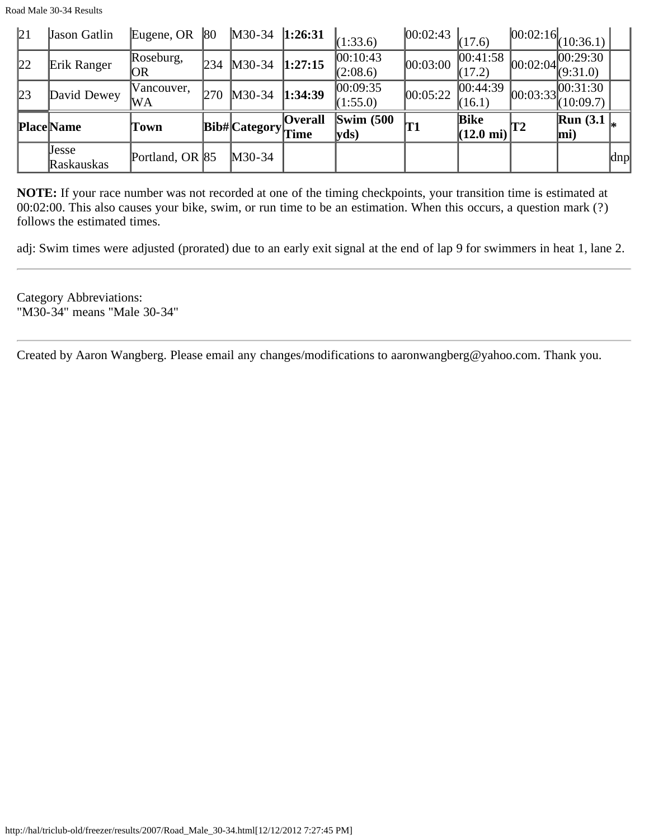Road Male 30-34 Results

| 21 | Jason Gatlin        | Eugene, OR       | 80         | $M30-34$   1:26:31 |                        | (1:33.6)                      | $\left  \begin{matrix} 00:02:43 & 17.6 \end{matrix} \right $ |                                    |    | $ 00:02:16 $ $(10:36.1)$            |     |
|----|---------------------|------------------|------------|--------------------|------------------------|-------------------------------|--------------------------------------------------------------|------------------------------------|----|-------------------------------------|-----|
| 22 | Erik Ranger         | Roseburg,<br> OR | 234        | $M30-34$           | 1:27:15                | 00:10:43<br>(2:08.6)          | 00:03:00                                                     | 00:41:58 <br>(17.2)                |    | $ 00:02:04 ^{00:29:30}_{(9:31.0)} $ |     |
| 23 | David Dewey         | Vancouver,<br>WA | <b>270</b> | $M30-34$           | 1:34:39                | 00:09:35<br>(1:55.0)          | 00:05:22                                                     | 00:44:39 <br>(16.1)                |    | $ 00:03:33 ^{00:31:30}_{(10:09.7)}$ |     |
|    | <b>Place Name</b>   | Town             |            | Bib#Category       | <b>Overall</b><br>Time | $\mathbf{Swim}\;$ (500<br>yds | T1                                                           | <b>Bike</b><br>$(12.0 \text{ mi})$ | T2 | <b>Run</b> $(3.1)$<br>$\vert$ mi)   |     |
|    | Jesse<br>Raskauskas | Portland, OR 85  |            | $M30-34$           |                        |                               |                                                              |                                    |    |                                     | dnp |

**NOTE:** If your race number was not recorded at one of the timing checkpoints, your transition time is estimated at 00:02:00. This also causes your bike, swim, or run time to be an estimation. When this occurs, a question mark (?) follows the estimated times.

adj: Swim times were adjusted (prorated) due to an early exit signal at the end of lap 9 for swimmers in heat 1, lane 2.

Category Abbreviations: "M30-34" means "Male 30-34"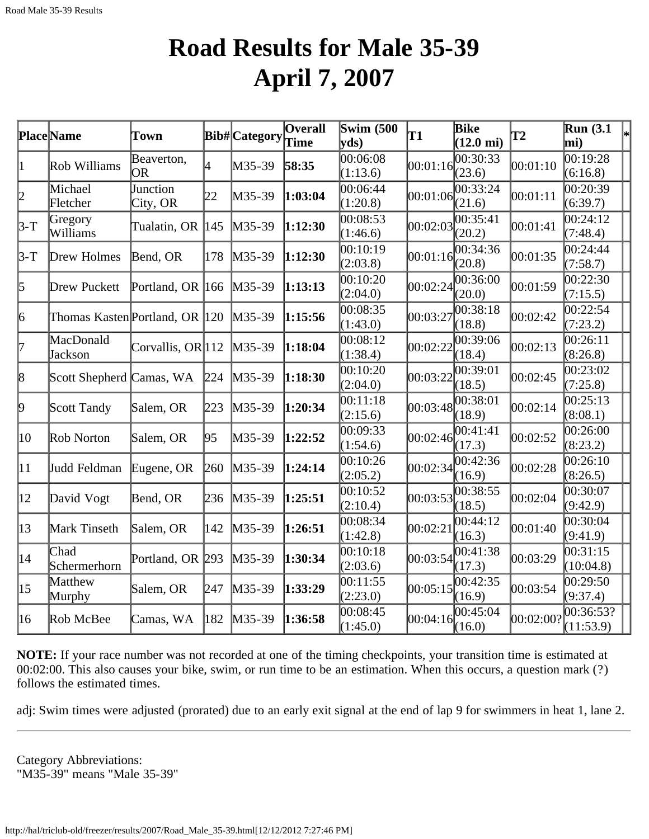### **Road Results for Male 35-39 April 7, 2007**

|                  | <b>Place</b> Name              | Town                 |     | <b>Bib#</b> Category | <b>Overall</b><br>Time | <b>Swim (500)</b><br>$ {\rm vds})$ | T1                  | <b>Bike</b><br>$(12.0 \text{ mi})$ | <b>T2</b> | <b>Run</b> (3.1)<br>mi) | $\left _{*}\right $ |
|------------------|--------------------------------|----------------------|-----|----------------------|------------------------|------------------------------------|---------------------|------------------------------------|-----------|-------------------------|---------------------|
| 1                | Rob Williams                   | Beaverton,<br>OR.    | 4   | $M35-39$             | 58:35                  | 00:06:08<br>(1:13.6)               | $ 00:01:16 $ (23.6) | 00:30:33                           | 00:01:10  | 00:19:28<br>(6:16.8)    |                     |
| $ 2\>$           | Michael<br>Fletcher            | Junction<br>City, OR | 22  | $M35-39$             | 1:03:04                | 00:06:44<br>(1:20.8)               | 00:01:06            | 00:33:24<br>(21.6)                 | 00:01:11  | 00:20:39<br>(6:39.7)    |                     |
| $3-T$            | Gregory<br>Williams            | Tualatin, OR         | 145 | $M35-39$             | 1:12:30                | 00:08:53<br>(1:46.6)               | 00:02:03            | 00:35:41<br>(20.2)                 | 00:01:41  | 00:24:12<br>(7:48.4)    |                     |
| $3-T$            | Drew Holmes                    | Bend, OR             | 178 | $M35-39$             | 1:12:30                | 00:10:19<br>(2:03.8)               | 00:01:16            | 00:34:36<br>(20.8)                 | 00:01:35  | 00:24:44<br>(7:58.7)    |                     |
| 5                | Drew Puckett                   | Portland, OR 166     |     | $M35-39$             | 1:13:13                | 00:10:20<br>(2:04.0)               | 00:02:24            | 00:36:00<br>(20.0)                 | 00:01:59  | 00:22:30<br>(7:15.5)    |                     |
| 6                | Thomas Kasten Portland, OR 120 |                      |     | $M35-39$             | 1:15:56                | 00:08:35<br>(1:43.0)               | 00:03:27            | $\overline{0}0:38:18$<br>(18.8)    | 00:02:42  | 00:22:54<br>(7:23.2)    |                     |
| l7               | MacDonald<br>Jackson           | Corvallis, OR 112    |     | $M35-39$             | 1:18:04                | 00:08:12<br>(1:38.4)               | 00:02:22            | 00:39:06<br>(18.4)                 | 00:02:13  | 00:26:11<br>(8:26.8)    |                     |
| 8                | Scott Shepherd Camas, WA       |                      | 224 | $M35-39$             | 1:18:30                | 00:10:20<br>(2:04.0)               | 00:03:22            | 00:39:01<br>(18.5)                 | 00:02:45  | 00:23:02<br>(7:25.8)    |                     |
| þ.               | Scott Tandy                    | Salem, OR            | 223 | $M35-39$             | 1:20:34                | 00:11:18<br>(2:15.6)               | 00:03:48            | 00:38:01<br>(18.9)                 | 00:02:14  | 00:25:13<br>(8:08.1)    |                     |
| $ 10\rangle$     | Rob Norton                     | Salem, OR            | 95  | $M35-39$             | 1:22:52                | 00:09:33<br>(1:54.6)               | 00:02:46            | 00:41:41<br>(17.3)                 | 00:02:52  | 00:26:00<br>(8:23.2)    |                     |
| $ 11\rangle$     | Judd Feldman                   | Eugene, OR           | 260 | $M35-39$             | 1:24:14                | 00:10:26<br>(2:05.2)               | 00:02:34            | 00:42:36<br>(16.9)                 | 00:02:28  | 00:26:10<br>(8:26.5)    |                     |
| $ 12\rangle$     | David Vogt                     | Bend, OR             | 236 | $M35-39$             | 1:25:51                | 00:10:52<br>(2:10.4)               | 00:03:53            | 00:38:55<br>(18.5)                 | 00:02:04  | 00:30:07<br>(9:42.9)    |                     |
| $\vert 13 \vert$ | Mark Tinseth                   | Salem, OR            | 142 | $M35-39$             | 1:26:51                | 00:08:34<br>(1:42.8)               | 00:02:21            | 00:44:12<br>(16.3)                 | 00:01:40  | 00:30:04<br>(9:41.9)    |                     |
| $ 14\rangle$     | Chad<br>Schermerhorn           | Portland, OR 293     |     | $M35-39$             | 1:30:34                | 00:10:18<br>(2:03.6)               | 00:03:54            | 00:41:38<br>(17.3)                 | 00:03:29  | 00:31:15<br>(10:04.8)   |                     |
| $ 15\rangle$     | Matthew<br>Murphy              | Salem, OR            | 247 | $M35-39$             | 1:33:29                | 00:11:55<br>(2:23.0)               | 00:05:15            | 00:42:35<br>(16.9)                 | 00:03:54  | 00:29:50<br>(9:37.4)    |                     |
| 16               | Rob McBee                      | Camas, WA            | 182 | $M35-39$             | 1:36:58                | 00:08:45<br>(1:45.0)               | 00:04:16            | 00:45:04<br>(16.0)                 | 00:02:00? | 00:36:53?<br>(11:53.9)  |                     |

**NOTE:** If your race number was not recorded at one of the timing checkpoints, your transition time is estimated at 00:02:00. This also causes your bike, swim, or run time to be an estimation. When this occurs, a question mark (?) follows the estimated times.

adj: Swim times were adjusted (prorated) due to an early exit signal at the end of lap 9 for swimmers in heat 1, lane 2.

Category Abbreviations: "M35-39" means "Male 35-39"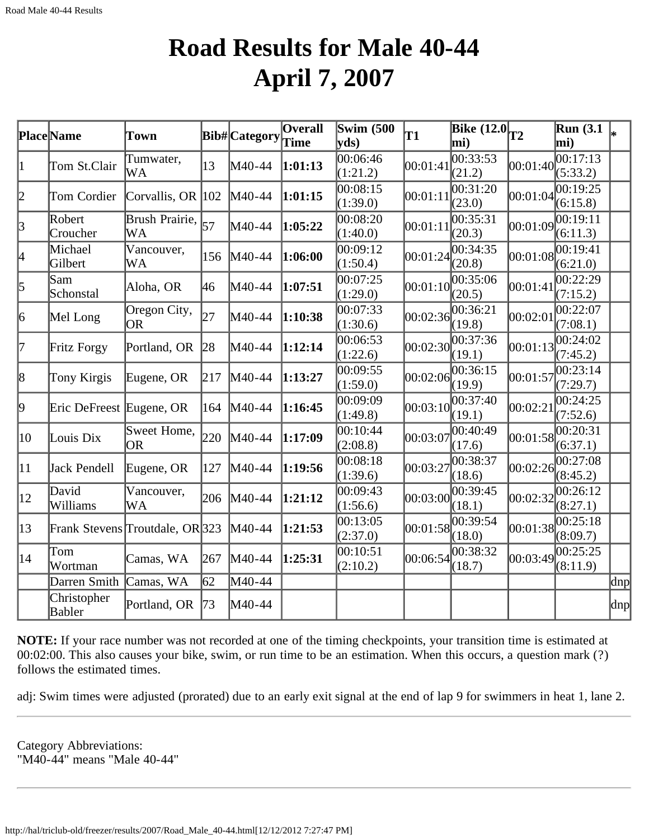### **Road Results for Male 40-44 April 7, 2007**

|              | <b>Place</b> Name        | Town                            |     | <b>Bib#</b> Category | Overall<br>Time | Swim $(500)$<br>$ {\bf v} {\bf ds})$ | T1       | Bike $\overline{(12.0)}$ <sub>T2</sub><br>mi) |          | <b>Run</b> (3.1)<br>mi) |         |
|--------------|--------------------------|---------------------------------|-----|----------------------|-----------------|--------------------------------------|----------|-----------------------------------------------|----------|-------------------------|---------|
| 1            | Tom St.Clair             | Tumwater,<br>WA                 | 13  | M40-44               | 1:01:13         | 00:06:46<br>(1:21.2)                 | 00:01:41 | 00:33:53<br>(21.2)                            | 00:01:40 | 00:17:13<br>(5:33.2)    |         |
| 2            | Tom Cordier              | Corvallis, OR 102               |     | M40-44               | 1:01:15         | 00:08:15<br>(1:39.0)                 | 00:01:11 | 00:31:20<br>(23.0)                            | 00:01:04 | 00:19:25<br>(6:15.8)    |         |
| 3            | Robert<br>Croucher       | Brush Prairie,<br>WA            | 57  | M40-44               | 1:05:22         | 00:08:20<br>(1:40.0)                 | 00:01:11 | 00:35:31<br>(20.3)                            | 00:01:09 | 00:19:11<br>(6:11.3)    |         |
| 4            | Michael<br>Gilbert       | Vancouver,<br><b>WA</b>         | 156 | M40-44               | 1:06:00         | 00:09:12<br>(1:50.4)                 | 00:01:24 | 00:34:35<br>(20.8)                            | 00:01:08 | 0.19:41<br>(6:21.0)     |         |
| 5            | Sam<br>Schonstal         | Aloha, OR                       | 46  | M40-44               | 1:07:51         | 00:07:25<br>(1:29.0)                 | 00:01:10 | 00:35:06<br>(20.5)                            | 00:01:41 | 00:22:29<br>(7:15.2)    |         |
| 6            | Mel Long                 | Oregon City,<br><b>OR</b>       | 27  | M40-44               | 1:10:38         | 00:07:33<br>(1:30.6)                 | 00:02:36 | 00:36:21<br>(19.8)                            | 00:02:01 | 00:22:07<br>(7:08.1)    |         |
| 17           | Fritz Forgy              | Portland, OR                    | 28  | M40-44               | 1:12:14         | 00:06:53<br>(1:22.6)                 | 00:02:30 | 00:37:36<br>(19.1)                            | 00:01:13 | 00:24:02<br>(7:45.2)    |         |
| 8            | Tony Kirgis              | Eugene, OR                      | 217 | M40-44               | 1:13:27         | 00:09:55<br>(1:59.0)                 | 00:02:06 | 00:36:15<br>(19.9)                            | 00:01:57 | 00:23:14<br>(7:29.7)    |         |
| þ.           | Eric DeFreest Eugene, OR |                                 | 164 | M40-44               | 1:16:45         | 00:09:09<br>(1:49.8)                 | 00:03:10 | 00:37:40<br>(19.1)                            | 00:02:21 | 00:24:25<br>(7:52.6)    |         |
| 10           | Louis Dix                | Sweet Home,<br>OR.              | 220 | M40-44               | 1:17:09         | 00:10:44<br>(2:08.8)                 | 00:03:07 | 00:40:49<br>(17.6)                            | 00:01:58 | 00:20:31<br>(6:37.1)    |         |
| 11           | Jack Pendell             | Eugene, OR                      | 127 | M40-44               | 1:19:56         | 00:08:18<br>(1:39.6)                 | 00:03:27 | 00:38:37<br>(18.6)                            | 00:02:26 | 00:27:08<br>(8:45.2)    |         |
| $ 12\rangle$ | David<br>Williams        | Vancouver,<br>WA                | 206 | M40-44               | 1:21:12         | 00:09:43<br>(1:56.6)                 | 00:03:00 | 00:39:45<br>(18.1)                            | 00:02:32 | 00:26:12<br>(8:27.1)    |         |
| $ 13\rangle$ |                          | Frank Stevens Troutdale, OR 323 |     | M40-44               | 1:21:53         | 00:13:05<br>(2:37.0)                 | 00:01:58 | 00:39:54<br>(18.0)                            | 00:01:38 | 00:25:18<br>(8:09.7)    |         |
| $ 14\rangle$ | Tom<br>Wortman           | Camas, WA                       | 267 | M40-44               | 1:25:31         | 00:10:51<br>(2:10.2)                 | 00:06:54 | 00:38:32<br>(18.7)                            | 00:03:49 | 00:25:25<br>(8:11.9)    |         |
|              | Darren Smith             | Camas, WA                       | 62  | M40-44               |                 |                                      |          |                                               |          |                         | $\ln p$ |
|              | Christopher<br>Babler    | Portland, OR                    | 73  | M40-44               |                 |                                      |          |                                               |          |                         | dnp     |

**NOTE:** If your race number was not recorded at one of the timing checkpoints, your transition time is estimated at 00:02:00. This also causes your bike, swim, or run time to be an estimation. When this occurs, a question mark (?) follows the estimated times.

adj: Swim times were adjusted (prorated) due to an early exit signal at the end of lap 9 for swimmers in heat 1, lane 2.

Category Abbreviations: "M40-44" means "Male 40-44"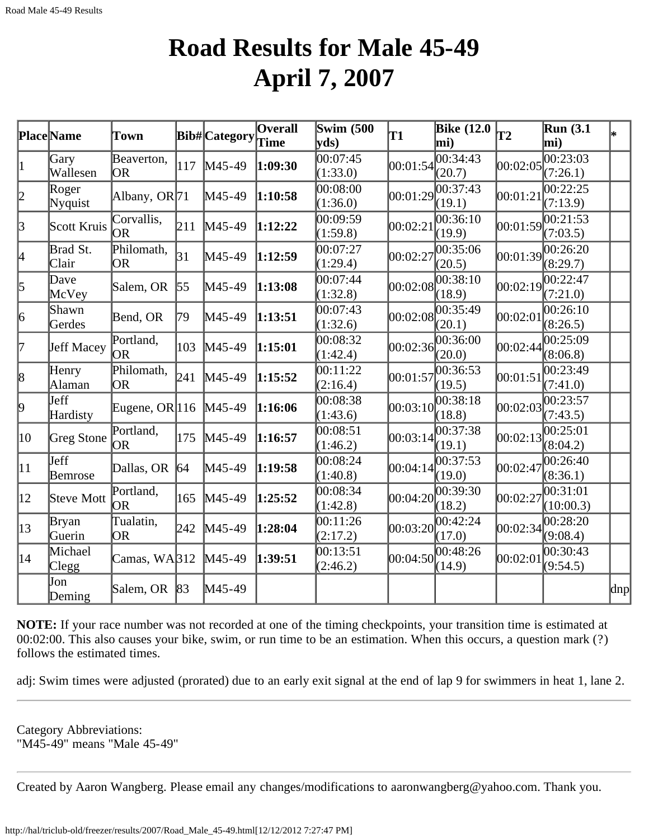### **Road Results for Male 45-49 April 7, 2007**

|                 | Place Name              | Town                     |             | <b>Bib#</b> Category | <b>Overall</b><br>Time | <b>Swim (500)</b><br>$ {\bf v} {\bf d} s\rangle$ | T1         | <b>Bike</b> (12.0<br>mi) | $\overline{12}$ | <b>Run</b> (3.1)<br>mi) | lж                  |
|-----------------|-------------------------|--------------------------|-------------|----------------------|------------------------|--------------------------------------------------|------------|--------------------------|-----------------|-------------------------|---------------------|
| 1               | Gary<br>Wallesen        | Beaverton,<br> OR        | 117         | $M45-49$             | 1:09:30                | 00:07:45<br>(1:33.0)                             | 00:01:54   | 00:34:43<br>(20.7)       | 00:02:05        | 00:23:03<br>(7:26.1)    |                     |
| 12              | Roger<br>Nyquist        | Albany, OR <sub>71</sub> |             | M45-49               | 1:10:58                | 00:08:00<br>(1:36.0)                             |            | 00:01:29 <br>(19.1)      | 00:01:21        | 00:22:25<br>(7:13.9)    |                     |
| $\vert$ 3       | Scott Kruis             | Corvallis,<br>OR         | 211         | $M45-49$             | 1:12:22                | 00:09:59<br>(1:59.8)                             | 00:02:21   | 00:36:10<br>(19.9)       | 00:01:59        | 00:21:53<br>(7:03.5)    |                     |
| 4               | Brad St.<br>Clair       | Philomath,<br><b>OR</b>  | 31          | M45-49               | 1:12:59                | 00:07:27<br>(1:29.4)                             | 00:02:27   | 00:35:06<br>(20.5)       | 00:01:39        | 00:26:20<br>(8:29.7)    |                     |
| 5               | Dave<br>McVey           | Salem, OR                | 55          | $M45-49$             | 1:13:08                | 00:07:44<br>(1:32.8)                             | 00:02:08   | 00:38:10<br>(18.9)       | 00:02:19        | 00:22:47<br>(7:21.0)    |                     |
| 6               | Shawn<br>Gerdes         | Bend, OR                 | 79          | $M45-49$             | 1:13:51                | 00:07:43<br>(1:32.6)                             | 00:02:08   | 00:35:49<br>(20.1)       | 00:02:01        | 00:26:10<br>(8:26.5)    |                     |
| l7              | Jeff Macey              | Portland,<br><b>OR</b>   | 103         | $M45-49$             | 1:15:01                | 00:08:32<br>(1:42.4)                             | [00:02:36] | 00:36:00<br>(20.0)       | 00:02:44        | 00:25:09<br>(8:06.8)    |                     |
| $\vert 8 \vert$ | Henry<br>Alaman         | Philomath,<br><b>OR</b>  | 241         | M45-49               | 1:15:52                | 00:11:22<br>(2:16.4)                             | 00:01:57   | 00:36:53<br>(19.5)       | 00:01:51        | 00:23:49<br>(7:41.0)    |                     |
| $ 9\rangle$     | Jeff<br>Hardisty        | Eugene, OR  $116$        |             | $M45-49$             | 1:16:06                | 00:08:38<br>(1:43.6)                             | 00:03:10   | 00:38:18<br>(18.8)       | 00:02:03        | 00:23:57<br>(7:43.5)    |                     |
| 10              | Greg Stone              | Portland,<br>10R         | 175         | $M45-49$             | 1:16:57                | 00:08:51<br>(1:46.2)                             | 00:03:14   | 00:37:38<br>(19.1)       | 00:02:13        | 00:25:01<br>(8:04.2)    |                     |
| $ 11\rangle$    | <b>J</b> eff<br>Bemrose | Dallas, OR               | $\sqrt{64}$ | M45-49               | 1:19:58                | 00:08:24<br>(1:40.8)                             | 00:04:14   | 00:37:53<br>(19.0)       | 00:02:47        | 00:26:40<br>(8:36.1)    |                     |
| $ 12\rangle$    | Steve Mott              | Portland,<br>OR          | 165         | $M45-49$             | 1:25:52                | 00:08:34<br>(1:42.8)                             | [00:04:20] | 00:39:30<br>(18.2)       | 00:02:27        | 00:31:01<br>(10:00.3)   |                     |
| $ 13\rangle$    | Bryan<br>Guerin         | Tualatin,<br><b>OR</b>   | 242         | $M45-49$             | 1:28:04                | 00:11:26<br>(2:17.2)                             | 00:03:20   | 00:42:24<br>(17.0)       | 00:02:34        | 00:28:20<br>(9:08.4)    |                     |
| $ 14\rangle$    | Michael<br>Clegg        | Camas, WA312             |             | $M45-49$             | 1:39:51                | 00:13:51<br>(2:46.2)                             | 00:04:50   | 00:48:26<br>(14.9)       | 00:02:01        | 00:30:43<br>(9:54.5)    |                     |
|                 | Jon<br>Deming           | Salem, OR                | 83          | $M45-49$             |                        |                                                  |            |                          |                 |                         | $\vert$ dnp $\vert$ |

**NOTE:** If your race number was not recorded at one of the timing checkpoints, your transition time is estimated at 00:02:00. This also causes your bike, swim, or run time to be an estimation. When this occurs, a question mark (?) follows the estimated times.

adj: Swim times were adjusted (prorated) due to an early exit signal at the end of lap 9 for swimmers in heat 1, lane 2.

Category Abbreviations: "M45-49" means "Male 45-49"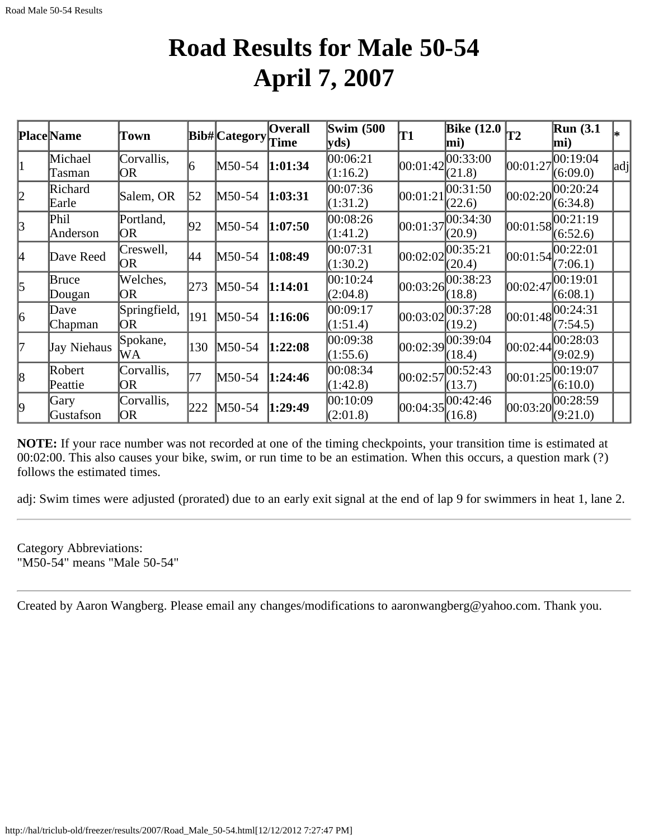### **Road Results for Male 50-54 April 7, 2007**

|              | <b>Place</b> Name | Town                    |     | Bib# Category | Overall<br>Time | <b>Swim (500</b><br>yds | T1       | Bike $(12.0)$<br>mi)              |          | Run(3.1)<br>mi)      |     |
|--------------|-------------------|-------------------------|-----|---------------|-----------------|-------------------------|----------|-----------------------------------|----------|----------------------|-----|
|              | Michael<br>Tasman | Corvallis,<br><b>OR</b> |     | M50-54        | 1:01:34         | 00:06:21<br>(1:16.2)    | 00:01:42 | 00:33:00<br>(21.8)                | 00:01:27 | 00:19:04<br>(6:09.0) | adj |
| 2            | Richard<br>Earle  | Salem, OR               | 52  | M50-54        | 1:03:31         | 00:07:36<br>(1:31.2)    | 00:01:21 | 00:31:50<br>(22.6)                | 00:02:20 | 00:20:24<br>(6:34.8) |     |
| $\mathbf{3}$ | Phil<br>Anderson  | Portland,<br>OR         | 92  | $M50-54$      | 1:07:50         | 00:08:26<br>(1:41.2)    | 00:01:37 | 00:34:30<br>(20.9)                | 00:01:58 | 00:21:19<br>(6:52.6) |     |
| 4            | Dave Reed         | Creswell,<br> OR        | 44  | M50-54        | 1:08:49         | 00:07:31<br>(1:30.2)    | 00:02:02 | 00:35:21<br>(20.4)                | 00:01:54 | 00:22:01<br>(7:06.1) |     |
| $\mathsf{S}$ | Bruce<br>Dougan   | Welches,<br>OR          | 273 | $M50-54$      | 1:14:01         | 00:10:24<br>(2:04.8)    | 00:03:26 | 00:38:23<br>(18.8)                | 00:02:47 | 00:19:01<br>(6:08.1) |     |
| 6            | Dave<br>Chapman   | Springfield,<br>OR      | 191 | $M50-54$      | 1:16:06         | 00:09:17<br>(1:51.4)    | 00:03:02 | 00:37:28<br>(19.2)                | 00:01:48 | 00:24:31<br>(7:54.5) |     |
| l7           | Jay Niehaus       | Spokane,<br>WA          | 130 | $M50-54$      | 1:22:08         | 00:09:38<br>(1:55.6)    |          | $[00:02:39]^{00:39:04}$<br>(18.4) | 00:02:44 | 00:28:03<br>(9:02.9) |     |
| 8            | Robert<br>Peattie | Corvallis,<br>OR        | 177 | $M50-54$      | 1:24:46         | 00:08:34<br>(1:42.8)    | 00:02:57 | 00:52:43<br>(13.7)                | 00:01:25 | 00:19:07<br>(6:10.0) |     |
| l9           | Gary<br>Gustafson | Corvallis,<br>OR        | 222 | M50-54        | 1:29:49         | 00:10:09<br>(2:01.8)    |          | $ 00:04:35 ^{00:42:46}$<br>(16.8) | 00:03:20 | 00:28:59<br>(9:21.0) |     |

**NOTE:** If your race number was not recorded at one of the timing checkpoints, your transition time is estimated at 00:02:00. This also causes your bike, swim, or run time to be an estimation. When this occurs, a question mark (?) follows the estimated times.

adj: Swim times were adjusted (prorated) due to an early exit signal at the end of lap 9 for swimmers in heat 1, lane 2.

Category Abbreviations: "M50-54" means "Male 50-54"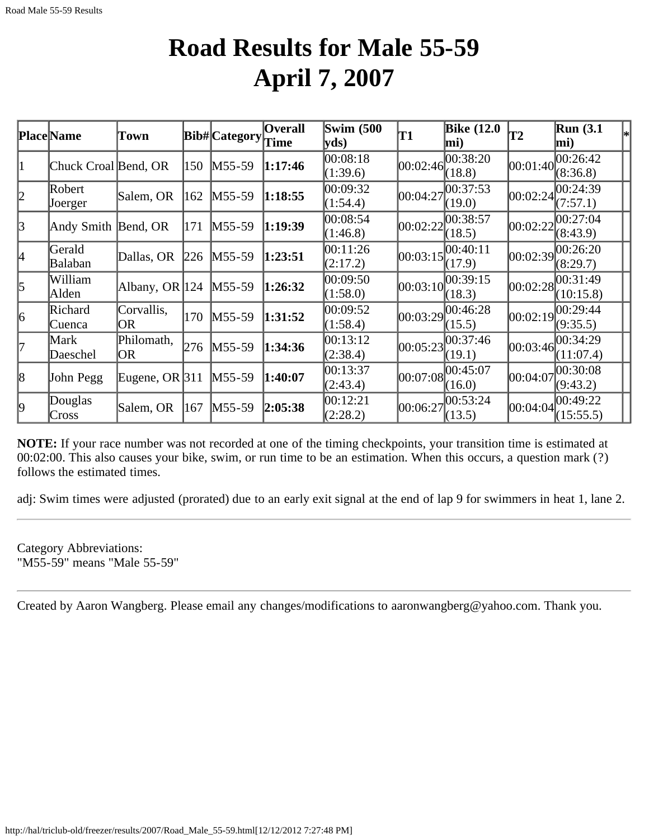### **Road Results for Male 55-59 April 7, 2007**

|                 | Place Name           | Town               |     | Bib# Category | <b>Overall</b><br>Time | <b>Swim (500)</b><br>yds) | T1       | <b>Bike</b> (12.0<br>mi)          | T2       | <b>Run (3.1</b><br>lmi) |  |
|-----------------|----------------------|--------------------|-----|---------------|------------------------|---------------------------|----------|-----------------------------------|----------|-------------------------|--|
| 1               | Chuck Croal Bend, OR |                    | 150 | $M55-59$      | 1:17:46                | 00:08:18<br>(1:39.6)      | 00:02:46 | 00:38:20<br>(18.8)                | 00:01:40 | 00:26:42<br>(8:36.8)    |  |
| 2               | Robert<br>Joerger    | Salem, OR          | 162 | $M55-59$      | 1:18:55                | 00:09:32<br>(1:54.4)      | 00:04:27 | 00:37:53<br>(19.0)                | 00:02:24 | 00:24:39<br>(7:57.1)    |  |
| 3               | Andy Smith Bend, OR  |                    | 171 | M55-59        | 1:19:39                | 00:08:54<br>(1:46.8)      | 00:02:22 | 00:38:57<br>(18.5)                | 00:02:22 | 00:27:04<br>(8:43.9)    |  |
| 4               | Gerald<br>Balaban    | Dallas, OR         | 226 | $M55-59$      | 1:23:51                | 00:11:26<br>(2:17.2)      | 00:03:15 | 00:40:11<br>(17.9)                | 00:02:39 | 00:26:20<br>(8:29.7)    |  |
| $\vert$ 5       | William<br>Alden     | Albany, OR $ 124 $ |     | $M55-59$      | 1:26:32                | 00:09:50<br>(1:58.0)      | 00:03:10 | 00:39:15<br>(18.3)                | 00:02:28 | 00:31:49<br>(10:15.8)   |  |
| $\vert 6 \vert$ | Richard<br>Cuenca    | Corvallis,<br>OR.  | 170 | $M55-59$      | 1:31:52                | 00:09:52<br>(1:58.4)      | 00:03:29 | 00:46:28<br>(15.5)                | 00:02:19 | 00:29:44<br>(9:35.5)    |  |
| l7              | Mark<br>Daeschel     | Philomath,<br>OR.  | 276 | $M55-59$      | 1:34:36                | 00:13:12<br>(2:38.4)      | 00:05:23 | 00:37:46<br>(19.1)                | 00:03:46 | 00:34:29<br>(11:07.4)   |  |
| 8               | John Pegg            | Eugene, OR $ 311 $ |     | $M55-59$      | 1:40:07                | 00:13:37<br>(2:43.4)      | 00:07:08 | 00:45:07<br>(16.0)                | 00:04:07 | 00:30:08<br>(9:43.2)    |  |
| 9               | Douglas<br>Cross     | Salem, OR          | 167 | $M55-59$      | 2:05:38                | 00:12:21<br>(2:28.2)      |          | $ 00:06:27 ^{00:53:24}$<br>(13.5) | 00:04:04 | 00:49:22<br>(15:55.5)   |  |

**NOTE:** If your race number was not recorded at one of the timing checkpoints, your transition time is estimated at 00:02:00. This also causes your bike, swim, or run time to be an estimation. When this occurs, a question mark (?) follows the estimated times.

adj: Swim times were adjusted (prorated) due to an early exit signal at the end of lap 9 for swimmers in heat 1, lane 2.

Category Abbreviations: "M55-59" means "Male 55-59"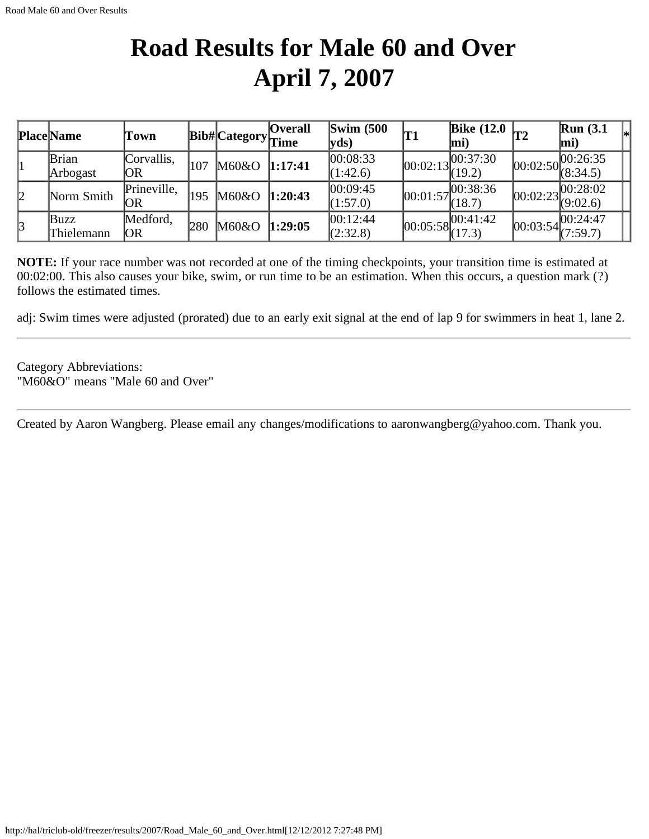## **Road Results for Male 60 and Over April 7, 2007**

|                       | <b>Place Name</b> | Town        |     | Bib#Category | <b>Overall</b><br>Time | $\text{Swim}\ (500$<br>$ {\bf v}$ ds) | T1         | Bike $(12.0 \vert T2)$<br>mi)    |          | <b>Run</b> (3.1)<br>lmi)                                              | ∗∣ |
|-----------------------|-------------------|-------------|-----|--------------|------------------------|---------------------------------------|------------|----------------------------------|----------|-----------------------------------------------------------------------|----|
|                       | <b>Brian</b>      | Corvallis,  | 107 | M60&O        | 1:17:41                | 00:08:33                              | [00:02:13] | , 00:37:30                       |          | $\sqrt{00:02:50}$ $\begin{array}{l} 00:26:35 \\ (8:34.5) \end{array}$ |    |
|                       | Arbogast          | ЮR          |     |              |                        | (1:42.6)                              |            | (19.2)                           |          |                                                                       |    |
| 12                    | Norm Smith        | Prineville, | 195 | M60&O        | 1:20:43                | 00:09:45                              |            | 00:01:57                         | 00:02:23 | 00:28:02                                                              |    |
|                       |                   | OR          |     |              |                        | (1:57.0)                              |            | (18.7)                           |          | (9:02.6)                                                              |    |
| $\mathbf{\mathbf{3}}$ | Buzz              | Medford,    | 280 | M60&O        | 1:29:05                | [00:12:44]                            |            | $ 00:05:58 ^{00:41:42}_{(17.3)}$ |          | $\boxed{00:}03:54\begin{bmatrix} 00:24:47 \\ (7:59.7) \end{bmatrix}$  |    |
|                       | Thielemann        | OR          |     |              |                        | (2:32.8)                              |            |                                  |          |                                                                       |    |

**NOTE:** If your race number was not recorded at one of the timing checkpoints, your transition time is estimated at 00:02:00. This also causes your bike, swim, or run time to be an estimation. When this occurs, a question mark (?) follows the estimated times.

adj: Swim times were adjusted (prorated) due to an early exit signal at the end of lap 9 for swimmers in heat 1, lane 2.

Category Abbreviations: "M60&O" means "Male 60 and Over"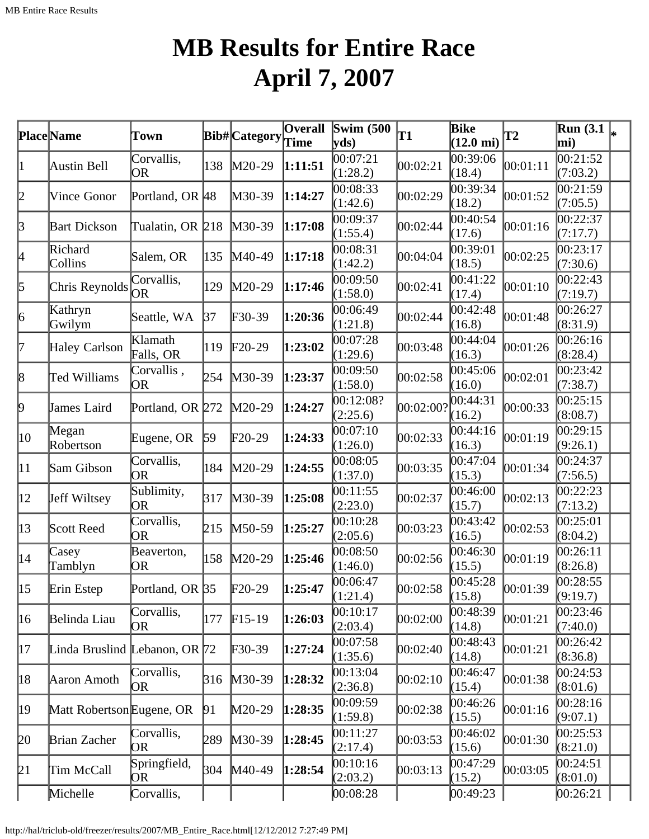# **MB Results for Entire Race April 7, 2007**

|              | <b>Place</b> Name               | Town                 |            | <b>Bib# Category</b> | <b>Overall</b><br>Time | <b>Swim</b> (500<br>$ {\bf v} {\bf ds})$ | T1        | <b>Bike</b><br>$(12.0 \text{ mi})$ | <b>T2</b> | <b>Run</b> (3.1)<br>mi) | I∗ |
|--------------|---------------------------------|----------------------|------------|----------------------|------------------------|------------------------------------------|-----------|------------------------------------|-----------|-------------------------|----|
| 1            | Austin Bell                     | Corvallis,<br>OR     | 138        | $M20-29$             | 1:11:51                | 00:07:21<br>(1:28.2)                     | 00:02:21  | 00:39:06<br>(18.4)                 | 00:01:11  | 00:21:52<br>(7:03.2)    |    |
| 2            | <b>Vince Gonor</b>              | Portland, OR 48      |            | $M30-39$             | 1:14:27                | 00:08:33<br>(1:42.6)                     | 00:02:29  | 00:39:34<br>(18.2)                 | 00:01:52  | 00:21:59<br>(7:05.5)    |    |
| $\beta$      | <b>Bart Dickson</b>             | Tualatin, OR 218     |            | $M30-39$             | 1:17:08                | 00:09:37<br>(1:55.4)                     | 00:02:44  | 00:40:54<br>(17.6)                 | 00:01:16  | 00:22:37<br>(7:17.7)    |    |
| 4            | Richard<br>Collins              | Salem, OR            | 135        | $M40-49$             | 1:17:18                | 00:08:31<br>(1:42.2)                     | 00:04:04  | 00:39:01<br>(18.5)                 | 00:02:25  | 00:23:17<br>(7:30.6)    |    |
| 5            | Chris Reynolds                  | Corvallis,<br>OR.    | 129        | $M20-29$             | 1:17:46                | 00:09:50<br>(1:58.0)                     | 00:02:41  | 00:41:22<br>(17.4)                 | 00:01:10  | 00:22:43<br>(7:19.7)    |    |
| 6            | Kathryn<br>Gwilym               | Seattle, WA          | 37         | $\text{F}30-39$      | 1:20:36                | 00:06:49<br>(1:21.8)                     | 00:02:44  | 00:42:48<br>(16.8)                 | 00:01:48  | 00:26:27<br>(8:31.9)    |    |
| 17           | Haley Carlson                   | Klamath<br>Falls, OR | 119        | $F20-29$             | 1:23:02                | 00:07:28<br>(1:29.6)                     | 00:03:48  | 00:44:04<br>(16.3)                 | 00:01:26  | 00:26:16<br>(8:28.4)    |    |
| 8            | Ted Williams                    | Corvallis,<br>OR.    | 254        | M30-39               | 1:23:37                | 00:09:50<br>(1:58.0)                     | 00:02:58  | 00:45:06<br>(16.0)                 | 00:02:01  | 00:23:42<br>(7:38.7)    |    |
| þ.           | James Laird                     | Portland, OR 272     |            | $M20-29$             | 1:24:27                | 00:12:08?<br>(2:25.6)                    | 00:02:00? | 00:44:31<br>(16.2)                 | 00:00:33  | 00:25:15<br>(8:08.7)    |    |
| 10           | Megan<br>Robertson              | Eugene, OR           | $\vert$ 59 | $F20-29$             | 1:24:33                | 00:07:10<br>(1:26.0)                     | 00:02:33  | 00:44:16<br>(16.3)                 | 00:01:19  | 00:29:15<br>(9:26.1)    |    |
| $ 11\rangle$ | Sam Gibson                      | Corvallis,<br>OR     | 184        | $M20-29$             | 1:24:55                | 00:08:05<br>(1:37.0)                     | 00:03:35  | 00:47:04<br>(15.3)                 | 00:01:34  | 00:24:37<br>(7:56.5)    |    |
| $ 12\rangle$ | Jeff Wiltsey                    | Sublimity,<br>OR     | 317        | $M30-39$             | 1:25:08                | 00:11:55<br>(2:23.0)                     | 00:02:37  | 00:46:00<br>(15.7)                 | 00:02:13  | 00:22:23<br>(7:13.2)    |    |
| $ 13\rangle$ | Scott Reed                      | Corvallis,<br>OR     | 215        | $M50-59$             | 1:25:27                | 00:10:28<br>(2:05.6)                     | 00:03:23  | 00:43:42<br>(16.5)                 | 00:02:53  | 00:25:01<br>(8:04.2)    |    |
| 14           | Casey<br>Tamblyn                | Beaverton,<br>OR     | 158        | $M20-29$             | 1:25:46                | 00:08:50<br>(1:46.0)                     | 00:02:56  | 00:46:30<br>(15.5)                 | 00:01:19  | 00:26:11<br>(8:26.8)    |    |
| $ 15\rangle$ | Erin Estep                      | Portland, OR 35      |            | $F20-29$             | 1:25:47                | 00:06:47<br>(1:21.4)                     | 00:02:58  | 00:45:28<br>(15.8)                 | 00:01:39  | 00:28:55<br>(9:19.7)    |    |
| 16           | Belinda Liau                    | Corvallis,<br>OR     | 177        | $F15-19$             | 1:26:03                | 00:10:17<br>(2:03.4)                     | 00:02:00  | 00:48:39<br>(14.8)                 | 00:01:21  | 00:23:46<br>(7:40.0)    |    |
| 17           | Linda Bruslind Lebanon, OR $72$ |                      |            | $F30-39$             | 1:27:24                | 00:07:58<br>(1:35.6)                     | 00:02:40  | 00:48:43<br>(14.8)                 | 00:01:21  | 00:26:42<br>(8:36.8)    |    |
| 18           | Aaron Amoth                     | Corvallis,<br>OR.    | 316        | $M30-39$             | 1:28:32                | 00:13:04<br>(2:36.8)                     | 00:02:10  | 00:46:47<br>(15.4)                 | 00:01:38  | 00:24:53<br>(8:01.6)    |    |
| 19           | Matt Robertson Eugene, OR       |                      | 91         | $M20-29$             | 1:28:35                | 00:09:59<br>(1:59.8)                     | 00:02:38  | 00:46:26<br>(15.5)                 | 00:01:16  | 00:28:16<br>(9:07.1)    |    |
| 20           | Brian Zacher                    | Corvallis,<br>OR.    | 289        | $M30-39$             | 1:28:45                | 00:11:27<br>(2:17.4)                     | 00:03:53  | 00:46:02<br>(15.6)                 | 00:01:30  | 00:25:53<br>(8:21.0)    |    |
| 21           | Tim McCall                      | Springfield,<br>OR.  | 304        | $M40-49$             | 1:28:54                | 00:10:16<br>(2:03.2)                     | 00:03:13  | 00:47:29<br>(15.2)                 | 00:03:05  | 00:24:51<br>(8:01.0)    |    |
|              | Michelle                        | Corvallis,           |            |                      |                        | 00:08:28                                 |           | [00:49:23]                         |           | 00:26:21                |    |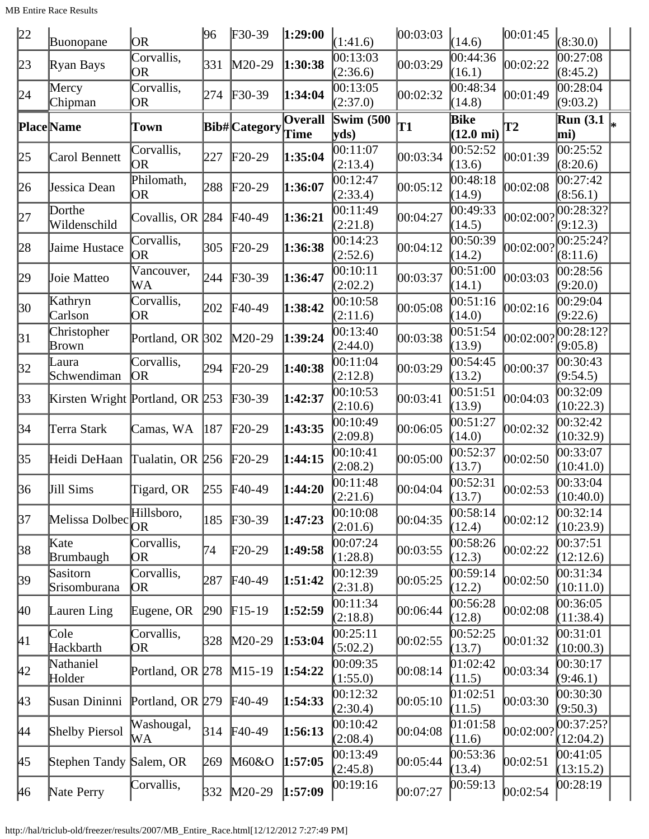| 22        | Buonopane                             | OR.                     | 96  | $F30-39$             | 1:29:00                | (1:41.6)                  | 00:03:03 | (14.6)                      | 00:01:45   | (8:30.0)                                     |  |
|-----------|---------------------------------------|-------------------------|-----|----------------------|------------------------|---------------------------|----------|-----------------------------|------------|----------------------------------------------|--|
| 23        | Ryan Bays                             | Corvallis,<br><b>OR</b> | 331 | $M20-29$             | 1:30:38                | 00:13:03<br>(2:36.6)      | 00:03:29 | 00:44:36<br>(16.1)          | 00:02:22   | 00:27:08<br>(8:45.2)                         |  |
| 24        | Mercy<br>Chipman                      | Corvallis,<br> OR       | 274 | $F30-39$             | 1:34:04                | 00:13:05<br>(2:37.0)      | 00:02:32 | 00:48:34<br>(14.8)          | 00:01:49   | 00:28:04<br>(9:03.2)                         |  |
|           | <b>Place</b> Name                     | Town                    |     | <b>Bib# Category</b> | <b>Overall</b><br>Time | <b>Swim (500)</b><br>yds) | T1       | Bike<br>$(12.0 \text{ mi})$ | T2         | $\overline{\text{Run}}(3.1\vert_{*})$<br>mi) |  |
| 25        | Carol Bennett                         | Corvallis,<br>OR.       | 227 | $F20-29$             | 1:35:04                | 00:11:07<br>(2:13.4)      | 00:03:34 | 00:52:52<br>(13.6)          | 00:01:39   | 00:25:52<br>(8:20.6)                         |  |
| 26        | Jessica Dean                          | Philomath,<br>OR.       | 288 | $F20-29$             | 1:36:07                | 00:12:47<br>(2:33.4)      | 00:05:12 | 00:48:18<br>(14.9)          | 00:02:08   | 00:27:42<br>(8:56.1)                         |  |
| 27        | Dorthe<br>Wildenschild                | Covallis, OR 284        |     | $F40-49$             | 1:36:21                | 00:11:49<br>(2:21.8)      | 00:04:27 | 00:49:33<br>(14.5)          | 00:02:00?  | 00:28:32?<br>(9:12.3)                        |  |
| 28        | Jaime Hustace                         | Corvallis,<br>OR.       | 305 | $F20-29$             | 1:36:38                | 00:14:23<br>(2:52.6)      | 00:04:12 | 00:50:39<br>(14.2)          | 00:02:00?  | 00:25:24?<br>(8:11.6)                        |  |
| 29        | Joie Matteo                           | Vancouver,<br>WA        | 244 | $F30-39$             | 1:36:47                | 00:10:11<br>(2:02.2)      | 00:03:37 | 00:51:00<br>(14.1)          | 00:03:03   | 00:28:56<br>(9:20.0)                         |  |
| 30        | Kathryn<br>Carlson                    | Corvallis,<br> OR       | 202 | $F40-49$             | 1:38:42                | 00:10:58<br>(2:11.6)      | 00:05:08 | 00:51:16<br>(14.0)          | 00:02:16   | 00:29:04<br>(9:22.6)                         |  |
| 31        | Christopher<br>Brown                  | Portland, OR 302        |     | $M20-29$             | 1:39:24                | 00:13:40<br>(2:44.0)      | 00:03:38 | 00:51:54<br>(13.9)          | 00:02:00?  | 00:28:12?<br>(9:05.8)                        |  |
| 32        | Laura<br>Schwendiman                  | Corvallis,<br><b>OR</b> | 294 | $F20-29$             | 1:40:38                | 00:11:04<br>(2:12.8)      | 00:03:29 | 00:54:45<br>(13.2)          | 00:00:37   | 00:30:43<br>(9:54.5)                         |  |
| 33        | Kirsten Wright Portland, OR 253       |                         |     | $F30-39$             | 1:42:37                | 00:10:53<br>(2:10.6)      | 00:03:41 | 00:51:51<br>(13.9)          | 00:04:03   | 00:32:09<br>(10:22.3)                        |  |
| 34        | Terra Stark                           | Camas, WA               | 187 | $F20-29$             | 1:43:35                | 00:10:49<br>(2:09.8)      | 00:06:05 | 00:51:27<br>(14.0)          | 00:02:32   | 00:32:42<br>(10:32.9)                        |  |
| 35        | Heidi DeHaan                          | Tualatin, OR 256        |     | $F20-29$             | 1:44:15                | 00:10:41<br>(2:08.2)      | 00:05:00 | 00:52:37<br>(13.7)          | 00:02:50   | 00:33:07<br>(10:41.0)                        |  |
| 36        | Jill Sims                             | Tigard, OR              | 255 | $F40-49$             | 1:44:20                | 00:11:48<br>(2:21.6)      | 00:04:04 | 00:52:31<br>(13.7)          | 00:02:53   | 00:33:04<br>(10:40.0)                        |  |
| 37        | Melissa Dolbec <sup><i>rman</i></sup> | Hillsboro,              | 185 | $F30-39$             | 1:47:23                | 00:10:08<br>(2:01.6)      | 00:04:35 | 00:58:14<br>(12.4)          | 00:02:12   | 00:32:14<br>(10:23.9)                        |  |
| 38        | Kate<br>Brumbaugh                     | Corvallis,<br>OR        | 74  | $\text{F}20-29$      | 1:49:58                | 00:07:24<br>(1:28.8)      | 00:03:55 | 00:58:26<br>(12.3)          | 00:02:22   | 00:37:51<br>(12:12.6)                        |  |
| 39        | Sasitorn<br>Srisomburana              | Corvallis,<br>OR)       | 287 | $F40-49$             | 1:51:42                | 00:12:39<br>(2:31.8)      | 00:05:25 | 00:59:14<br>(12.2)          | 00:02:50   | 00:31:34<br>(10:11.0)                        |  |
| 40        | Lauren Ling                           | Eugene, OR              | 290 | $F15-19$             | 1:52:59                | 00:11:34<br>(2:18.8)      | 00:06:44 | 00:56:28<br>(12.8)          | 00:02:08   | 00:36:05<br>(11:38.4)                        |  |
| 41        | Cole<br>Hackbarth                     | Corvallis,<br>OR        | 328 | $M20-29$             | 1:53:04                | 00:25:11<br>(5:02.2)      | 00:02:55 | 00:52:25<br>(13.7)          | 00:01:32   | 00:31:01<br>(10:00.3)                        |  |
| 42        | Nathaniel<br>Holder                   | Portland, OR 278        |     | $M15-19$             | 1:54:22                | 00:09:35<br>(1:55.0)      | 00:08:14 | 01:02:42<br>(11.5)          | 00:03:34   | 00:30:17<br>(9:46.1)                         |  |
| 43        | Susan Dininni                         | Portland, OR 279        |     | $F40-49$             | 1:54:33                | 00:12:32<br>(2:30.4)      | 00:05:10 | 01:02:51<br>(11.5)          | 00:03:30   | 00:30:30<br>(9:50.3)                         |  |
| <b>44</b> | <b>Shelby Piersol</b>                 | Washougal,<br>WА        | 314 | $F40-49$             | 1:56:13                | 00:10:42<br>(2:08.4)      | 00:04:08 | 01:01:58<br>(11.6)          | 00:02:00?  | 00:37:25?<br>(12:04.2)                       |  |
| 45        | Stephen Tandy Salem, OR               |                         | 269 | M60&O                | 1:57:05                | 00:13:49<br>(2:45.8)      | 00:05:44 | 00:53:36<br>(13.4)          | [00:02:51] | 00:41:05<br>(13:15.2)                        |  |
| 46        | Nate Perry                            | Corvallis,              |     | 332 M20-29           | 1:57:09                | 00:19:16                  | 00:07:27 | 00:59:13                    | 00:02:54   | 00:28:19                                     |  |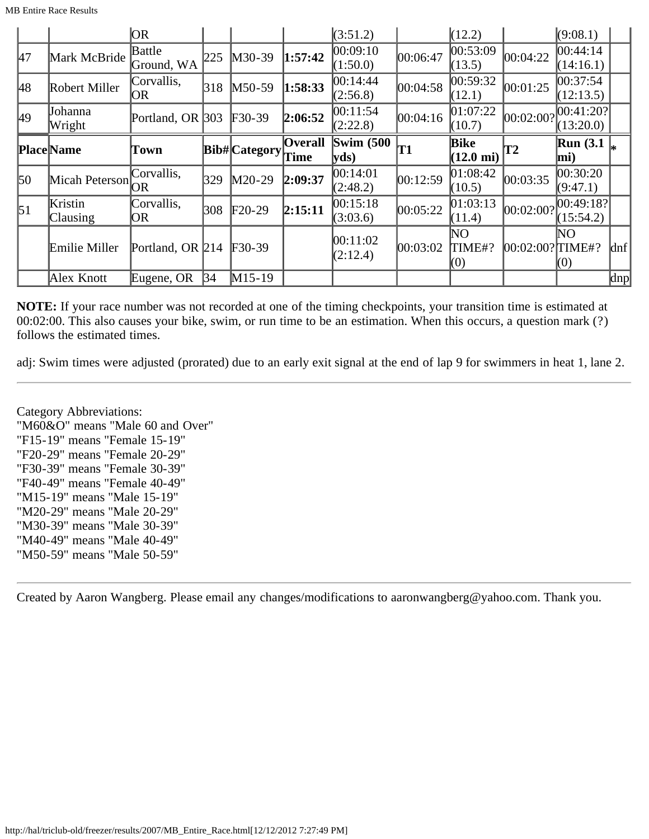|               |                            | OR                   |     |               |                        | (3:51.2)                 |          | (12.2)                             |                 | (9:08.1)                |         |
|---------------|----------------------------|----------------------|-----|---------------|------------------------|--------------------------|----------|------------------------------------|-----------------|-------------------------|---------|
| <sup>47</sup> | Mark McBride               | Battle<br>Ground, WA | 225 | $M30-39$      | 1:57:42                | 00:09:10<br>(1:50.0)     | 00:06:47 | 00:53:09<br>(13.5)                 | 00:04:22        | 00:44:14<br>(14:16.1)   |         |
| 48            | Robert Miller              | Corvallis,<br> OR    | 318 | $M50-59$      | 1:58:33                | 00:14:44<br>(2:56.8)     | 00:04:58 | 00:59:32<br>(12.1)                 | 00:01:25        | 00:37:54 <br>(12:13.5)  |         |
| 49            | Johanna<br>Wright          | Portland, OR 303     |     | $F30-39$      | 2:06:52                | 00:11:54<br>(2:22.8)     | 00:04:16 | 01:07:22 <br>(10.7)                | 00:02:00?       | 00:41:20? <br>(13:20.0) |         |
|               | <b>Place Name</b>          | Town                 |     | Bib# Category | <b>Overall</b><br>Time | <b>Swim (500)</b><br>yds | T1       | <b>Bike</b><br>$(12.0 \text{ mi})$ | T2              | <b>Run</b> (3.1)<br>mi) |         |
|               |                            |                      |     |               |                        |                          |          |                                    |                 |                         |         |
| 50            | Micah Peterson             | Corvallis,<br>OR     | 329 | $M20-29$      | 2:09:37                | 00:14:01<br>(2:48.2)     | 00:12:59 | 01:08:42<br>(10.5)                 | 00:03:35        | 00:30:20<br>(9:47.1)    |         |
| $\vert$ 51    | Kristin<br><b>Clausing</b> | Corvallis,<br>OR.    | 308 | $F20-29$      | 2:15:11                | 00:15:18<br>(3:03.6)     | 00:05:22 | [01:03:13]<br>(11.4)               | 00:02:00?       | 00:49:18?<br>(15:54.2)  |         |
|               | Emilie Miller              | Portland, OR $214$   |     | $F30-39$      |                        | 00:11:02<br>(2:12.4)     | 00:03:02 | NO<br>TIME#?<br>(0)                | 00:02:00?∏IME#? | NΟ<br>(0)               | $\ln f$ |

**NOTE:** If your race number was not recorded at one of the timing checkpoints, your transition time is estimated at 00:02:00. This also causes your bike, swim, or run time to be an estimation. When this occurs, a question mark (?) follows the estimated times.

adj: Swim times were adjusted (prorated) due to an early exit signal at the end of lap 9 for swimmers in heat 1, lane 2.

Category Abbreviations: "M60&O" means "Male 60 and Over" "F15-19" means "Female 15-19" "F20-29" means "Female 20-29" "F30-39" means "Female 30-39" "F40-49" means "Female 40-49" "M15-19" means "Male 15-19" "M20-29" means "Male 20-29" "M30-39" means "Male 30-39" "M40-49" means "Male 40-49" "M50-59" means "Male 50-59"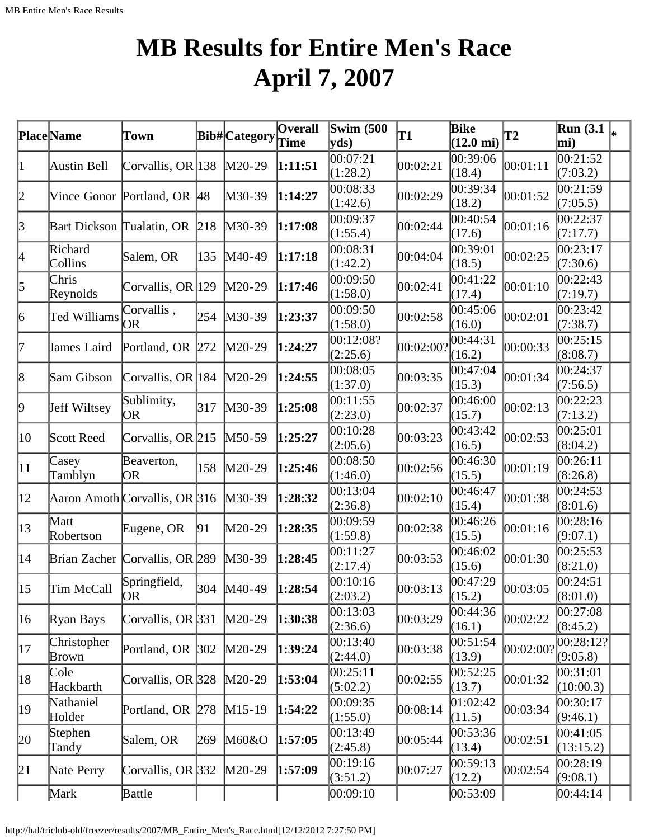# **MB Results for Entire Men's Race April 7, 2007**

|                 | Place Name                | Town                           |               | <b>Bib#</b> Category | <b>Overall</b><br>Time | Swim $(500)$<br>yds   | T1        | Bike<br>$(12.0 \text{ mi})$ | <b>T2</b>          | $\overline{\text{Run}}$ (3.1 $\vert_*$<br>mi) |  |
|-----------------|---------------------------|--------------------------------|---------------|----------------------|------------------------|-----------------------|-----------|-----------------------------|--------------------|-----------------------------------------------|--|
| 1               | Austin Bell               | Corvallis, OR 138              |               | $M20-29$             | 1:11:51                | 00:07:21<br>(1:28.2)  | 00:02:21  | 00:39:06<br>(18.4)          | 00:01:11           | 00:21:52<br>(7:03.2)                          |  |
| 2               |                           | Vince Gonor Portland, OR       | <sup>48</sup> | M30-39               | 1:14:27                | 00:08:33<br>(1:42.6)  | 00:02:29  | 00:39:34<br>(18.2)          | 00:01:52           | 00:21:59<br>(7:05.5)                          |  |
| 3               | Bart Dickson Tualatin, OR |                                | 218           | $M30-39$             | 1:17:08                | 00:09:37<br>(1:55.4)  | 00:02:44  | 00:40:54<br>(17.6)          | 00:01:16           | 0.22:37<br>(7:17.7)                           |  |
| 4               | Richard<br>Collins        | Salem, OR                      | 135           | M40-49               | 1:17:18                | 00:08:31<br>(1:42.2)  | 00:04:04  | 0.39:01<br>(18.5)           | 00:02:25           | 00:23:17<br>(7:30.6)                          |  |
| $\vert$ 5       | Chris<br>Reynolds         | Corvallis, OR 129              |               | $M20-29$             | 1:17:46                | 00:09:50<br>(1:58.0)  | 00:02:41  | 00:41:22<br>(17.4)          | 00:01:10           | 00:22:43<br>(7:19.7)                          |  |
| $\vert 6 \vert$ | Ted Williams              | Corvallis,<br>OR               | 254           | $M30-39$             | 1:23:37                | 00:09:50<br>(1:58.0)  | 00:02:58  | 00:45:06<br>(16.0)          | 00:02:01           | 00:23:42<br>(7:38.7)                          |  |
| 7               | James Laird               | Portland, OR 272               |               | $M20-29$             | 1:24:27                | 00:12:08?<br>(2:25.6) | 00:02:00? | 00:44:31<br>(16.2)          | 00:00:33           | 00:25:15<br>(8:08.7)                          |  |
| $\vert 8 \vert$ | Sam Gibson                | Corvallis, OR 184              |               | $M20-29$             | 1:24:55                | 00:08:05<br>(1:37.0)  | 00:03:35  | 00:47:04<br>(15.3)          | 00:01:34           | 00:24:37<br>(7:56.5)                          |  |
| þ.              | Jeff Wiltsey              | Sublimity,<br><b>OR</b>        | 317           | $M30-39$             | 1:25:08                | 00:11:55<br>(2:23.0)  | 00:02:37  | 00:46:00<br>(15.7)          | 00:02:13           | 00:22:23<br>(7:13.2)                          |  |
| 10              | Scott Reed                | Corvallis, OR 215              |               | $M50-59$             | 1:25:27                | 00:10:28<br>(2:05.6)  | 00:03:23  | 00:43:42<br>(16.5)          | 00:02:53           | 00:25:01<br>(8:04.2)                          |  |
| $ 11\rangle$    | Casey<br>Tamblyn          | Beaverton,<br>OR               | 158           | $M20-29$             | 1:25:46                | 00:08:50<br>(1:46.0)  | 00:02:56  | 00:46:30<br>(15.5)          | 00:01:19           | 00:26:11<br>(8:26.8)                          |  |
| $ 12\rangle$    |                           | Aaron Amoth Corvallis, OR 316  |               | $M30-39$             | 1:28:32                | 00:13:04<br>(2:36.8)  | 00:02:10  | 00:46:47<br>(15.4)          | 00:01:38           | 00:24:53<br>(8:01.6)                          |  |
| $ 13\rangle$    | Matt<br>Robertson         | Eugene, OR                     | 91            | $M20-29$             | 1:28:35                | 00:09:59<br>(1:59.8)  | 00:02:38  | 00:46:26<br>(15.5)          | 00:01:16           | 00:28:16<br>(9:07.1)                          |  |
| $ 14\rangle$    |                           | Brian Zacher Corvallis, OR 289 |               | $M30-39$             | 1:28:45                | 00:11:27<br>(2:17.4)  | 00:03:53  | 00:46:02<br>(15.6)          | 00:01:30           | 00:25:53<br>(8:21.0)                          |  |
| $ 15\rangle$    | Tim McCall                | Springfield,<br> OR            |               | 304 M40-49           | 1:28:54                | 00:10:16<br>(2:03.2)  | 00:03:13  | 00:47:29<br>(15.2)          | 00:03:05           | 00:24:51<br>(8:01.0)                          |  |
| 16              | Ryan Bays                 | Corvallis, OR 331              |               | $M20-29$             | 1:30:38                | 00:13:03<br>(2:36.6)  | 00:03:29  | 00:44:36<br>(16.1)          | 00:02:22           | 00:27:08<br>(8:45.2)                          |  |
| 17              | Christopher<br>Brown      | Portland, OR 302               |               | $M20-29$             | 1:39:24                | 00:13:40<br>(2:44.0)  | 00:03:38  | 00:51:54<br>(13.9)          | $ 00:02:00\rangle$ | 00:28:12?<br>(9:05.8)                         |  |
| 18              | Cole<br>Hackbarth         | Corvallis, OR 328              |               | $M20-29$             | 1:53:04                | 00:25:11<br>(5:02.2)  | 00:02:55  | 00:52:25<br>(13.7)          | 00:01:32           | 00:31:01<br>(10:00.3)                         |  |
| 19              | Nathaniel<br>Holder       | Portland, OR 278               |               | $M15-19$             | 1:54:22                | 00:09:35<br>(1:55.0)  | 00:08:14  | 01:02:42<br>(11.5)          | 00:03:34           | 00:30:17<br>(9:46.1)                          |  |
| 20              | Stephen<br>Tandy          | Salem, OR                      | 269           | M60&O                | 1:57:05                | 00:13:49<br>(2:45.8)  | 00:05:44  | 00:53:36<br>(13.4)          | 00:02:51           | 00:41:05<br>(13:15.2)                         |  |
| 21              | Nate Perry                | Corvallis, OR 332              |               | $M20-29$             | 1:57:09                | 00:19:16<br>(3:51.2)  | 00:07:27  | 00:59:13<br>(12.2)          | 00:02:54           | 00:28:19<br>(9:08.1)                          |  |
|                 | Mark                      | Battle                         |               |                      |                        | [00:09:10]            |           | 00:53:09                    |                    | 00:44:14                                      |  |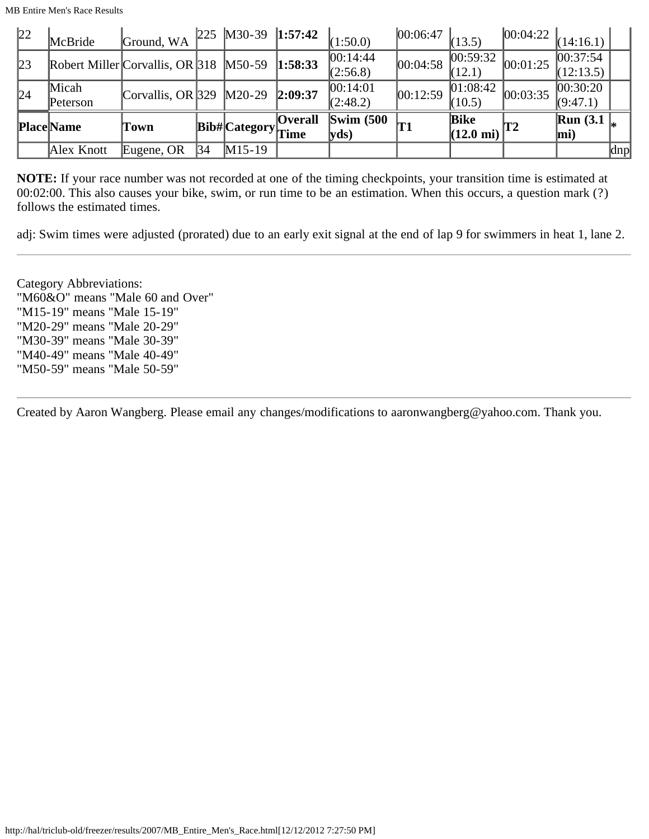MB Entire Men's Race Results

| 22 | McBride           | Ground, WA                               |    | $225$ M30-39 1:57:42                       |                | (1:50.0)                     | 00:06:47 | (13.5)                                           | $ 00:04:22 _{(14:16.1)} $ |                         |     |
|----|-------------------|------------------------------------------|----|--------------------------------------------|----------------|------------------------------|----------|--------------------------------------------------|---------------------------|-------------------------|-----|
| 23 |                   | Robert Miller Corvallis, OR $318$ M50-59 |    |                                            | 1:58:33        | 00:14:44<br>(2:56.8)         | 00:04:58 | 00:59:32 <br>(12.1)                              | 00:01:25                  | 00:37:54 <br>(12:13.5)  |     |
| 24 | Micah<br>Peterson | Corvallis, OR 329 $\vert M20-29 \vert$   |    |                                            | 2:09:37        | 00:14:01<br>(2:48.2)         | 00:12:59 | 01:08:42<br>(10.5)                               | 00:03:35                  | 00:30:20 <br>(9:47.1)   |     |
|    | <b>Place Name</b> | Town                                     |    | $ {\rm \textbf{Bib}\#} $ Category $ $ Time | <b>Overall</b> | $\text{Swim}\ (500$<br> yds) |          | <b>Bike</b><br>$(12.0 \text{ mi})$ <sup>T2</sup> |                           | Run(3.1)<br>$\vert$ mi) |     |
|    | Alex Knott        | Eugene, OR                               | 34 | $M15-19$                                   |                |                              |          |                                                  |                           |                         | dnp |

**NOTE:** If your race number was not recorded at one of the timing checkpoints, your transition time is estimated at 00:02:00. This also causes your bike, swim, or run time to be an estimation. When this occurs, a question mark (?) follows the estimated times.

adj: Swim times were adjusted (prorated) due to an early exit signal at the end of lap 9 for swimmers in heat 1, lane 2.

Category Abbreviations: "M60&O" means "Male 60 and Over" "M15-19" means "Male 15-19" "M20-29" means "Male 20-29" "M30-39" means "Male 30-39" "M40-49" means "Male 40-49" "M50-59" means "Male 50-59"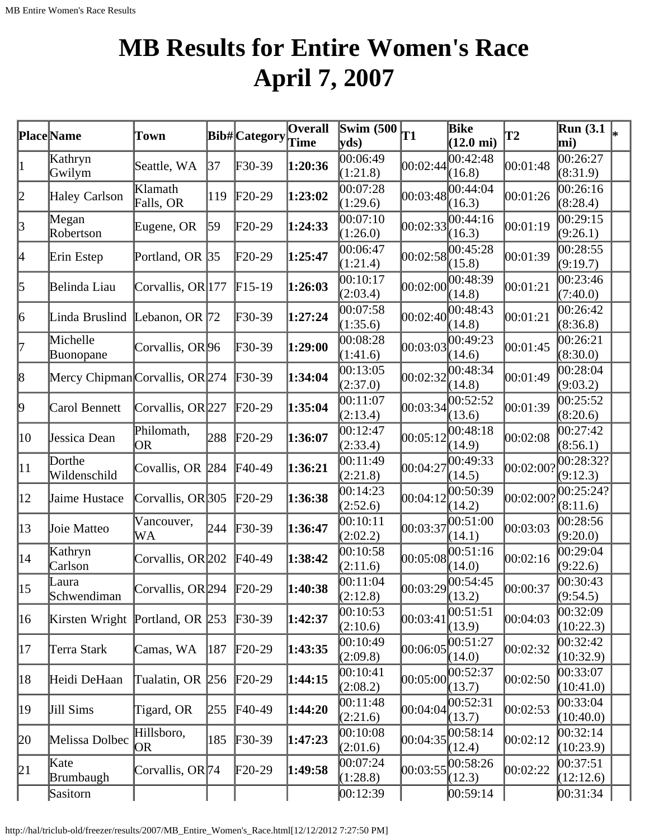# **MB Results for Entire Women's Race April 7, 2007**

|                  | <b>Place</b> Name               | Town                       |            | <b>Bib#</b> Category | $\overline{\mathbf{O}}$ verall<br>Time | Swim $(500)$<br>yds) | T1                | Bike<br>$(12.0 \text{ mi})$ | $\mathbf{T2}$ | <b>Run</b> (3.1<br>mi) |  |
|------------------|---------------------------------|----------------------------|------------|----------------------|----------------------------------------|----------------------|-------------------|-----------------------------|---------------|------------------------|--|
| $\vert 1 \vert$  | Kathryn<br>Gwilym               | Seattle, WA                | 37         | $F30-39$             | 1:20:36                                | 00:06:49<br>(1:21.8) | 00:02:44          | 00:42:48<br>(16.8)          | 00:01:48      | 00:26:27<br>(8:31.9)   |  |
| $ 2\>$           | Haley Carlson                   | Klamath<br>Falls, OR       | 119        | $F20-29$             | 1:23:02                                | 00:07:28<br>(1:29.6) | 00:03:48          | 00:44:04<br>(16.3)          | 00:01:26      | 00:26:16<br>(8:28.4)   |  |
| $\beta$          | Megan<br>Robertson              | Eugene, OR                 | $\vert$ 59 | $F20-29$             | 1:24:33                                | 00:07:10<br>(1:26.0) | 00:02:33          | 00:44:16<br>(16.3)          | 00:01:19      | 00:29:15<br>(9:26.1)   |  |
| 4                | Erin Estep                      | Portland, OR $ 35 $        |            | $F20-29$             | 1:25:47                                | 00:06:47<br>(1:21.4) | 00:02:58          | 00:45:28<br>(15.8)          | 00:01:39      | 00:28:55<br>(9:19.7)   |  |
| 5                | Belinda Liau                    | Corvallis, OR 177          |            | $F15-19$             | 1:26:03                                | 00:10:17<br>(2:03.4) | 00:02:00          | 00:48:39<br>(14.8)          | 00:01:21      | 00:23:46<br>(7:40.0)   |  |
| 6                | Linda Bruslind                  | Lebanon, OR $ 72$          |            | $F30-39$             | 1:27:24                                | 00:07:58<br>(1:35.6) | 00:02:40          | 00:48:43<br>(14.8)          | 00:01:21      | 00:26:42<br>(8:36.8)   |  |
| 7                | Michelle<br>Buonopane           | Corvallis, OR 96           |            | $F30-39$             | 1:29:00                                | 00:08:28<br>(1:41.6) | 00:03:03          | 00:49:23<br>(14.6)          | 00:01:45      | 00:26:21<br>(8:30.0)   |  |
| $\vert 8$        | Mercy Chipman Corvallis, OR 274 |                            |            | $F30-39$             | 1:34:04                                | 00:13:05<br>(2:37.0) | 00:02:32          | 00:48:34<br>(14.8)          | 00:01:49      | 00:28:04<br>(9:03.2)   |  |
| þ.               | Carol Bennett                   | Corvallis, OR 227          |            | $F20-29$             | 1:35:04                                | 00:11:07<br>(2:13.4) | 00:03:34          | 00:52:52<br>(13.6)          | 00:01:39      | 00:25:52<br>(8:20.6)   |  |
| 10               | Jessica Dean                    | Philomath,<br>OR.          | 288        | $F20-29$             | 1:36:07                                | 00:12:47<br>(2:33.4) | 00:05:12          | 00:48:18<br>(14.9)          | 00:02:08      | 00:27:42<br>(8:56.1)   |  |
| $ 11\rangle$     | Dorthe<br>Wildenschild          | Covallis, OR 284           |            | $F40-49$             | 1:36:21                                | 00:11:49<br>(2:21.8) | 00:04:27          | 00:49:33<br>(14.5)          | 00:02:00?     | 00:28:32?<br>(9:12.3)  |  |
| $ 12\rangle$     | Jaime Hustace                   | Corvallis, OR $305$        |            | $F20-29$             | 1:36:38                                | 00:14:23<br>(2:52.6) | 00:04:12          | 00:50:39<br>(14.2)          | 00:02:00?     | 00:25:24?<br>(8:11.6)  |  |
| $ 13\rangle$     | Joie Matteo                     | Vancouver,<br>WA           | 244        | $F30-39$             | 1:36:47                                | 00:10:11<br>(2:02.2) | 00:03:37          | 00:51:00<br>(14.1)          | 00:03:03      | 00:28:56<br>(9:20.0)   |  |
| $ 14\rangle$     | Kathryn<br>Carlson              | Corvallis, OR 202          |            | F40-49               | 1:38:42                                | 00:10:58<br>(2:11.6) | 00:05:08          | 00:51:16<br>(14.0)          | 00:02:16      | 00:29:04<br>(9:22.6)   |  |
| $\vert 15 \vert$ | Laura<br>Schwendiman            | Corvallis, OR 294 $F20-29$ |            |                      | 1:40:38                                | 00:11:04<br>(2:12.8) | 00:03:29 00:54:45 | (13.2)                      | 00:00:37      | 00:30:43<br>(9:54.5)   |  |
| 16               | Kirsten Wright Portland, OR 253 |                            |            | $F30-39$             | 1:42:37                                | 00:10:53<br>(2:10.6) | 00:03:41          | 00:51:51<br>(13.9)          | 00:04:03      | 00:32:09<br>(10:22.3)  |  |
| 17               | Terra Stark                     | Camas, WA                  | 187        | $F20-29$             | 1:43:35                                | 00:10:49<br>(2:09.8) | 00:06:05          | 00:51:27<br>(14.0)          | 00:02:32      | 00:32:42<br>(10:32.9)  |  |
| 18               | Heidi DeHaan                    | Tualatin, OR 256           |            | $F20-29$             | 1:44:15                                | 00:10:41<br>(2:08.2) | 00:05:00          | 00:52:37<br>(13.7)          | 00:02:50      | 00:33:07<br>(10:41.0)  |  |
| 19               | Jill Sims                       | Tigard, OR                 | 255        | $F40-49$             | 1:44:20                                | 00:11:48<br>(2:21.6) | 00:04:04          | 00:52:31<br>(13.7)          | 00:02:53      | 00:33:04<br>(10:40.0)  |  |
| 20               | Melissa Dolbec                  | Hillsboro,<br>OR)          | 185        | $F30-39$             | 1:47:23                                | 00:10:08<br>(2:01.6) | 00:04:35          | 00:58:14<br>(12.4)          | 00:02:12      | 00:32:14<br>(10:23.9)  |  |
| 21               | Kate<br>Brumbaugh               | Corvallis, OR 74           |            | $F20-29$             | 1:49:58                                | 00:07:24<br>(1:28.8) | 00:03:55          | 00:58:26<br>(12.3)          | 00:02:22      | 00:37:51<br>(12:12.6)  |  |
|                  | Sasitorn                        |                            |            |                      |                                        | 00:12:39             |                   | [00:59:14]                  |               | 00:31:34               |  |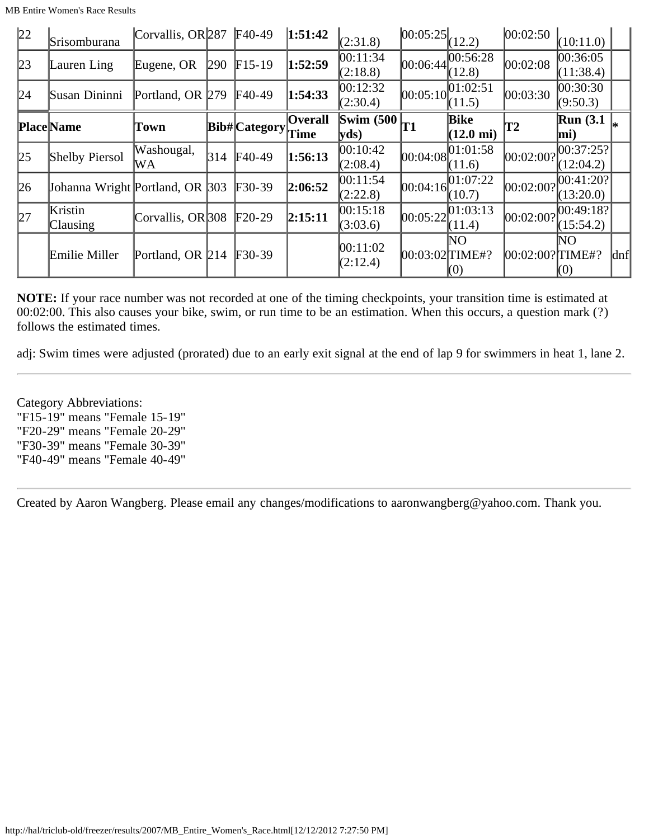| 22          | Srisomburana                    | Corvallis, OR 287 |     | $F40-49$        | 1:51:42                | (2:31.8)                                                | $ 00:05:25 $ $(12.2)$ |                                    | 00:02:50            | (10:11.0)               |                     |
|-------------|---------------------------------|-------------------|-----|-----------------|------------------------|---------------------------------------------------------|-----------------------|------------------------------------|---------------------|-------------------------|---------------------|
| 23          | Lauren Ling                     | Eugene, OR        | 290 | $F15-19$        | 1:52:59                | 00:11:34<br>(2:18.8)                                    | 00:06:44              | 00:56:28<br>(12.8)                 | 00:02:08            | 00:36:05 <br>(11:38.4)  |                     |
| 24          | Susan Dininni                   | Portland, OR 279  |     | $\text{F}40-49$ | 1:54:33                | 00:12:32<br>(2:30.4)                                    | [00:05:10]            | [01:02:51]<br>(11.5)               | 00:03:30            | 00:30:30 <br>(9:50.3)   |                     |
|             | <b>Place</b> Name               | Town              |     | Bib# Category   | <b>Overall</b><br>Time | $\left \overline{\text{Swim }(500)}\right $ T1<br> yds) |                       | <b>Bike</b><br>$(12.0 \text{ mi})$ | T2                  | Run(3.1)<br>$\vert$ mi) |                     |
| 25          | Shelby Piersol                  | Washougal,<br>WA  | 314 | $F40-49$        | 1:56:13                | [00:10:42]<br>(2:08.4)                                  | 00:04:08              | [01:01:58]<br>(11.6)               | 00:02:00?           | 00:37:25?<br>(12:04.2)  |                     |
| $\sqrt{26}$ | Johanna Wright Portland, OR 303 |                   |     | $F30-39$        | 2:06:52                | 00:11:54<br>(2:22.8)                                    | [00:04:16]            | 01:07:22<br>(10.7)                 | 00:02:00?           | 00:41:20?<br>(13:20.0)  |                     |
| 27          | Kristin<br><b>Clausing</b>      | Corvallis, OR 308 |     | $F20-29$        | 2:15:11                | 00:15:18<br>(3:03.6)                                    | 00:05:22              | [01:03:13]<br>(11.4)               | 00:02:00?           | [00:49:18?<br>(15:54.2) |                     |
|             | Emilie Miller                   | Portland, OR 214  |     | $F30-39$        |                        | 00:11:02<br>(2:12.4)                                    | $ 00:03:02 $ TIME#?   | NΟ<br>(0)                          | $ 00:02:00?$ TIME#? | NO.<br>(0)              | $\vert$ dnf $\vert$ |

**NOTE:** If your race number was not recorded at one of the timing checkpoints, your transition time is estimated at 00:02:00. This also causes your bike, swim, or run time to be an estimation. When this occurs, a question mark (?) follows the estimated times.

adj: Swim times were adjusted (prorated) due to an early exit signal at the end of lap 9 for swimmers in heat 1, lane 2.

Category Abbreviations: "F15-19" means "Female 15-19" "F20-29" means "Female 20-29" "F30-39" means "Female 30-39" "F40-49" means "Female 40-49"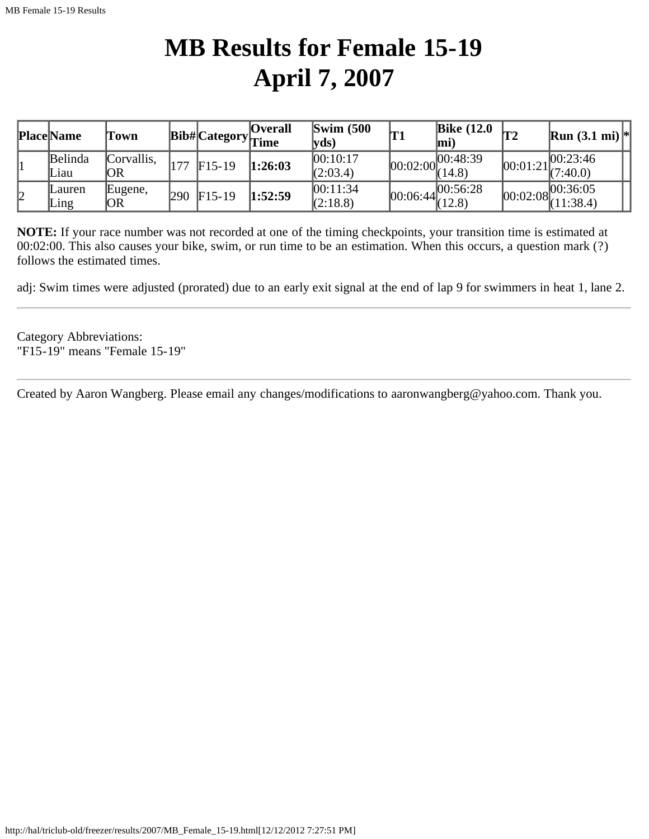## **MB Results for Female 15-19 April 7, 2007**

|    | <b>Place Name</b> | Town             |     |          | <b>Overall</b><br>$\vert$ Bib# $\vert$ Category $\vert$ Time | $\mathbf{Swim}\;$ (500)<br>$\mathbf{v}\mathbf{ds}$ | 'T1 | <b>Bike (12.0</b><br>$\mathbf{m}$ i)         | T2 | <b>Run</b> $(3.1 \text{ mi})$ <sup>*</sup>                 |
|----|-------------------|------------------|-----|----------|--------------------------------------------------------------|----------------------------------------------------|-----|----------------------------------------------|----|------------------------------------------------------------|
|    | Belinda<br>Liau   | Corvallis,<br>ЮR | 177 | $F15-19$ | 1:26:03                                                      | 00:10:17<br>(2:03.4)                               |     | $[00:02:00]$ $\overline{00:48:}39$<br>(14.8) |    | 00:23:46 <br>$[00:01:21]_{(7:40.0)}$                       |
| 12 | Lauren<br>Ling    | Eugene,<br> OR   | 290 | $F15-19$ | 1:52:59                                                      | 00:11:34<br>$\sqrt{(2:18.8)}$                      |     | $\boxed{00:06:44}^{00:56:28}_{(12.8)}$       |    | $ 00:02:08 ^{00:36:05}_{(11,28,4)} $<br>$\sqrt{(11:38.4)}$ |

**NOTE:** If your race number was not recorded at one of the timing checkpoints, your transition time is estimated at 00:02:00. This also causes your bike, swim, or run time to be an estimation. When this occurs, a question mark (?) follows the estimated times.

adj: Swim times were adjusted (prorated) due to an early exit signal at the end of lap 9 for swimmers in heat 1, lane 2.

Category Abbreviations: "F15-19" means "Female 15-19"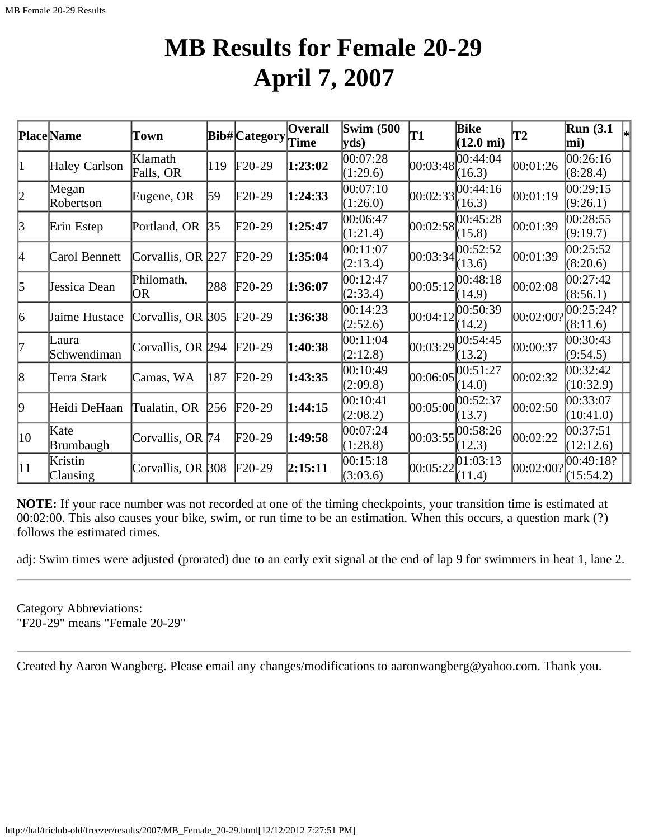### **MB Results for Female 20-29 April 7, 2007**

|              | <b>Place</b> Name          | Town                  |     | Bib# Category   | <b>Overall</b><br>Time | <b>Swim (500)</b><br>$\mathbf{v}\mathbf{ds}$ | T1       | Bike<br>$(12.0 \text{ mi})$ | T2        | Run(3.1)<br>$\left _{*}\right $<br>mi) |  |
|--------------|----------------------------|-----------------------|-----|-----------------|------------------------|----------------------------------------------|----------|-----------------------------|-----------|----------------------------------------|--|
| 1            | Haley Carlson              | Klamath<br>Falls, OR  | 119 | $F20-29$        | 1:23:02                | 00:07:28<br>(1:29.6)                         | 00:03:48 | 00:44:04<br>(16.3)          | 00:01:26  | 00:26:16<br>(8:28.4)                   |  |
| 2            | Megan<br>Robertson         | Eugene, OR            | 59  | $\text{F}20-29$ | 1:24:33                | 00:07:10<br>(1:26.0)                         | 00:02:33 | 00:44:16<br>(16.3)          | 00:01:19  | 00:29:15<br>(9:26.1)                   |  |
| 3            | Erin Estep                 | Portland, OR 35       |     | $\text{F20-29}$ | 1:25:47                | 00:06:47<br>(1:21.4)                         | 00:02:58 | 00:45:28<br>(15.8)          | 00:01:39  | 00:28:55<br>(9:19.7)                   |  |
| 4            | Carol Bennett              | Corvallis, OR 227     |     | $F20-29$        | 1:35:04                | 00:11:07<br>(2:13.4)                         | 00:03:34 | 00:52:52 <br>(13.6)         | 00:01:39  | 00:25:52<br>(8:20.6)                   |  |
| 5            | Jessica Dean               | Philomath,<br>OR.     | 288 | $F20-29$        | 1:36:07                | 00:12:47<br>(2:33.4)                         | 00:05:12 | 00:48:18<br>(14.9)          | 00:02:08  | 00:27:42<br>(8:56.1)                   |  |
| 6            | Jaime Hustace              | Corvallis, OR $ 305 $ |     | $\text{F}20-29$ | 1:36:38                | 00:14:23<br>(2:52.6)                         | 00:04:12 | 00:50:39<br>(14.2)          | 00:02:00? | 00:25:24?<br>(8:11.6)                  |  |
| 17           | Laura<br>Schwendiman       | Corvallis, OR 294     |     | $F20-29$        | 1:40:38                | 00:11:04<br>(2:12.8)                         | 00:03:29 | 00:54:45<br>(13.2)          | 00:00:37  | 00:30:43<br>(9:54.5)                   |  |
| 8            | Terra Stark                | Camas, WA             | 187 | $F20-29$        | 1:43:35                | 00:10:49<br>(2:09.8)                         | 00:06:05 | 00:51:27<br>(14.0)          | 00:02:32  | [00:32:42]<br>(10:32.9)                |  |
| þ.           | Heidi DeHaan               | Tualatin, OR          | 256 | $F20-29$        | 1:44:15                | 00:10:41<br>(2:08.2)                         | 00:05:00 | 00:52:37<br>(13.7)          | 00:02:50  | 00:33:07<br>(10:41.0)                  |  |
| $ 10\rangle$ | Kate<br>Brumbaugh          | Corvallis, OR 74      |     | $F20-29$        | 1:49:58                | 00:07:24<br>(1:28.8)                         | 00:03:55 | 00:58:26<br>(12.3)          | 00:02:22  | 00:37:51<br>(12:12.6)                  |  |
| $ 11\rangle$ | Kristin<br><b>Clausing</b> | Corvallis, OR 308     |     | $F20-29$        | 2:15:11                | 00:15:18<br>(3:03.6)                         | 00:05:22 | [01:03:13]<br>(11.4)        | 00:02:00? | 00:49:18?<br>(15:54.2)                 |  |

**NOTE:** If your race number was not recorded at one of the timing checkpoints, your transition time is estimated at 00:02:00. This also causes your bike, swim, or run time to be an estimation. When this occurs, a question mark (?) follows the estimated times.

adj: Swim times were adjusted (prorated) due to an early exit signal at the end of lap 9 for swimmers in heat 1, lane 2.

Category Abbreviations: "F20-29" means "Female 20-29"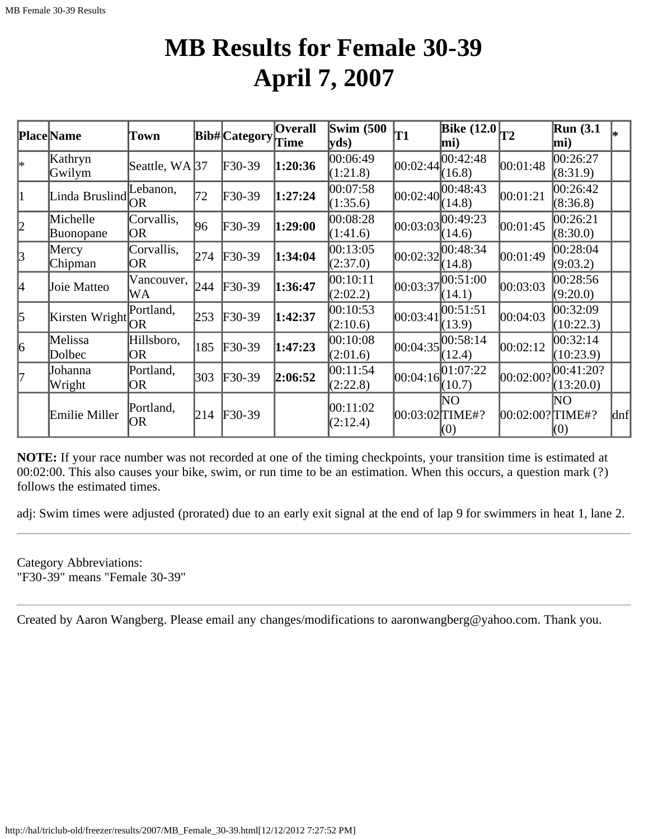### **MB Results for Female 30-39 April 7, 2007**

|           | <b>Place Name</b>     | Town                    |     | <b>Bib#</b> Category       | <b>Overall</b><br>Time | Swim $(500)$<br>yds) | T1                  | Bike $(12.0)$ <sub>T2</sub><br> mi) |                 | <b>Run</b> (3.1)<br>mi) | l∗. |
|-----------|-----------------------|-------------------------|-----|----------------------------|------------------------|----------------------|---------------------|-------------------------------------|-----------------|-------------------------|-----|
| I∗        | Kathryn<br>Gwilym     | Seattle, WA 37          |     | $F30-39$                   | 1:20:36                | 00:06:49<br>(1:21.8) | 00:02:44            | 00:42:48<br>(16.8)                  | 00:01:48        | 00:26:27<br>(8:31.9)    |     |
| 1         | Linda Bruslind        | Lebanon,<br>OR.         | 72  | $F30-39$                   | 1:27:24                | 00:07:58<br>(1:35.6) | 00:02:40            | 00:48:43<br>(14.8)                  | 00:01:21        | 00:26:42<br>(8:36.8)    |     |
| 2         | Michelle<br>Buonopane | Corvallis,<br>OR        | 96  | $F30-39$                   | 1:29:00                | 00:08:28<br>(1:41.6) | 00:03:03            | 00:49:23<br>(14.6)                  | 00:01:45        | 00:26:21<br>(8:30.0)    |     |
| 3         | Mercy<br>Chipman      | Corvallis,<br><b>OR</b> | 274 | $F30-39$                   | 1:34:04                | 00:13:05<br>(2:37.0) | 00:02:32            | 00:48:34<br>(14.8)                  | 00:01:49        | 00:28:04<br>(9:03.2)    |     |
| 4         | Joie Matteo           | Vancouver,<br>WA        | 244 | $\textcolor{blue}{F30-39}$ | 1:36:47                | 00:10:11<br>(2:02.2) | 00:03:37            | 00:51:00<br>(14.1)                  | 00:03:03        | 00:28:56<br>(9:20.0)    |     |
| $\vert$ 5 | Kirsten Wright        | Portland,               | 253 | $F30-39$                   | 1:42:37                | 00:10:53<br>(2:10.6) | 00:03:41            | 00:51:51<br>(13.9)                  | 00:04:03        | 00:32:09<br>(10:22.3)   |     |
| 6         | Melissa<br>Dolbec     | Hillsboro,<br>OR        | 185 | $F30-39$                   | 1:47:23                | 00:10:08<br>(2:01.6) | 00:04:35            | 00:58:14<br>(12.4)                  | 00:02:12        | 00:32:14<br>(10:23.9)   |     |
| 17        | Johanna<br>Wright     | Portland,<br>OR         | 303 | $\textcolor{blue}{F30-39}$ | 2:06:52                | 00:11:54<br>(2:22.8) | [00:04:16]          | 01:07:22<br>(10.7)                  | 00:02:00?       | 00:41:20?<br>(13:20.0)  |     |
|           | Emilie Miller         | Portland,<br>OR         | 214 | $F30-39$                   |                        | 00:11:02<br>(2:12.4) | $ 00:03:02 $ TIME#? | lΝO<br>(0)                          | 00:02:00?TIME#? | NΟ<br>(0)               | dnf |

**NOTE:** If your race number was not recorded at one of the timing checkpoints, your transition time is estimated at 00:02:00. This also causes your bike, swim, or run time to be an estimation. When this occurs, a question mark (?) follows the estimated times.

adj: Swim times were adjusted (prorated) due to an early exit signal at the end of lap 9 for swimmers in heat 1, lane 2.

Category Abbreviations: "F30-39" means "Female 30-39"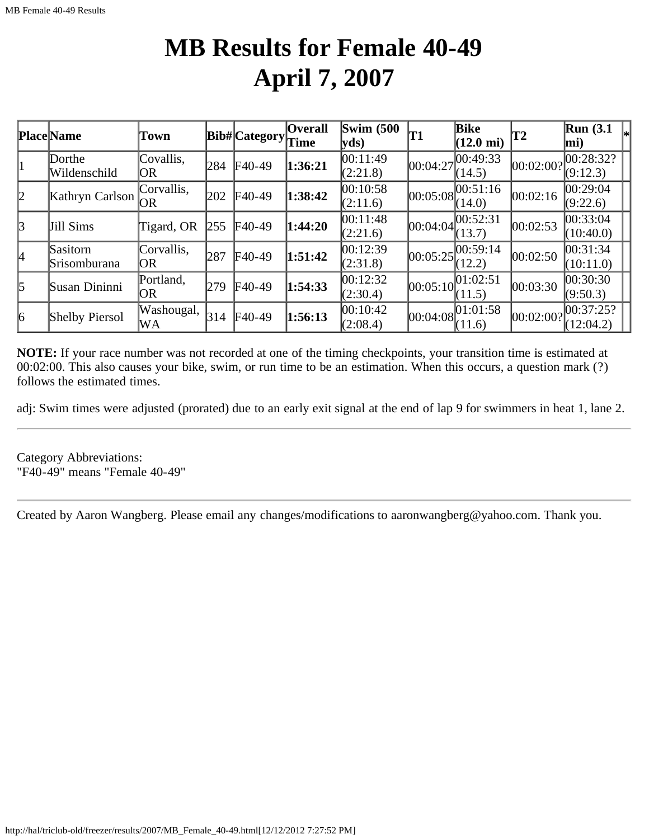## **MB Results for Female 40-49 April 7, 2007**

|                 | <b>Place Name</b>        | Town               |     | $ Bib\# $ Category $ Time$ | <b>Overall</b> | Swim $(500)$<br>yds  | <b>T1</b>  | <b>Bike</b><br>$(12.0 \text{ mi})$ | T2          | Run(3.1)<br>$\vert$ mi) |
|-----------------|--------------------------|--------------------|-----|----------------------------|----------------|----------------------|------------|------------------------------------|-------------|-------------------------|
|                 | Dorthe<br>Wildenschild   | Covallis,<br>OR.   | 284 | $F40-49$                   | 1:36:21        | 00:11:49<br>(2:21.8) | 00:04:27   | ,00:49:33<br>(14.5)                | [00:02:00?] | 00:28:32?<br>(9:12.3)   |
| $ 2\rangle$     | Kathryn Carlson          | Corvallis,<br>IOR. | 202 | $F40-49$                   | 1:38:42        | 00:10:58<br>(2:11.6) | 00:05:08   | 00:51:16<br>(14.0)                 | 00:02:16    | 00:29:04<br>(9:22.6)    |
| $\vert$ 3       | Jill Sims                | Tigard, OR         | 255 | $F40-49$                   | 1:44:20        | 00:11:48<br>(2:21.6) | [00:04:04] | 00:52:31<br>(13.7)                 | 00:02:53    | 00:33:04<br>(10:40.0)   |
| <sup>4</sup>    | Sasitorn<br>Srisomburana | Corvallis,<br>OR   | 287 | $F40-49$                   | 1:51:42        | 00:12:39<br>(2:31.8) | 00:05:25   | 00:59:14<br>(12.2)                 | 00:02:50    | 00:31:34 <br>(10:11.0)  |
| $\vert$ 5       | Susan Dininni            | Portland,<br>OR.   | 279 | $F40-49$                   | 1:54:33        | 00:12:32<br>(2:30.4) | [00:05:10] | 01:02:51<br>(11.5)                 | 00:03:30    | 00:30:30 <br>(9:50.3)   |
| $\vert 6 \vert$ | <b>Shelby Piersol</b>    | Washougal,<br>WA   | 314 | $F40-49$                   | 1:56:13        | 00:10:42<br>(2:08.4) | 00:04:08   | 01:01:58<br>(11.6)                 | [00:02:00?] | 00:37:25?<br>(12:04.2)  |

**NOTE:** If your race number was not recorded at one of the timing checkpoints, your transition time is estimated at 00:02:00. This also causes your bike, swim, or run time to be an estimation. When this occurs, a question mark (?) follows the estimated times.

adj: Swim times were adjusted (prorated) due to an early exit signal at the end of lap 9 for swimmers in heat 1, lane 2.

Category Abbreviations: "F40-49" means "Female 40-49"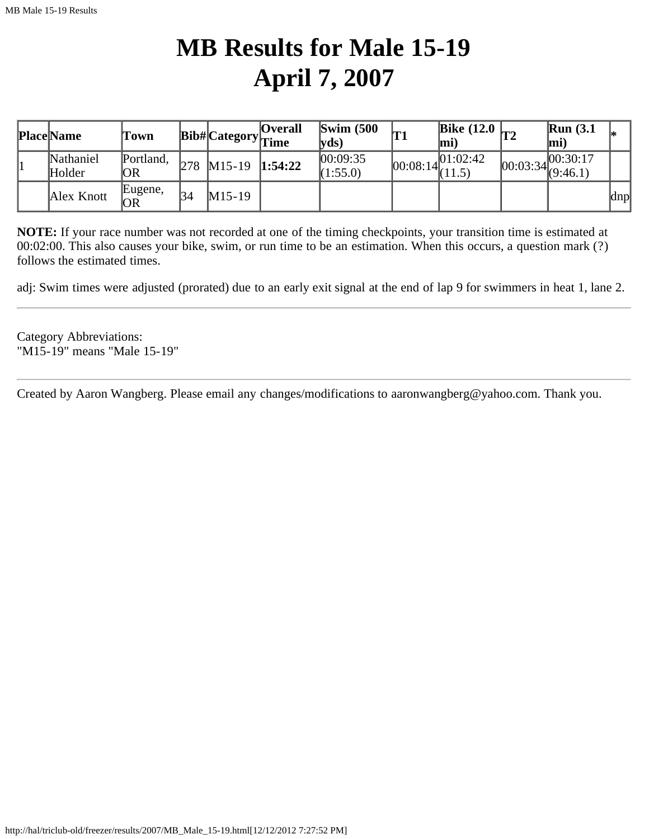# **MB Results for Male 15-19 April 7, 2007**

| <b>Place Name</b>   | Town             |     |                  | <b>Overall</b><br>$ {\rm \textbf{Bib}\#} $ Category $ _{\hbox{Time}}$ | $\mathbf{Swim}\;$ (500)<br> vds | IT.        | Bike $(12.0)$ <sub>T2</sub><br>lmi' | Run(3.1)<br>mi)                                 |     |
|---------------------|------------------|-----|------------------|-----------------------------------------------------------------------|---------------------------------|------------|-------------------------------------|-------------------------------------------------|-----|
| Nathaniel<br>Holder | Portland,<br> OR | 278 | $M15-19$ 1:54:22 |                                                                       | 00:09:35<br>(1:55.0)            | [00:08:14] | [01:02:42]<br>(11.5)                | 00:30:17<br>$\frac{1}{2}$ $ 00:03:34 $ (9:46.1) |     |
| Alex Knott          | Eugene,<br> OR   | 34  | $M15-19$         |                                                                       |                                 |            |                                     |                                                 | dnp |

**NOTE:** If your race number was not recorded at one of the timing checkpoints, your transition time is estimated at 00:02:00. This also causes your bike, swim, or run time to be an estimation. When this occurs, a question mark (?) follows the estimated times.

adj: Swim times were adjusted (prorated) due to an early exit signal at the end of lap 9 for swimmers in heat 1, lane 2.

Category Abbreviations: "M15-19" means "Male 15-19"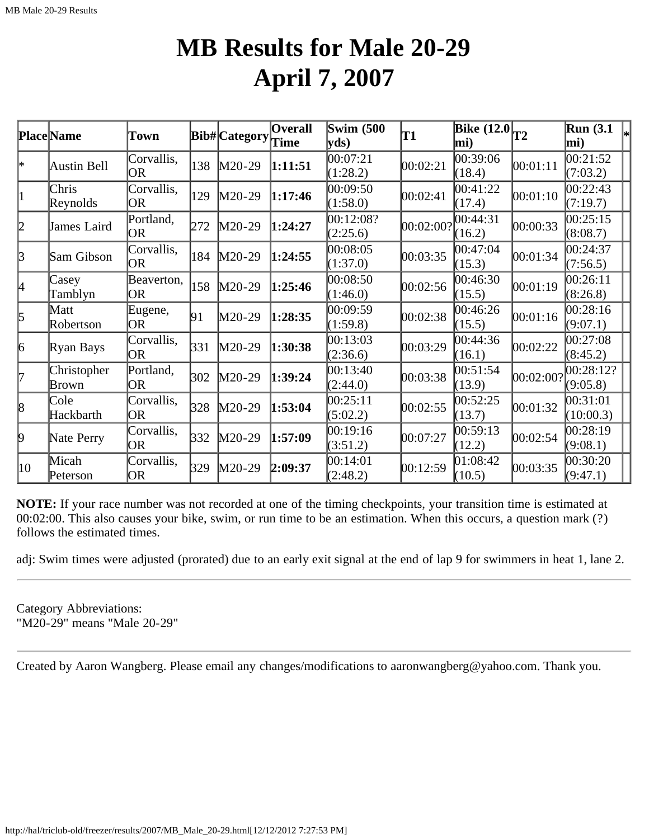### **MB Results for Male 20-29 April 7, 2007**

|         | <b>Place</b> Name    | Town              |            | Bib#Category | Overall<br>Time | <b>Swim (500</b><br>$\mathbf{v}\mathbf{ds}$ | T1        | Bike $\overline{(12.0)}_{T2}$<br>mi) |           | <b>Run</b> (3.1)<br>$\left. \right  _{*}$<br>mi) |
|---------|----------------------|-------------------|------------|--------------|-----------------|---------------------------------------------|-----------|--------------------------------------|-----------|--------------------------------------------------|
| *       | Austin Bell          | Corvallis,<br>OR  | 138        | $M20-29$     | 1:11:51         | 00:07:21<br>(1:28.2)                        | 00:02:21  | 00:39:06<br>(18.4)                   | 00:01:11  | 00:21:52<br>(7:03.2)                             |
| 1       | Chris<br>Reynolds    | Corvallis,<br>OR  | 129        | $M20-29$     | 1:17:46         | 00:09:50<br>(1:58.0)                        | 00:02:41  | 00:41:22<br>(17.4)                   | 00:01:10  | 00:22:43<br>(7:19.7)                             |
| 2       | James Laird          | Portland,<br> OR  | 272        | M20-29       | 1:24:27         | 00:12:08?<br>(2:25.6)                       | 00:02:00? | 00:44:31<br>(16.2)                   | 00:00:33  | 00:25:15<br>(8:08.7)                             |
| $\beta$ | Sam Gibson           | Corvallis,<br>OR. | 184        | M20-29       | 1:24:55         | 00:08:05<br>(1:37.0)                        | 00:03:35  | 00:47:04<br>(15.3)                   | 00:01:34  | 00:24:37<br>(7:56.5)                             |
| 4       | Casey<br>Tamblyn     | Beaverton,<br>OR. | 158        | $M20-29$     | 1:25:46         | 00:08:50<br>(1:46.0)                        | 00:02:56  | 00:46:30<br>(15.5)                   | 00:01:19  | 00:26:11<br>(8:26.8)                             |
| 5       | Matt<br>Robertson    | Eugene,<br>OR     | 91         | M20-29       | 1:28:35         | 00:09:59<br>(1:59.8)                        | 00:02:38  | 00:46:26<br>(15.5)                   | 00:01:16  | 00:28:16<br>(9:07.1)                             |
| 6       | Ryan Bays            | Corvallis,<br>OR  | $\beta$ 31 | M20-29       | 1:30:38         | 00:13:03<br>(2:36.6)                        | 00:03:29  | 00:44:36<br>(16.1)                   | 00:02:22  | 00:27:08<br>(8:45.2)                             |
| 17      | Christopher<br>Brown | Portland,<br>OR   | 302        | M20-29       | 1:39:24         | 00:13:40<br>(2:44.0)                        | 00:03:38  | 00:51:54<br>(13.9)                   | 00:02:00? | 00:28:12?<br>(9:05.8)                            |
| 8       | Cole<br>Hackbarth    | Corvallis,<br>OR  | 328        | M20-29       | 1:53:04         | 00:25:11<br>(5:02.2)                        | 00:02:55  | 00:52:25<br>(13.7)                   | 00:01:32  | 00:31:01<br>(10:00.3)                            |
| þ.      | Nate Perry           | Corvallis,<br>OR  | 332        | $M20-29$     | 1:57:09         | 00:19:16<br>(3:51.2)                        | 00:07:27  | [00:59:13]<br>(12.2)                 | 00:02:54  | 00:28:19<br>(9:08.1)                             |
| 10      | Micah<br>Peterson    | Corvallis,<br>OR  | 329        | $M20-29$     | 2:09:37         | 00:14:01<br>(2:48.2)                        | 00:12:59  | 01:08:42<br>(10.5)                   | 00:03:35  | 00:30:20<br>(9:47.1)                             |

**NOTE:** If your race number was not recorded at one of the timing checkpoints, your transition time is estimated at 00:02:00. This also causes your bike, swim, or run time to be an estimation. When this occurs, a question mark (?) follows the estimated times.

adj: Swim times were adjusted (prorated) due to an early exit signal at the end of lap 9 for swimmers in heat 1, lane 2.

Category Abbreviations: "M20-29" means "Male 20-29"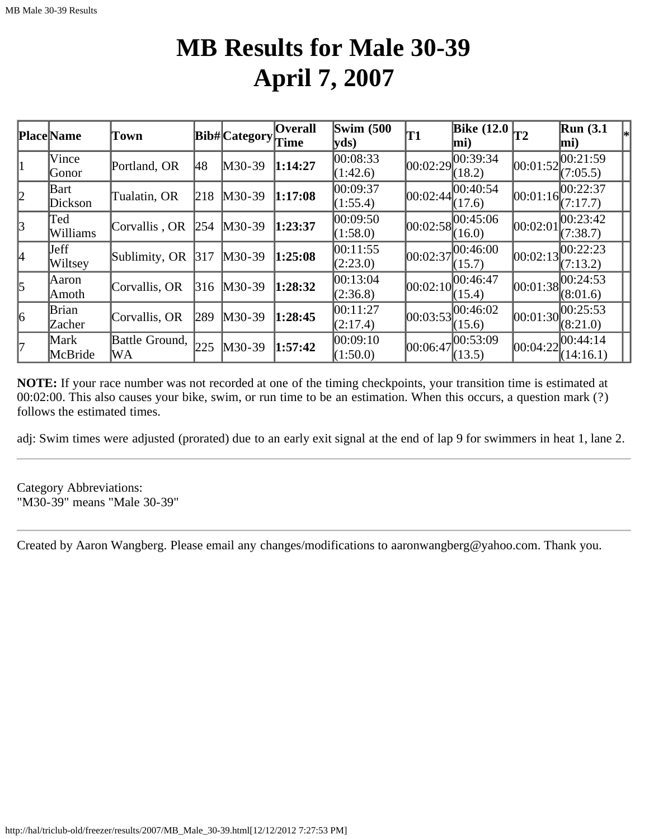### **MB Results for Male 30-39 April 7, 2007**

|    | <b>Place</b> Name       | Town                 |     | Bib# Category | <b>Overall</b><br>Time | <b>Swim (500</b><br>yds) | T1       | <b>Bike</b> (12.0<br>mi) | T2         | $\mathbb{R}$ un (3.1<br>$\vert$ mi) |  |
|----|-------------------------|----------------------|-----|---------------|------------------------|--------------------------|----------|--------------------------|------------|-------------------------------------|--|
|    | Vince<br>Gonor          | Portland, OR         | 48  | $M30-39$      | 1:14:27                | 00:08:33<br>(1:42.6)     | 00:02:29 | 00:39:34<br>(18.2)       | 00:01:52   | 00:21:59<br>(7:05.5)                |  |
| 2  | Bart<br>Dickson         | Tualatin, OR         | 218 | $M30-39$      | 1:17:08                | 00:09:37<br>(1:55.4)     | 00:02:44 | 00:40:54<br>(17.6)       | [00:01:16] | 00:22:37<br>(7:17.7)                |  |
| 3  | Ted<br>Williams         | Corvallis, OR        | 254 | $M30-39$      | 1:23:37                | 00:09:50<br>(1:58.0)     | 00:02:58 | 00:45:06<br>(16.0)       | 00:02:01   | 00:23:42<br>(7:38.7)                |  |
| I4 | <b>J</b> eff<br>Wiltsey | Sublimity, OR        | 317 | $M30-39$      | 1:25:08                | 00:11:55<br>(2:23.0)     | 00:02:37 | 00:46:00<br>(15.7)       | 00:02:13   | 00:22:23<br>(7:13.2)                |  |
| 5  | Aaron<br> Amoth         | Corvallis, OR        | 316 | $M30-39$      | 1:28:32                | 00:13:04<br>(2:36.8)     | 00:02:10 | 00:46:47<br>(15.4)       | 00:01:38   | 00:24:53<br>(8:01.6)                |  |
| 6  | Brian<br>Zacher         | Corvallis, OR        | 289 | $M30-39$      | 1:28:45                | 00:11:27<br>(2:17.4)     | 00:03:53 | 00:46:02<br>(15.6)       |            | $[00:01:30]^{00:25:53}$<br>(8:21.0) |  |
| l7 | Mark<br>McBride         | Battle Ground,<br>WA | 225 | $M30-39$      | 1:57:42                | 00:09:10<br>(1:50.0)     | 00:06:47 | 00:53:09<br>(13.5)       | 00:04:22   | [00:44:14]<br>(14:16.1)             |  |

**NOTE:** If your race number was not recorded at one of the timing checkpoints, your transition time is estimated at 00:02:00. This also causes your bike, swim, or run time to be an estimation. When this occurs, a question mark (?) follows the estimated times.

adj: Swim times were adjusted (prorated) due to an early exit signal at the end of lap 9 for swimmers in heat 1, lane 2.

Category Abbreviations: "M30-39" means "Male 30-39"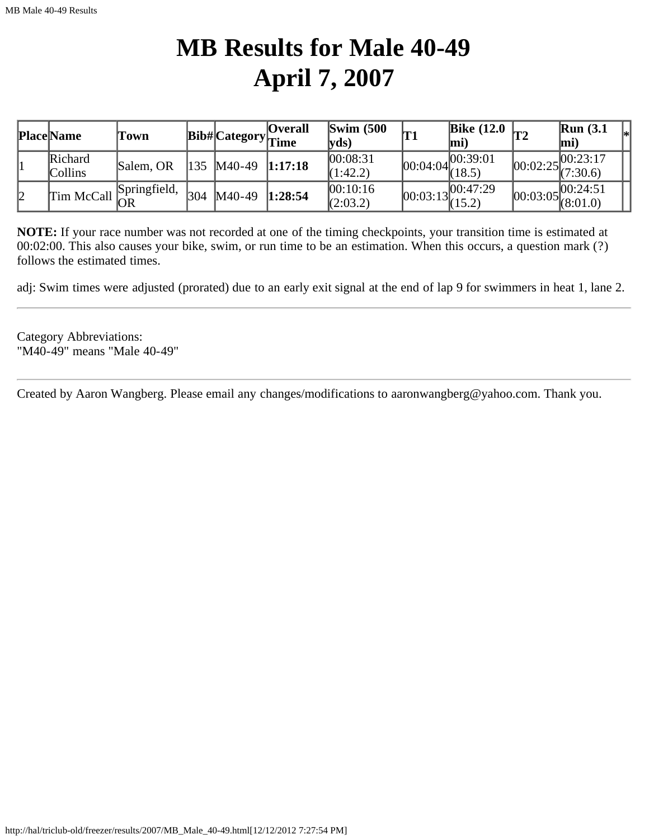## **MB Results for Male 40-49 April 7, 2007**

|    | <b>Place Name</b>         | Fown                                                                 |      |              | <b>Overall</b><br>$ {\bf Bib\#} $ Category $ $ Time | $\mathbf{Swim}\;$ (500)<br>$\mathbf{v}\mathbf{ds}$ | <b>T1</b> | Bike $(12.0)$ <sub>T2</sub><br>lmi)                               | <b>Run</b> (3.1)<br>$ mi\rangle$      |  |
|----|---------------------------|----------------------------------------------------------------------|------|--------------|-----------------------------------------------------|----------------------------------------------------|-----------|-------------------------------------------------------------------|---------------------------------------|--|
|    | Richard<br><b>Collins</b> | Salem, OR                                                            |      | 135   M40-49 | 1:17:18                                             | 00:08:31<br>(1:42.2)                               |           | $[00:04:04]^{00:39:01}_{(18.5)}$                                  | .17 00:23:17<br>$[00:02:25]$ (7:30.6) |  |
| l2 |                           | $\boxed{\text{Tim } \text{McCall}}^{\text{Springfield}}_{\text{OR}}$ | 1304 | $M40-49$     | 1:28:54                                             | 00:10:16<br>(2:03.2)                               |           | $\sqrt{00:03:13}\begin{bmatrix} 00:47:29 \\ (15.2) \end{bmatrix}$ | .100:24:51<br>$ 00:03:05 $ (8:01.0)   |  |

**NOTE:** If your race number was not recorded at one of the timing checkpoints, your transition time is estimated at 00:02:00. This also causes your bike, swim, or run time to be an estimation. When this occurs, a question mark (?) follows the estimated times.

adj: Swim times were adjusted (prorated) due to an early exit signal at the end of lap 9 for swimmers in heat 1, lane 2.

Category Abbreviations: "M40-49" means "Male 40-49"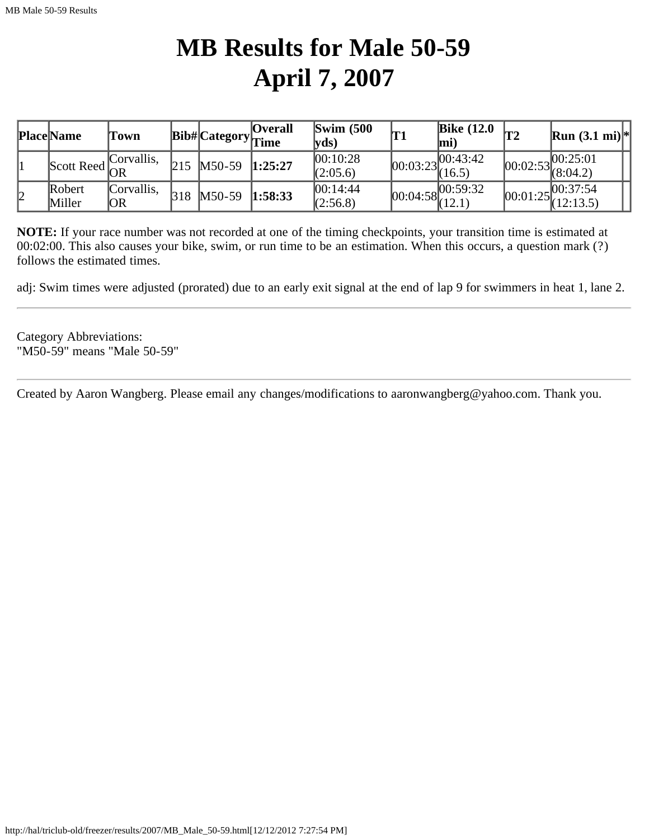# **MB Results for Male 50-59 April 7, 2007**

|    | <b>Place Name</b> | Town             |     |                  | <b>Overall</b><br>$ {\bf Bib\#} $ Category $ $ Time | $\text{Swim}\ (500$<br> vds) | 'T1        | <b>Bike (12.0</b><br>mi          | $ \mathbf{T2}$ | <b>Run</b> $(3.1 \text{ mi})$ <sup>*</sup>                                          |  |
|----|-------------------|------------------|-----|------------------|-----------------------------------------------------|------------------------------|------------|----------------------------------|----------------|-------------------------------------------------------------------------------------|--|
|    | Scott Reed $OR$   | Corvallis,       | 215 | M50-59 1:25:27   |                                                     | 00:10:28<br>(2:05.6)         | [00:03:23] | 00:43:42<br>(16.5)               |                | $ 00:02:53 ^{00:25:01}_{(8:04.2)} $                                                 |  |
| 12 | Robert<br>Miller  | Corvallis,<br>OR | 318 | $M50-59$ 1:58:33 |                                                     | 00:14:44<br>(2:56.8)         |            | $[00:04:58]^{00:59:32}_{(12.1)}$ |                | .00:37:54<br>$\begin{bmatrix} 1.25 \\ 0.01 \cdot 25 \\ 0.01 \cdot 25 \end{bmatrix}$ |  |

**NOTE:** If your race number was not recorded at one of the timing checkpoints, your transition time is estimated at 00:02:00. This also causes your bike, swim, or run time to be an estimation. When this occurs, a question mark (?) follows the estimated times.

adj: Swim times were adjusted (prorated) due to an early exit signal at the end of lap 9 for swimmers in heat 1, lane 2.

Category Abbreviations: "M50-59" means "Male 50-59"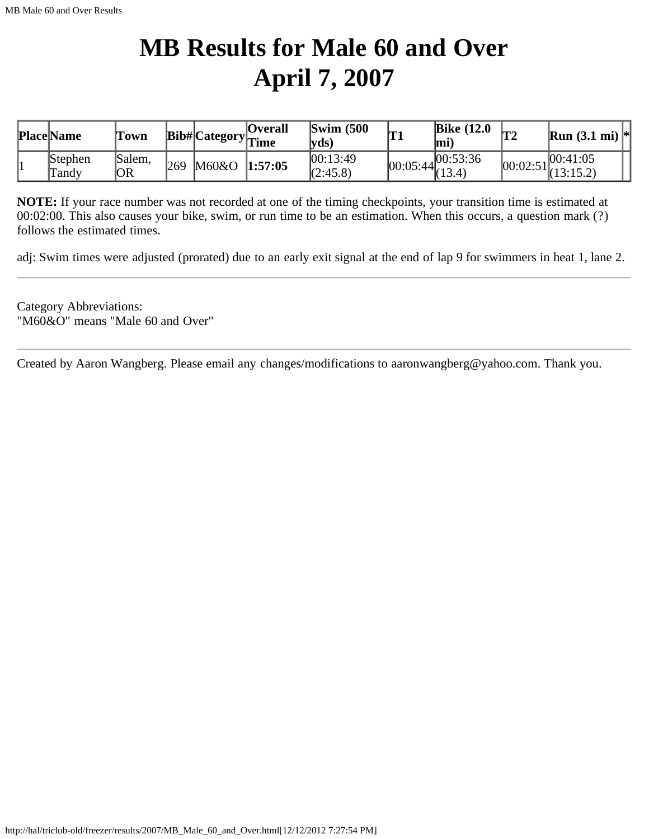## **MB Results for Male 60 and Over April 7, 2007**

| <b>Place Name</b> | Town          |     |                 | <b>Overall</b><br>wn $ Bib\# Category _{Time}$ | $\text{Swim}$ (500)<br> vds) | <b>T1</b> | <b>Bike</b> (12.0<br>lmi                           | Ima     | <b>Run</b> (3.1 mi) $*$ |
|-------------------|---------------|-----|-----------------|------------------------------------------------|------------------------------|-----------|----------------------------------------------------|---------|-------------------------|
| Stephen<br>Tandy  | Salem,<br> OR | 269 | $M60&O$ 1:57:05 |                                                | 00:13:49<br>(2:45.8)         |           | $\overline{00:05:}44\overline{00:53:36}$<br>(13.4) | 00:02:5 | 00:41:05                |

**NOTE:** If your race number was not recorded at one of the timing checkpoints, your transition time is estimated at 00:02:00. This also causes your bike, swim, or run time to be an estimation. When this occurs, a question mark (?) follows the estimated times.

adj: Swim times were adjusted (prorated) due to an early exit signal at the end of lap 9 for swimmers in heat 1, lane 2.

Category Abbreviations: "M60&O" means "Male 60 and Over"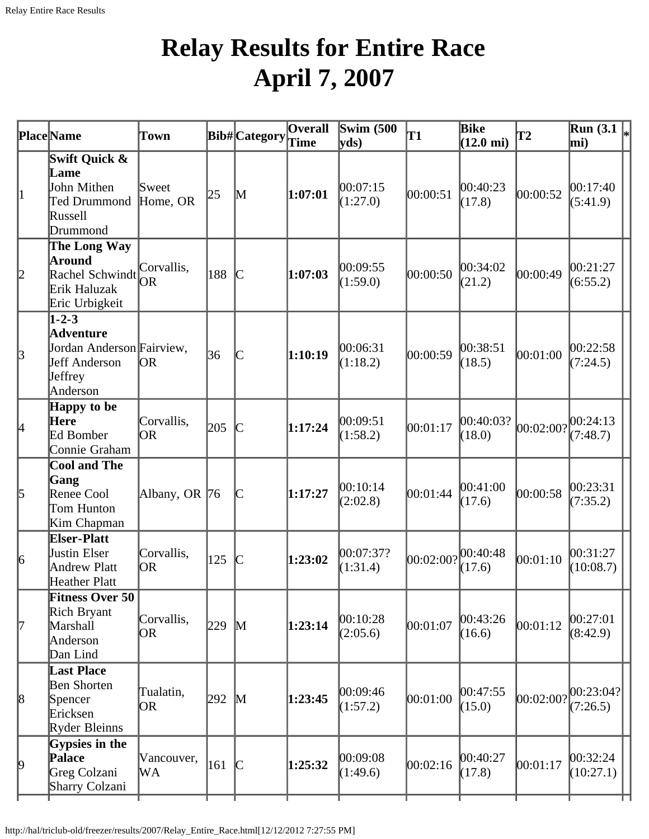## **Relay Results for Entire Race April 7, 2007**

|                 | <b>Place</b> Name                                                                                    | Town                    |     | Bib#Category Time                                                                                             | Overall | Swim $(500)$<br>$ {\rm yds})$ | T1        | <b>Bike</b><br>$(12.0 \text{ mi})$ | $\mathbf{T2}$      | Run $(3.1)$<br>mi)      |
|-----------------|------------------------------------------------------------------------------------------------------|-------------------------|-----|---------------------------------------------------------------------------------------------------------------|---------|-------------------------------|-----------|------------------------------------|--------------------|-------------------------|
| 1               | Swift Quick &<br>Lame<br>John Mithen<br>Ted Drummond<br>Russell<br>Drummond                          | Sweet<br>Home, OR       | 25  | M                                                                                                             | 1:07:01 | 00:07:15<br>(1:27.0)          | 00:00:51  | 00:40:23<br>(17.8)                 | 00:00:52           | 00:17:40<br>(5:41.9)    |
| 2               | The Long Way<br><b>Around</b><br>Rachel Schwindt OR<br>Erik Haluzak<br>Eric Urbigkeit                | Corvallis,              | 188 | $\mathsf{C}% _{M_{1},M_{2}}^{\alpha,\beta}(\varepsilon)=\mathsf{C}_{M_{1},M_{2}}^{\alpha,\beta}(\varepsilon)$ | 1:07:03 | 00:09:55<br>(1:59.0)          | 00:00:50  | 00:34:02<br>(21.2)                 | 00:00:49           | 00:21:27<br>(6:55.2)    |
| $\beta$         | $1 - 2 - 3$<br><b>Adventure</b><br>Jordan Anderson Fairview,<br>Jeff Anderson<br>Jeffrey<br>Anderson | OR                      | 36  | $\mathsf{C}% _{0}\!\left( t\right) \in\mathcal{C}_{0}\!\left( 0\right)$                                       | 1:10:19 | 00:06:31<br>(1:18.2)          | 00:00:59  | 00:38:51<br>(18.5)                 | 00:01:00           | 00:22:58<br>(7:24.5)    |
| $\vert 4 \vert$ | Happy to be<br>Here<br>Ed Bomber<br>Connie Graham                                                    | Corvallis,<br><b>OR</b> | 205 | $\mathsf{C}% _{0}\left( t\right) \sim\mathsf{C}\left( t\right)$                                               | 1:17:24 | 00:09:51<br>(1:58.2)          | 00:01:17  | 00:40:03?<br>(18.0)                | 00:02:00? 00:24:13 | (7:48.7)                |
| 5               | <b>Cool and The</b><br>Gang<br>Renee Cool<br>Tom Hunton<br>Kim Chapman                               | Albany, OR 76           |     | $\mathsf{C}% _{M_{1},M_{2}}^{\alpha,\beta}(\varepsilon)=\mathsf{C}_{M_{1},M_{2}}^{\alpha,\beta}(\varepsilon)$ | 1:17:27 | 00:10:14<br>(2:02.8)          | 00:01:44  | 00:41:00<br>(17.6)                 | 00:00:58           | 00:23:31<br>(7:35.2)    |
| $\vert 6 \vert$ | <b>Elser-Platt</b><br>Justin Elser<br>Andrew Platt<br>Heather Platt                                  | Corvallis,<br>OR)       | 125 | $\mathbb{C}$                                                                                                  | 1:23:02 | 00:07:37?<br>(1:31.4)         | 00:02:00? | 00:40:48<br>(17.6)                 | 00:01:10           | 00:31:27<br>(10:08.7)   |
| 17              | <b>Fitness Over 50</b><br>Rich Bryant<br>Marshall<br>Anderson<br>Dan Lind                            | Corvallis,<br>OR        | 229 | $\mathbb{M}$                                                                                                  | 1:23:14 | 00:10:28<br>(2:05.6)          | 00:01:07  | 00:43:26<br>(16.6)                 | 00:01:12           | 00:27:01<br>(8:42.9)    |
| $\vert 8$       | <b>Last Place</b><br>Ben Shorten<br>Spencer<br>Ericksen<br>Ryder Bleinns                             | Tualatin,<br>OR.        | 292 | M                                                                                                             | 1:23:45 | 00:09:46<br>(1:57.2)          | 00:01:00  | 00:47:55 <br>(15.0)                | 00:02:00?          | [00:23:04?]<br>(7:26.5) |
| $\vert 9 \vert$ | Gypsies in the<br>Palace<br>Greg Colzani<br>Sharry Colzani                                           | Vancouver,<br>WА        | 161 | $\mathcal{C}$                                                                                                 | 1:25:32 | 00:09:08<br>(1:49.6)          | 00:02:16  | 00:40:27<br>(17.8)                 | 00:01:17           | 00:32:24 <br>(10:27.1)  |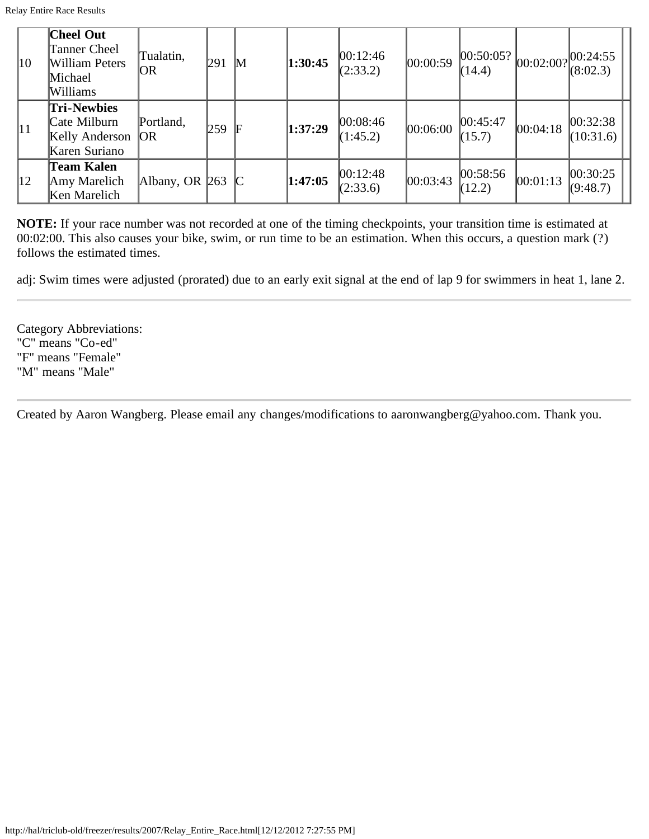| $ 10\rangle$ | <b>Cheel Out</b><br>Tanner Cheel<br>William Peters<br>Michael<br>Williams | Tualatin,<br> OR   | 291 | $\mathbb{M}$ | 1:30:45 | 00:12:46<br>(2:33.2) | 00:00:59 | 00:50:05? <br>(14.4) | 00:02:00? | [00:24:55]<br>(8:02.3) |
|--------------|---------------------------------------------------------------------------|--------------------|-----|--------------|---------|----------------------|----------|----------------------|-----------|------------------------|
| 11           | <b>Tri-Newbies</b><br>Cate Milburn<br>Kelly Anderson<br>Karen Suriano     | Portland,<br> OR   | 259 | IF           | 1:37:29 | 00:08:46<br>(1:45.2) | 00:06:00 | 00:45:47<br>(15.7)   | 00:04:18  | 00:32:38 <br>(10:31.6) |
| $ 12\rangle$ | Team Kalen<br>Amy Marelich<br>Ken Marelich                                | Albany, OR $ 263 $ |     | $\mathbb{C}$ | 1:47:05 | 00:12:48<br>(2:33.6) | 00:03:43 | 00:58:56 <br>(12.2)  | 00:01:13  | 00:30:25<br>(9:48.7)   |

**NOTE:** If your race number was not recorded at one of the timing checkpoints, your transition time is estimated at 00:02:00. This also causes your bike, swim, or run time to be an estimation. When this occurs, a question mark (?) follows the estimated times.

adj: Swim times were adjusted (prorated) due to an early exit signal at the end of lap 9 for swimmers in heat 1, lane 2.

Category Abbreviations: "C" means "Co-ed" "F" means "Female" "M" means "Male"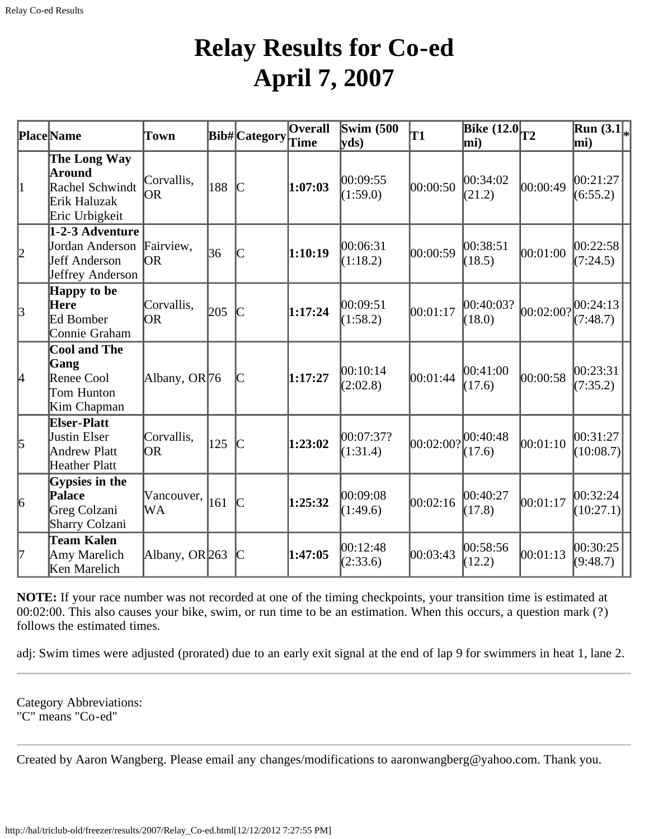## **Relay Results for Co-ed April 7, 2007**

|                 | <b>Place Name</b>                                                                 | Town                     |     | Bib#Category  | <b>Overall</b><br>Time | Swim $(500)$<br>yds   | T1        | Bike $(12.0T2)$<br>mi) |           | Run $(3.1)$<br>mi)    |
|-----------------|-----------------------------------------------------------------------------------|--------------------------|-----|---------------|------------------------|-----------------------|-----------|------------------------|-----------|-----------------------|
| 1               | The Long Way<br>Around<br>Rachel Schwindt<br>Erik Haluzak<br>Eric Urbigkeit       | Corvallis,<br>OR         | 188 | $\mathbb{C}$  | 1:07:03                | 00:09:55<br>(1:59.0)  | 00:00:50  | 00:34:02<br>(21.2)     | 00:00:49  | 00:21:27<br>(6:55.2)  |
| 2               | 1-2-3 Adventure<br>Jordan Anderson Fairview,<br>Jeff Anderson<br>Jeffrey Anderson | lOR.                     | 36  |               | 1:10:19                | 00:06:31<br>(1:18.2)  | 00:00:59  | 00:38:51<br>(18.5)     | 00:01:00  | 00:22:58<br>(7:24.5)  |
| $\vert$ 3       | Happy to be<br>Here<br>Ed Bomber<br>Connie Graham                                 | Corvallis,<br>OR.        | 205 |               | 1:17:24                | 00:09:51<br>(1:58.2)  | 00:01:17  | 00:40:03?<br>(18.0)    | 00:02:00? | 00:24:13<br>(7:48.7)  |
| 4               | <b>Cool and The</b><br>Gang<br>Renee Cool<br>Tom Hunton<br>Kim Chapman            | Albany, OR <sub>76</sub> |     |               | 1:17:27                | 00:10:14<br>(2:02.8)  | 00:01:44  | 00:41:00<br>(17.6)     | 00:00:58  | 00:23:31<br>(7:35.2)  |
| 5               | <b>Elser-Platt</b><br>Justin Elser<br><b>Andrew Platt</b><br>Heather Platt        | Corvallis,<br> OR        | 125 | $\mathcal{C}$ | 1:23:02                | 00:07:37?<br>(1:31.4) | 00:02:00? | 00:40:48<br>(17.6)     | 00:01:10  | 00:31:27<br>(10:08.7) |
| $\vert 6 \vert$ | Gypsies in the<br>Palace<br>Greg Colzani<br><b>Sharry Colzani</b>                 | Vancouver,<br>WА         | 161 | $\mathcal{C}$ | 1:25:32                | 00:09:08<br>(1:49.6)  | 00:02:16  | 00:40:27<br>(17.8)     | 00:01:17  | 00:32:24<br>(10:27.1) |
|                 | <b>Team Kalen</b><br>Amy Marelich<br>Ken Marelich                                 | Albany, OR 263           |     |               | 1:47:05                | 00:12:48<br>(2:33.6)  | 00:03:43  | 00:58:56<br>(12.2)     | 00:01:13  | 00:30:25<br>(9:48.7)  |

**NOTE:** If your race number was not recorded at one of the timing checkpoints, your transition time is estimated at 00:02:00. This also causes your bike, swim, or run time to be an estimation. When this occurs, a question mark (?) follows the estimated times.

adj: Swim times were adjusted (prorated) due to an early exit signal at the end of lap 9 for swimmers in heat 1, lane 2.

Category Abbreviations: "C" means "Co-ed"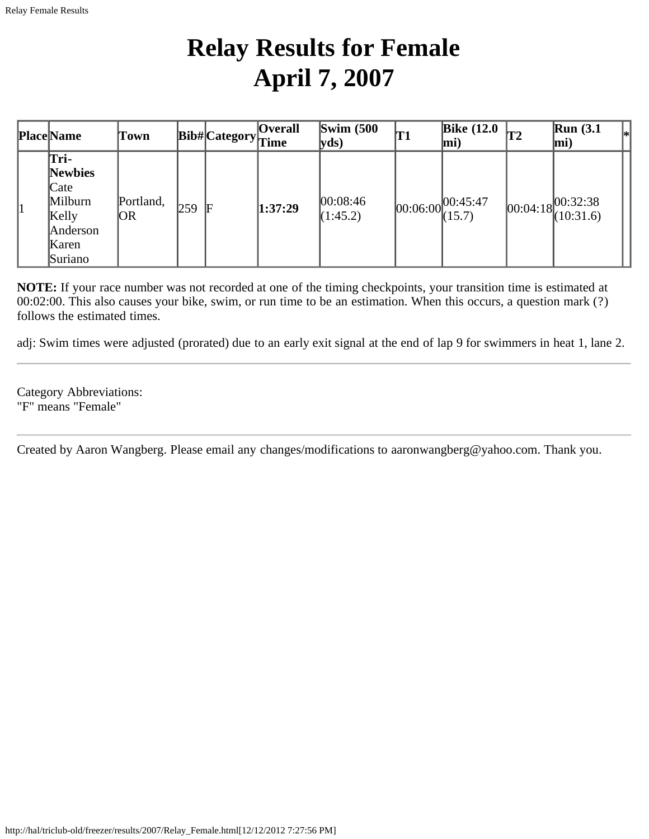## **Relay Results for Female April 7, 2007**

|    | <b>Place</b> Name                                                                  | Town              |     | $ {\rm \textbf{Bib}\#}\big {\rm \textbf{Category}}\big $ Time | <b>Overall</b> | Swim $(500)$<br>$ {\bf v}$ ds) | T1 | Bike $(12.0)$<br>mi)             | <b>T2</b> | Run(3.1)<br> *<br>mi)               |
|----|------------------------------------------------------------------------------------|-------------------|-----|---------------------------------------------------------------|----------------|--------------------------------|----|----------------------------------|-----------|-------------------------------------|
| 11 | Tri-<br><b>Newbies</b><br>Cate<br>Milburn<br>Kelly<br>Anderson<br>Karen<br>Suriano | Portland,<br>IOR. | 259 | F                                                             | 1:37:29        | 00:08:46<br>(1:45.2)           |    | $ 00:06:00 ^{00:45:47}_{(15.7)}$ |           | $ 00:04:18 ^{00:32:38}_{(10:31.6)}$ |

**NOTE:** If your race number was not recorded at one of the timing checkpoints, your transition time is estimated at 00:02:00. This also causes your bike, swim, or run time to be an estimation. When this occurs, a question mark (?) follows the estimated times.

adj: Swim times were adjusted (prorated) due to an early exit signal at the end of lap 9 for swimmers in heat 1, lane 2.

Category Abbreviations: "F" means "Female"